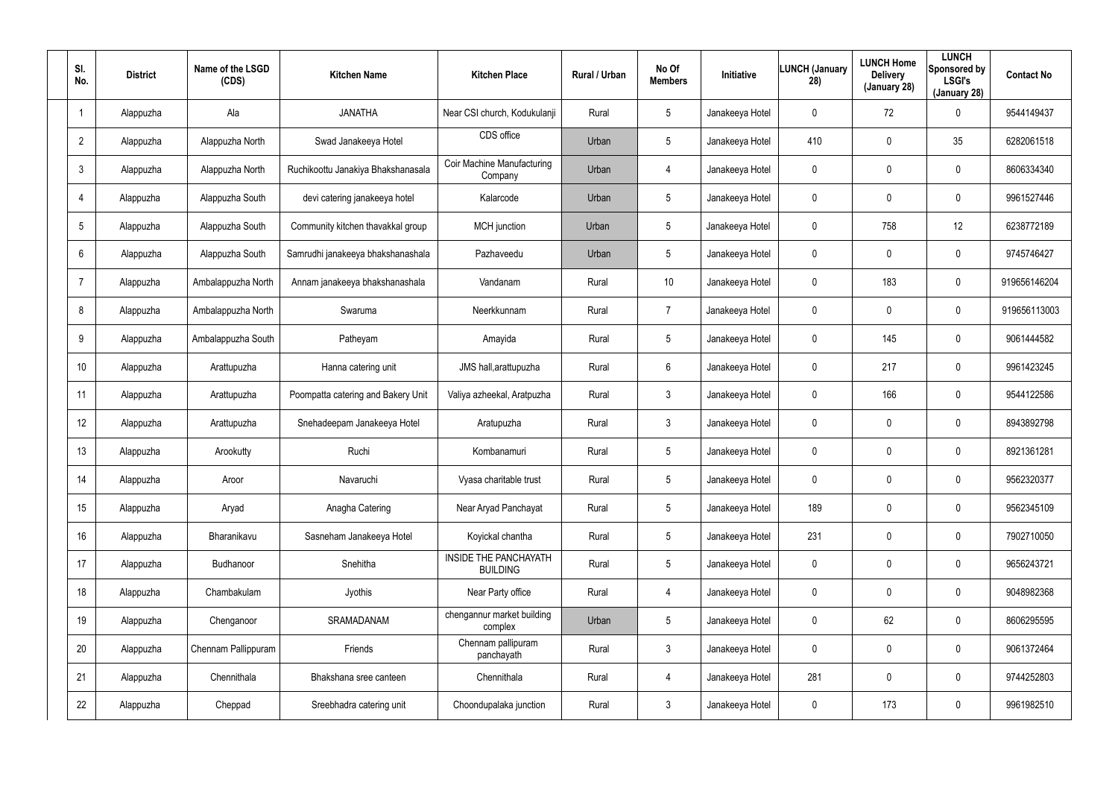| SI.<br>No.              | <b>District</b> | Name of the LSGD<br>(CDS) | <b>Kitchen Name</b>                | <b>Kitchen Place</b>                            | Rural / Urban | No Of<br><b>Members</b> | Initiative      | <b>LUNCH (January</b><br>28) | <b>LUNCH Home</b><br><b>Delivery</b><br>(January 28) | <b>LUNCH</b><br>Sponsored by<br><b>LSGI's</b><br>(January 28) | <b>Contact No</b> |
|-------------------------|-----------------|---------------------------|------------------------------------|-------------------------------------------------|---------------|-------------------------|-----------------|------------------------------|------------------------------------------------------|---------------------------------------------------------------|-------------------|
| $\overline{\mathbf{1}}$ | Alappuzha       | Ala                       | <b>JANATHA</b>                     | Near CSI church, Kodukulanji                    | Rural         | $5\phantom{.0}$         | Janakeeya Hotel | 0                            | 72                                                   | 0                                                             | 9544149437        |
| $\overline{2}$          | Alappuzha       | Alappuzha North           | Swad Janakeeya Hotel               | CDS office                                      | Urban         | 5                       | Janakeeya Hotel | 410                          | $\mathbf 0$                                          | 35                                                            | 6282061518        |
| $\mathfrak{Z}$          | Alappuzha       | Alappuzha North           | Ruchikoottu Janakiya Bhakshanasala | Coir Machine Manufacturing<br>Company           | Urban         | 4                       | Janakeeya Hotel | 0                            | $\mathbf 0$                                          | 0                                                             | 8606334340        |
| $\overline{4}$          | Alappuzha       | Alappuzha South           | devi catering janakeeya hotel      | Kalarcode                                       | Urban         | 5                       | Janakeeya Hotel | 0                            | $\mathbf 0$                                          | 0                                                             | 9961527446        |
| $\sqrt{5}$              | Alappuzha       | Alappuzha South           | Community kitchen thavakkal group  | <b>MCH</b> junction                             | Urban         | $5\phantom{.0}$         | Janakeeya Hotel | 0                            | 758                                                  | 12                                                            | 6238772189        |
| 6                       | Alappuzha       | Alappuzha South           | Samrudhi janakeeya bhakshanashala  | Pazhaveedu                                      | Urban         | 5                       | Janakeeya Hotel | 0                            | $\mathbf 0$                                          | 0                                                             | 9745746427        |
| $\overline{7}$          | Alappuzha       | Ambalappuzha North        | Annam janakeeya bhakshanashala     | Vandanam                                        | Rural         | 10 <sup>°</sup>         | Janakeeya Hotel | 0                            | 183                                                  | 0                                                             | 919656146204      |
| 8                       | Alappuzha       | Ambalappuzha North        | Swaruma                            | Neerkkunnam                                     | Rural         | 7                       | Janakeeya Hotel | 0                            | $\mathbf 0$                                          | 0                                                             | 919656113003      |
| 9                       | Alappuzha       | Ambalappuzha South        | Patheyam                           | Amayida                                         | Rural         | $5\phantom{.0}$         | Janakeeya Hotel | 0                            | 145                                                  | 0                                                             | 9061444582        |
| 10 <sup>°</sup>         | Alappuzha       | Arattupuzha               | Hanna catering unit                | JMS hall, arattupuzha                           | Rural         | 6                       | Janakeeya Hotel | 0                            | 217                                                  | 0                                                             | 9961423245        |
| 11                      | Alappuzha       | Arattupuzha               | Poompatta catering and Bakery Unit | Valiya azheekal, Aratpuzha                      | Rural         | $\mathbf{3}$            | Janakeeya Hotel | 0                            | 166                                                  | 0                                                             | 9544122586        |
| 12                      | Alappuzha       | Arattupuzha               | Snehadeepam Janakeeya Hotel        | Aratupuzha                                      | Rural         | $\mathbf{3}$            | Janakeeya Hotel | 0                            | $\mathbf 0$                                          | 0                                                             | 8943892798        |
| 13                      | Alappuzha       | Arookutty                 | Ruchi                              | Kombanamuri                                     | Rural         | $5\phantom{.0}$         | Janakeeya Hotel | 0                            | $\boldsymbol{0}$                                     | 0                                                             | 8921361281        |
| 14                      | Alappuzha       | Aroor                     | Navaruchi                          | Vyasa charitable trust                          | Rural         | $5\phantom{.0}$         | Janakeeya Hotel | 0                            | $\overline{0}$                                       | 0                                                             | 9562320377        |
| 15                      | Alappuzha       | Aryad                     | Anagha Catering                    | Near Aryad Panchayat                            | Rural         | $5\phantom{.0}$         | Janakeeya Hotel | 189                          | $\mathbf 0$                                          | 0                                                             | 9562345109        |
| 16                      | Alappuzha       | Bharanikavu               | Sasneham Janakeeya Hotel           | Koyickal chantha                                | Rural         | $5\phantom{.0}$         | Janakeeya Hotel | 231                          | $\overline{0}$                                       | 0                                                             | 7902710050        |
| 17                      | Alappuzha       | Budhanoor                 | Snehitha                           | <b>INSIDE THE PANCHAYATH</b><br><b>BUILDING</b> | Rural         | $5\phantom{.0}$         | Janakeeya Hotel | $\mathbf 0$                  | $\overline{0}$                                       | 0                                                             | 9656243721        |
| 18                      | Alappuzha       | Chambakulam               | Jyothis                            | Near Party office                               | Rural         | $\overline{4}$          | Janakeeya Hotel | $\mathbf 0$                  | $\mathbf 0$                                          | 0                                                             | 9048982368        |
| 19                      | Alappuzha       | Chenganoor                | SRAMADANAM                         | chengannur market building<br>complex           | Urban         | $5\phantom{.0}$         | Janakeeya Hotel | 0                            | 62                                                   | 0                                                             | 8606295595        |
| 20                      | Alappuzha       | Chennam Pallippuram       | Friends                            | Chennam pallipuram<br>panchayath                | Rural         | $\mathbf{3}$            | Janakeeya Hotel | 0                            | $\mathbf 0$                                          | 0                                                             | 9061372464        |
| 21                      | Alappuzha       | Chennithala               | Bhakshana sree canteen             | Chennithala                                     | Rural         | $\overline{4}$          | Janakeeya Hotel | 281                          | $\overline{0}$                                       | 0                                                             | 9744252803        |
| 22                      | Alappuzha       | Cheppad                   | Sreebhadra catering unit           | Choondupalaka junction                          | Rural         | $\mathfrak{Z}$          | Janakeeya Hotel | 0                            | 173                                                  | 0                                                             | 9961982510        |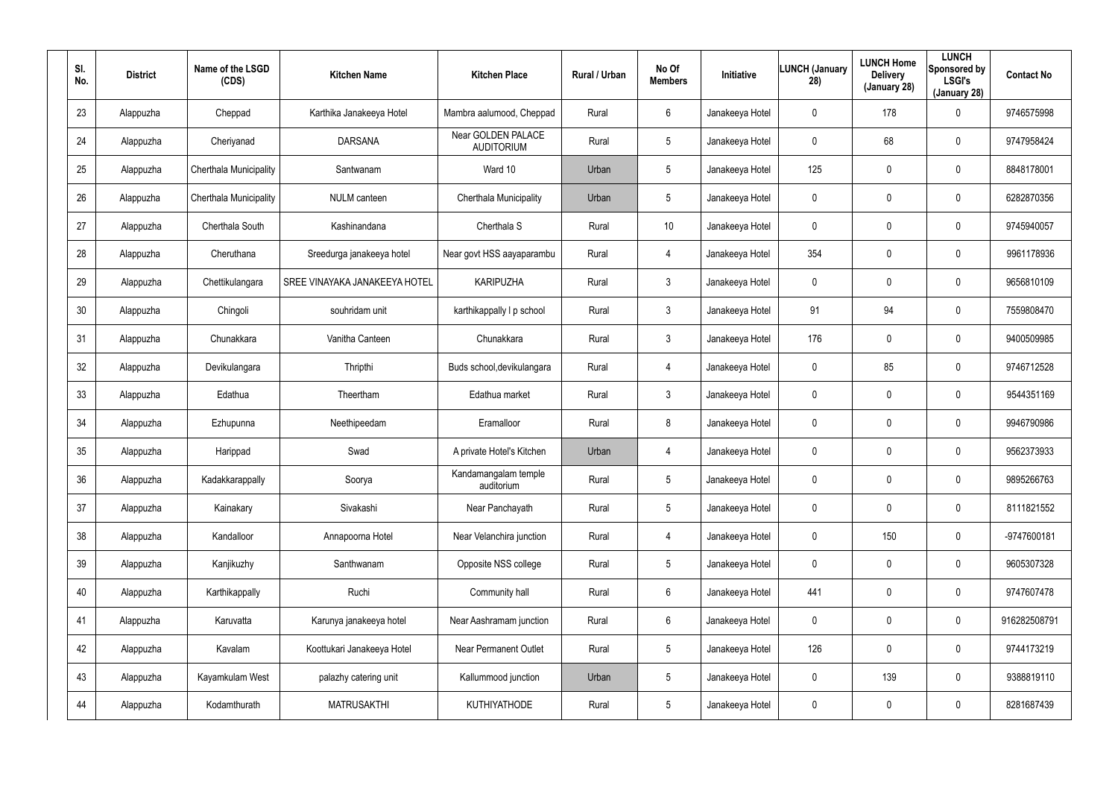| SI.<br>No. | <b>District</b> | Name of the LSGD<br>(CDS) | <b>Kitchen Name</b>           | <b>Kitchen Place</b>                    | <b>Rural / Urban</b> | No Of<br><b>Members</b> | Initiative      | <b>LUNCH (January</b><br>28) | <b>LUNCH Home</b><br><b>Delivery</b><br>(January 28) | <b>LUNCH</b><br>Sponsored by<br><b>LSGI's</b><br>(January 28) | <b>Contact No</b> |
|------------|-----------------|---------------------------|-------------------------------|-----------------------------------------|----------------------|-------------------------|-----------------|------------------------------|------------------------------------------------------|---------------------------------------------------------------|-------------------|
| 23         | Alappuzha       | Cheppad                   | Karthika Janakeeya Hotel      | Mambra aalumood, Cheppad                | Rural                | 6                       | Janakeeya Hotel | 0                            | 178                                                  | 0                                                             | 9746575998        |
| 24         | Alappuzha       | Cheriyanad                | <b>DARSANA</b>                | Near GOLDEN PALACE<br><b>AUDITORIUM</b> | Rural                | 5                       | Janakeeya Hotel | 0                            | 68                                                   | $\mathbf 0$                                                   | 9747958424        |
| 25         | Alappuzha       | Cherthala Municipality    | Santwanam                     | Ward 10                                 | Urban                | 5                       | Janakeeya Hotel | 125                          | $\mathbf 0$                                          | $\mathbf 0$                                                   | 8848178001        |
| 26         | Alappuzha       | Cherthala Municipality    | <b>NULM</b> canteen           | Cherthala Municipality                  | Urban                | 5                       | Janakeeya Hotel | 0                            | $\mathbf 0$                                          | $\mathbf 0$                                                   | 6282870356        |
| 27         | Alappuzha       | Cherthala South           | Kashinandana                  | Cherthala <sub>S</sub>                  | Rural                | 10                      | Janakeeya Hotel | 0                            | 0                                                    | $\mathbf 0$                                                   | 9745940057        |
| 28         | Alappuzha       | Cheruthana                | Sreedurga janakeeya hotel     | Near govt HSS aayaparambu               | Rural                | $\overline{4}$          | Janakeeya Hotel | 354                          | 0                                                    | $\mathbf 0$                                                   | 9961178936        |
| 29         | Alappuzha       | Chettikulangara           | SREE VINAYAKA JANAKEEYA HOTEL | <b>KARIPUZHA</b>                        | Rural                | $\mathbf{3}$            | Janakeeya Hotel | 0                            | $\mathbf 0$                                          | 0                                                             | 9656810109        |
| 30         | Alappuzha       | Chingoli                  | souhridam unit                | karthikappally I p school               | Rural                | $\mathbf{3}$            | Janakeeya Hotel | 91                           | 94                                                   | $\mathbf 0$                                                   | 7559808470        |
| 31         | Alappuzha       | Chunakkara                | Vanitha Canteen               | Chunakkara                              | Rural                | $\mathbf{3}$            | Janakeeya Hotel | 176                          | $\boldsymbol{0}$                                     | 0                                                             | 9400509985        |
| 32         | Alappuzha       | Devikulangara             | Thripthi                      | Buds school, devikulangara              | Rural                | $\overline{4}$          | Janakeeya Hotel | 0                            | 85                                                   | $\mathbf 0$                                                   | 9746712528        |
| 33         | Alappuzha       | Edathua                   | Theertham                     | Edathua market                          | Rural                | $\mathbf{3}$            | Janakeeya Hotel | 0                            | $\boldsymbol{0}$                                     | 0                                                             | 9544351169        |
| 34         | Alappuzha       | Ezhupunna                 | Neethipeedam                  | Eramalloor                              | Rural                | 8                       | Janakeeya Hotel | 0                            | $\boldsymbol{0}$                                     | $\mathbf 0$                                                   | 9946790986        |
| 35         | Alappuzha       | Harippad                  | Swad                          | A private Hotel's Kitchen               | Urban                | 4                       | Janakeeya Hotel | 0                            | $\boldsymbol{0}$                                     | $\mathbf 0$                                                   | 9562373933        |
| 36         | Alappuzha       | Kadakkarappally           | Soorya                        | Kandamangalam temple<br>auditorium      | Rural                | 5                       | Janakeeya Hotel | 0                            | $\pmb{0}$                                            | $\pmb{0}$                                                     | 9895266763        |
| 37         | Alappuzha       | Kainakary                 | Sivakashi                     | Near Panchayath                         | Rural                | 5                       | Janakeeya Hotel | 0                            | $\pmb{0}$                                            | $\pmb{0}$                                                     | 8111821552        |
| 38         | Alappuzha       | Kandalloor                | Annapoorna Hotel              | Near Velanchira junction                | Rural                | $\overline{4}$          | Janakeeya Hotel | 0                            | 150                                                  | $\pmb{0}$                                                     | -9747600181       |
| 39         | Alappuzha       | Kanjikuzhy                | Santhwanam                    | Opposite NSS college                    | Rural                | 5                       | Janakeeya Hotel | 0                            | $\pmb{0}$                                            | $\pmb{0}$                                                     | 9605307328        |
| 40         | Alappuzha       | Karthikappally            | Ruchi                         | Community hall                          | Rural                | $6\phantom{.0}$         | Janakeeya Hotel | 441                          | $\mathbf 0$                                          | $\pmb{0}$                                                     | 9747607478        |
| 41         | Alappuzha       | Karuvatta                 | Karunya janakeeya hotel       | Near Aashramam junction                 | Rural                | $6\phantom{.0}$         | Janakeeya Hotel | 0                            | $\pmb{0}$                                            | $\pmb{0}$                                                     | 916282508791      |
| 42         | Alappuzha       | Kavalam                   | Koottukari Janakeeya Hotel    | <b>Near Permanent Outlet</b>            | Rural                | $5\phantom{.0}$         | Janakeeya Hotel | 126                          | $\mathbf 0$                                          | 0                                                             | 9744173219        |
| 43         | Alappuzha       | Kayamkulam West           | palazhy catering unit         | Kallummood junction                     | Urban                | $5\phantom{.0}$         | Janakeeya Hotel | 0                            | 139                                                  | 0                                                             | 9388819110        |
| 44         | Alappuzha       | Kodamthurath              | <b>MATRUSAKTHI</b>            | KUTHIYATHODE                            | Rural                | $5\phantom{.0}$         | Janakeeya Hotel | 0                            | $\boldsymbol{0}$                                     | 0                                                             | 8281687439        |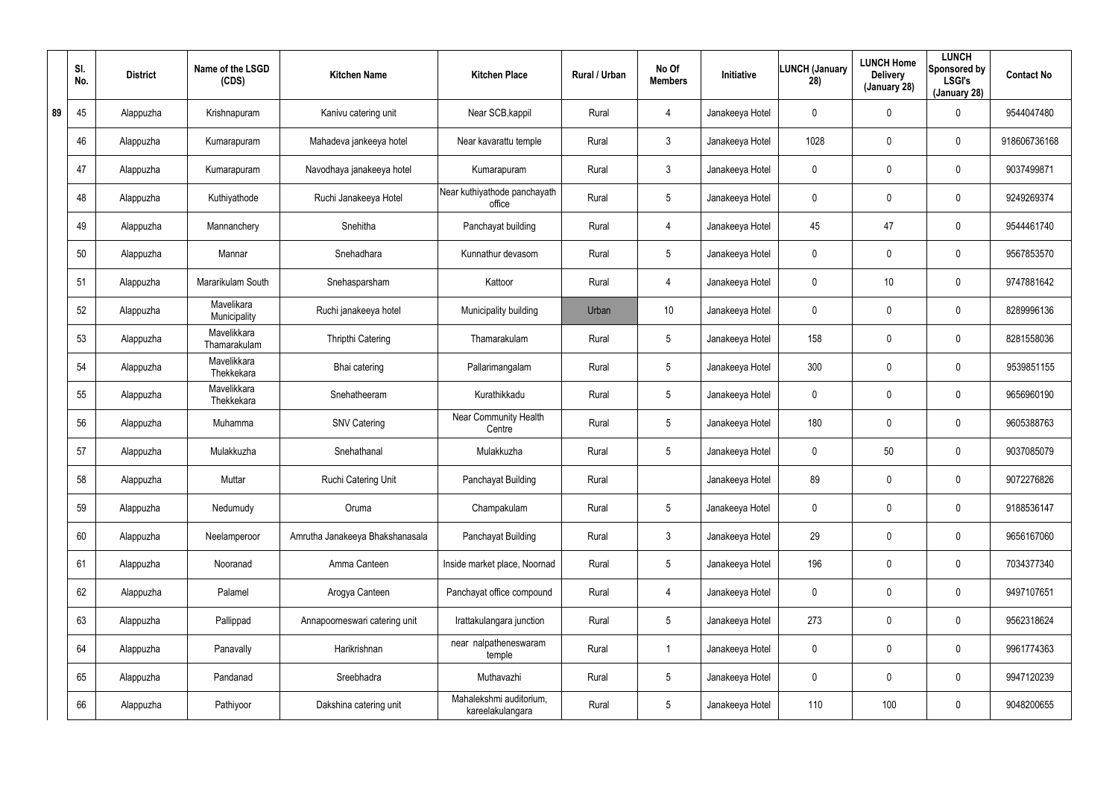|    | SI.<br>No. | <b>District</b> | Name of the LSGD<br>(CDS)   | <b>Kitchen Name</b>             | <b>Kitchen Place</b>                        | Rural / Urban | No Of<br><b>Members</b> | Initiative      | <b>LUNCH (January</b><br>28) | <b>LUNCH Home</b><br><b>Delivery</b><br>(January 28) | <b>LUNCH</b><br>Sponsored by<br><b>LSGI's</b><br>(January 28) | <b>Contact No</b> |
|----|------------|-----------------|-----------------------------|---------------------------------|---------------------------------------------|---------------|-------------------------|-----------------|------------------------------|------------------------------------------------------|---------------------------------------------------------------|-------------------|
| 89 | 45         | Alappuzha       | Krishnapuram                | Kanivu catering unit            | Near SCB, kappil                            | Rural         | 4                       | Janakeeya Hotel | 0                            | 0                                                    | $\mathbf 0$                                                   | 9544047480        |
|    | 46         | Alappuzha       | Kumarapuram                 | Mahadeva jankeeya hotel         | Near kavarattu temple                       | Rural         | 3                       | Janakeeya Hotel | 1028                         | 0                                                    | $\boldsymbol{0}$                                              | 918606736168      |
|    | 47         | Alappuzha       | Kumarapuram                 | Navodhaya janakeeya hotel       | Kumarapuram                                 | Rural         | $\mathfrak{Z}$          | Janakeeya Hotel | 0                            | 0                                                    | $\boldsymbol{0}$                                              | 9037499871        |
|    | 48         | Alappuzha       | Kuthiyathode                | Ruchi Janakeeya Hotel           | Near kuthiyathode panchayath<br>office      | Rural         | $5\phantom{.0}$         | Janakeeya Hotel | 0                            | 0                                                    | $\mathbf 0$                                                   | 9249269374        |
|    | 49         | Alappuzha       | Mannanchery                 | Snehitha                        | Panchayat building                          | Rural         | 4                       | Janakeeya Hotel | 45                           | 47                                                   | $\mathbf 0$                                                   | 9544461740        |
|    | 50         | Alappuzha       | Mannar                      | Snehadhara                      | Kunnathur devasom                           | Rural         | $5\phantom{.0}$         | Janakeeya Hotel | 0                            | 0                                                    | $\mathbf 0$                                                   | 9567853570        |
|    | 51         | Alappuzha       | Mararikulam South           | Snehasparsham                   | Kattoor                                     | Rural         | 4                       | Janakeeya Hotel | 0                            | 10                                                   | $\mathbf 0$                                                   | 9747881642        |
|    | 52         | Alappuzha       | Mavelikara<br>Municipality  | Ruchi janakeeya hotel           | Municipality building                       | Urban         | 10 <sup>°</sup>         | Janakeeya Hotel | 0                            | 0                                                    | $\mathbf 0$                                                   | 8289996136        |
|    | 53         | Alappuzha       | Mavelikkara<br>Thamarakulam | Thripthi Catering               | Thamarakulam                                | Rural         | $5\phantom{.0}$         | Janakeeya Hotel | 158                          | 0                                                    | $\mathbf 0$                                                   | 8281558036        |
|    | 54         | Alappuzha       | Mavelikkara<br>Thekkekara   | Bhai catering                   | Pallarimangalam                             | Rural         | $5\phantom{.0}$         | Janakeeya Hotel | 300                          | 0                                                    | $\mathbf 0$                                                   | 9539851155        |
|    | 55         | Alappuzha       | Mavelikkara<br>Thekkekara   | Snehatheeram                    | Kurathikkadu                                | Rural         | $5\phantom{.0}$         | Janakeeya Hotel | 0                            | 0                                                    | $\boldsymbol{0}$                                              | 9656960190        |
|    | 56         | Alappuzha       | Muhamma                     | <b>SNV Catering</b>             | <b>Near Community Health</b><br>Centre      | Rural         | $5\phantom{.0}$         | Janakeeya Hotel | 180                          | 0                                                    | $\boldsymbol{0}$                                              | 9605388763        |
|    | 57         | Alappuzha       | Mulakkuzha                  | Snehathanal                     | Mulakkuzha                                  | Rural         | $5\phantom{.0}$         | Janakeeya Hotel | 0                            | 50                                                   | $\boldsymbol{0}$                                              | 9037085079        |
|    | 58         | Alappuzha       | Muttar                      | Ruchi Catering Unit             | Panchayat Building                          | Rural         |                         | Janakeeya Hotel | 89                           | 0                                                    | $\pmb{0}$                                                     | 9072276826        |
|    | 59         | Alappuzha       | Nedumudy                    | Oruma                           | Champakulam                                 | Rural         | $5\phantom{.0}$         | Janakeeya Hotel | 0                            | 0                                                    | $\pmb{0}$                                                     | 9188536147        |
|    | 60         | Alappuzha       | Neelamperoor                | Amrutha Janakeeya Bhakshanasala | Panchayat Building                          | Rural         | $\mathfrak{Z}$          | Janakeeya Hotel | 29                           | 0                                                    | $\pmb{0}$                                                     | 9656167060        |
|    | 61         | Alappuzha       | Nooranad                    | Amma Canteen                    | Inside market place, Noornad                | Rural         | $5\phantom{.0}$         | Janakeeya Hotel | 196                          | $\mathbf 0$                                          | $\mathbf 0$                                                   | 7034377340        |
|    | 62         | Alappuzha       | Palamel                     | Arogya Canteen                  | Panchayat office compound                   | Rural         | 4                       | Janakeeya Hotel | 0                            | 0                                                    | $\pmb{0}$                                                     | 9497107651        |
|    | 63         | Alappuzha       | Pallippad                   | Annapoorneswari catering unit   | Irattakulangara junction                    | Rural         | $5\phantom{.0}$         | Janakeeya Hotel | 273                          | 0                                                    | $\pmb{0}$                                                     | 9562318624        |
|    | 64         | Alappuzha       | Panavally                   | Harikrishnan                    | near nalpatheneswaram<br>temple             | Rural         |                         | Janakeeya Hotel | $\mathbf 0$                  | 0                                                    | $\pmb{0}$                                                     | 9961774363        |
|    | 65         | Alappuzha       | Pandanad                    | Sreebhadra                      | Muthavazhi                                  | Rural         | $5\phantom{.0}$         | Janakeeya Hotel | 0                            | 0                                                    | $\mathbf 0$                                                   | 9947120239        |
|    | 66         | Alappuzha       | Pathiyoor                   | Dakshina catering unit          | Mahalekshmi auditorium,<br>kareelakulangara | Rural         | $5\phantom{.0}$         | Janakeeya Hotel | 110                          | 100                                                  | $\pmb{0}$                                                     | 9048200655        |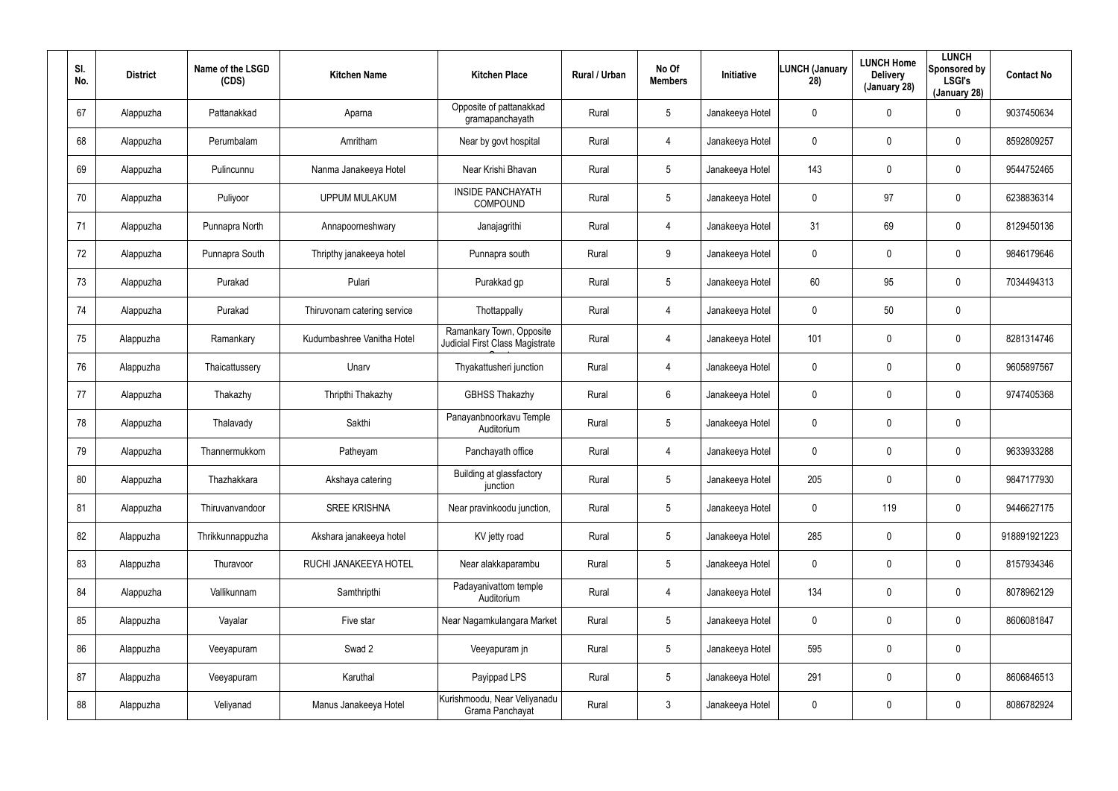| SI.<br>No. | <b>District</b> | Name of the LSGD<br>(CDS) | <b>Kitchen Name</b>         | <b>Kitchen Place</b>                                        | <b>Rural / Urban</b> | No Of<br><b>Members</b> | <b>Initiative</b> | <b>LUNCH (January</b><br>28) | <b>LUNCH Home</b><br><b>Delivery</b><br>(January 28) | <b>LUNCH</b><br>Sponsored by<br><b>LSGI's</b><br>(January 28) | <b>Contact No</b> |
|------------|-----------------|---------------------------|-----------------------------|-------------------------------------------------------------|----------------------|-------------------------|-------------------|------------------------------|------------------------------------------------------|---------------------------------------------------------------|-------------------|
| 67         | Alappuzha       | Pattanakkad               | Aparna                      | Opposite of pattanakkad<br>gramapanchayath                  | Rural                | $5\overline{)}$         | Janakeeya Hotel   | 0                            | 0                                                    | $\mathbf 0$                                                   | 9037450634        |
| 68         | Alappuzha       | Perumbalam                | Amritham                    | Near by govt hospital                                       | Rural                | 4                       | Janakeeya Hotel   | 0                            | 0                                                    | $\mathbf 0$                                                   | 8592809257        |
| 69         | Alappuzha       | Pulincunnu                | Nanma Janakeeya Hotel       | Near Krishi Bhavan                                          | Rural                | $5\overline{)}$         | Janakeeya Hotel   | 143                          | 0                                                    | $\mathbf 0$                                                   | 9544752465        |
| 70         | Alappuzha       | Puliyoor                  | <b>UPPUM MULAKUM</b>        | <b>INSIDE PANCHAYATH</b><br>COMPOUND                        | Rural                | $5\overline{)}$         | Janakeeya Hotel   | 0                            | 97                                                   | $\mathbf 0$                                                   | 6238836314        |
| 71         | Alappuzha       | Punnapra North            | Annapoorneshwary            | Janajagrithi                                                | Rural                | 4                       | Janakeeya Hotel   | 31                           | 69                                                   | $\mathbf 0$                                                   | 8129450136        |
| 72         | Alappuzha       | Punnapra South            | Thripthy janakeeya hotel    | Punnapra south                                              | Rural                | 9                       | Janakeeya Hotel   | 0                            | 0                                                    | $\mathbf 0$                                                   | 9846179646        |
| 73         | Alappuzha       | Purakad                   | Pulari                      | Purakkad gp                                                 | Rural                | $5\phantom{.0}$         | Janakeeya Hotel   | 60                           | 95                                                   | $\mathbf 0$                                                   | 7034494313        |
| 74         | Alappuzha       | Purakad                   | Thiruvonam catering service | Thottappally                                                | Rural                | 4                       | Janakeeya Hotel   | 0                            | 50                                                   | $\pmb{0}$                                                     |                   |
| 75         | Alappuzha       | Ramankary                 | Kudumbashree Vanitha Hotel  | Ramankary Town, Opposite<br>Judicial First Class Magistrate | Rural                | 4                       | Janakeeya Hotel   | 101                          | 0                                                    | $\pmb{0}$                                                     | 8281314746        |
| 76         | Alappuzha       | Thaicattussery            | Unarv                       | Thyakattusheri junction                                     | Rural                | 4                       | Janakeeya Hotel   | 0                            | 0                                                    | $\mathbf 0$                                                   | 9605897567        |
| 77         | Alappuzha       | Thakazhy                  | Thripthi Thakazhy           | <b>GBHSS Thakazhy</b>                                       | Rural                | 6                       | Janakeeya Hotel   | 0                            | 0                                                    | $\mathbf 0$                                                   | 9747405368        |
| 78         | Alappuzha       | Thalavady                 | Sakthi                      | Panayanbnoorkavu Temple<br>Auditorium                       | Rural                | $5\phantom{.0}$         | Janakeeya Hotel   | 0                            | 0                                                    | $\pmb{0}$                                                     |                   |
| 79         | Alappuzha       | Thannermukkom             | Patheyam                    | Panchayath office                                           | Rural                | 4                       | Janakeeya Hotel   | 0                            | 0                                                    | $\boldsymbol{0}$                                              | 9633933288        |
| 80         | Alappuzha       | Thazhakkara               | Akshaya catering            | Building at glassfactory<br>junction                        | Rural                | $5\phantom{.0}$         | Janakeeya Hotel   | 205                          | 0                                                    | $\pmb{0}$                                                     | 9847177930        |
| 81         | Alappuzha       | Thiruvanvandoor           | <b>SREE KRISHNA</b>         | Near pravinkoodu junction,                                  | Rural                | $5\phantom{.0}$         | Janakeeya Hotel   | 0                            | 119                                                  | $\mathsf{0}$                                                  | 9446627175        |
| 82         | Alappuzha       | Thrikkunnappuzha          | Akshara janakeeya hotel     | KV jetty road                                               | Rural                | $5\phantom{.0}$         | Janakeeya Hotel   | 285                          | 0                                                    | $\mathsf{0}$                                                  | 918891921223      |
| 83         | Alappuzha       | Thuravoor                 | RUCHI JANAKEEYA HOTEL       | Near alakkaparambu                                          | Rural                | $5\phantom{.0}$         | Janakeeya Hotel   | 0                            | 0                                                    | $\mathsf{0}$                                                  | 8157934346        |
| 84         | Alappuzha       | Vallikunnam               | Samthripthi                 | Padayanivattom temple<br>Auditorium                         | Rural                | 4                       | Janakeeya Hotel   | 134                          | 0                                                    | $\mathsf{0}$                                                  | 8078962129        |
| 85         | Alappuzha       | Vayalar                   | Five star                   | Near Nagamkulangara Market                                  | Rural                | $5\phantom{.0}$         | Janakeeya Hotel   | 0                            | 0                                                    | $\mathbf 0$                                                   | 8606081847        |
| 86         | Alappuzha       | Veeyapuram                | Swad 2                      | Veeyapuram jn                                               | Rural                | $5\phantom{.0}$         | Janakeeya Hotel   | 595                          | 0                                                    | $\pmb{0}$                                                     |                   |
| 87         | Alappuzha       | Veeyapuram                | Karuthal                    | Payippad LPS                                                | Rural                | $5\phantom{.0}$         | Janakeeya Hotel   | 291                          | 0                                                    | $\mathsf{0}$                                                  | 8606846513        |
| 88         | Alappuzha       | Veliyanad                 | Manus Janakeeya Hotel       | Kurishmoodu, Near Veliyanadu<br>Grama Panchayat             | Rural                | $\mathfrak{Z}$          | Janakeeya Hotel   | 0                            | 0                                                    | $\mathsf{0}$                                                  | 8086782924        |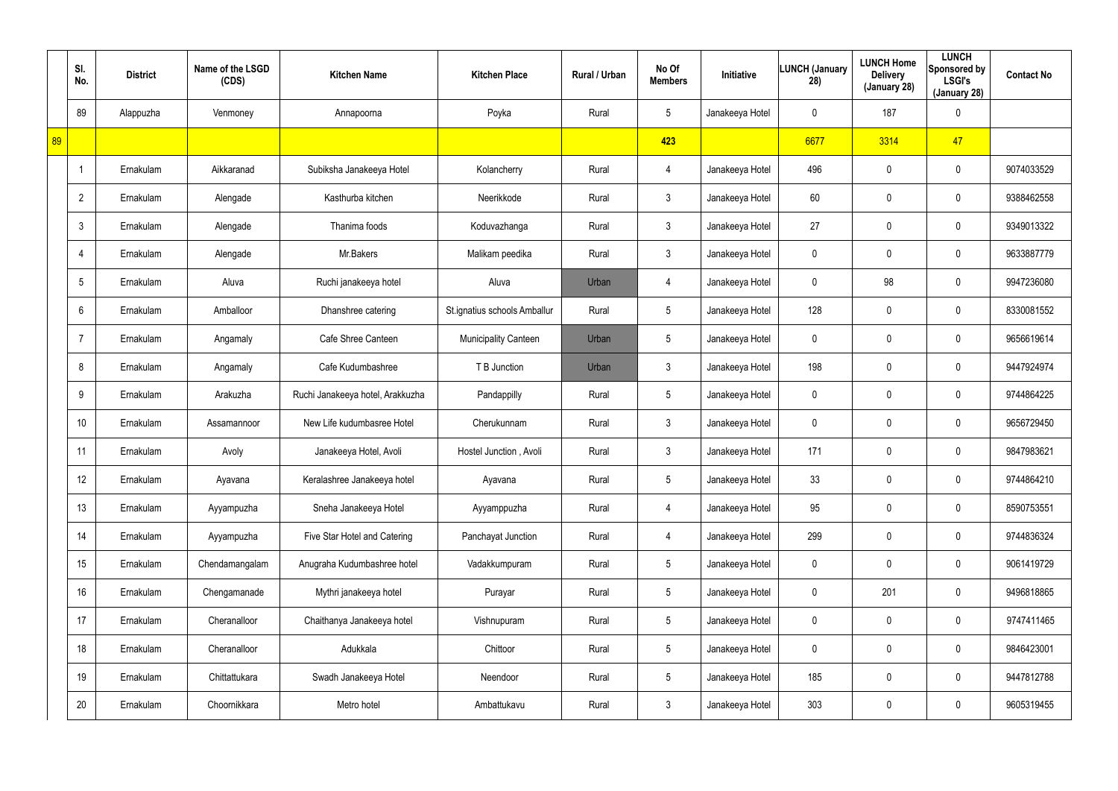|    | SI.<br>No.      | <b>District</b> | Name of the LSGD<br>(CDS) | <b>Kitchen Name</b>              | <b>Kitchen Place</b>         | Rural / Urban | No Of<br><b>Members</b> | Initiative      | <b>LUNCH (January</b><br>28) | <b>LUNCH Home</b><br><b>Delivery</b><br>(January 28) | <b>LUNCH</b><br>Sponsored by<br><b>LSGI's</b><br>(January 28) | <b>Contact No</b> |
|----|-----------------|-----------------|---------------------------|----------------------------------|------------------------------|---------------|-------------------------|-----------------|------------------------------|------------------------------------------------------|---------------------------------------------------------------|-------------------|
|    | 89              | Alappuzha       | Venmoney                  | Annapoorna                       | Poyka                        | Rural         | $5\phantom{.0}$         | Janakeeya Hotel | 0                            | 187                                                  | $\mathbf 0$                                                   |                   |
| 89 |                 |                 |                           |                                  |                              |               | 423                     |                 | 6677                         | 3314                                                 | 47                                                            |                   |
|    |                 | Ernakulam       | Aikkaranad                | Subiksha Janakeeya Hotel         | Kolancherry                  | Rural         | $\overline{4}$          | Janakeeya Hotel | 496                          | 0                                                    | $\mathbf 0$                                                   | 9074033529        |
|    | $\overline{2}$  | Ernakulam       | Alengade                  | Kasthurba kitchen                | Neerikkode                   | Rural         | $\mathbf{3}$            | Janakeeya Hotel | 60                           | 0                                                    | $\mathbf 0$                                                   | 9388462558        |
|    | $\mathbf{3}$    | Ernakulam       | Alengade                  | Thanima foods                    | Koduvazhanga                 | Rural         | $\mathbf{3}$            | Janakeeya Hotel | 27                           | 0                                                    | $\mathbf 0$                                                   | 9349013322        |
|    | $\overline{4}$  | Ernakulam       | Alengade                  | Mr.Bakers                        | Malikam peedika              | Rural         | $\mathbf{3}$            | Janakeeya Hotel | 0                            | 0                                                    | $\mathbf 0$                                                   | 9633887779        |
|    | $5\phantom{.0}$ | Ernakulam       | Aluva                     | Ruchi janakeeya hotel            | Aluva                        | Urban         | $\overline{4}$          | Janakeeya Hotel | 0                            | 98                                                   | $\mathbf 0$                                                   | 9947236080        |
|    | $6^{\circ}$     | Ernakulam       | Amballoor                 | Dhanshree catering               | St.ignatius schools Amballur | Rural         | $5\phantom{.0}$         | Janakeeya Hotel | 128                          | 0                                                    | $\mathbf 0$                                                   | 8330081552        |
|    | 7               | Ernakulam       | Angamaly                  | Cafe Shree Canteen               | <b>Municipality Canteen</b>  | Urban         | $5\phantom{.0}$         | Janakeeya Hotel | 0                            | 0                                                    | $\mathbf 0$                                                   | 9656619614        |
|    | 8               | Ernakulam       | Angamaly                  | Cafe Kudumbashree                | T B Junction                 | Urban         | 3                       | Janakeeya Hotel | 198                          | 0                                                    | $\mathbf 0$                                                   | 9447924974        |
|    | 9               | Ernakulam       | Arakuzha                  | Ruchi Janakeeya hotel, Arakkuzha | Pandappilly                  | Rural         | $5\overline{)}$         | Janakeeya Hotel | 0                            | 0                                                    | $\mathbf 0$                                                   | 9744864225        |
|    | 10              | Ernakulam       | Assamannoor               | New Life kudumbasree Hotel       | Cherukunnam                  | Rural         | $\mathbf{3}$            | Janakeeya Hotel | 0                            | 0                                                    | $\mathbf 0$                                                   | 9656729450        |
|    | 11              | Ernakulam       | Avoly                     | Janakeeya Hotel, Avoli           | Hostel Junction, Avoli       | Rural         | $\mathbf{3}$            | Janakeeya Hotel | 171                          | 0                                                    | $\mathbf 0$                                                   | 9847983621        |
|    | 12              | Ernakulam       | Ayavana                   | Keralashree Janakeeya hotel      | Ayavana                      | Rural         | $5\phantom{.0}$         | Janakeeya Hotel | 33                           | 0                                                    | $\pmb{0}$                                                     | 9744864210        |
|    | 13              | Ernakulam       | Ayyampuzha                | Sneha Janakeeya Hotel            | Ayyamppuzha                  | Rural         | $\overline{4}$          | Janakeeya Hotel | 95                           | 0                                                    | $\pmb{0}$                                                     | 8590753551        |
|    | 14              | Ernakulam       | Ayyampuzha                | Five Star Hotel and Catering     | Panchayat Junction           | Rural         | $\overline{4}$          | Janakeeya Hotel | 299                          | 0                                                    | $\pmb{0}$                                                     | 9744836324        |
|    | 15              | Ernakulam       | Chendamangalam            | Anugraha Kudumbashree hotel      | Vadakkumpuram                | Rural         | $5\phantom{.0}$         | Janakeeya Hotel | $\pmb{0}$                    | 0                                                    | $\pmb{0}$                                                     | 9061419729        |
|    | 16              | Ernakulam       | Chengamanade              | Mythri janakeeya hotel           | Purayar                      | Rural         | $5\overline{)}$         | Janakeeya Hotel | $\mathbf 0$                  | 201                                                  | $\pmb{0}$                                                     | 9496818865        |
|    | 17              | Ernakulam       | Cheranalloor              | Chaithanya Janakeeya hotel       | Vishnupuram                  | Rural         | $5\overline{)}$         | Janakeeya Hotel | 0                            | 0                                                    | $\mathbf 0$                                                   | 9747411465        |
|    | 18              | Ernakulam       | Cheranalloor              | Adukkala                         | Chittoor                     | Rural         | $5\phantom{.0}$         | Janakeeya Hotel | $\mathbf 0$                  | 0                                                    | $\pmb{0}$                                                     | 9846423001        |
|    | 19              | Ernakulam       | Chittattukara             | Swadh Janakeeya Hotel            | Neendoor                     | Rural         | $5\phantom{.0}$         | Janakeeya Hotel | 185                          | 0                                                    | $\pmb{0}$                                                     | 9447812788        |
|    | 20              | Ernakulam       | Choornikkara              | Metro hotel                      | Ambattukavu                  | Rural         | $3\phantom{.0}$         | Janakeeya Hotel | 303                          | 0                                                    | $\pmb{0}$                                                     | 9605319455        |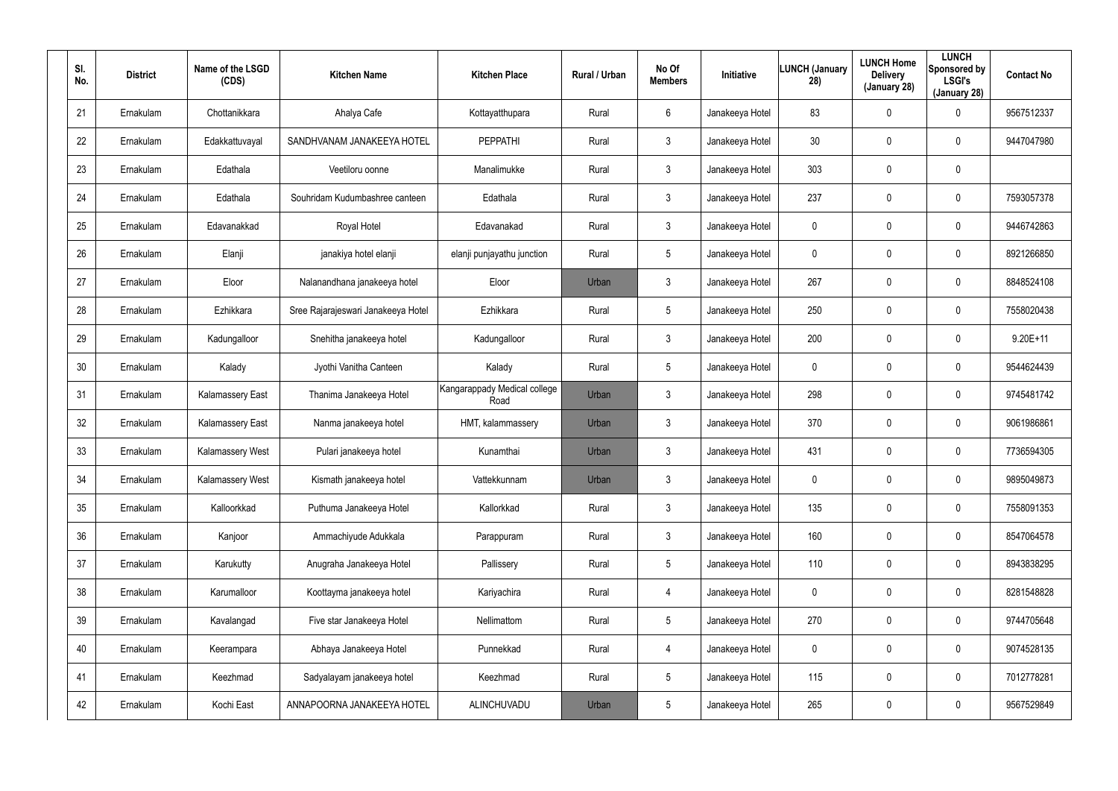| SI.<br>No. | <b>District</b> | Name of the LSGD<br>(CDS) | <b>Kitchen Name</b>                | <b>Kitchen Place</b>                 | Rural / Urban | No Of<br><b>Members</b> | Initiative      | <b>LUNCH (January</b><br>28) | <b>LUNCH Home</b><br><b>Delivery</b><br>(January 28) | <b>LUNCH</b><br>Sponsored by<br><b>LSGI's</b><br>(January 28) | <b>Contact No</b> |
|------------|-----------------|---------------------------|------------------------------------|--------------------------------------|---------------|-------------------------|-----------------|------------------------------|------------------------------------------------------|---------------------------------------------------------------|-------------------|
| 21         | Ernakulam       | Chottanikkara             | Ahalya Cafe                        | Kottayatthupara                      | Rural         | 6                       | Janakeeya Hotel | 83                           | 0                                                    | 0                                                             | 9567512337        |
| 22         | Ernakulam       | Edakkattuvayal            | SANDHVANAM JANAKEEYA HOTEL         | <b>PEPPATHI</b>                      | Rural         | $\mathbf{3}$            | Janakeeya Hotel | 30                           | 0                                                    | $\mathbf 0$                                                   | 9447047980        |
| 23         | Ernakulam       | Edathala                  | Veetiloru oonne                    | Manalimukke                          | Rural         | 3                       | Janakeeya Hotel | 303                          | $\mathbf 0$                                          | $\mathbf 0$                                                   |                   |
| 24         | Ernakulam       | Edathala                  | Souhridam Kudumbashree canteen     | Edathala                             | Rural         | $\mathbf{3}$            | Janakeeya Hotel | 237                          | 0                                                    | $\mathbf 0$                                                   | 7593057378        |
| 25         | Ernakulam       | Edavanakkad               | Royal Hotel                        | Edavanakad                           | Rural         | 3                       | Janakeeya Hotel | 0                            | 0                                                    | $\mathbf 0$                                                   | 9446742863        |
| 26         | Ernakulam       | Elanji                    | janakiya hotel elanji              | elanji punjayathu junction           | Rural         | 5                       | Janakeeya Hotel | 0                            | 0                                                    | $\mathbf 0$                                                   | 8921266850        |
| 27         | Ernakulam       | Eloor                     | Nalanandhana janakeeya hotel       | Eloor                                | Urban         | $\mathbf{3}$            | Janakeeya Hotel | 267                          | $\boldsymbol{0}$                                     | 0                                                             | 8848524108        |
| 28         | Ernakulam       | Ezhikkara                 | Sree Rajarajeswari Janakeeya Hotel | Ezhikkara                            | Rural         | 5                       | Janakeeya Hotel | 250                          | $\boldsymbol{0}$                                     | $\mathbf 0$                                                   | 7558020438        |
| 29         | Ernakulam       | Kadungalloor              | Snehitha janakeeya hotel           | Kadungalloor                         | Rural         | $\mathbf{3}$            | Janakeeya Hotel | 200                          | $\boldsymbol{0}$                                     | 0                                                             | $9.20E + 11$      |
| 30         | Ernakulam       | Kalady                    | Jyothi Vanitha Canteen             | Kalady                               | Rural         | 5                       | Janakeeya Hotel | 0                            | $\mathbf 0$                                          | $\mathbf 0$                                                   | 9544624439        |
| 31         | Ernakulam       | <b>Kalamassery East</b>   | Thanima Janakeeya Hotel            | Kangarappady Medical college<br>Road | Urban         | $\mathbf{3}$            | Janakeeya Hotel | 298                          | $\boldsymbol{0}$                                     | 0                                                             | 9745481742        |
| 32         | Ernakulam       | <b>Kalamassery East</b>   | Nanma janakeeya hotel              | HMT, kalammassery                    | Urban         | $\mathbf{3}$            | Janakeeya Hotel | 370                          | $\boldsymbol{0}$                                     | $\mathbf 0$                                                   | 9061986861        |
| 33         | Ernakulam       | <b>Kalamassery West</b>   | Pulari janakeeya hotel             | Kunamthai                            | Urban         | $\mathbf{3}$            | Janakeeya Hotel | 431                          | $\boldsymbol{0}$                                     | $\mathbf 0$                                                   | 7736594305        |
| 34         | Ernakulam       | Kalamassery West          | Kismath janakeeya hotel            | Vattekkunnam                         | Urban         | $\mathfrak{Z}$          | Janakeeya Hotel | 0                            | $\pmb{0}$                                            | $\pmb{0}$                                                     | 9895049873        |
| 35         | Ernakulam       | Kalloorkkad               | Puthuma Janakeeya Hotel            | Kallorkkad                           | Rural         | $\mathfrak{Z}$          | Janakeeya Hotel | 135                          | $\pmb{0}$                                            | 0                                                             | 7558091353        |
| 36         | Ernakulam       | Kanjoor                   | Ammachiyude Adukkala               | Parappuram                           | Rural         | $\mathfrak{Z}$          | Janakeeya Hotel | 160                          | $\pmb{0}$                                            | $\pmb{0}$                                                     | 8547064578        |
| 37         | Ernakulam       | Karukutty                 | Anugraha Janakeeya Hotel           | Pallissery                           | Rural         | 5                       | Janakeeya Hotel | 110                          | $\pmb{0}$                                            | $\pmb{0}$                                                     | 8943838295        |
| 38         | Ernakulam       | Karumalloor               | Koottayma janakeeya hotel          | Kariyachira                          | Rural         | $\overline{4}$          | Janakeeya Hotel | 0                            | $\overline{0}$                                       | $\pmb{0}$                                                     | 8281548828        |
| 39         | Ernakulam       | Kavalangad                | Five star Janakeeya Hotel          | Nellimattom                          | Rural         | $5\phantom{.0}$         | Janakeeya Hotel | 270                          | $\pmb{0}$                                            | 0                                                             | 9744705648        |
| 40         | Ernakulam       | Keerampara                | Abhaya Janakeeya Hotel             | Punnekkad                            | Rural         | $\overline{4}$          | Janakeeya Hotel | 0                            | $\mathbf 0$                                          | 0                                                             | 9074528135        |
| 41         | Ernakulam       | Keezhmad                  | Sadyalayam janakeeya hotel         | Keezhmad                             | Rural         | $5\phantom{.0}$         | Janakeeya Hotel | 115                          | $\pmb{0}$                                            | 0                                                             | 7012778281        |
| 42         | Ernakulam       | Kochi East                | ANNAPOORNA JANAKEEYA HOTEL         | ALINCHUVADU                          | Urban         | $5\phantom{.0}$         | Janakeeya Hotel | 265                          | $\boldsymbol{0}$                                     | 0                                                             | 9567529849        |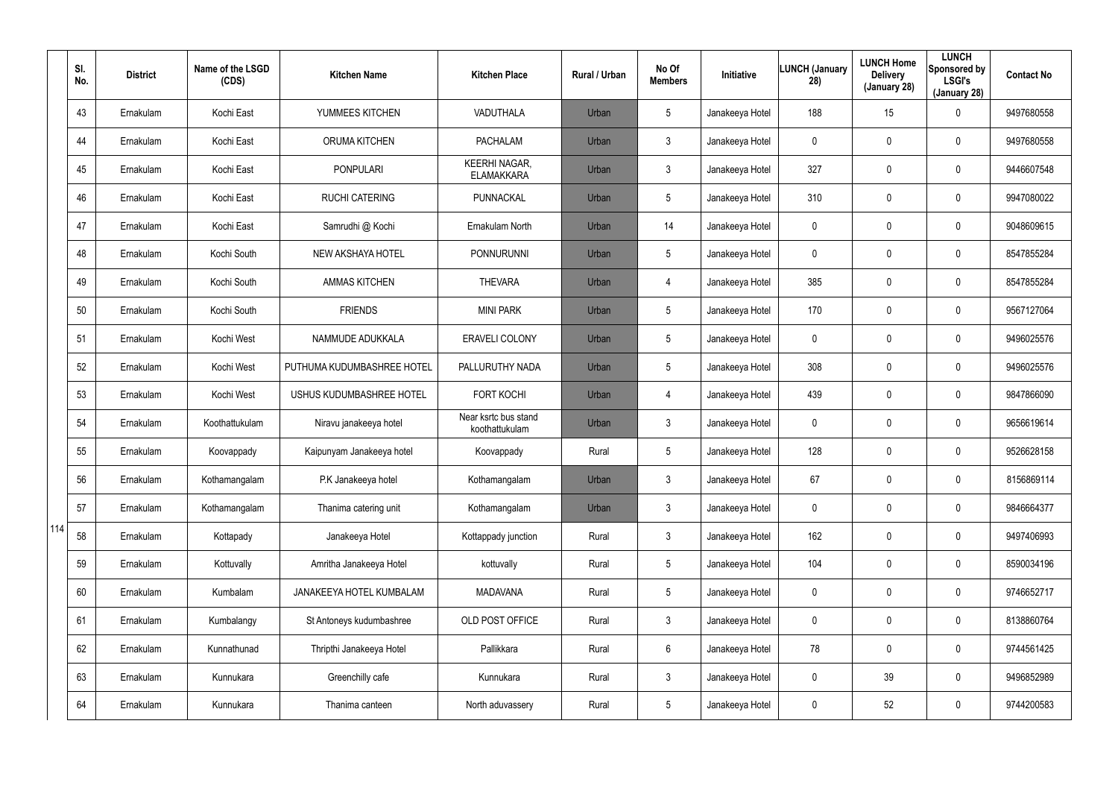|     | SI.<br>No. | <b>District</b> | Name of the LSGD<br>(CDS) | <b>Kitchen Name</b>        | <b>Kitchen Place</b>                      | Rural / Urban | No Of<br><b>Members</b> | <b>Initiative</b> | <b>LUNCH (January</b><br>28) | <b>LUNCH Home</b><br><b>Delivery</b><br>(January 28) | <b>LUNCH</b><br>Sponsored by<br><b>LSGI's</b><br>(January 28) | <b>Contact No</b> |
|-----|------------|-----------------|---------------------------|----------------------------|-------------------------------------------|---------------|-------------------------|-------------------|------------------------------|------------------------------------------------------|---------------------------------------------------------------|-------------------|
|     | 43         | Ernakulam       | Kochi East                | YUMMEES KITCHEN            | VADUTHALA                                 | Urban         | $5\overline{)}$         | Janakeeya Hotel   | 188                          | 15                                                   | $\mathbf 0$                                                   | 9497680558        |
|     | 44         | Ernakulam       | Kochi East                | <b>ORUMA KITCHEN</b>       | <b>PACHALAM</b>                           | Urban         | $\mathbf{3}$            | Janakeeya Hotel   | 0                            | 0                                                    | $\mathbf 0$                                                   | 9497680558        |
|     | 45         | Ernakulam       | Kochi East                | <b>PONPULARI</b>           | <b>KEERHI NAGAR,</b><br><b>ELAMAKKARA</b> | Urban         | $\mathbf{3}$            | Janakeeya Hotel   | 327                          | 0                                                    | $\mathbf 0$                                                   | 9446607548        |
|     | 46         | Ernakulam       | Kochi East                | <b>RUCHI CATERING</b>      | PUNNACKAL                                 | Urban         | $5\overline{)}$         | Janakeeya Hotel   | 310                          | 0                                                    | $\mathbf 0$                                                   | 9947080022        |
|     | 47         | Ernakulam       | Kochi East                | Samrudhi @ Kochi           | Ernakulam North                           | Urban         | 14                      | Janakeeya Hotel   | 0                            | 0                                                    | $\mathbf 0$                                                   | 9048609615        |
|     | 48         | Ernakulam       | Kochi South               | NEW AKSHAYA HOTEL          | PONNURUNNI                                | Urban         | $5\overline{)}$         | Janakeeya Hotel   | 0                            | 0                                                    | $\mathbf 0$                                                   | 8547855284        |
|     | 49         | Ernakulam       | Kochi South               | <b>AMMAS KITCHEN</b>       | <b>THEVARA</b>                            | Urban         | $\overline{4}$          | Janakeeya Hotel   | 385                          | $\mathbf 0$                                          | $\mathbf 0$                                                   | 8547855284        |
|     | 50         | Ernakulam       | Kochi South               | <b>FRIENDS</b>             | <b>MINI PARK</b>                          | Urban         | $5\phantom{.0}$         | Janakeeya Hotel   | 170                          | 0                                                    | $\mathbf 0$                                                   | 9567127064        |
|     | 51         | Ernakulam       | Kochi West                | NAMMUDE ADUKKALA           | <b>ERAVELI COLONY</b>                     | Urban         | $5\phantom{.0}$         | Janakeeya Hotel   | 0                            | 0                                                    | $\mathbf 0$                                                   | 9496025576        |
|     | 52         | Ernakulam       | Kochi West                | PUTHUMA KUDUMBASHREE HOTEL | PALLURUTHY NADA                           | Urban         | $5\phantom{.0}$         | Janakeeya Hotel   | 308                          | 0                                                    | $\mathbf 0$                                                   | 9496025576        |
|     | 53         | Ernakulam       | Kochi West                | USHUS KUDUMBASHREE HOTEL   | <b>FORT KOCHI</b>                         | Urban         | $\overline{4}$          | Janakeeya Hotel   | 439                          | $\mathbf 0$                                          | $\mathbf 0$                                                   | 9847866090        |
|     | 54         | Ernakulam       | Koothattukulam            | Niravu janakeeya hotel     | Near ksrtc bus stand<br>koothattukulam    | Urban         | $\mathbf{3}$            | Janakeeya Hotel   | 0                            | 0                                                    | $\mathbf 0$                                                   | 9656619614        |
|     | 55         | Ernakulam       | Koovappady                | Kaipunyam Janakeeya hotel  | Koovappady                                | Rural         | $5\phantom{.0}$         | Janakeeya Hotel   | 128                          | $\mathbf 0$                                          | $\mathbf 0$                                                   | 9526628158        |
|     | 56         | Ernakulam       | Kothamangalam             | P.K Janakeeya hotel        | Kothamangalam                             | Urban         | 3                       | Janakeeya Hotel   | 67                           | $\mathbf 0$                                          | $\mathbf 0$                                                   | 8156869114        |
|     | 57         | Ernakulam       | Kothamangalam             | Thanima catering unit      | Kothamangalam                             | Urban         | $\mathbf{3}$            | Janakeeya Hotel   | 0                            | 0                                                    | $\pmb{0}$                                                     | 9846664377        |
| 114 | 58         | Ernakulam       | Kottapady                 | Janakeeya Hotel            | Kottappady junction                       | Rural         | $\mathbf{3}$            | Janakeeya Hotel   | 162                          | 0                                                    | $\pmb{0}$                                                     | 9497406993        |
|     | 59         | Ernakulam       | Kottuvally                | Amritha Janakeeya Hotel    | kottuvally                                | Rural         | $5\phantom{.0}$         | Janakeeya Hotel   | 104                          | 0                                                    | $\pmb{0}$                                                     | 8590034196        |
|     | 60         | Ernakulam       | Kumbalam                  | JANAKEEYA HOTEL KUMBALAM   | <b>MADAVANA</b>                           | Rural         | $5\phantom{.0}$         | Janakeeya Hotel   | $\mathbf 0$                  | $\mathbf 0$                                          | $\mathbf 0$                                                   | 9746652717        |
|     | 61         | Ernakulam       | Kumbalangy                | St Antoneys kudumbashree   | OLD POST OFFICE                           | Rural         | $\mathbf{3}$            | Janakeeya Hotel   | 0                            | 0                                                    | $\mathbf 0$                                                   | 8138860764        |
|     | 62         | Ernakulam       | Kunnathunad               | Thripthi Janakeeya Hotel   | Pallikkara                                | Rural         | 6                       | Janakeeya Hotel   | 78                           | $\mathbf 0$                                          | $\mathbf 0$                                                   | 9744561425        |
|     | 63         | Ernakulam       | Kunnukara                 | Greenchilly cafe           | Kunnukara                                 | Rural         | $\mathfrak{Z}$          | Janakeeya Hotel   | 0                            | 39                                                   | $\mathbf 0$                                                   | 9496852989        |
|     | 64         | Ernakulam       | Kunnukara                 | Thanima canteen            | North aduvassery                          | Rural         | $5\phantom{.0}$         | Janakeeya Hotel   | 0                            | 52                                                   | $\pmb{0}$                                                     | 9744200583        |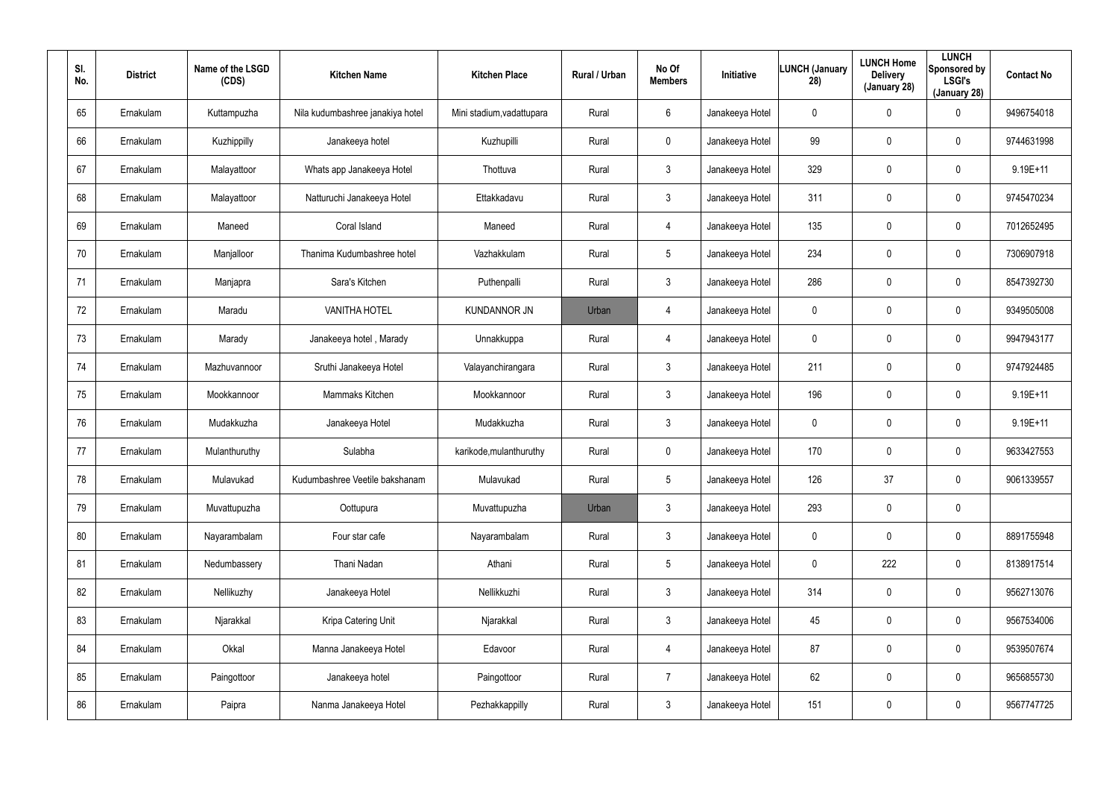| SI.<br>No. | <b>District</b> | Name of the LSGD<br>(CDS) | <b>Kitchen Name</b>              | <b>Kitchen Place</b>      | Rural / Urban | No Of<br><b>Members</b> | Initiative      | LUNCH (January<br>28) | <b>LUNCH Home</b><br><b>Delivery</b><br>(January 28) | <b>LUNCH</b><br>Sponsored by<br><b>LSGI's</b><br>(January 28) | <b>Contact No</b> |
|------------|-----------------|---------------------------|----------------------------------|---------------------------|---------------|-------------------------|-----------------|-----------------------|------------------------------------------------------|---------------------------------------------------------------|-------------------|
| 65         | Ernakulam       | Kuttampuzha               | Nila kudumbashree janakiya hotel | Mini stadium, vadattupara | Rural         | 6                       | Janakeeya Hotel | 0                     | $\mathbf 0$                                          | 0                                                             | 9496754018        |
| 66         | Ernakulam       | Kuzhippilly               | Janakeeya hotel                  | Kuzhupilli                | Rural         | $\mathbf 0$             | Janakeeya Hotel | 99                    | $\mathbf 0$                                          | 0                                                             | 9744631998        |
| 67         | Ernakulam       | Malayattoor               | Whats app Janakeeya Hotel        | Thottuva                  | Rural         | $\mathfrak{Z}$          | Janakeeya Hotel | 329                   | $\boldsymbol{0}$                                     | $\pmb{0}$                                                     | $9.19E + 11$      |
| 68         | Ernakulam       | Malayattoor               | Natturuchi Janakeeya Hotel       | Ettakkadavu               | Rural         | 3                       | Janakeeya Hotel | 311                   | $\mathbf 0$                                          | 0                                                             | 9745470234        |
| 69         | Ernakulam       | Maneed                    | Coral Island                     | Maneed                    | Rural         | $\overline{4}$          | Janakeeya Hotel | 135                   | $\boldsymbol{0}$                                     | $\pmb{0}$                                                     | 7012652495        |
| 70         | Ernakulam       | Manjalloor                | Thanima Kudumbashree hotel       | Vazhakkulam               | Rural         | $5\phantom{.0}$         | Janakeeya Hotel | 234                   | $\boldsymbol{0}$                                     | 0                                                             | 7306907918        |
| 71         | Ernakulam       | Manjapra                  | Sara's Kitchen                   | Puthenpalli               | Rural         | $\mathbf{3}$            | Janakeeya Hotel | 286                   | 0                                                    | $\mathbf 0$                                                   | 8547392730        |
| 72         | Ernakulam       | Maradu                    | <b>VANITHA HOTEL</b>             | <b>KUNDANNOR JN</b>       | Urban         | 4                       | Janakeeya Hotel | 0                     | 0                                                    | $\mathbf 0$                                                   | 9349505008        |
| 73         | Ernakulam       | Marady                    | Janakeeya hotel, Marady          | Unnakkuppa                | Rural         | $\overline{4}$          | Janakeeya Hotel | $\mathbf 0$           | 0                                                    | $\mathbf 0$                                                   | 9947943177        |
| 74         | Ernakulam       | Mazhuvannoor              | Sruthi Janakeeya Hotel           | Valayanchirangara         | Rural         | $\mathbf{3}$            | Janakeeya Hotel | 211                   | 0                                                    | $\mathbf 0$                                                   | 9747924485        |
| 75         | Ernakulam       | Mookkannoor               | Mammaks Kitchen                  | Mookkannoor               | Rural         | $\mathbf{3}$            | Janakeeya Hotel | 196                   | 0                                                    | $\mathbf 0$                                                   | 9.19E+11          |
| 76         | Ernakulam       | Mudakkuzha                | Janakeeya Hotel                  | Mudakkuzha                | Rural         | $\mathbf{3}$            | Janakeeya Hotel | 0                     | 0                                                    | $\mathbf 0$                                                   | 9.19E+11          |
| 77         | Ernakulam       | Mulanthuruthy             | Sulabha                          | karikode, mulanthuruthy   | Rural         | $\mathbf 0$             | Janakeeya Hotel | 170                   | $\boldsymbol{0}$                                     | 0                                                             | 9633427553        |
| 78         | Ernakulam       | Mulavukad                 | Kudumbashree Veetile bakshanam   | Mulavukad                 | Rural         | 5                       | Janakeeya Hotel | 126                   | 37                                                   | 0                                                             | 9061339557        |
| 79         | Ernakulam       | Muvattupuzha              | Oottupura                        | Muvattupuzha              | Urban         | $\mathbf{3}$            | Janakeeya Hotel | 293                   | $\pmb{0}$                                            | $\pmb{0}$                                                     |                   |
| 80         | Ernakulam       | Nayarambalam              | Four star cafe                   | Nayarambalam              | Rural         | $\mathbf{3}$            | Janakeeya Hotel | 0                     | $\pmb{0}$                                            | $\pmb{0}$                                                     | 8891755948        |
| 81         | Ernakulam       | Nedumbassery              | Thani Nadan                      | Athani                    | Rural         | $5\phantom{.0}$         | Janakeeya Hotel | 0                     | 222                                                  | 0                                                             | 8138917514        |
| 82         | Ernakulam       | Nellikuzhy                | Janakeeya Hotel                  | Nellikkuzhi               | Rural         | $\mathfrak{Z}$          | Janakeeya Hotel | 314                   | $\boldsymbol{0}$                                     | $\pmb{0}$                                                     | 9562713076        |
| 83         | Ernakulam       | Njarakkal                 | Kripa Catering Unit              | Njarakkal                 | Rural         | $\mathfrak{Z}$          | Janakeeya Hotel | 45                    | $\pmb{0}$                                            | $\pmb{0}$                                                     | 9567534006        |
| 84         | Ernakulam       | Okkal                     | Manna Janakeeya Hotel            | Edavoor                   | Rural         | $\overline{4}$          | Janakeeya Hotel | 87                    | $\pmb{0}$                                            | $\pmb{0}$                                                     | 9539507674        |
| 85         | Ernakulam       | Paingottoor               | Janakeeya hotel                  | Paingottoor               | Rural         | $\overline{7}$          | Janakeeya Hotel | 62                    | $\pmb{0}$                                            | $\pmb{0}$                                                     | 9656855730        |
| 86         | Ernakulam       | Paipra                    | Nanma Janakeeya Hotel            | Pezhakkappilly            | Rural         | $\mathfrak{Z}$          | Janakeeya Hotel | 151                   | $\pmb{0}$                                            | $\pmb{0}$                                                     | 9567747725        |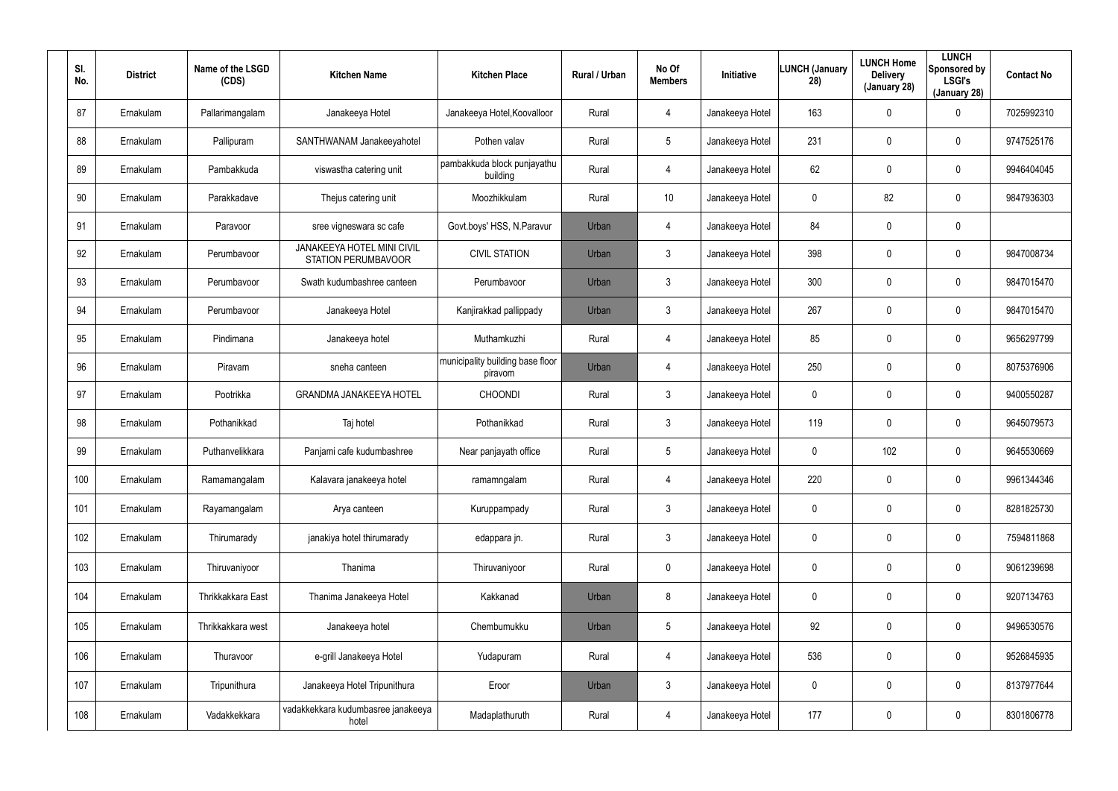| SI.<br>No. | <b>District</b> | Name of the LSGD<br>(CDS) | <b>Kitchen Name</b>                                      | <b>Kitchen Place</b>                        | <b>Rural / Urban</b> | No Of<br><b>Members</b> | Initiative      | <b>LUNCH (January</b><br>28) | <b>LUNCH Home</b><br><b>Delivery</b><br>(January 28) | <b>LUNCH</b><br>Sponsored by<br><b>LSGI's</b><br>(January 28) | <b>Contact No</b> |
|------------|-----------------|---------------------------|----------------------------------------------------------|---------------------------------------------|----------------------|-------------------------|-----------------|------------------------------|------------------------------------------------------|---------------------------------------------------------------|-------------------|
| 87         | Ernakulam       | Pallarimangalam           | Janakeeya Hotel                                          | Janakeeya Hotel, Koovalloor                 | Rural                | 4                       | Janakeeya Hotel | 163                          | $\mathbf 0$                                          | 0                                                             | 7025992310        |
| 88         | Ernakulam       | Pallipuram                | SANTHWANAM Janakeeyahotel                                | Pothen valav                                | Rural                | 5                       | Janakeeya Hotel | 231                          | $\mathbf 0$                                          | 0                                                             | 9747525176        |
| 89         | Ernakulam       | Pambakkuda                | viswastha catering unit                                  | pambakkuda block punjayathu<br>building     | Rural                | 4                       | Janakeeya Hotel | 62                           | $\mathbf 0$                                          | $\mathbf 0$                                                   | 9946404045        |
| 90         | Ernakulam       | Parakkadave               | Thejus catering unit                                     | Moozhikkulam                                | Rural                | 10                      | Janakeeya Hotel | 0                            | 82                                                   | $\mathbf 0$                                                   | 9847936303        |
| 91         | Ernakulam       | Paravoor                  | sree vigneswara sc cafe                                  | Govt.boys' HSS, N.Paravur                   | Urban                | 4                       | Janakeeya Hotel | 84                           | $\mathbf 0$                                          | 0                                                             |                   |
| 92         | Ernakulam       | Perumbavoor               | JANAKEEYA HOTEL MINI CIVIL<br><b>STATION PERUMBAVOOR</b> | <b>CIVIL STATION</b>                        | Urban                | $\mathfrak{Z}$          | Janakeeya Hotel | 398                          | 0                                                    | $\mathbf 0$                                                   | 9847008734        |
| 93         | Ernakulam       | Perumbavoor               | Swath kudumbashree canteen                               | Perumbavoor                                 | Urban                | $\mathbf{3}$            | Janakeeya Hotel | 300                          | $\mathbf 0$                                          | $\mathbf 0$                                                   | 9847015470        |
| 94         | Ernakulam       | Perumbavoor               | Janakeeya Hotel                                          | Kanjirakkad pallippady                      | Urban                | $\mathbf{3}$            | Janakeeya Hotel | 267                          | 0                                                    | 0                                                             | 9847015470        |
| 95         | Ernakulam       | Pindimana                 | Janakeeya hotel                                          | Muthamkuzhi                                 | Rural                | $\overline{4}$          | Janakeeya Hotel | 85                           | $\mathbf 0$                                          | $\mathbf 0$                                                   | 9656297799        |
| 96         | Ernakulam       | Piravam                   | sneha canteen                                            | municipality building base floor<br>piravom | Urban                | 4                       | Janakeeya Hotel | 250                          | 0                                                    | 0                                                             | 8075376906        |
| 97         | Ernakulam       | Pootrikka                 | <b>GRANDMA JANAKEEYA HOTEL</b>                           | <b>CHOONDI</b>                              | Rural                | $\mathbf{3}$            | Janakeeya Hotel | 0                            | $\mathbf 0$                                          | $\mathbf 0$                                                   | 9400550287        |
| 98         | Ernakulam       | Pothanikkad               | Taj hotel                                                | Pothanikkad                                 | Rural                | $\mathbf{3}$            | Janakeeya Hotel | 119                          | 0                                                    | 0                                                             | 9645079573        |
| 99         | Ernakulam       | Puthanvelikkara           | Panjami cafe kudumbashree                                | Near panjayath office                       | Rural                | $5\overline{)}$         | Janakeeya Hotel | 0                            | 102                                                  | 0                                                             | 9645530669        |
| 100        | Ernakulam       | Ramamangalam              | Kalavara janakeeya hotel                                 | ramamngalam                                 | Rural                | 4                       | Janakeeya Hotel | 220                          | $\pmb{0}$                                            | 0                                                             | 9961344346        |
| 101        | Ernakulam       | Rayamangalam              | Arya canteen                                             | Kuruppampady                                | Rural                | $\mathbf{3}$            | Janakeeya Hotel | 0                            | $\boldsymbol{0}$                                     | $\pmb{0}$                                                     | 8281825730        |
| 102        | Ernakulam       | Thirumarady               | janakiya hotel thirumarady                               | edappara jn.                                | Rural                | $\mathfrak{Z}$          | Janakeeya Hotel | 0                            | $\pmb{0}$                                            | $\pmb{0}$                                                     | 7594811868        |
| 103        | Ernakulam       | Thiruvaniyoor             | Thanima                                                  | Thiruvaniyoor                               | Rural                | $\mathbf 0$             | Janakeeya Hotel | 0                            | $\pmb{0}$                                            | 0                                                             | 9061239698        |
| 104        | Ernakulam       | Thrikkakkara East         | Thanima Janakeeya Hotel                                  | Kakkanad                                    | Urban                | 8                       | Janakeeya Hotel | 0                            | $\mathbf 0$                                          | $\pmb{0}$                                                     | 9207134763        |
| 105        | Ernakulam       | Thrikkakkara west         | Janakeeya hotel                                          | Chembumukku                                 | Urban                | $5\phantom{.0}$         | Janakeeya Hotel | 92                           | $\pmb{0}$                                            | 0                                                             | 9496530576        |
| 106        | Ernakulam       | Thuravoor                 | e-grill Janakeeya Hotel                                  | Yudapuram                                   | Rural                | 4                       | Janakeeya Hotel | 536                          | $\boldsymbol{0}$                                     | $\pmb{0}$                                                     | 9526845935        |
| 107        | Ernakulam       | Tripunithura              | Janakeeya Hotel Tripunithura                             | Eroor                                       | Urban                | $\mathfrak{Z}$          | Janakeeya Hotel | 0                            | $\pmb{0}$                                            | $\pmb{0}$                                                     | 8137977644        |
| 108        | Ernakulam       | Vadakkekkara              | vadakkekkara kudumbasree janakeeya<br>hotel              | Madaplathuruth                              | Rural                | 4                       | Janakeeya Hotel | 177                          | $\boldsymbol{0}$                                     | 0                                                             | 8301806778        |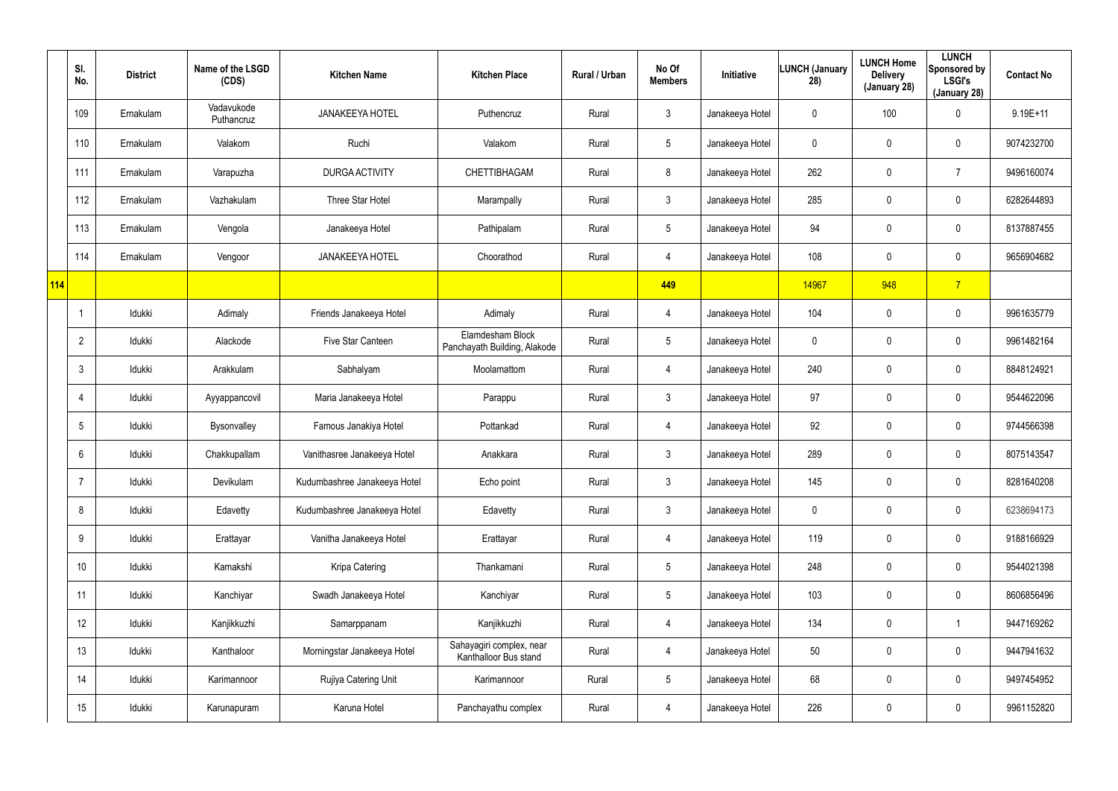|     | SI.<br>No.      | <b>District</b> | Name of the LSGD<br>(CDS) | <b>Kitchen Name</b>          | <b>Kitchen Place</b>                              | Rural / Urban | No Of<br><b>Members</b> | Initiative      | <b>LUNCH (January</b><br>28) | <b>LUNCH Home</b><br><b>Delivery</b><br>(January 28) | <b>LUNCH</b><br>Sponsored by<br><b>LSGI's</b><br>(January 28) | <b>Contact No</b> |
|-----|-----------------|-----------------|---------------------------|------------------------------|---------------------------------------------------|---------------|-------------------------|-----------------|------------------------------|------------------------------------------------------|---------------------------------------------------------------|-------------------|
|     | 109             | Ernakulam       | Vadavukode<br>Puthancruz  | <b>JANAKEEYA HOTEL</b>       | Puthencruz                                        | Rural         | $\mathfrak{Z}$          | Janakeeya Hotel | 0                            | 100                                                  | 0                                                             | $9.19E+11$        |
|     | 110             | Ernakulam       | Valakom                   | Ruchi                        | Valakom                                           | Rural         | $5\phantom{.0}$         | Janakeeya Hotel | 0                            | $\pmb{0}$                                            | $\pmb{0}$                                                     | 9074232700        |
|     | 111             | Ernakulam       | Varapuzha                 | <b>DURGA ACTIVITY</b>        | CHETTIBHAGAM                                      | Rural         | 8                       | Janakeeya Hotel | 262                          | $\pmb{0}$                                            | $\overline{7}$                                                | 9496160074        |
|     | 112             | Ernakulam       | Vazhakulam                | Three Star Hotel             | Marampally                                        | Rural         | $\mathfrak{Z}$          | Janakeeya Hotel | 285                          | $\mathbf 0$                                          | $\mathbf 0$                                                   | 6282644893        |
|     | 113             | Ernakulam       | Vengola                   | Janakeeya Hotel              | Pathipalam                                        | Rural         | $5\phantom{.0}$         | Janakeeya Hotel | 94                           | $\pmb{0}$                                            | $\pmb{0}$                                                     | 8137887455        |
|     | 114             | Ernakulam       | Vengoor                   | <b>JANAKEEYA HOTEL</b>       | Choorathod                                        | Rural         | 4                       | Janakeeya Hotel | 108                          | $\pmb{0}$                                            | $\mathbf 0$                                                   | 9656904682        |
| 114 |                 |                 |                           |                              |                                                   |               | 449                     |                 | 14967                        | 948                                                  | $\overline{7}$                                                |                   |
|     |                 | Idukki          | Adimaly                   | Friends Janakeeya Hotel      | Adimaly                                           | Rural         | 4                       | Janakeeya Hotel | 104                          | $\pmb{0}$                                            | $\pmb{0}$                                                     | 9961635779        |
|     | $\overline{2}$  | Idukki          | Alackode                  | Five Star Canteen            | Elamdesham Block<br>Panchayath Building, Alakode  | Rural         | $5\phantom{.0}$         | Janakeeya Hotel | 0                            | $\mathbf 0$                                          | $\pmb{0}$                                                     | 9961482164        |
|     | $\mathbf{3}$    | Idukki          | Arakkulam                 | Sabhalyam                    | Moolamattom                                       | Rural         | 4                       | Janakeeya Hotel | 240                          | $\boldsymbol{0}$                                     | $\pmb{0}$                                                     | 8848124921        |
|     | $\overline{4}$  | Idukki          | Ayyappancovil             | Maria Janakeeya Hotel        | Parappu                                           | Rural         | $\mathfrak{Z}$          | Janakeeya Hotel | 97                           | $\pmb{0}$                                            | $\mathbf 0$                                                   | 9544622096        |
|     | $5\phantom{.0}$ | Idukki          | Bysonvalley               | Famous Janakiya Hotel        | Pottankad                                         | Rural         | 4                       | Janakeeya Hotel | 92                           | $\mathbf 0$                                          | $\mathbf 0$                                                   | 9744566398        |
|     | 6               | Idukki          | Chakkupallam              | Vanithasree Janakeeya Hotel  | Anakkara                                          | Rural         | $\mathfrak{Z}$          | Janakeeya Hotel | 289                          | $\mathbf 0$                                          | $\pmb{0}$                                                     | 8075143547        |
|     | $\overline{7}$  | Idukki          | Devikulam                 | Kudumbashree Janakeeya Hotel | Echo point                                        | Rural         | $\mathfrak{Z}$          | Janakeeya Hotel | 145                          | $\mathbf 0$                                          | $\pmb{0}$                                                     | 8281640208        |
|     | 8               | Idukki          | Edavetty                  | Kudumbashree Janakeeya Hotel | Edavetty                                          | Rural         | $\mathfrak{Z}$          | Janakeeya Hotel | 0                            | 0                                                    | $\pmb{0}$                                                     | 6238694173        |
|     | 9               | Idukki          | Erattayar                 | Vanitha Janakeeya Hotel      | Erattayar                                         | Rural         | 4                       | Janakeeya Hotel | 119                          | $\mathbf 0$                                          | $\pmb{0}$                                                     | 9188166929        |
|     | 10 <sup>°</sup> | Idukki          | Kamakshi                  | Kripa Catering               | Thankamani                                        | Rural         | $\overline{5}$          | Janakeeya Hotel | 248                          | $\overline{0}$                                       | $\pmb{0}$                                                     | 9544021398        |
|     | 11              | ldukki          | Kanchiyar                 | Swadh Janakeeya Hotel        | Kanchiyar                                         | Rural         | $\overline{5}$          | Janakeeya Hotel | 103                          | $\mathbf 0$                                          | $\mathbf 0$                                                   | 8606856496        |
|     | 12              | Idukki          | Kanjikkuzhi               | Samarppanam                  | Kanjikkuzhi                                       | Rural         | 4                       | Janakeeya Hotel | 134                          | $\mathbf 0$                                          | -1                                                            | 9447169262        |
|     | 13              | ldukki          | Kanthaloor                | Morningstar Janakeeya Hotel  | Sahayagiri complex, near<br>Kanthalloor Bus stand | Rural         | 4                       | Janakeeya Hotel | 50                           | $\mathbf 0$                                          | $\mathbf 0$                                                   | 9447941632        |
|     | 14              | Idukki          | Karimannoor               | Rujiya Catering Unit         | Karimannoor                                       | Rural         | $\overline{5}$          | Janakeeya Hotel | 68                           | $\mathbf 0$                                          | $\pmb{0}$                                                     | 9497454952        |
|     | 15              | ldukki          | Karunapuram               | Karuna Hotel                 | Panchayathu complex                               | Rural         | 4                       | Janakeeya Hotel | 226                          | $\mathbf 0$                                          | $\pmb{0}$                                                     | 9961152820        |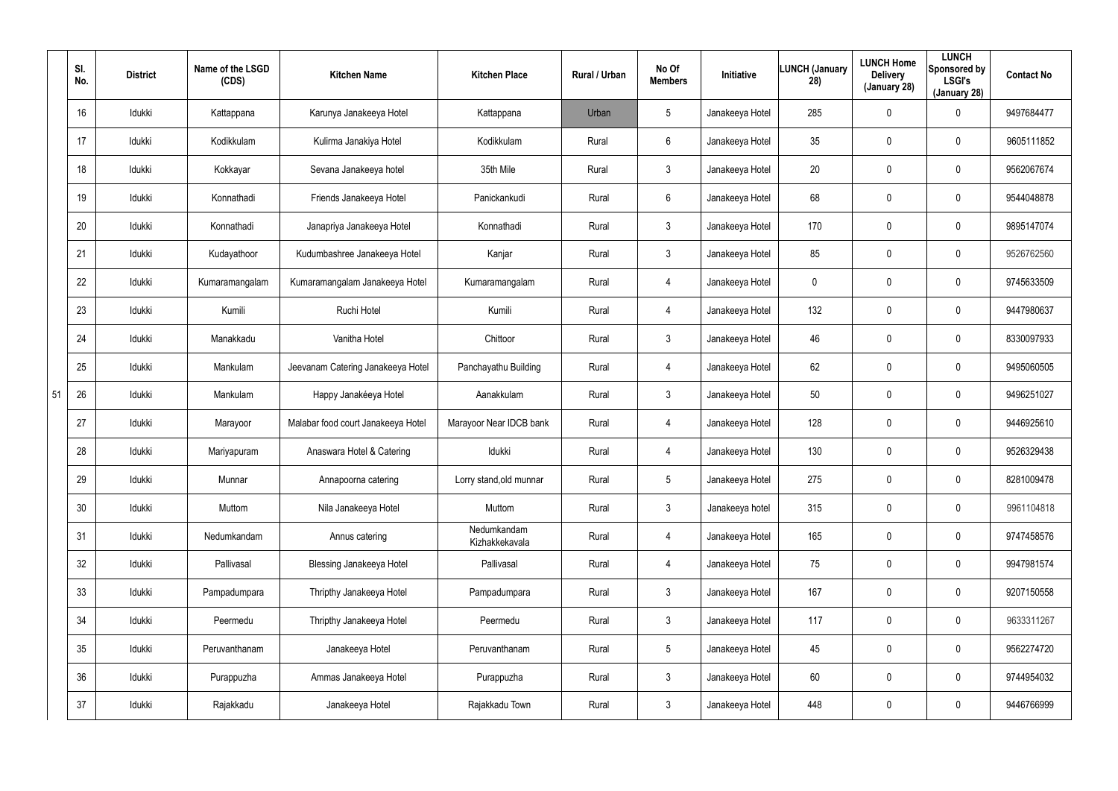|    | SI.<br>No.      | <b>District</b> | Name of the LSGD<br>(CDS) | <b>Kitchen Name</b>                | <b>Kitchen Place</b>          | <b>Rural / Urban</b> | No Of<br><b>Members</b> | Initiative      | LUNCH (January<br>28) | <b>LUNCH Home</b><br><b>Delivery</b><br>(January 28) | <b>LUNCH</b><br>Sponsored by<br><b>LSGI's</b><br>(January 28) | <b>Contact No</b> |
|----|-----------------|-----------------|---------------------------|------------------------------------|-------------------------------|----------------------|-------------------------|-----------------|-----------------------|------------------------------------------------------|---------------------------------------------------------------|-------------------|
|    | 16              | Idukki          | Kattappana                | Karunya Janakeeya Hotel            | Kattappana                    | Urban                | 5                       | Janakeeya Hotel | 285                   | $\mathbf 0$                                          | 0                                                             | 9497684477        |
|    | 17              | Idukki          | Kodikkulam                | Kulirma Janakiya Hotel             | Kodikkulam                    | Rural                | 6                       | Janakeeya Hotel | 35 <sub>5</sub>       | 0                                                    | 0                                                             | 9605111852        |
|    | 18              | Idukki          | Kokkayar                  | Sevana Janakeeya hotel             | 35th Mile                     | Rural                | 3                       | Janakeeya Hotel | 20                    | 0                                                    | 0                                                             | 9562067674        |
|    | 19              | Idukki          | Konnathadi                | Friends Janakeeya Hotel            | Panickankudi                  | Rural                | $6\phantom{.}6$         | Janakeeya Hotel | 68                    | 0                                                    | 0                                                             | 9544048878        |
|    | 20              | Idukki          | Konnathadi                | Janapriya Janakeeya Hotel          | Konnathadi                    | Rural                | 3                       | Janakeeya Hotel | 170                   | 0                                                    | 0                                                             | 9895147074        |
|    | 21              | Idukki          | Kudayathoor               | Kudumbashree Janakeeya Hotel       | Kanjar                        | Rural                | 3                       | Janakeeya Hotel | 85                    | 0                                                    | 0                                                             | 9526762560        |
|    | 22              | Idukki          | Kumaramangalam            | Kumaramangalam Janakeeya Hotel     | Kumaramangalam                | Rural                | 4                       | Janakeeya Hotel | 0                     | 0                                                    | 0                                                             | 9745633509        |
|    | 23              | Idukki          | Kumili                    | Ruchi Hotel                        | Kumili                        | Rural                | 4                       | Janakeeya Hotel | 132                   | 0                                                    | 0                                                             | 9447980637        |
|    | 24              | Idukki          | Manakkadu                 | Vanitha Hotel                      | Chittoor                      | Rural                | $\mathbf{3}$            | Janakeeya Hotel | 46                    | 0                                                    | 0                                                             | 8330097933        |
|    | 25              | Idukki          | Mankulam                  | Jeevanam Catering Janakeeya Hotel  | Panchayathu Building          | Rural                | 4                       | Janakeeya Hotel | 62                    | 0                                                    | 0                                                             | 9495060505        |
| 51 | 26              | Idukki          | Mankulam                  | Happy Janakéeya Hotel              | Aanakkulam                    | Rural                | $\mathbf{3}$            | Janakeeya Hotel | 50                    | 0                                                    | 0                                                             | 9496251027        |
|    | 27              | Idukki          | Marayoor                  | Malabar food court Janakeeya Hotel | Marayoor Near IDCB bank       | Rural                | 4                       | Janakeeya Hotel | 128                   | 0                                                    | 0                                                             | 9446925610        |
|    | 28              | Idukki          | Mariyapuram               | Anaswara Hotel & Catering          | Idukki                        | Rural                | 4                       | Janakeeya Hotel | 130                   | $\mathbf 0$                                          | 0                                                             | 9526329438        |
|    | 29              | Idukki          | Munnar                    | Annapoorna catering                | Lorry stand, old munnar       | Rural                | 5                       | Janakeeya Hotel | 275                   | 0                                                    | 0                                                             | 8281009478        |
|    | 30              | Idukki          | Muttom                    | Nila Janakeeya Hotel               | Muttom                        | Rural                | $\mathbf{3}$            | Janakeeya hotel | 315                   | $\mathbf 0$                                          | 0                                                             | 9961104818        |
|    | 31              | Idukki          | Nedumkandam               | Annus catering                     | Nedumkandam<br>Kizhakkekavala | Rural                | 4                       | Janakeeya Hotel | 165                   | $\mathbf 0$                                          | 0                                                             | 9747458576        |
|    | 32              | Idukki          | Pallivasal                | Blessing Janakeeya Hotel           | Pallivasal                    | Rural                | 4                       | Janakeeya Hotel | 75                    | $\mathbf 0$                                          | 0                                                             | 9947981574        |
|    | 33              | Idukki          | Pampadumpara              | Thripthy Janakeeya Hotel           | Pampadumpara                  | Rural                | $\mathbf{3}$            | Janakeeya Hotel | 167                   | $\mathbf 0$                                          | 0                                                             | 9207150558        |
|    | 34              | Idukki          | Peermedu                  | Thripthy Janakeeya Hotel           | Peermedu                      | Rural                | $\mathbf{3}$            | Janakeeya Hotel | 117                   | $\mathbf 0$                                          | 0                                                             | 9633311267        |
|    | 35 <sub>5</sub> | Idukki          | Peruvanthanam             | Janakeeya Hotel                    | Peruvanthanam                 | Rural                | $5\phantom{.0}$         | Janakeeya Hotel | 45                    | $\mathbf 0$                                          | 0                                                             | 9562274720        |
|    | 36              | Idukki          | Purappuzha                | Ammas Janakeeya Hotel              | Purappuzha                    | Rural                | $\mathbf{3}$            | Janakeeya Hotel | 60                    | $\mathbf 0$                                          | 0                                                             | 9744954032        |
|    | 37              | Idukki          | Rajakkadu                 | Janakeeya Hotel                    | Rajakkadu Town                | Rural                | $\mathbf{3}$            | Janakeeya Hotel | 448                   | $\mathbf 0$                                          | 0                                                             | 9446766999        |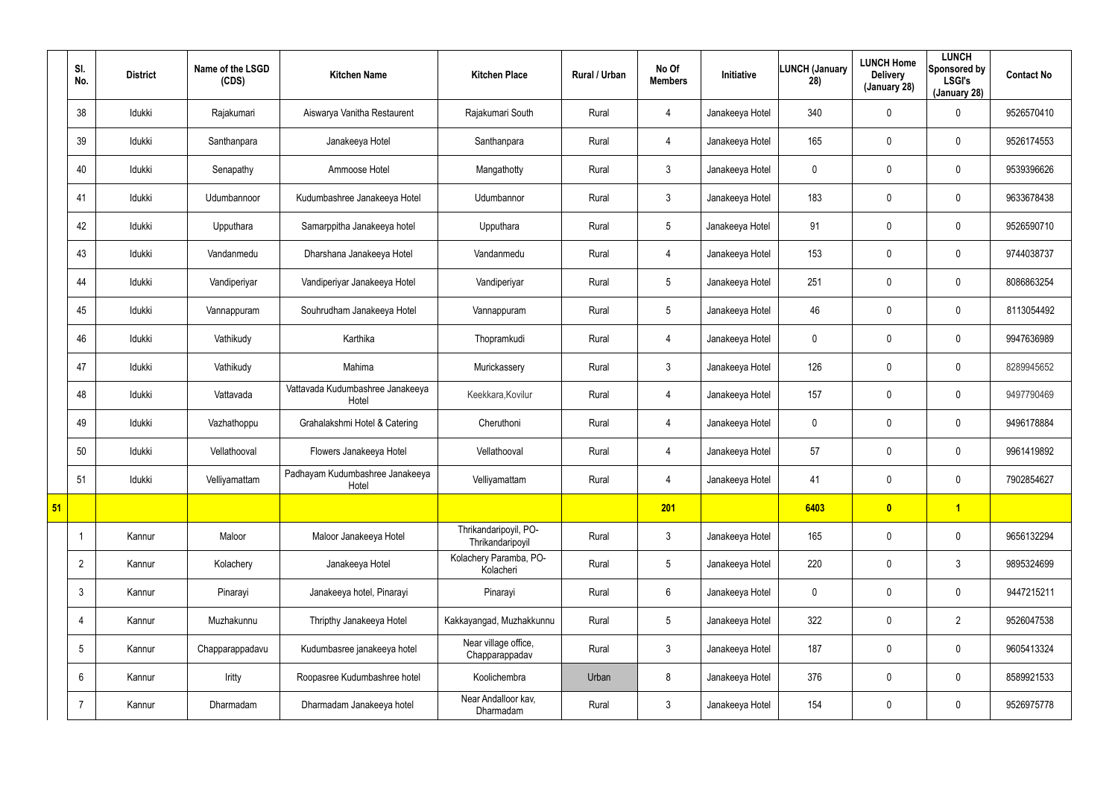|    | SI.<br>No.      | <b>District</b> | Name of the LSGD<br>(CDS) | <b>Kitchen Name</b>                       | <b>Kitchen Place</b>                      | Rural / Urban | No Of<br><b>Members</b> | Initiative      | LUNCH (January<br>28) | <b>LUNCH Home</b><br><b>Delivery</b><br>(January 28) | <b>LUNCH</b><br>Sponsored by<br><b>LSGI's</b><br>(January 28) | <b>Contact No</b> |
|----|-----------------|-----------------|---------------------------|-------------------------------------------|-------------------------------------------|---------------|-------------------------|-----------------|-----------------------|------------------------------------------------------|---------------------------------------------------------------|-------------------|
|    | 38              | Idukki          | Rajakumari                | Aiswarya Vanitha Restaurent               | Rajakumari South                          | Rural         | $\overline{4}$          | Janakeeya Hotel | 340                   | 0                                                    | $\mathbf 0$                                                   | 9526570410        |
|    | 39              | Idukki          | Santhanpara               | Janakeeya Hotel                           | Santhanpara                               | Rural         | $\overline{4}$          | Janakeeya Hotel | 165                   | 0                                                    | $\mathbf 0$                                                   | 9526174553        |
|    | 40              | Idukki          | Senapathy                 | Ammoose Hotel                             | Mangathotty                               | Rural         | $\mathbf{3}$            | Janakeeya Hotel | 0                     | 0                                                    | $\pmb{0}$                                                     | 9539396626        |
|    | 41              | Idukki          | Udumbannoor               | Kudumbashree Janakeeya Hotel              | Udumbannor                                | Rural         | $\mathfrak{Z}$          | Janakeeya Hotel | 183                   | 0                                                    | $\mathbf 0$                                                   | 9633678438        |
|    | 42              | Idukki          | Upputhara                 | Samarppitha Janakeeya hotel               | Upputhara                                 | Rural         | $5\phantom{.0}$         | Janakeeya Hotel | 91                    | 0                                                    | $\pmb{0}$                                                     | 9526590710        |
|    | 43              | Idukki          | Vandanmedu                | Dharshana Janakeeya Hotel                 | Vandanmedu                                | Rural         | $\overline{4}$          | Janakeeya Hotel | 153                   | 0                                                    | $\mathbf 0$                                                   | 9744038737        |
|    | 44              | Idukki          | Vandiperiyar              | Vandiperiyar Janakeeya Hotel              | Vandiperiyar                              | Rural         | $5\phantom{.0}$         | Janakeeya Hotel | 251                   | 0                                                    | $\mathbf 0$                                                   | 8086863254        |
|    | 45              | Idukki          | Vannappuram               | Souhrudham Janakeeya Hotel                | Vannappuram                               | Rural         | $5\phantom{.0}$         | Janakeeya Hotel | 46                    | 0                                                    | $\mathbf 0$                                                   | 8113054492        |
|    | 46              | Idukki          | Vathikudy                 | Karthika                                  | Thopramkudi                               | Rural         | 4                       | Janakeeya Hotel | 0                     | 0                                                    | $\mathbf 0$                                                   | 9947636989        |
|    | 47              | Idukki          | Vathikudy                 | Mahima                                    | Murickassery                              | Rural         | $\mathbf{3}$            | Janakeeya Hotel | 126                   | 0                                                    | $\mathbf 0$                                                   | 8289945652        |
|    | 48              | Idukki          | Vattavada                 | Vattavada Kudumbashree Janakeeya<br>Hotel | Keekkara, Kovilur                         | Rural         | 4                       | Janakeeya Hotel | 157                   | $\mathbf 0$                                          | $\mathbf 0$                                                   | 9497790469        |
|    | 49              | Idukki          | Vazhathoppu               | Grahalakshmi Hotel & Catering             | Cheruthoni                                | Rural         | $\overline{4}$          | Janakeeya Hotel | 0                     | 0                                                    | $\mathbf 0$                                                   | 9496178884        |
|    | 50              | Idukki          | Vellathooval              | Flowers Janakeeya Hotel                   | Vellathooval                              | Rural         | 4                       | Janakeeya Hotel | 57                    | 0                                                    | $\mathbf 0$                                                   | 9961419892        |
|    | 51              | Idukki          | Velliyamattam             | Padhayam Kudumbashree Janakeeya<br>Hotel  | Velliyamattam                             | Rural         | $\overline{4}$          | Janakeeya Hotel | 41                    | 0                                                    | $\pmb{0}$                                                     | 7902854627        |
| 51 |                 |                 |                           |                                           |                                           |               | 201                     |                 | 6403                  | $\bullet$                                            | $\vert$ 1                                                     |                   |
|    |                 | Kannur          | Maloor                    | Maloor Janakeeya Hotel                    | Thrikandaripoyil, PO-<br>Thrikandaripoyil | Rural         | 3 <sup>1</sup>          | Janakeeya Hotel | 165                   | 0                                                    | $\mathbf 0$                                                   | 9656132294        |
|    | $\overline{2}$  | Kannur          | Kolachery                 | Janakeeya Hotel                           | Kolachery Paramba, PO-<br>Kolacheri       | Rural         | $5\phantom{.0}$         | Janakeeya Hotel | 220                   | 0                                                    | $\mathbf{3}$                                                  | 9895324699        |
|    | $\mathbf{3}$    | Kannur          | Pinarayi                  | Janakeeya hotel, Pinarayi                 | Pinarayi                                  | Rural         | $6\phantom{.}$          | Janakeeya Hotel | 0                     | 0                                                    | $\mathbf 0$                                                   | 9447215211        |
|    | 4               | Kannur          | Muzhakunnu                | Thripthy Janakeeya Hotel                  | Kakkayangad, Muzhakkunnu                  | Rural         | $5\phantom{.0}$         | Janakeeya Hotel | 322                   | 0                                                    | $\overline{2}$                                                | 9526047538        |
|    | $5\overline{)}$ | Kannur          | Chapparappadavu           | Kudumbasree janakeeya hotel               | Near village office,<br>Chapparappadav    | Rural         | 3 <sup>1</sup>          | Janakeeya Hotel | 187                   | 0                                                    | $\mathbf 0$                                                   | 9605413324        |
|    | $6^{\circ}$     | Kannur          | Iritty                    | Roopasree Kudumbashree hotel              | Koolichembra                              | Urban         | 8                       | Janakeeya Hotel | 376                   | 0                                                    | $\mathbf 0$                                                   | 8589921533        |
|    | $\overline{7}$  | Kannur          | Dharmadam                 | Dharmadam Janakeeya hotel                 | Near Andalloor kav,<br>Dharmadam          | Rural         | 3 <sup>1</sup>          | Janakeeya Hotel | 154                   | 0                                                    | $\pmb{0}$                                                     | 9526975778        |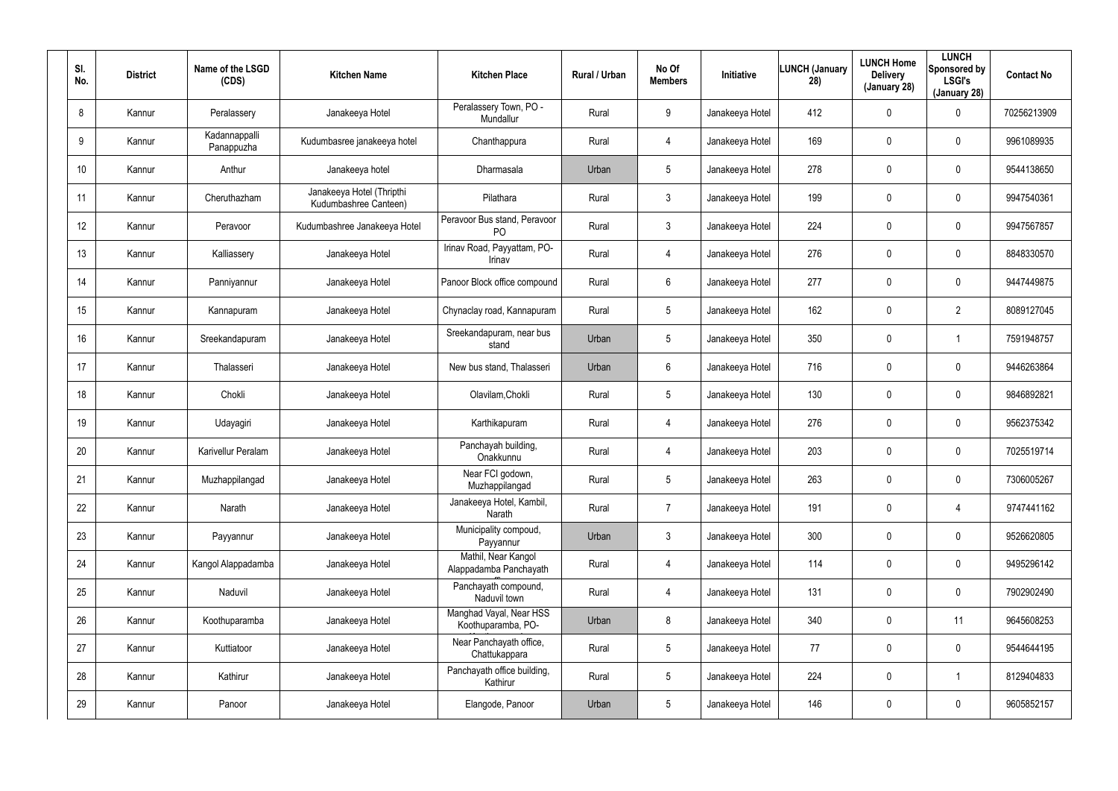| SI.<br>No.      | <b>District</b> | Name of the LSGD<br>(CDS)   | <b>Kitchen Name</b>                                | <b>Kitchen Place</b>                           | Rural / Urban | No Of<br><b>Members</b> | Initiative      | <b>LUNCH (January</b><br>28) | <b>LUNCH Home</b><br><b>Delivery</b><br>(January 28) | <b>LUNCH</b><br>Sponsored by<br><b>LSGI's</b><br>(January 28) | <b>Contact No</b> |
|-----------------|-----------------|-----------------------------|----------------------------------------------------|------------------------------------------------|---------------|-------------------------|-----------------|------------------------------|------------------------------------------------------|---------------------------------------------------------------|-------------------|
| 8               | Kannur          | Peralassery                 | Janakeeya Hotel                                    | Peralassery Town, PO -<br>Mundallur            | Rural         | 9                       | Janakeeya Hotel | 412                          | $\mathbf 0$                                          | 0                                                             | 70256213909       |
| 9               | Kannur          | Kadannappalli<br>Panappuzha | Kudumbasree janakeeya hotel                        | Chanthappura                                   | Rural         | 4                       | Janakeeya Hotel | 169                          | $\mathbf 0$                                          | 0                                                             | 9961089935        |
| 10 <sup>°</sup> | Kannur          | Anthur                      | Janakeeya hotel                                    | Dharmasala                                     | Urban         | $5\phantom{.0}$         | Janakeeya Hotel | 278                          | $\mathbf 0$                                          | 0                                                             | 9544138650        |
| 11              | Kannur          | Cheruthazham                | Janakeeya Hotel (Thripthi<br>Kudumbashree Canteen) | Pilathara                                      | Rural         | 3                       | Janakeeya Hotel | 199                          | $\mathbf 0$                                          | 0                                                             | 9947540361        |
| 12 <sup>°</sup> | Kannur          | Peravoor                    | Kudumbashree Janakeeya Hotel                       | Peravoor Bus stand, Peravoor<br>P <sub>O</sub> | Rural         | 3                       | Janakeeya Hotel | 224                          | $\mathbf 0$                                          | 0                                                             | 9947567857        |
| 13              | Kannur          | Kalliassery                 | Janakeeya Hotel                                    | Irinav Road, Payyattam, PO-<br>Irinav          | Rural         | 4                       | Janakeeya Hotel | 276                          | $\boldsymbol{0}$                                     | 0                                                             | 8848330570        |
| 14              | Kannur          | Panniyannur                 | Janakeeya Hotel                                    | Panoor Block office compound                   | Rural         | 6                       | Janakeeya Hotel | 277                          | $\mathbf 0$                                          | 0                                                             | 9447449875        |
| 15              | Kannur          | Kannapuram                  | Janakeeya Hotel                                    | Chynaclay road, Kannapuram                     | Rural         | $5\overline{)}$         | Janakeeya Hotel | 162                          | $\mathbf 0$                                          | $\overline{2}$                                                | 8089127045        |
| 16              | Kannur          | Sreekandapuram              | Janakeeya Hotel                                    | Sreekandapuram, near bus<br>stand              | Urban         | $5\phantom{.0}$         | Janakeeya Hotel | 350                          | $\mathbf 0$                                          |                                                               | 7591948757        |
| 17              | Kannur          | Thalasseri                  | Janakeeya Hotel                                    | New bus stand, Thalasseri                      | Urban         | 6                       | Janakeeya Hotel | 716                          | $\mathbf 0$                                          | 0                                                             | 9446263864        |
| 18              | Kannur          | Chokli                      | Janakeeya Hotel                                    | Olavilam, Chokli                               | Rural         | $5\phantom{.0}$         | Janakeeya Hotel | 130                          | $\mathbf 0$                                          | 0                                                             | 9846892821        |
| 19              | Kannur          | Udayagiri                   | Janakeeya Hotel                                    | Karthikapuram                                  | Rural         | 4                       | Janakeeya Hotel | 276                          | $\mathbf 0$                                          | 0                                                             | 9562375342        |
| 20              | Kannur          | Karivellur Peralam          | Janakeeya Hotel                                    | Panchayah building,<br>Onakkunnu               | Rural         | 4                       | Janakeeya Hotel | 203                          | $\mathbf 0$                                          | 0                                                             | 7025519714        |
| 21              | Kannur          | Muzhappilangad              | Janakeeya Hotel                                    | Near FCI godown,<br>Muzhappilangad             | Rural         | $5\phantom{.0}$         | Janakeeya Hotel | 263                          | $\mathbf 0$                                          | 0                                                             | 7306005267        |
| 22              | Kannur          | Narath                      | Janakeeya Hotel                                    | Janakeeya Hotel, Kambil,<br>Narath             | Rural         | $\overline{7}$          | Janakeeya Hotel | 191                          | $\mathbf 0$                                          | 4                                                             | 9747441162        |
| 23              | Kannur          | Payyannur                   | Janakeeya Hotel                                    | Municipality compoud,<br>Payyannur             | Urban         | $\mathbf{3}$            | Janakeeya Hotel | 300                          | $\overline{0}$                                       | 0                                                             | 9526620805        |
| 24              | Kannur          | Kangol Alappadamba          | Janakeeya Hotel                                    | Mathil, Near Kangol<br>Alappadamba Panchayath  | Rural         | 4                       | Janakeeya Hotel | 114                          | $\mathbf 0$                                          | 0                                                             | 9495296142        |
| 25              | Kannur          | Naduvil                     | Janakeeya Hotel                                    | Panchayath compound,<br>Naduvil town           | Rural         | $\overline{4}$          | Janakeeya Hotel | 131                          | $\overline{0}$                                       | 0                                                             | 7902902490        |
| 26              | Kannur          | Koothuparamba               | Janakeeya Hotel                                    | Manghad Vayal, Near HSS<br>Koothuparamba, PO-  | Urban         | 8                       | Janakeeya Hotel | 340                          | $\overline{0}$                                       | 11                                                            | 9645608253        |
| 27              | Kannur          | Kuttiatoor                  | Janakeeya Hotel                                    | Near Panchayath office,<br>Chattukappara       | Rural         | $5\phantom{.0}$         | Janakeeya Hotel | 77                           | $\boldsymbol{0}$                                     | 0                                                             | 9544644195        |
| 28              | Kannur          | Kathirur                    | Janakeeya Hotel                                    | Panchayath office building,<br>Kathirur        | Rural         | $5\phantom{.0}$         | Janakeeya Hotel | 224                          | $\boldsymbol{0}$                                     |                                                               | 8129404833        |
| 29              | Kannur          | Panoor                      | Janakeeya Hotel                                    | Elangode, Panoor                               | Urban         | $5\phantom{.0}$         | Janakeeya Hotel | 146                          | $\pmb{0}$                                            | 0                                                             | 9605852157        |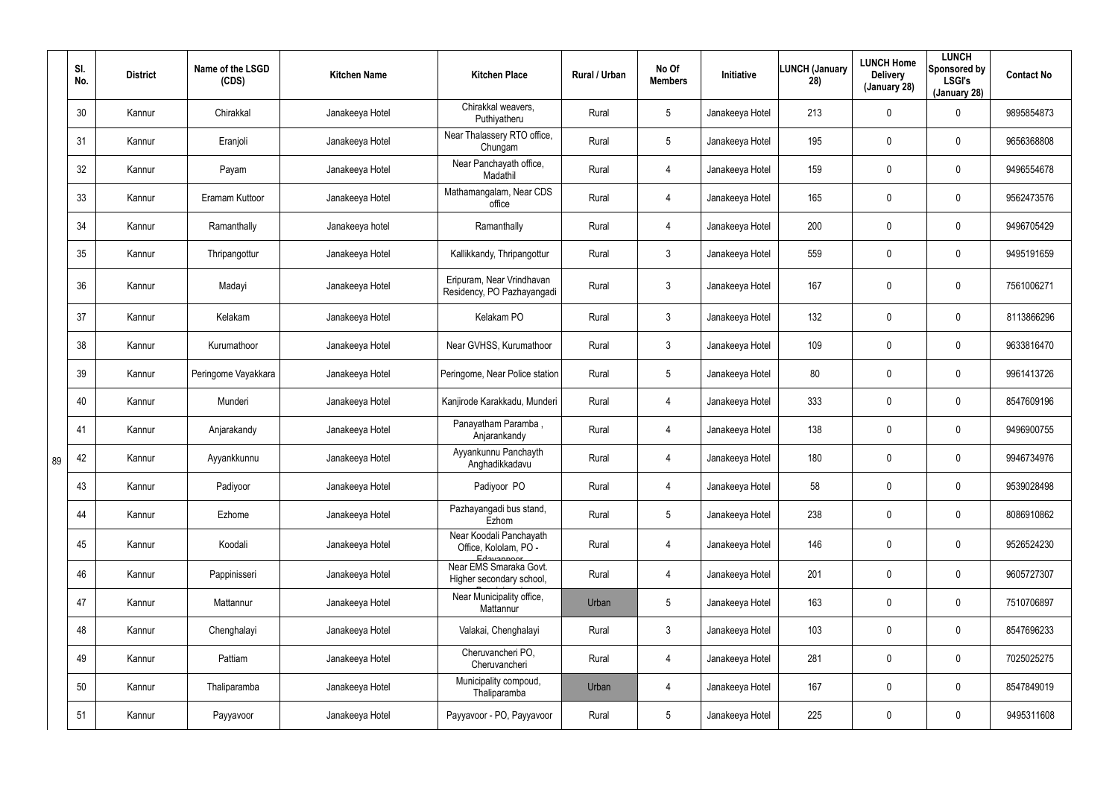|    | SI.<br>No. | <b>District</b> | Name of the LSGD<br>(CDS) | <b>Kitchen Name</b> | <b>Kitchen Place</b>                                             | Rural / Urban | No Of<br><b>Members</b> | Initiative      | <b>LUNCH (January</b><br>28) | <b>LUNCH Home</b><br><b>Delivery</b><br>(January 28) | <b>LUNCH</b><br>Sponsored by<br><b>LSGI's</b><br>(January 28) | <b>Contact No</b> |
|----|------------|-----------------|---------------------------|---------------------|------------------------------------------------------------------|---------------|-------------------------|-----------------|------------------------------|------------------------------------------------------|---------------------------------------------------------------|-------------------|
|    | 30         | Kannur          | Chirakkal                 | Janakeeya Hotel     | Chirakkal weavers,<br>Puthiyatheru                               | Rural         | $5\phantom{.0}$         | Janakeeya Hotel | 213                          | 0                                                    | $\mathbf 0$                                                   | 9895854873        |
|    | 31         | Kannur          | Eranjoli                  | Janakeeya Hotel     | Near Thalassery RTO office,<br>Chungam                           | Rural         | $5\phantom{.0}$         | Janakeeya Hotel | 195                          | 0                                                    | $\mathbf 0$                                                   | 9656368808        |
|    | 32         | Kannur          | Payam                     | Janakeeya Hotel     | Near Panchayath office,<br>Madathil                              | Rural         | $\overline{4}$          | Janakeeya Hotel | 159                          | 0                                                    | $\mathbf 0$                                                   | 9496554678        |
|    | 33         | Kannur          | Eramam Kuttoor            | Janakeeya Hotel     | Mathamangalam, Near CDS<br>office                                | Rural         | $\overline{4}$          | Janakeeya Hotel | 165                          | 0                                                    | $\mathbf 0$                                                   | 9562473576        |
|    | 34         | Kannur          | Ramanthally               | Janakeeya hotel     | Ramanthally                                                      | Rural         | $\overline{4}$          | Janakeeya Hotel | 200                          | 0                                                    | $\mathbf 0$                                                   | 9496705429        |
|    | 35         | Kannur          | Thripangottur             | Janakeeya Hotel     | Kallikkandy, Thripangottur                                       | Rural         | $\mathbf{3}$            | Janakeeya Hotel | 559                          | 0                                                    | $\mathbf 0$                                                   | 9495191659        |
|    | 36         | Kannur          | Madayi                    | Janakeeya Hotel     | Eripuram, Near Vrindhavan<br>Residency, PO Pazhayangadi          | Rural         | $\mathfrak{Z}$          | Janakeeya Hotel | 167                          | 0                                                    | $\mathbf 0$                                                   | 7561006271        |
|    | 37         | Kannur          | Kelakam                   | Janakeeya Hotel     | Kelakam PO                                                       | Rural         | $\mathbf{3}$            | Janakeeya Hotel | 132                          | 0                                                    | $\mathbf 0$                                                   | 8113866296        |
|    | 38         | Kannur          | Kurumathoor               | Janakeeya Hotel     | Near GVHSS, Kurumathoor                                          | Rural         | $\mathbf{3}$            | Janakeeya Hotel | 109                          | 0                                                    | $\mathbf 0$                                                   | 9633816470        |
|    | 39         | Kannur          | Peringome Vayakkara       | Janakeeya Hotel     | Peringome, Near Police station                                   | Rural         | $5\phantom{.0}$         | Janakeeya Hotel | 80                           | 0                                                    | $\mathbf 0$                                                   | 9961413726        |
|    | 40         | Kannur          | Munderi                   | Janakeeya Hotel     | Kanjirode Karakkadu, Munderi                                     | Rural         | $\overline{4}$          | Janakeeya Hotel | 333                          | 0                                                    | $\mathbf 0$                                                   | 8547609196        |
|    | 41         | Kannur          | Anjarakandy               | Janakeeya Hotel     | Panayatham Paramba,<br>Anjarankandy                              | Rural         | $\overline{4}$          | Janakeeya Hotel | 138                          | 0                                                    | $\pmb{0}$                                                     | 9496900755        |
| 89 | 42         | Kannur          | Ayyankkunnu               | Janakeeya Hotel     | Ayyankunnu Panchayth<br>Anghadikkadavu                           | Rural         | 4                       | Janakeeya Hotel | 180                          | $\pmb{0}$                                            | $\mathbf 0$                                                   | 9946734976        |
|    | 43         | Kannur          | Padiyoor                  | Janakeeya Hotel     | Padiyoor PO                                                      | Rural         | $\overline{4}$          | Janakeeya Hotel | 58                           | 0                                                    | $\pmb{0}$                                                     | 9539028498        |
|    | 44         | Kannur          | Ezhome                    | Janakeeya Hotel     | Pazhayangadi bus stand,<br>Ezhom                                 | Rural         | $5\phantom{.0}$         | Janakeeya Hotel | 238                          | 0                                                    | $\pmb{0}$                                                     | 8086910862        |
|    | 45         | Kannur          | Koodali                   | Janakeeya Hotel     | Near Koodali Panchayath<br>Office, Kololam, PO -                 | Rural         | 4                       | Janakeeya Hotel | 146                          | 0                                                    | $\pmb{0}$                                                     | 9526524230        |
|    | 46         | Kannur          | Pappinisseri              | Janakeeya Hotel     | Edavannont<br>Near EMS Smaraka Govt.<br>Higher secondary school, | Rural         | $\overline{4}$          | Janakeeya Hotel | 201                          | 0                                                    | $\pmb{0}$                                                     | 9605727307        |
|    | 47         | Kannur          | Mattannur                 | Janakeeya Hotel     | Near Municipality office,<br>Mattannur                           | Urban         | $5\phantom{.0}$         | Janakeeya Hotel | 163                          | 0                                                    | $\pmb{0}$                                                     | 7510706897        |
|    | 48         | Kannur          | Chenghalayi               | Janakeeya Hotel     | Valakai, Chenghalayi                                             | Rural         | $\mathbf{3}$            | Janakeeya Hotel | 103                          | 0                                                    | $\pmb{0}$                                                     | 8547696233        |
|    | 49         | Kannur          | Pattiam                   | Janakeeya Hotel     | Cheruvancheri PO,<br>Cheruvancheri                               | Rural         | $\overline{4}$          | Janakeeya Hotel | 281                          | 0                                                    | $\pmb{0}$                                                     | 7025025275        |
|    | 50         | Kannur          | Thaliparamba              | Janakeeya Hotel     | Municipality compoud,<br>Thaliparamba                            | Urban         | $\overline{4}$          | Janakeeya Hotel | 167                          | $\mathbf 0$                                          | $\pmb{0}$                                                     | 8547849019        |
|    | 51         | Kannur          | Payyavoor                 | Janakeeya Hotel     | Payyavoor - PO, Payyavoor                                        | Rural         | $5\phantom{.0}$         | Janakeeya Hotel | 225                          | 0                                                    | $\pmb{0}$                                                     | 9495311608        |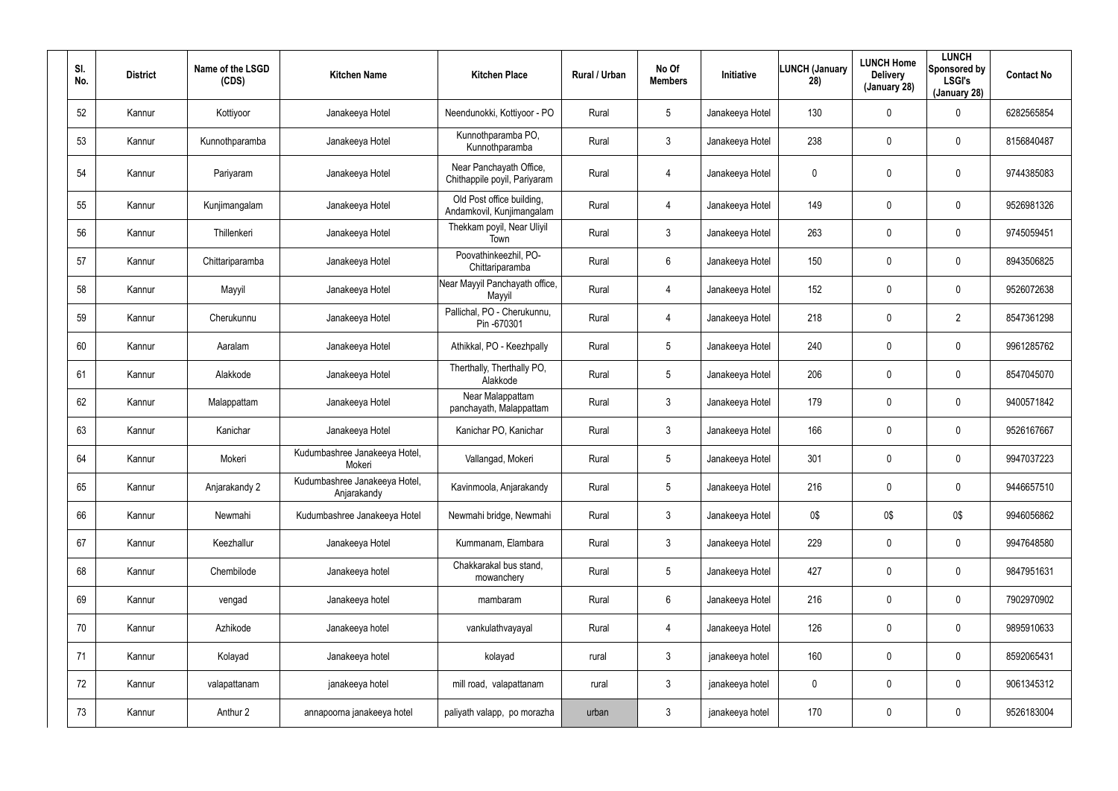| SI.<br>No. | <b>District</b> | Name of the LSGD<br>(CDS) | <b>Kitchen Name</b>                          | <b>Kitchen Place</b>                                    | Rural / Urban | No Of<br><b>Members</b> | <b>Initiative</b> | <b>LUNCH (January</b><br>28) | <b>LUNCH Home</b><br><b>Delivery</b><br>(January 28) | <b>LUNCH</b><br>Sponsored by<br><b>LSGI's</b><br>(January 28) | <b>Contact No</b> |
|------------|-----------------|---------------------------|----------------------------------------------|---------------------------------------------------------|---------------|-------------------------|-------------------|------------------------------|------------------------------------------------------|---------------------------------------------------------------|-------------------|
| 52         | Kannur          | Kottiyoor                 | Janakeeya Hotel                              | Neendunokki, Kottiyoor - PO                             | Rural         | $5\phantom{.0}$         | Janakeeya Hotel   | 130                          | 0                                                    | $\mathbf 0$                                                   | 6282565854        |
| 53         | Kannur          | Kunnothparamba            | Janakeeya Hotel                              | Kunnothparamba PO,<br>Kunnothparamba                    | Rural         | $\mathbf{3}$            | Janakeeya Hotel   | 238                          | 0                                                    | $\mathbf 0$                                                   | 8156840487        |
| 54         | Kannur          | Pariyaram                 | Janakeeya Hotel                              | Near Panchayath Office,<br>Chithappile poyil, Pariyaram | Rural         | 4                       | Janakeeya Hotel   | 0                            | 0                                                    | $\mathbf 0$                                                   | 9744385083        |
| 55         | Kannur          | Kunjimangalam             | Janakeeya Hotel                              | Old Post office building,<br>Andamkovil, Kunjimangalam  | Rural         | 4                       | Janakeeya Hotel   | 149                          | 0                                                    | $\pmb{0}$                                                     | 9526981326        |
| 56         | Kannur          | Thillenkeri               | Janakeeya Hotel                              | Thekkam poyil, Near Uliyil<br>Town                      | Rural         | $\mathfrak{Z}$          | Janakeeya Hotel   | 263                          | 0                                                    | $\pmb{0}$                                                     | 9745059451        |
| 57         | Kannur          | Chittariparamba           | Janakeeya Hotel                              | Poovathinkeezhil, PO-<br>Chittariparamba                | Rural         | 6                       | Janakeeya Hotel   | 150                          | 0                                                    | $\pmb{0}$                                                     | 8943506825        |
| 58         | Kannur          | Mayyil                    | Janakeeya Hotel                              | Near Mayyil Panchayath office,<br>Mayyil                | Rural         | 4                       | Janakeeya Hotel   | 152                          | 0                                                    | $\mathbf 0$                                                   | 9526072638        |
| 59         | Kannur          | Cherukunnu                | Janakeeya Hotel                              | Pallichal, PO - Cherukunnu,<br>Pin -670301              | Rural         | 4                       | Janakeeya Hotel   | 218                          | 0                                                    | $\overline{2}$                                                | 8547361298        |
| 60         | Kannur          | Aaralam                   | Janakeeya Hotel                              | Athikkal, PO - Keezhpally                               | Rural         | $5\phantom{.0}$         | Janakeeya Hotel   | 240                          | 0                                                    | $\mathbf 0$                                                   | 9961285762        |
| 61         | Kannur          | Alakkode                  | Janakeeya Hotel                              | Therthally, Therthally PO,<br>Alakkode                  | Rural         | $5\phantom{.0}$         | Janakeeya Hotel   | 206                          | 0                                                    | $\pmb{0}$                                                     | 8547045070        |
| 62         | Kannur          | Malappattam               | Janakeeya Hotel                              | Near Malappattam<br>panchayath, Malappattam             | Rural         | $\mathfrak{Z}$          | Janakeeya Hotel   | 179                          | 0                                                    | $\pmb{0}$                                                     | 9400571842        |
| 63         | Kannur          | Kanichar                  | Janakeeya Hotel                              | Kanichar PO, Kanichar                                   | Rural         | 3                       | Janakeeya Hotel   | 166                          | 0                                                    | $\pmb{0}$                                                     | 9526167667        |
| 64         | Kannur          | Mokeri                    | Kudumbashree Janakeeya Hotel,<br>Mokeri      | Vallangad, Mokeri                                       | Rural         | $5\phantom{.0}$         | Janakeeya Hotel   | 301                          | 0                                                    | $\boldsymbol{0}$                                              | 9947037223        |
| 65         | Kannur          | Anjarakandy 2             | Kudumbashree Janakeeya Hotel,<br>Anjarakandy | Kavinmoola, Anjarakandy                                 | Rural         | $5\phantom{.0}$         | Janakeeya Hotel   | 216                          | 0                                                    | $\pmb{0}$                                                     | 9446657510        |
| 66         | Kannur          | Newmahi                   | Kudumbashree Janakeeya Hotel                 | Newmahi bridge, Newmahi                                 | Rural         | $\mathfrak{Z}$          | Janakeeya Hotel   | 0\$                          | 0\$                                                  | 0\$                                                           | 9946056862        |
| 67         | Kannur          | Keezhallur                | Janakeeya Hotel                              | Kummanam, Elambara                                      | Rural         | $\mathfrak{Z}$          | Janakeeya Hotel   | 229                          | 0                                                    | $\pmb{0}$                                                     | 9947648580        |
| 68         | Kannur          | Chembilode                | Janakeeya hotel                              | Chakkarakal bus stand,<br>mowanchery                    | Rural         | $5\phantom{.0}$         | Janakeeya Hotel   | 427                          | $\mathbf 0$                                          | $\pmb{0}$                                                     | 9847951631        |
| 69         | Kannur          | vengad                    | Janakeeya hotel                              | mambaram                                                | Rural         | $6\phantom{.0}$         | Janakeeya Hotel   | 216                          | 0                                                    | $\pmb{0}$                                                     | 7902970902        |
| 70         | Kannur          | Azhikode                  | Janakeeya hotel                              | vankulathvayayal                                        | Rural         | 4                       | Janakeeya Hotel   | 126                          | $\mathbf 0$                                          | $\pmb{0}$                                                     | 9895910633        |
| 71         | Kannur          | Kolayad                   | Janakeeya hotel                              | kolayad                                                 | rural         | $\mathfrak{Z}$          | janakeeya hotel   | 160                          | 0                                                    | $\pmb{0}$                                                     | 8592065431        |
| 72         | Kannur          | valapattanam              | janakeeya hotel                              | mill road, valapattanam                                 | rural         | $\mathfrak{Z}$          | janakeeya hotel   | $\mathbf 0$                  | 0                                                    | $\pmb{0}$                                                     | 9061345312        |
| 73         | Kannur          | Anthur 2                  | annapoorna janakeeya hotel                   | paliyath valapp, po morazha                             | urban         | $\mathfrak{Z}$          | janakeeya hotel   | 170                          | 0                                                    | $\pmb{0}$                                                     | 9526183004        |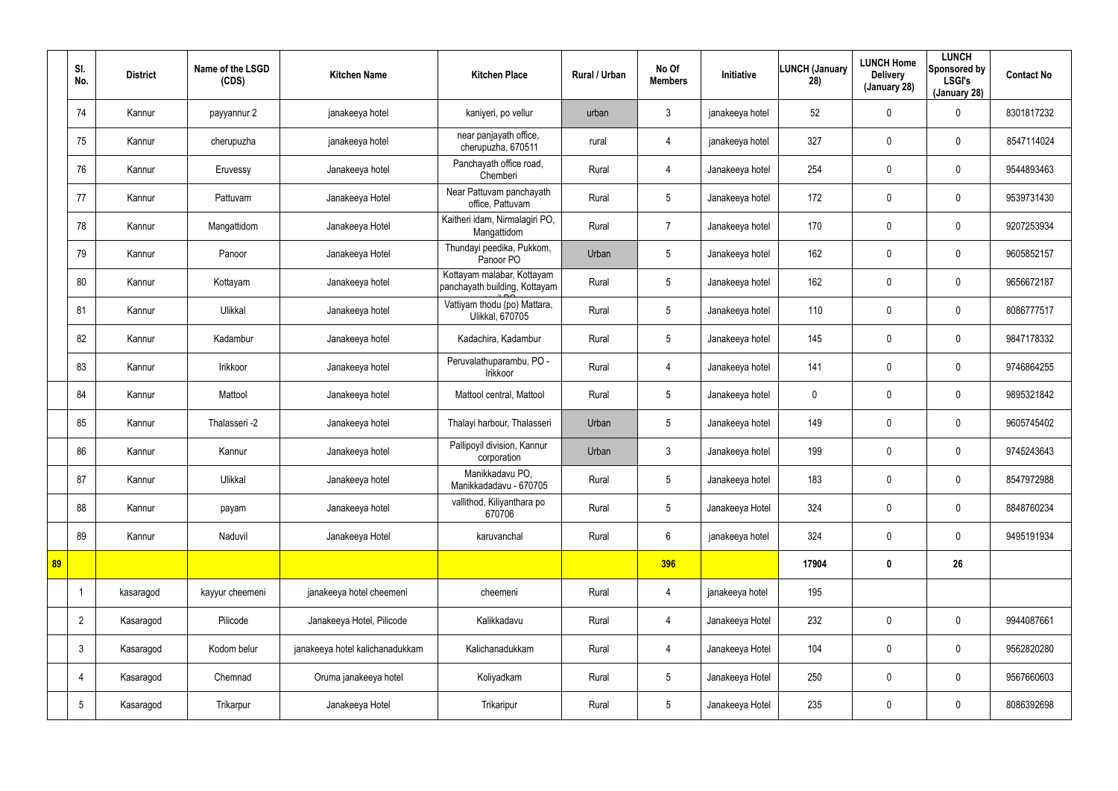|    | SI.<br>No.      | <b>District</b> | Name of the LSGD<br>(CDS) | <b>Kitchen Name</b>             | <b>Kitchen Place</b>                                        | Rural / Urban | No Of<br><b>Members</b> | <b>Initiative</b> | <b>LUNCH (January</b><br>28) | <b>LUNCH Home</b><br><b>Delivery</b><br>(January 28) | <b>LUNCH</b><br>Sponsored by<br><b>LSGI's</b><br>(January 28) | <b>Contact No</b> |
|----|-----------------|-----------------|---------------------------|---------------------------------|-------------------------------------------------------------|---------------|-------------------------|-------------------|------------------------------|------------------------------------------------------|---------------------------------------------------------------|-------------------|
|    | 74              | Kannur          | payyannur 2               | janakeeya hotel                 | kaniyeri, po vellur                                         | urban         | 3                       | janakeeya hotel   | 52                           | $\mathbf 0$                                          | 0                                                             | 8301817232        |
|    | 75              | Kannur          | cherupuzha                | janakeeya hotel                 | near panjayath office,<br>cherupuzha, 670511                | rural         | 4                       | janakeeya hotel   | 327                          | 0                                                    | $\pmb{0}$                                                     | 8547114024        |
|    | 76              | Kannur          | Eruvessy                  | Janakeeya hotel                 | Panchayath office road,<br>Chemberi                         | Rural         | $\overline{4}$          | Janakeeya hotel   | 254                          | $\mathbf 0$                                          | $\pmb{0}$                                                     | 9544893463        |
|    | 77              | Kannur          | Pattuvam                  | Janakeeya Hotel                 | Near Pattuvam panchayath<br>office, Pattuvam                | Rural         | $5\phantom{.0}$         | Janakeeya hotel   | 172                          | 0                                                    | 0                                                             | 9539731430        |
|    | 78              | Kannur          | Mangattidom               | Janakeeya Hotel                 | Kaitheri idam, Nirmalagiri PO,<br>Mangattidom               | Rural         | $\overline{7}$          | Janakeeya hotel   | 170                          | 0                                                    | 0                                                             | 9207253934        |
|    | 79              | Kannur          | Panoor                    | Janakeeya Hotel                 | Thundayi peedika, Pukkom,<br>Panoor PO                      | Urban         | $5\phantom{.0}$         | Janakeeya hotel   | 162                          | 0                                                    | 0                                                             | 9605852157        |
|    | 80              | Kannur          | Kottayam                  | Janakeeya hotel                 | Kottayam malabar, Kottayam<br>panchayath building, Kottayam | Rural         | $5\phantom{.0}$         | Janakeeya hotel   | 162                          | 0                                                    | $\pmb{0}$                                                     | 9656672187        |
|    | 81              | Kannur          | Ulikkal                   | Janakeeya hotel                 | Vattiyam thodu (po) Mattara,<br><b>Ulikkal, 670705</b>      | Rural         | $5\overline{)}$         | Janakeeya hotel   | 110                          | 0                                                    | 0                                                             | 8086777517        |
|    | 82              | Kannur          | Kadambur                  | Janakeeya hotel                 | Kadachira, Kadambur                                         | Rural         | $5\phantom{.0}$         | Janakeeya hotel   | 145                          | 0                                                    | 0                                                             | 9847178332        |
|    | 83              | Kannur          | Irikkoor                  | Janakeeya hotel                 | Peruvalathuparambu, PO -<br>Irikkoor                        | Rural         | $\overline{4}$          | Janakeeya hotel   | 141                          | 0                                                    | 0                                                             | 9746864255        |
|    | 84              | Kannur          | Mattool                   | Janakeeya hotel                 | Mattool central, Mattool                                    | Rural         | $5\phantom{.0}$         | Janakeeya hotel   | 0                            | 0                                                    | $\pmb{0}$                                                     | 9895321842        |
|    | 85              | Kannur          | Thalasseri -2             | Janakeeya hotel                 | Thalayi harbour, Thalasseri                                 | Urban         | $5\overline{)}$         | Janakeeya hotel   | 149                          | 0                                                    | $\pmb{0}$                                                     | 9605745402        |
|    | 86              | Kannur          | Kannur                    | Janakeeya hotel                 | Pallipoyil division, Kannur<br>corporation                  | Urban         | $\mathbf{3}$            | Janakeeya hotel   | 199                          | 0                                                    | $\pmb{0}$                                                     | 9745243643        |
|    | 87              | Kannur          | Ulikkal                   | Janakeeya hotel                 | Manikkadavu PO,<br>Manikkadadavu - 670705                   | Rural         | $5\phantom{.0}$         | Janakeeya hotel   | 183                          | 0                                                    | $\pmb{0}$                                                     | 8547972988        |
|    | 88              | Kannur          | payam                     | Janakeeya hotel                 | vallithod, Kiliyanthara po<br>670706                        | Rural         | $5\overline{)}$         | Janakeeya Hotel   | 324                          | $\mathbf 0$                                          | $\mathbf 0$                                                   | 8848760234        |
|    | 89              | Kannur          | Naduvil                   | Janakeeya Hotel                 | karuvanchal                                                 | Rural         | $6\overline{6}$         | janakeeya hotel   | 324                          | 0                                                    | $\mathbf 0$                                                   | 9495191934        |
| 89 |                 |                 |                           |                                 |                                                             |               | 396                     |                   | 17904                        | $\boldsymbol{0}$                                     | 26                                                            |                   |
|    | $\overline{1}$  | kasaragod       | kayyur cheemeni           | janakeeya hotel cheemeni        | cheemeni                                                    | Rural         | $\overline{4}$          | janakeeya hotel   | 195                          |                                                      |                                                               |                   |
|    | $\overline{2}$  | Kasaragod       | Pilicode                  | Janakeeya Hotel, Pilicode       | Kalikkadavu                                                 | Rural         | $\overline{4}$          | Janakeeya Hotel   | 232                          | 0                                                    | $\mathbf 0$                                                   | 9944087661        |
|    | $\mathbf{3}$    | Kasaragod       | Kodom belur               | janakeeya hotel kalichanadukkam | Kalichanadukkam                                             | Rural         | $\overline{4}$          | Janakeeya Hotel   | 104                          | 0                                                    | $\mathbf 0$                                                   | 9562820280        |
|    | 4               | Kasaragod       | Chemnad                   | Oruma janakeeya hotel           | Koliyadkam                                                  | Rural         | $5\overline{)}$         | Janakeeya Hotel   | 250                          | $\mathbf 0$                                          | $\mathbf 0$                                                   | 9567660603        |
|    | $5\phantom{.0}$ | Kasaragod       | Trikarpur                 | Janakeeya Hotel                 | Trikaripur                                                  | Rural         | $5\overline{)}$         | Janakeeya Hotel   | 235                          | $\pmb{0}$                                            | $\pmb{0}$                                                     | 8086392698        |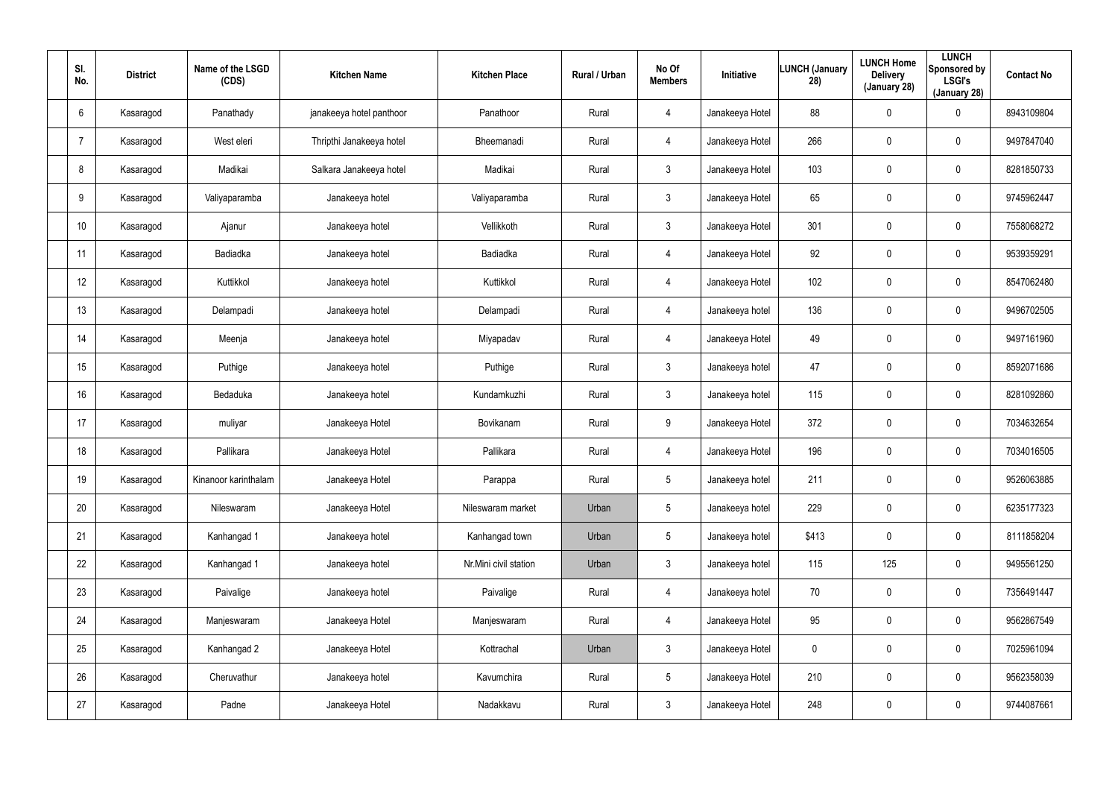| SI.<br>No.      | <b>District</b> | Name of the LSGD<br>(CDS) | <b>Kitchen Name</b>      | <b>Kitchen Place</b>  | Rural / Urban | No Of<br><b>Members</b> | Initiative      | <b>LUNCH (January</b><br>28) | <b>LUNCH Home</b><br><b>Delivery</b><br>(January 28) | <b>LUNCH</b><br>Sponsored by<br><b>LSGI's</b><br>(January 28) | <b>Contact No</b> |
|-----------------|-----------------|---------------------------|--------------------------|-----------------------|---------------|-------------------------|-----------------|------------------------------|------------------------------------------------------|---------------------------------------------------------------|-------------------|
| 6               | Kasaragod       | Panathady                 | janakeeya hotel panthoor | Panathoor             | Rural         | 4                       | Janakeeya Hotel | 88                           | $\boldsymbol{0}$                                     | $\boldsymbol{0}$                                              | 8943109804        |
|                 | Kasaragod       | West eleri                | Thripthi Janakeeya hotel | Bheemanadi            | Rural         | 4                       | Janakeeya Hotel | 266                          | $\boldsymbol{0}$                                     | $\mathbf 0$                                                   | 9497847040        |
| 8               | Kasaragod       | Madikai                   | Salkara Janakeeya hotel  | Madikai               | Rural         | 3 <sup>1</sup>          | Janakeeya Hotel | 103                          | $\boldsymbol{0}$                                     | $\pmb{0}$                                                     | 8281850733        |
| 9               | Kasaragod       | Valiyaparamba             | Janakeeya hotel          | Valiyaparamba         | Rural         | $\mathbf{3}$            | Janakeeya Hotel | 65                           | $\boldsymbol{0}$                                     | $\boldsymbol{0}$                                              | 9745962447        |
| 10 <sup>°</sup> | Kasaragod       | Ajanur                    | Janakeeya hotel          | Vellikkoth            | Rural         | 3                       | Janakeeya Hotel | 301                          | $\boldsymbol{0}$                                     | $\boldsymbol{0}$                                              | 7558068272        |
| 11              | Kasaragod       | Badiadka                  | Janakeeya hotel          | <b>Badiadka</b>       | Rural         | 4                       | Janakeeya Hotel | 92                           | 0                                                    | $\mathbf 0$                                                   | 9539359291        |
| 12              | Kasaragod       | Kuttikkol                 | Janakeeya hotel          | Kuttikkol             | Rural         | $\overline{4}$          | Janakeeya Hotel | 102                          | $\boldsymbol{0}$                                     | $\pmb{0}$                                                     | 8547062480        |
| 13              | Kasaragod       | Delampadi                 | Janakeeya hotel          | Delampadi             | Rural         | 4                       | Janakeeya hotel | 136                          | $\boldsymbol{0}$                                     | $\mathbf 0$                                                   | 9496702505        |
| 14              | Kasaragod       | Meenja                    | Janakeeya hotel          | Miyapadav             | Rural         | 4                       | Janakeeya Hotel | 49                           | $\boldsymbol{0}$                                     | $\boldsymbol{0}$                                              | 9497161960        |
| 15              | Kasaragod       | Puthige                   | Janakeeya hotel          | Puthige               | Rural         | $\mathbf{3}$            | Janakeeya hotel | 47                           | $\boldsymbol{0}$                                     | $\mathbf 0$                                                   | 8592071686        |
| 16              | Kasaragod       | Bedaduka                  | Janakeeya hotel          | Kundamkuzhi           | Rural         | $\mathbf{3}$            | Janakeeya hotel | 115                          | $\boldsymbol{0}$                                     | $\pmb{0}$                                                     | 8281092860        |
| 17              | Kasaragod       | muliyar                   | Janakeeya Hotel          | Bovikanam             | Rural         | 9                       | Janakeeya Hotel | 372                          | $\boldsymbol{0}$                                     | $\pmb{0}$                                                     | 7034632654        |
| 18              | Kasaragod       | Pallikara                 | Janakeeya Hotel          | Pallikara             | Rural         | 4                       | Janakeeya Hotel | 196                          | $\boldsymbol{0}$                                     | $\pmb{0}$                                                     | 7034016505        |
| 19              | Kasaragod       | Kinanoor karinthalam      | Janakeeya Hotel          | Parappa               | Rural         | $5\phantom{.0}$         | Janakeeya hotel | 211                          | $\pmb{0}$                                            | $\pmb{0}$                                                     | 9526063885        |
| 20              | Kasaragod       | Nileswaram                | Janakeeya Hotel          | Nileswaram market     | Urban         | $5\phantom{.0}$         | Janakeeya hotel | 229                          | 0                                                    | $\mathbf 0$                                                   | 6235177323        |
| 21              | Kasaragod       | Kanhangad 1               | Janakeeya hotel          | Kanhangad town        | Urban         | 5 <sub>5</sub>          | Janakeeya hotel | \$413                        | 0                                                    | $\mathbf 0$                                                   | 8111858204        |
| 22              | Kasaragod       | Kanhangad 1               | Janakeeya hotel          | Nr.Mini civil station | Urban         | $\mathbf{3}$            | Janakeeya hotel | 115                          | 125                                                  | $\mathbf 0$                                                   | 9495561250        |
| 23              | Kasaragod       | Paivalige                 | Janakeeya hotel          | Paivalige             | Rural         | $\overline{4}$          | Janakeeya hotel | 70                           | 0                                                    | $\mathbf 0$                                                   | 7356491447        |
| 24              | Kasaragod       | Manjeswaram               | Janakeeya Hotel          | Manjeswaram           | Rural         | 4                       | Janakeeya Hotel | 95                           | 0                                                    | $\mathbf 0$                                                   | 9562867549        |
| 25              | Kasaragod       | Kanhangad 2               | Janakeeya Hotel          | Kottrachal            | Urban         | 3 <sup>2</sup>          | Janakeeya Hotel | 0                            | 0                                                    | $\mathbf 0$                                                   | 7025961094        |
| 26              | Kasaragod       | Cheruvathur               | Janakeeya hotel          | Kavumchira            | Rural         | 5 <sub>5</sub>          | Janakeeya Hotel | 210                          | $\boldsymbol{0}$                                     | $\mathbf 0$                                                   | 9562358039        |
| 27              | Kasaragod       | Padne                     | Janakeeya Hotel          | Nadakkavu             | Rural         | $\mathbf{3}$            | Janakeeya Hotel | 248                          | $\pmb{0}$                                            | $\bf{0}$                                                      | 9744087661        |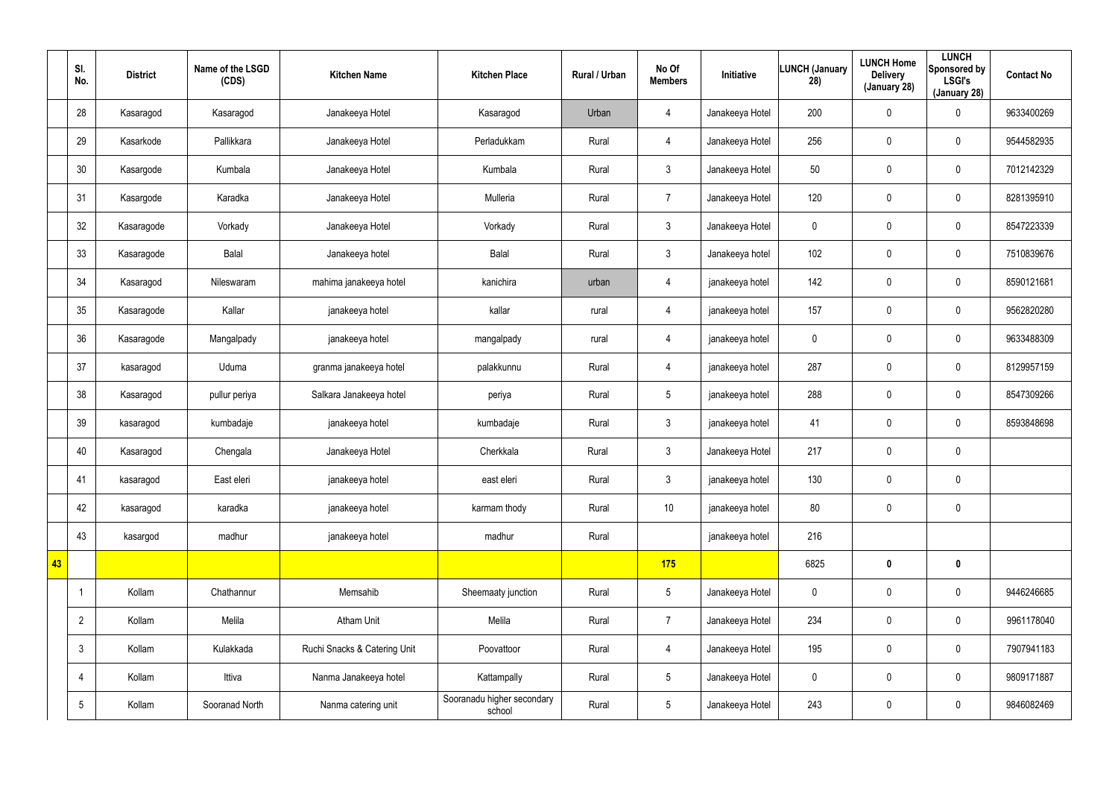|    | SI.<br>No.      | <b>District</b> | Name of the LSGD<br>(CDS) | <b>Kitchen Name</b>          | <b>Kitchen Place</b>                 | Rural / Urban | No Of<br><b>Members</b> | Initiative      | <b>LUNCH (January</b><br>28) | <b>LUNCH Home</b><br><b>Delivery</b><br>(January 28) | <b>LUNCH</b><br>Sponsored by<br><b>LSGI's</b><br>(January 28) | <b>Contact No</b> |
|----|-----------------|-----------------|---------------------------|------------------------------|--------------------------------------|---------------|-------------------------|-----------------|------------------------------|------------------------------------------------------|---------------------------------------------------------------|-------------------|
|    | 28              | Kasaragod       | Kasaragod                 | Janakeeya Hotel              | Kasaragod                            | Urban         | $\overline{4}$          | Janakeeya Hotel | 200                          | $\mathbf 0$                                          | 0                                                             | 9633400269        |
|    | 29              | Kasarkode       | Pallikkara                | Janakeeya Hotel              | Perladukkam                          | Rural         | $\overline{4}$          | Janakeeya Hotel | 256                          | 0                                                    | $\mathbf 0$                                                   | 9544582935        |
|    | 30              | Kasargode       | Kumbala                   | Janakeeya Hotel              | Kumbala                              | Rural         | 3                       | Janakeeya Hotel | 50                           | $\mathbf 0$                                          | $\mathbf 0$                                                   | 7012142329        |
|    | 31              | Kasargode       | Karadka                   | Janakeeya Hotel              | Mulleria                             | Rural         | $\overline{7}$          | Janakeeya Hotel | 120                          | $\mathbf 0$                                          | $\mathbf 0$                                                   | 8281395910        |
|    | 32              | Kasaragode      | Vorkady                   | Janakeeya Hotel              | Vorkady                              | Rural         | $\mathbf{3}$            | Janakeeya Hotel | 0                            | $\mathbf 0$                                          | $\mathbf 0$                                                   | 8547223339        |
|    | 33              | Kasaragode      | Balal                     | Janakeeya hotel              | Balal                                | Rural         | $\mathbf{3}$            | Janakeeya hotel | 102                          | $\mathbf 0$                                          | $\mathbf 0$                                                   | 7510839676        |
|    | 34              | Kasaragod       | Nileswaram                | mahima janakeeya hotel       | kanichira                            | urban         | 4                       | janakeeya hotel | 142                          | $\mathbf 0$                                          | $\mathbf 0$                                                   | 8590121681        |
|    | 35              | Kasaragode      | Kallar                    | janakeeya hotel              | kallar                               | rural         | 4                       | janakeeya hotel | 157                          | 0                                                    | $\mathbf 0$                                                   | 9562820280        |
|    | 36              | Kasaragode      | Mangalpady                | janakeeya hotel              | mangalpady                           | rural         | 4                       | janakeeya hotel | 0                            | $\mathbf 0$                                          | $\pmb{0}$                                                     | 9633488309        |
|    | 37              | kasaragod       | Uduma                     | granma janakeeya hotel       | palakkunnu                           | Rural         | $\overline{4}$          | janakeeya hotel | 287                          | 0                                                    | $\mathbf 0$                                                   | 8129957159        |
|    | 38              | Kasaragod       | pullur periya             | Salkara Janakeeya hotel      | periya                               | Rural         | $5\overline{)}$         | janakeeya hotel | 288                          | 0                                                    | 0                                                             | 8547309266        |
|    | 39              | kasaragod       | kumbadaje                 | janakeeya hotel              | kumbadaje                            | Rural         | 3                       | janakeeya hotel | 41                           | 0                                                    | $\mathbf 0$                                                   | 8593848698        |
|    | 40              | Kasaragod       | Chengala                  | Janakeeya Hotel              | Cherkkala                            | Rural         | 3                       | Janakeeya Hotel | 217                          | 0                                                    | $\pmb{0}$                                                     |                   |
|    | 41              | kasaragod       | East eleri                | janakeeya hotel              | east eleri                           | Rural         | $\mathbf{3}$            | janakeeya hotel | 130                          | $\pmb{0}$                                            | $\pmb{0}$                                                     |                   |
|    | 42              | kasaragod       | karadka                   | janakeeya hotel              | karmam thody                         | Rural         | 10 <sup>°</sup>         | janakeeya hotel | 80                           | $\pmb{0}$                                            | $\mathbf 0$                                                   |                   |
|    | 43              | kasargod        | madhur                    | janakeeya hotel              | madhur                               | Rural         |                         | janakeeya hotel | 216                          |                                                      |                                                               |                   |
| 43 |                 |                 |                           |                              |                                      |               | 175                     |                 | 6825                         | $\boldsymbol{0}$                                     | $\mathbf 0$                                                   |                   |
|    | -1              | Kollam          | Chathannur                | Memsahib                     | Sheemaaty junction                   | Rural         | $5\overline{)}$         | Janakeeya Hotel | $\pmb{0}$                    | 0                                                    | $\pmb{0}$                                                     | 9446246685        |
|    | $\overline{2}$  | Kollam          | Melila                    | <b>Atham Unit</b>            | Melila                               | Rural         | $\overline{7}$          | Janakeeya Hotel | 234                          | $\mathbf 0$                                          | $\pmb{0}$                                                     | 9961178040        |
|    | $\mathbf{3}$    | Kollam          | Kulakkada                 | Ruchi Snacks & Catering Unit | Poovattoor                           | Rural         | $\overline{4}$          | Janakeeya Hotel | 195                          | 0                                                    | $\pmb{0}$                                                     | 7907941183        |
|    | $\overline{4}$  | Kollam          | Ittiva                    | Nanma Janakeeya hotel        | Kattampally                          | Rural         | $5\overline{)}$         | Janakeeya Hotel | $\pmb{0}$                    | 0                                                    | $\mathbf 0$                                                   | 9809171887        |
|    | $5\phantom{.0}$ | Kollam          | Sooranad North            | Nanma catering unit          | Sooranadu higher secondary<br>school | Rural         | $5\overline{)}$         | Janakeeya Hotel | 243                          | 0                                                    | $\mathsf{0}$                                                  | 9846082469        |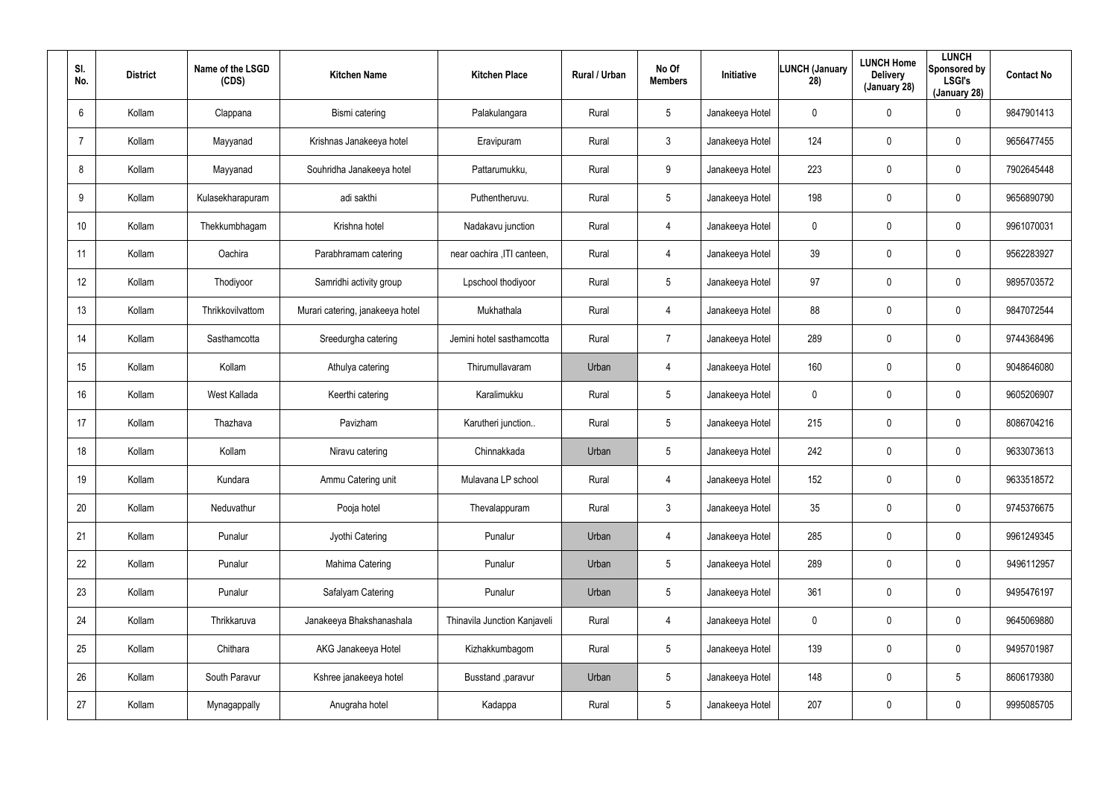| SI.<br>No. | <b>District</b> | Name of the LSGD<br>(CDS) | <b>Kitchen Name</b>              | <b>Kitchen Place</b>         | <b>Rural / Urban</b> | No Of<br><b>Members</b> | Initiative      | <b>LUNCH (January</b><br>28) | <b>LUNCH Home</b><br><b>Delivery</b><br>(January 28) | <b>LUNCH</b><br>Sponsored by<br><b>LSGI's</b><br>(January 28) | <b>Contact No</b> |
|------------|-----------------|---------------------------|----------------------------------|------------------------------|----------------------|-------------------------|-----------------|------------------------------|------------------------------------------------------|---------------------------------------------------------------|-------------------|
| 6          | Kollam          | Clappana                  | Bismi catering                   | Palakulangara                | Rural                | 5                       | Janakeeya Hotel | $\mathbf 0$                  | 0                                                    | 0                                                             | 9847901413        |
| 7          | Kollam          | Mayyanad                  | Krishnas Janakeeya hotel         | Eravipuram                   | Rural                | $\mathbf{3}$            | Janakeeya Hotel | 124                          | 0                                                    | $\mathbf 0$                                                   | 9656477455        |
| 8          | Kollam          | Mayyanad                  | Souhridha Janakeeya hotel        | Pattarumukku,                | Rural                | 9                       | Janakeeya Hotel | 223                          | $\mathbf 0$                                          | $\mathbf 0$                                                   | 7902645448        |
| 9          | Kollam          | Kulasekharapuram          | adi sakthi                       | Puthentheruvu.               | Rural                | $5\overline{)}$         | Janakeeya Hotel | 198                          | 0                                                    | $\mathbf 0$                                                   | 9656890790        |
| 10         | Kollam          | Thekkumbhagam             | Krishna hotel                    | Nadakavu junction            | Rural                | $\overline{4}$          | Janakeeya Hotel | $\mathbf 0$                  | 0                                                    | $\mathbf 0$                                                   | 9961070031        |
| 11         | Kollam          | Oachira                   | Parabhramam catering             | near oachira , ITI canteen,  | Rural                | 4                       | Janakeeya Hotel | 39                           | 0                                                    | $\mathbf 0$                                                   | 9562283927        |
| 12         | Kollam          | Thodiyoor                 | Samridhi activity group          | Lpschool thodiyoor           | Rural                | 5                       | Janakeeya Hotel | 97                           | $\boldsymbol{0}$                                     | 0                                                             | 9895703572        |
| 13         | Kollam          | Thrikkovilvattom          | Murari catering, janakeeya hotel | Mukhathala                   | Rural                | $\overline{4}$          | Janakeeya Hotel | 88                           | $\boldsymbol{0}$                                     | $\mathbf 0$                                                   | 9847072544        |
| 14         | Kollam          | Sasthamcotta              | Sreedurgha catering              | Jemini hotel sasthamcotta    | Rural                | $\overline{7}$          | Janakeeya Hotel | 289                          | $\boldsymbol{0}$                                     | 0                                                             | 9744368496        |
| 15         | Kollam          | Kollam                    | Athulya catering                 | Thirumullavaram              | Urban                | $\overline{4}$          | Janakeeya Hotel | 160                          | $\boldsymbol{0}$                                     | $\mathbf 0$                                                   | 9048646080        |
| 16         | Kollam          | West Kallada              | Keerthi catering                 | Karalimukku                  | Rural                | 5                       | Janakeeya Hotel | 0                            | $\boldsymbol{0}$                                     | 0                                                             | 9605206907        |
| 17         | Kollam          | Thazhava                  | Pavizham                         | Karutheri junction           | Rural                | 5                       | Janakeeya Hotel | 215                          | $\boldsymbol{0}$                                     | $\mathbf 0$                                                   | 8086704216        |
| 18         | Kollam          | Kollam                    | Niravu catering                  | Chinnakkada                  | Urban                | 5                       | Janakeeya Hotel | 242                          | $\boldsymbol{0}$                                     | $\mathbf 0$                                                   | 9633073613        |
| 19         | Kollam          | Kundara                   | Ammu Catering unit               | Mulavana LP school           | Rural                | $\overline{4}$          | Janakeeya Hotel | 152                          | $\pmb{0}$                                            | $\pmb{0}$                                                     | 9633518572        |
| 20         | Kollam          | Neduvathur                | Pooja hotel                      | Thevalappuram                | Rural                | $\mathfrak{Z}$          | Janakeeya Hotel | 35                           | $\pmb{0}$                                            | $\pmb{0}$                                                     | 9745376675        |
| 21         | Kollam          | Punalur                   | Jyothi Catering                  | Punalur                      | Urban                | $\overline{4}$          | Janakeeya Hotel | 285                          | $\pmb{0}$                                            | $\pmb{0}$                                                     | 9961249345        |
| 22         | Kollam          | Punalur                   | Mahima Catering                  | Punalur                      | Urban                | $5\phantom{.0}$         | Janakeeya Hotel | 289                          | $\pmb{0}$                                            | $\pmb{0}$                                                     | 9496112957        |
| 23         | Kollam          | Punalur                   | Safalyam Catering                | Punalur                      | Urban                | $5\phantom{.0}$         | Janakeeya Hotel | 361                          | $\mathbf 0$                                          | $\pmb{0}$                                                     | 9495476197        |
| 24         | Kollam          | Thrikkaruva               | Janakeeya Bhakshanashala         | Thinavila Junction Kanjaveli | Rural                | $\overline{4}$          | Janakeeya Hotel | 0                            | $\pmb{0}$                                            | $\pmb{0}$                                                     | 9645069880        |
| 25         | Kollam          | Chithara                  | AKG Janakeeya Hotel              | Kizhakkumbagom               | Rural                | $5\phantom{.0}$         | Janakeeya Hotel | 139                          | $\mathbf 0$                                          | $\pmb{0}$                                                     | 9495701987        |
| 26         | Kollam          | South Paravur             | Kshree janakeeya hotel           | Busstand , paravur           | Urban                | $5\phantom{.0}$         | Janakeeya Hotel | 148                          | $\pmb{0}$                                            | $5\phantom{.0}$                                               | 8606179380        |
| 27         | Kollam          | Mynagappally              | Anugraha hotel                   | Kadappa                      | Rural                | $5\phantom{.0}$         | Janakeeya Hotel | 207                          | $\boldsymbol{0}$                                     | 0                                                             | 9995085705        |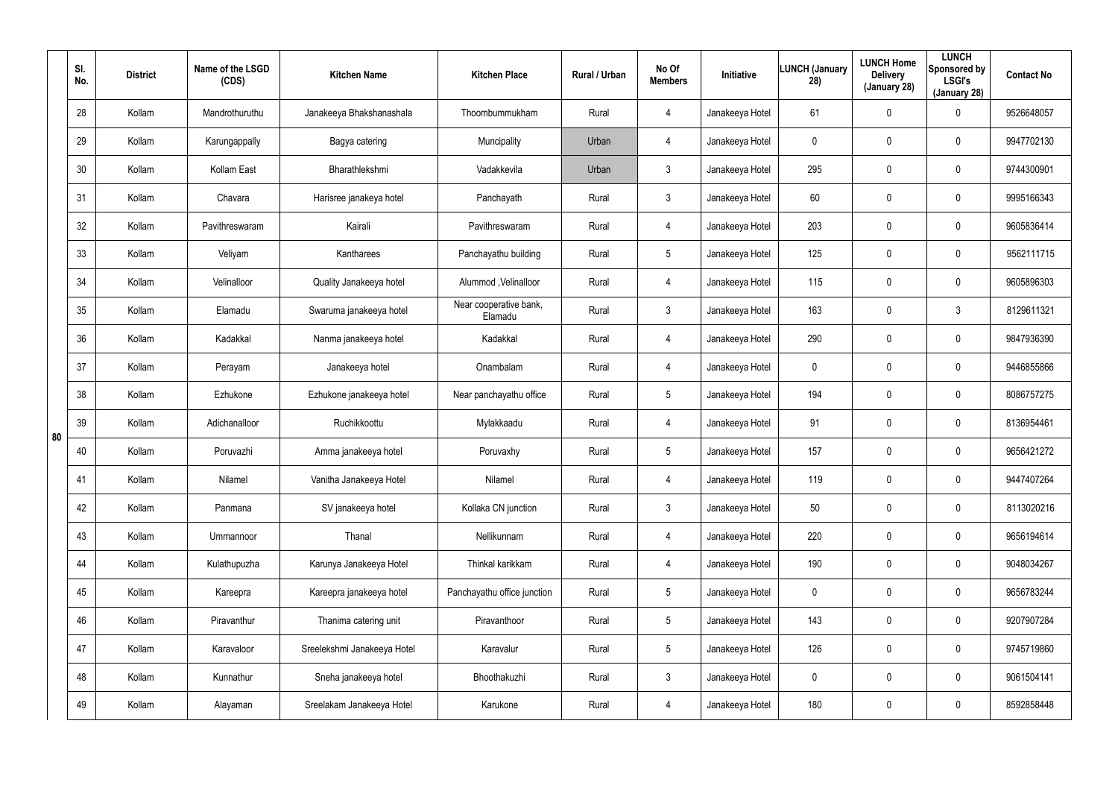|    | SI.<br>No. | <b>District</b> | Name of the LSGD<br>(CDS) | <b>Kitchen Name</b>         | <b>Kitchen Place</b>              | Rural / Urban | No Of<br><b>Members</b> | <b>Initiative</b> | <b>LUNCH (January</b><br>28) | <b>LUNCH Home</b><br><b>Delivery</b><br>(January 28) | <b>LUNCH</b><br>Sponsored by<br><b>LSGI's</b><br>(January 28) | <b>Contact No</b> |
|----|------------|-----------------|---------------------------|-----------------------------|-----------------------------------|---------------|-------------------------|-------------------|------------------------------|------------------------------------------------------|---------------------------------------------------------------|-------------------|
|    | 28         | Kollam          | Mandrothuruthu            | Janakeeya Bhakshanashala    | Thoombummukham                    | Rural         | 4                       | Janakeeya Hotel   | 61                           | $\mathbf 0$                                          | 0                                                             | 9526648057        |
|    | 29         | Kollam          | Karungappally             | Bagya catering              | Muncipality                       | Urban         | 4                       | Janakeeya Hotel   | 0                            | 0                                                    | 0                                                             | 9947702130        |
|    | 30         | Kollam          | Kollam East               | Bharathlekshmi              | Vadakkevila                       | Urban         | $\mathfrak{Z}$          | Janakeeya Hotel   | 295                          | $\mathbf 0$                                          | 0                                                             | 9744300901        |
|    | 31         | Kollam          | Chavara                   | Harisree janakeya hotel     | Panchayath                        | Rural         | $\mathbf{3}$            | Janakeeya Hotel   | 60                           | 0                                                    | 0                                                             | 9995166343        |
|    | 32         | Kollam          | Pavithreswaram            | Kairali                     | Pavithreswaram                    | Rural         | 4                       | Janakeeya Hotel   | 203                          | $\mathbf 0$                                          | 0                                                             | 9605836414        |
|    | 33         | Kollam          | Veliyam                   | Kantharees                  | Panchayathu building              | Rural         | $5\overline{)}$         | Janakeeya Hotel   | 125                          | 0                                                    | 0                                                             | 9562111715        |
|    | 34         | Kollam          | Velinalloor               | Quality Janakeeya hotel     | Alummod, Velinalloor              | Rural         | 4                       | Janakeeya Hotel   | 115                          | $\overline{0}$                                       | 0                                                             | 9605896303        |
|    | 35         | Kollam          | Elamadu                   | Swaruma janakeeya hotel     | Near cooperative bank,<br>Elamadu | Rural         | $\mathbf{3}$            | Janakeeya Hotel   | 163                          | $\mathbf 0$                                          | 3                                                             | 8129611321        |
|    | 36         | Kollam          | Kadakkal                  | Nanma janakeeya hotel       | Kadakkal                          | Rural         | 4                       | Janakeeya Hotel   | 290                          | $\overline{0}$                                       | 0                                                             | 9847936390        |
|    | 37         | Kollam          | Perayam                   | Janakeeya hotel             | Onambalam                         | Rural         | 4                       | Janakeeya Hotel   | 0                            | $\boldsymbol{0}$                                     | 0                                                             | 9446855866        |
|    | 38         | Kollam          | Ezhukone                  | Ezhukone janakeeya hotel    | Near panchayathu office           | Rural         | $5\phantom{.0}$         | Janakeeya Hotel   | 194                          | $\overline{0}$                                       | 0                                                             | 8086757275        |
| 80 | 39         | Kollam          | Adichanalloor             | Ruchikkoottu                | Mylakkaadu                        | Rural         | 4                       | Janakeeya Hotel   | 91                           | $\boldsymbol{0}$                                     | 0                                                             | 8136954461        |
|    | 40         | Kollam          | Poruvazhi                 | Amma janakeeya hotel        | Poruvaxhy                         | Rural         | $5\overline{)}$         | Janakeeya Hotel   | 157                          | $\mathbf 0$                                          | 0                                                             | 9656421272        |
|    | 41         | Kollam          | Nilamel                   | Vanitha Janakeeya Hotel     | Nilamel                           | Rural         | 4                       | Janakeeya Hotel   | 119                          | $\mathbf 0$                                          | 0                                                             | 9447407264        |
|    | 42         | Kollam          | Panmana                   | SV janakeeya hotel          | Kollaka CN junction               | Rural         | $\mathbf{3}$            | Janakeeya Hotel   | 50                           | $\overline{0}$                                       | 0                                                             | 8113020216        |
|    | 43         | Kollam          | Ummannoor                 | Thanal                      | Nellikunnam                       | Rural         | 4                       | Janakeeya Hotel   | 220                          | $\mathbf 0$                                          | 0                                                             | 9656194614        |
|    | 44         | Kollam          | Kulathupuzha              | Karunya Janakeeya Hotel     | Thinkal karikkam                  | Rural         | 4                       | Janakeeya Hotel   | 190                          | $\overline{0}$                                       | 0                                                             | 9048034267        |
|    | 45         | Kollam          | Kareepra                  | Kareepra janakeeya hotel    | Panchayathu office junction       | Rural         | $5\phantom{.0}$         | Janakeeya Hotel   | $\mathbf 0$                  | $\mathbf 0$                                          | 0                                                             | 9656783244        |
|    | 46         | Kollam          | Piravanthur               | Thanima catering unit       | Piravanthoor                      | Rural         | $5\phantom{.0}$         | Janakeeya Hotel   | 143                          | $\overline{0}$                                       | 0                                                             | 9207907284        |
|    | 47         | Kollam          | Karavaloor                | Sreelekshmi Janakeeya Hotel | Karavalur                         | Rural         | $5\phantom{.0}$         | Janakeeya Hotel   | 126                          | $\mathbf 0$                                          | 0                                                             | 9745719860        |
|    | 48         | Kollam          | Kunnathur                 | Sneha janakeeya hotel       | Bhoothakuzhi                      | Rural         | $\mathbf{3}$            | Janakeeya Hotel   | 0                            | $\overline{0}$                                       | 0                                                             | 9061504141        |
|    | 49         | Kollam          | Alayaman                  | Sreelakam Janakeeya Hotel   | Karukone                          | Rural         | 4                       | Janakeeya Hotel   | 180                          | $\mathbf 0$                                          | 0                                                             | 8592858448        |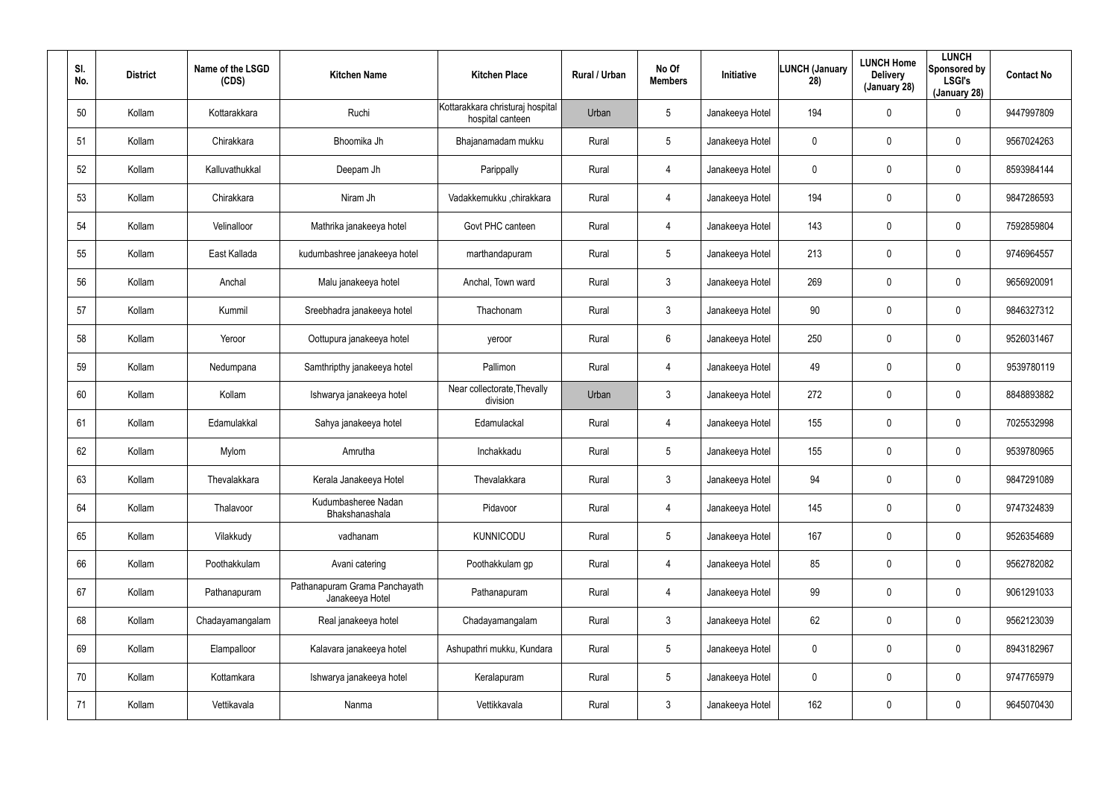| SI.<br>No. | <b>District</b> | Name of the LSGD<br>(CDS) | <b>Kitchen Name</b>                              | <b>Kitchen Place</b>                                 | Rural / Urban | No Of<br><b>Members</b> | Initiative      | <b>LUNCH (January</b><br>28) | <b>LUNCH Home</b><br><b>Delivery</b><br>(January 28) | <b>LUNCH</b><br>Sponsored by<br><b>LSGI's</b><br>(January 28) | <b>Contact No</b> |
|------------|-----------------|---------------------------|--------------------------------------------------|------------------------------------------------------|---------------|-------------------------|-----------------|------------------------------|------------------------------------------------------|---------------------------------------------------------------|-------------------|
| 50         | Kollam          | Kottarakkara              | Ruchi                                            | Kottarakkara christuraj hospital<br>hospital canteen | Urban         | $5\overline{)}$         | Janakeeya Hotel | 194                          | $\mathbf 0$                                          | 0                                                             | 9447997809        |
| 51         | Kollam          | Chirakkara                | Bhoomika Jh                                      | Bhajanamadam mukku                                   | Rural         | $5\overline{)}$         | Janakeeya Hotel | 0                            | 0                                                    | 0                                                             | 9567024263        |
| 52         | Kollam          | Kalluvathukkal            | Deepam Jh                                        | Parippally                                           | Rural         | 4                       | Janakeeya Hotel | 0                            | $\mathbf 0$                                          | 0                                                             | 8593984144        |
| 53         | Kollam          | Chirakkara                | Niram Jh                                         | Vadakkemukku ,chirakkara                             | Rural         | $\overline{4}$          | Janakeeya Hotel | 194                          | 0                                                    | 0                                                             | 9847286593        |
| 54         | Kollam          | Velinalloor               | Mathrika janakeeya hotel                         | Govt PHC canteen                                     | Rural         | 4                       | Janakeeya Hotel | 143                          | $\mathbf 0$                                          | 0                                                             | 7592859804        |
| 55         | Kollam          | East Kallada              | kudumbashree janakeeya hotel                     | marthandapuram                                       | Rural         | $5\overline{)}$         | Janakeeya Hotel | 213                          | 0                                                    | 0                                                             | 9746964557        |
| 56         | Kollam          | Anchal                    | Malu janakeeya hotel                             | Anchal, Town ward                                    | Rural         | $\mathbf{3}$            | Janakeeya Hotel | 269                          | $\pmb{0}$                                            | 0                                                             | 9656920091        |
| 57         | Kollam          | Kummil                    | Sreebhadra janakeeya hotel                       | Thachonam                                            | Rural         | $\mathbf{3}$            | Janakeeya Hotel | 90                           | $\boldsymbol{0}$                                     | 0                                                             | 9846327312        |
| 58         | Kollam          | Yeroor                    | Oottupura janakeeya hotel                        | yeroor                                               | Rural         | $6\phantom{.}6$         | Janakeeya Hotel | 250                          | $\pmb{0}$                                            | 0                                                             | 9526031467        |
| 59         | Kollam          | Nedumpana                 | Samthripthy janakeeya hotel                      | Pallimon                                             | Rural         | 4                       | Janakeeya Hotel | 49                           | $\boldsymbol{0}$                                     | 0                                                             | 9539780119        |
| 60         | Kollam          | Kollam                    | Ishwarya janakeeya hotel                         | Near collectorate, Thevally<br>division              | Urban         | $\mathbf{3}$            | Janakeeya Hotel | 272                          | $\pmb{0}$                                            | 0                                                             | 8848893882        |
| 61         | Kollam          | Edamulakkal               | Sahya janakeeya hotel                            | Edamulackal                                          | Rural         | 4                       | Janakeeya Hotel | 155                          | $\boldsymbol{0}$                                     | 0                                                             | 7025532998        |
| 62         | Kollam          | Mylom                     | Amrutha                                          | Inchakkadu                                           | Rural         | 5                       | Janakeeya Hotel | 155                          | $\boldsymbol{0}$                                     | 0                                                             | 9539780965        |
| 63         | Kollam          | Thevalakkara              | Kerala Janakeeya Hotel                           | Thevalakkara                                         | Rural         | 3                       | Janakeeya Hotel | 94                           | $\pmb{0}$                                            | 0                                                             | 9847291089        |
| 64         | Kollam          | Thalavoor                 | Kudumbasheree Nadan<br>Bhakshanashala            | Pidavoor                                             | Rural         | $\overline{4}$          | Janakeeya Hotel | 145                          | $\overline{0}$                                       | 0                                                             | 9747324839        |
| 65         | Kollam          | Vilakkudy                 | vadhanam                                         | KUNNICODU                                            | Rural         | $5\phantom{.0}$         | Janakeeya Hotel | 167                          | $\boldsymbol{0}$                                     | 0                                                             | 9526354689        |
| 66         | Kollam          | Poothakkulam              | Avani catering                                   | Poothakkulam gp                                      | Rural         | $\overline{4}$          | Janakeeya Hotel | 85                           | $\overline{0}$                                       | 0                                                             | 9562782082        |
| 67         | Kollam          | Pathanapuram              | Pathanapuram Grama Panchayath<br>Janakeeya Hotel | Pathanapuram                                         | Rural         | 4                       | Janakeeya Hotel | 99                           | $\overline{0}$                                       | 0                                                             | 9061291033        |
| 68         | Kollam          | Chadayamangalam           | Real janakeeya hotel                             | Chadayamangalam                                      | Rural         | $\mathbf{3}$            | Janakeeya Hotel | 62                           | $\overline{0}$                                       | 0                                                             | 9562123039        |
| 69         | Kollam          | Elampalloor               | Kalavara janakeeya hotel                         | Ashupathri mukku, Kundara                            | Rural         | $5\phantom{.0}$         | Janakeeya Hotel | $\mathbf 0$                  | $\overline{0}$                                       | 0                                                             | 8943182967        |
| 70         | Kollam          | Kottamkara                | Ishwarya janakeeya hotel                         | Keralapuram                                          | Rural         | $5\phantom{.0}$         | Janakeeya Hotel | 0                            | $\overline{0}$                                       | 0                                                             | 9747765979        |
| 71         | Kollam          | Vettikavala               | Nanma                                            | Vettikkavala                                         | Rural         | $\mathfrak{Z}$          | Janakeeya Hotel | 162                          | $\mathbf 0$                                          | 0                                                             | 9645070430        |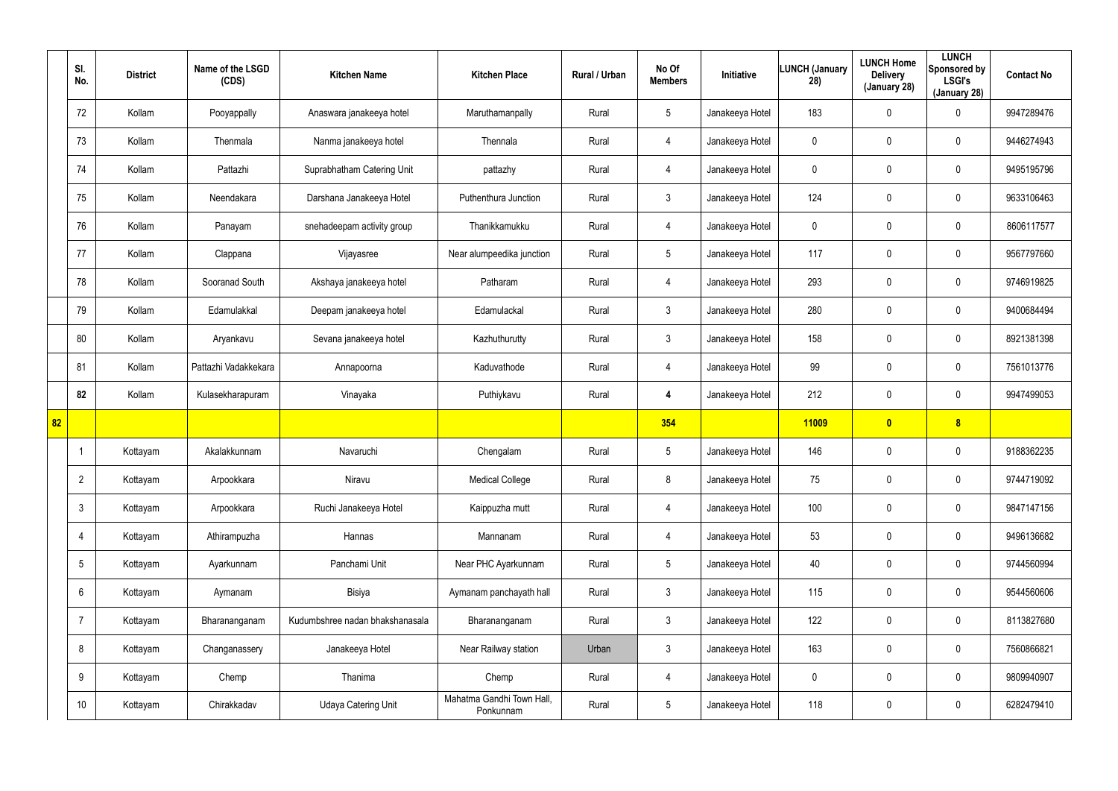|    | SI.<br>No.      | <b>District</b> | Name of the LSGD<br>(CDS) | <b>Kitchen Name</b>             | <b>Kitchen Place</b>                   | Rural / Urban | No Of<br><b>Members</b> | Initiative      | <b>LUNCH (January</b><br>28) | <b>LUNCH Home</b><br><b>Delivery</b><br>(January 28) | <b>LUNCH</b><br>Sponsored by<br><b>LSGI's</b><br>(January 28) | <b>Contact No</b> |
|----|-----------------|-----------------|---------------------------|---------------------------------|----------------------------------------|---------------|-------------------------|-----------------|------------------------------|------------------------------------------------------|---------------------------------------------------------------|-------------------|
|    | 72              | Kollam          | Pooyappally               | Anaswara janakeeya hotel        | Maruthamanpally                        | Rural         | $5\overline{)}$         | Janakeeya Hotel | 183                          | 0                                                    | $\mathbf 0$                                                   | 9947289476        |
|    | 73              | Kollam          | Thenmala                  | Nanma janakeeya hotel           | Thennala                               | Rural         | $\overline{4}$          | Janakeeya Hotel | 0                            | 0                                                    | $\mathbf 0$                                                   | 9446274943        |
|    | 74              | Kollam          | Pattazhi                  | Suprabhatham Catering Unit      | pattazhy                               | Rural         | $\overline{4}$          | Janakeeya Hotel | 0                            | 0                                                    | $\mathbf 0$                                                   | 9495195796        |
|    | 75              | Kollam          | Neendakara                | Darshana Janakeeya Hotel        | Puthenthura Junction                   | Rural         | $\mathbf{3}$            | Janakeeya Hotel | 124                          | 0                                                    | $\mathbf 0$                                                   | 9633106463        |
|    | 76              | Kollam          | Panayam                   | snehadeepam activity group      | Thanikkamukku                          | Rural         | $\overline{4}$          | Janakeeya Hotel | 0                            | 0                                                    | $\mathbf 0$                                                   | 8606117577        |
|    | 77              | Kollam          | Clappana                  | Vijayasree                      | Near alumpeedika junction              | Rural         | $5\phantom{.0}$         | Janakeeya Hotel | 117                          | 0                                                    | $\mathbf 0$                                                   | 9567797660        |
|    | 78              | Kollam          | Sooranad South            | Akshaya janakeeya hotel         | Patharam                               | Rural         | 4                       | Janakeeya Hotel | 293                          | 0                                                    | $\mathbf 0$                                                   | 9746919825        |
|    | 79              | Kollam          | Edamulakkal               | Deepam janakeeya hotel          | Edamulackal                            | Rural         | $\mathbf{3}$            | Janakeeya Hotel | 280                          | 0                                                    | $\mathbf 0$                                                   | 9400684494        |
|    | 80              | Kollam          | Aryankavu                 | Sevana janakeeya hotel          | Kazhuthurutty                          | Rural         | $\mathbf{3}$            | Janakeeya Hotel | 158                          | 0                                                    | $\mathbf 0$                                                   | 8921381398        |
|    | 81              | Kollam          | Pattazhi Vadakkekara      | Annapoorna                      | Kaduvathode                            | Rural         | $\overline{4}$          | Janakeeya Hotel | 99                           | 0                                                    | $\mathbf 0$                                                   | 7561013776        |
|    | 82              | Kollam          | Kulasekharapuram          | Vinayaka                        | Puthiykavu                             | Rural         | 4                       | Janakeeya Hotel | 212                          | 0                                                    | $\mathbf 0$                                                   | 9947499053        |
| 82 |                 |                 |                           |                                 |                                        |               | 354                     |                 | 11009                        | $\bullet$                                            | 8                                                             |                   |
|    |                 | Kottayam        | Akalakkunnam              | Navaruchi                       | Chengalam                              | Rural         | $5\phantom{.0}$         | Janakeeya Hotel | 146                          | 0                                                    | $\mathbf 0$                                                   | 9188362235        |
|    | $\overline{2}$  | Kottayam        | Arpookkara                | Niravu                          | <b>Medical College</b>                 | Rural         | 8                       | Janakeeya Hotel | 75                           | 0                                                    | $\pmb{0}$                                                     | 9744719092        |
|    | $\mathbf{3}$    | Kottayam        | Arpookkara                | Ruchi Janakeeya Hotel           | Kaippuzha mutt                         | Rural         | $\overline{4}$          | Janakeeya Hotel | 100                          | 0                                                    | $\mathbf 0$                                                   | 9847147156        |
|    | $\overline{4}$  | Kottayam        | Athirampuzha              | Hannas                          | Mannanam                               | Rural         | $\overline{4}$          | Janakeeya Hotel | 53                           | 0                                                    | $\mathsf{0}$                                                  | 9496136682        |
|    | $5\overline{)}$ | Kottayam        | Ayarkunnam                | Panchami Unit                   | Near PHC Ayarkunnam                    | Rural         | $5\phantom{.0}$         | Janakeeya Hotel | 40                           | 0                                                    | $\mathsf{0}$                                                  | 9744560994        |
|    | $6\overline{6}$ | Kottayam        | Aymanam                   | Bisiya                          | Aymanam panchayath hall                | Rural         | 3 <sup>1</sup>          | Janakeeya Hotel | 115                          | 0                                                    | $\pmb{0}$                                                     | 9544560606        |
|    | $\overline{7}$  | Kottayam        | Bharananganam             | Kudumbshree nadan bhakshanasala | Bharananganam                          | Rural         | $\mathbf{3}$            | Janakeeya Hotel | 122                          | 0                                                    | $\pmb{0}$                                                     | 8113827680        |
|    | 8               | Kottayam        | Changanassery             | Janakeeya Hotel                 | Near Railway station                   | Urban         | $\mathbf{3}$            | Janakeeya Hotel | 163                          | 0                                                    | $\pmb{0}$                                                     | 7560866821        |
|    | 9               | Kottayam        | Chemp                     | Thanima                         | Chemp                                  | Rural         | $\overline{4}$          | Janakeeya Hotel | 0                            | 0                                                    | $\pmb{0}$                                                     | 9809940907        |
|    | 10 <sup>°</sup> | Kottayam        | Chirakkadav               | <b>Udaya Catering Unit</b>      | Mahatma Gandhi Town Hall,<br>Ponkunnam | Rural         | $5\phantom{.0}$         | Janakeeya Hotel | 118                          | 0                                                    | $\pmb{0}$                                                     | 6282479410        |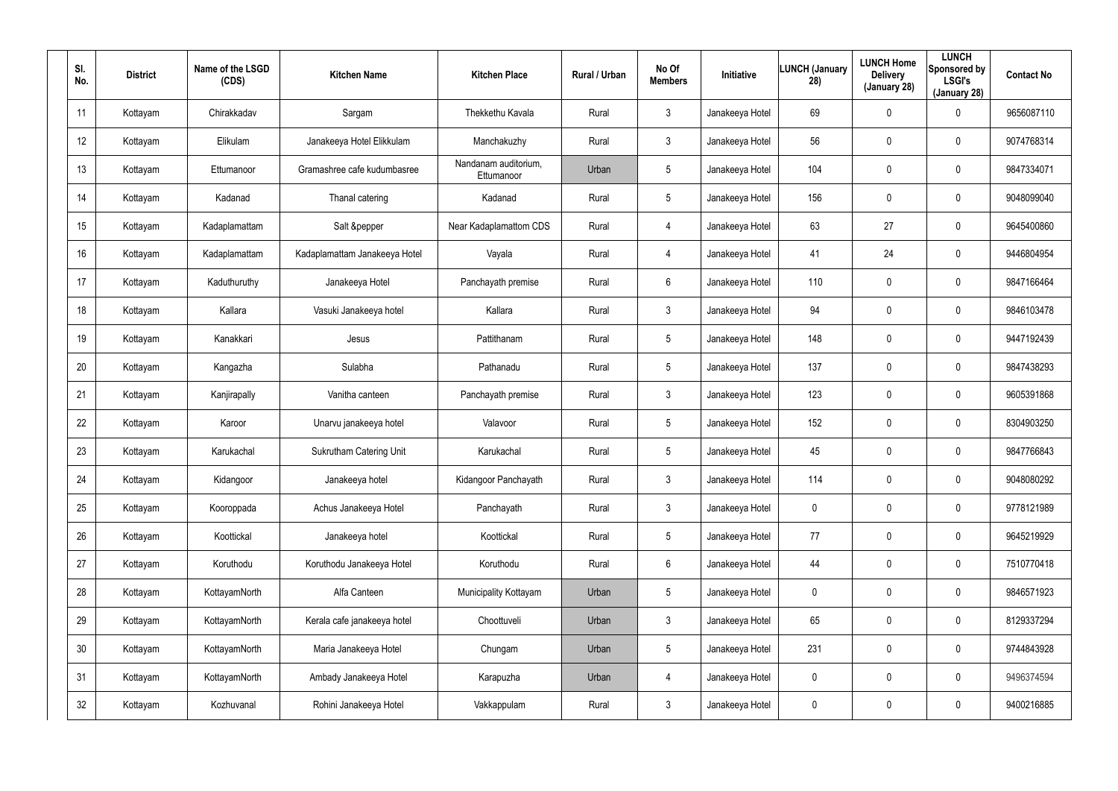| SI.<br>No. | <b>District</b> | Name of the LSGD<br>(CDS) | <b>Kitchen Name</b>            | <b>Kitchen Place</b>               | <b>Rural / Urban</b> | No Of<br><b>Members</b> | Initiative      | <b>LUNCH (January</b><br>28) | <b>LUNCH Home</b><br><b>Delivery</b><br>(January 28) | <b>LUNCH</b><br>Sponsored by<br><b>LSGI's</b><br>(January 28) | <b>Contact No</b> |
|------------|-----------------|---------------------------|--------------------------------|------------------------------------|----------------------|-------------------------|-----------------|------------------------------|------------------------------------------------------|---------------------------------------------------------------|-------------------|
| 11         | Kottayam        | Chirakkadav               | Sargam                         | Thekkethu Kavala                   | Rural                | $\mathfrak{Z}$          | Janakeeya Hotel | 69                           | 0                                                    | 0                                                             | 9656087110        |
| 12         | Kottayam        | Elikulam                  | Janakeeya Hotel Elikkulam      | Manchakuzhy                        | Rural                | 3                       | Janakeeya Hotel | 56                           | 0                                                    | $\mathbf 0$                                                   | 9074768314        |
| 13         | Kottayam        | Ettumanoor                | Gramashree cafe kudumbasree    | Nandanam auditorium,<br>Ettumanoor | Urban                | $5\overline{)}$         | Janakeeya Hotel | 104                          | $\mathbf 0$                                          | $\mathbf 0$                                                   | 9847334071        |
| 14         | Kottayam        | Kadanad                   | Thanal catering                | Kadanad                            | Rural                | $5\overline{)}$         | Janakeeya Hotel | 156                          | 0                                                    | $\mathbf 0$                                                   | 9048099040        |
| 15         | Kottayam        | Kadaplamattam             | Salt &pepper                   | Near Kadaplamattom CDS             | Rural                | 4                       | Janakeeya Hotel | 63                           | 27                                                   | $\mathbf 0$                                                   | 9645400860        |
| 16         | Kottayam        | Kadaplamattam             | Kadaplamattam Janakeeya Hotel  | Vayala                             | Rural                | 4                       | Janakeeya Hotel | 41                           | 24                                                   | $\mathbf 0$                                                   | 9446804954        |
| 17         | Kottayam        | Kaduthuruthy              | Janakeeya Hotel                | Panchayath premise                 | Rural                | 6                       | Janakeeya Hotel | 110                          | $\boldsymbol{0}$                                     | 0                                                             | 9847166464        |
| 18         | Kottayam        | Kallara                   | Vasuki Janakeeya hotel         | Kallara                            | Rural                | 3                       | Janakeeya Hotel | 94                           | 0                                                    | $\mathbf 0$                                                   | 9846103478        |
| 19         | Kottayam        | Kanakkari                 | Jesus                          | Pattithanam                        | Rural                | $5\phantom{.0}$         | Janakeeya Hotel | 148                          | $\boldsymbol{0}$                                     | 0                                                             | 9447192439        |
| 20         | Kottayam        | Kangazha                  | Sulabha                        | Pathanadu                          | Rural                | 5                       | Janakeeya Hotel | 137                          | $\boldsymbol{0}$                                     | $\mathbf 0$                                                   | 9847438293        |
| 21         | Kottayam        | Kanjirapally              | Vanitha canteen                | Panchayath premise                 | Rural                | $\mathbf{3}$            | Janakeeya Hotel | 123                          | $\boldsymbol{0}$                                     | 0                                                             | 9605391868        |
| 22         | Kottayam        | Karoor                    | Unarvu janakeeya hotel         | Valavoor                           | Rural                | $5\overline{)}$         | Janakeeya Hotel | 152                          | $\boldsymbol{0}$                                     | $\mathbf 0$                                                   | 8304903250        |
| 23         | Kottayam        | Karukachal                | <b>Sukrutham Catering Unit</b> | Karukachal                         | Rural                | 5                       | Janakeeya Hotel | 45                           | $\boldsymbol{0}$                                     | $\mathbf 0$                                                   | 9847766843        |
| 24         | Kottayam        | Kidangoor                 | Janakeeya hotel                | Kidangoor Panchayath               | Rural                | $\mathfrak{Z}$          | Janakeeya Hotel | 114                          | $\pmb{0}$                                            | $\pmb{0}$                                                     | 9048080292        |
| 25         | Kottayam        | Kooroppada                | Achus Janakeeya Hotel          | Panchayath                         | Rural                | $\mathbf{3}$            | Janakeeya Hotel | 0                            | $\pmb{0}$                                            | $\pmb{0}$                                                     | 9778121989        |
| 26         | Kottayam        | Koottickal                | Janakeeya hotel                | Koottickal                         | Rural                | $5\phantom{.0}$         | Janakeeya Hotel | 77                           | $\pmb{0}$                                            | $\pmb{0}$                                                     | 9645219929        |
| 27         | Kottayam        | Koruthodu                 | Koruthodu Janakeeya Hotel      | Koruthodu                          | Rural                | 6                       | Janakeeya Hotel | 44                           | $\pmb{0}$                                            | $\pmb{0}$                                                     | 7510770418        |
| 28         | Kottayam        | KottayamNorth             | Alfa Canteen                   | Municipality Kottayam              | Urban                | $5\phantom{.0}$         | Janakeeya Hotel | 0                            | $\overline{0}$                                       | $\pmb{0}$                                                     | 9846571923        |
| 29         | Kottayam        | KottayamNorth             | Kerala cafe janakeeya hotel    | Choottuveli                        | Urban                | $\mathbf{3}$            | Janakeeya Hotel | 65                           | $\pmb{0}$                                            | 0                                                             | 8129337294        |
| 30         | Kottayam        | KottayamNorth             | Maria Janakeeya Hotel          | Chungam                            | Urban                | $5\phantom{.0}$         | Janakeeya Hotel | 231                          | $\overline{0}$                                       | $\pmb{0}$                                                     | 9744843928        |
| 31         | Kottayam        | KottayamNorth             | Ambady Janakeeya Hotel         | Karapuzha                          | Urban                | 4                       | Janakeeya Hotel | 0                            | $\pmb{0}$                                            | 0                                                             | 9496374594        |
| 32         | Kottayam        | Kozhuvanal                | Rohini Janakeeya Hotel         | Vakkappulam                        | Rural                | $\mathfrak{Z}$          | Janakeeya Hotel | 0                            | $\boldsymbol{0}$                                     | 0                                                             | 9400216885        |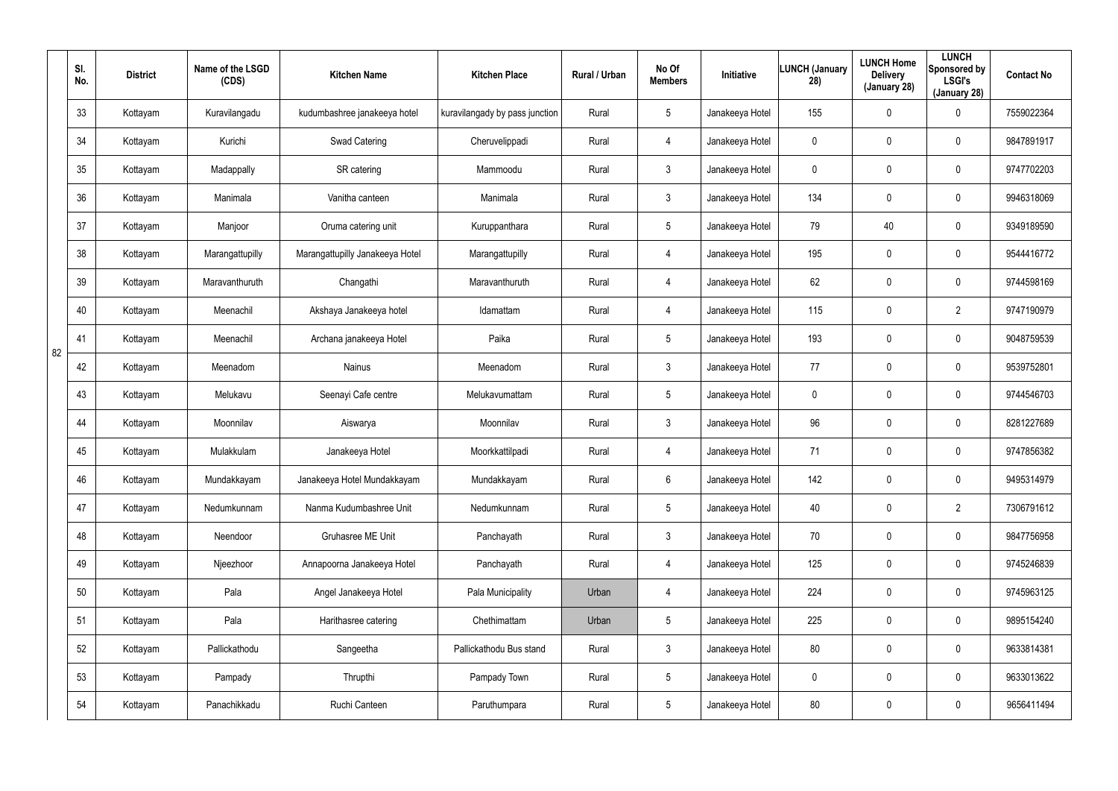|    | SI.<br>No. | <b>District</b> | Name of the LSGD<br>(CDS) | <b>Kitchen Name</b>             | <b>Kitchen Place</b>           | Rural / Urban | No Of<br><b>Members</b> | Initiative      | LUNCH (January<br>28) | <b>LUNCH Home</b><br><b>Delivery</b><br>(January 28) | <b>LUNCH</b><br>Sponsored by<br><b>LSGI's</b><br>(January 28) | <b>Contact No</b> |
|----|------------|-----------------|---------------------------|---------------------------------|--------------------------------|---------------|-------------------------|-----------------|-----------------------|------------------------------------------------------|---------------------------------------------------------------|-------------------|
|    | 33         | Kottayam        | Kuravilangadu             | kudumbashree janakeeya hotel    | kuravilangady by pass junction | Rural         | $5\phantom{.0}$         | Janakeeya Hotel | 155                   | $\mathbf 0$                                          | 0                                                             | 7559022364        |
|    | 34         | Kottayam        | Kurichi                   | Swad Catering                   | Cheruvelippadi                 | Rural         | 4                       | Janakeeya Hotel | 0                     | $\boldsymbol{0}$                                     | 0                                                             | 9847891917        |
|    | 35         | Kottayam        | Madappally                | SR catering                     | Mammoodu                       | Rural         | $\mathbf{3}$            | Janakeeya Hotel | 0                     | 0                                                    | 0                                                             | 9747702203        |
|    | 36         | Kottayam        | Manimala                  | Vanitha canteen                 | Manimala                       | Rural         | 3                       | Janakeeya Hotel | 134                   | $\boldsymbol{0}$                                     | 0                                                             | 9946318069        |
|    | 37         | Kottayam        | Manjoor                   | Oruma catering unit             | Kuruppanthara                  | Rural         | $5\phantom{.0}$         | Janakeeya Hotel | 79                    | 40                                                   | 0                                                             | 9349189590        |
|    | 38         | Kottayam        | Marangattupilly           | Marangattupilly Janakeeya Hotel | Marangattupilly                | Rural         | 4                       | Janakeeya Hotel | 195                   | 0                                                    | 0                                                             | 9544416772        |
|    | 39         | Kottayam        | Maravanthuruth            | Changathi                       | Maravanthuruth                 | Rural         | 4                       | Janakeeya Hotel | 62                    | 0                                                    | 0                                                             | 9744598169        |
|    | 40         | Kottayam        | Meenachil                 | Akshaya Janakeeya hotel         | Idamattam                      | Rural         | 4                       | Janakeeya Hotel | 115                   | 0                                                    | $\overline{2}$                                                | 9747190979        |
| 82 | 41         | Kottayam        | Meenachil                 | Archana janakeeya Hotel         | Paika                          | Rural         | $5\phantom{.0}$         | Janakeeya Hotel | 193                   | 0                                                    | 0                                                             | 9048759539        |
|    | 42         | Kottayam        | Meenadom                  | Nainus                          | Meenadom                       | Rural         | $\mathbf{3}$            | Janakeeya Hotel | 77                    | 0                                                    | 0                                                             | 9539752801        |
|    | 43         | Kottayam        | Melukavu                  | Seenayi Cafe centre             | Melukavumattam                 | Rural         | $5\phantom{.0}$         | Janakeeya Hotel | 0                     | 0                                                    | 0                                                             | 9744546703        |
|    | 44         | Kottayam        | Moonnilav                 | Aiswarya                        | Moonnilav                      | Rural         | $\mathbf{3}$            | Janakeeya Hotel | 96                    | 0                                                    | 0                                                             | 8281227689        |
|    | 45         | Kottayam        | Mulakkulam                | Janakeeya Hotel                 | Moorkkattilpadi                | Rural         | 4                       | Janakeeya Hotel | 71                    | 0                                                    | 0                                                             | 9747856382        |
|    | 46         | Kottayam        | Mundakkayam               | Janakeeya Hotel Mundakkayam     | Mundakkayam                    | Rural         | 6                       | Janakeeya Hotel | 142                   | 0                                                    | 0                                                             | 9495314979        |
|    | 47         | Kottayam        | Nedumkunnam               | Nanma Kudumbashree Unit         | Nedumkunnam                    | Rural         | $5\phantom{.0}$         | Janakeeya Hotel | 40                    | $\mathbf 0$                                          | $\overline{2}$                                                | 7306791612        |
|    | 48         | Kottayam        | Neendoor                  | <b>Gruhasree ME Unit</b>        | Panchayath                     | Rural         | $\mathbf{3}$            | Janakeeya Hotel | 70                    | $\mathbf 0$                                          | 0                                                             | 9847756958        |
|    | 49         | Kottayam        | Njeezhoor                 | Annapoorna Janakeeya Hotel      | Panchayath                     | Rural         | 4                       | Janakeeya Hotel | 125                   | $\mathbf 0$                                          | 0                                                             | 9745246839        |
|    | 50         | Kottayam        | Pala                      | Angel Janakeeya Hotel           | Pala Municipality              | Urban         | 4                       | Janakeeya Hotel | 224                   | $\mathbf 0$                                          | 0                                                             | 9745963125        |
|    | 51         | Kottayam        | Pala                      | Harithasree catering            | Chethimattam                   | Urban         | $5\phantom{.0}$         | Janakeeya Hotel | 225                   | $\mathbf 0$                                          | 0                                                             | 9895154240        |
|    | 52         | Kottayam        | Pallickathodu             | Sangeetha                       | Pallickathodu Bus stand        | Rural         | $\mathbf{3}$            | Janakeeya Hotel | 80                    | $\mathbf 0$                                          | 0                                                             | 9633814381        |
|    | 53         | Kottayam        | Pampady                   | Thrupthi                        | Pampady Town                   | Rural         | $5\phantom{.0}$         | Janakeeya Hotel | 0                     | $\mathbf 0$                                          | 0                                                             | 9633013622        |
|    | 54         | Kottayam        | Panachikkadu              | Ruchi Canteen                   | Paruthumpara                   | Rural         | $5\phantom{.0}$         | Janakeeya Hotel | 80                    | $\mathbf 0$                                          | 0                                                             | 9656411494        |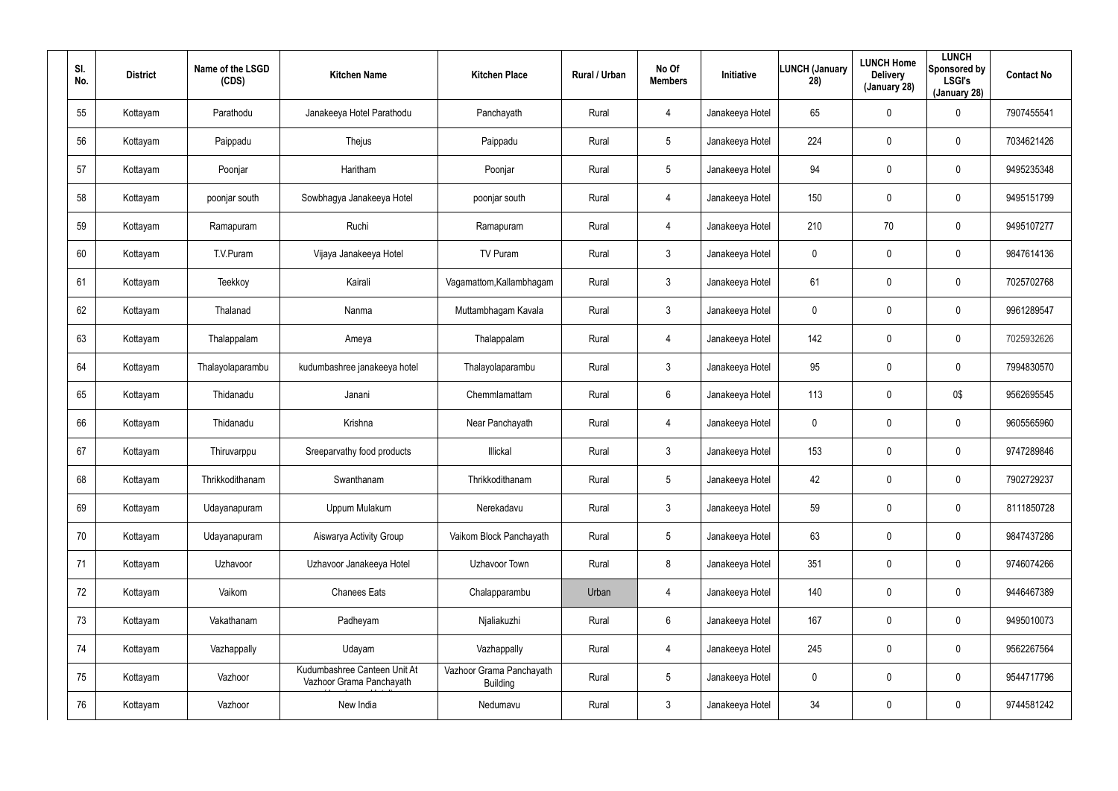| SI.<br>No. | <b>District</b> | Name of the LSGD<br>(CDS) | <b>Kitchen Name</b>                                      | <b>Kitchen Place</b>                 | Rural / Urban | No Of<br><b>Members</b> | Initiative      | <b>LUNCH (January</b><br>28) | <b>LUNCH Home</b><br><b>Delivery</b><br>(January 28) | <b>LUNCH</b><br>Sponsored by<br><b>LSGI's</b><br>(January 28) | <b>Contact No</b> |
|------------|-----------------|---------------------------|----------------------------------------------------------|--------------------------------------|---------------|-------------------------|-----------------|------------------------------|------------------------------------------------------|---------------------------------------------------------------|-------------------|
| 55         | Kottayam        | Parathodu                 | Janakeeya Hotel Parathodu                                | Panchayath                           | Rural         | 4                       | Janakeeya Hotel | 65                           | $\mathbf 0$                                          | 0                                                             | 7907455541        |
| 56         | Kottayam        | Paippadu                  | Thejus                                                   | Paippadu                             | Rural         | 5                       | Janakeeya Hotel | 224                          | $\mathbf 0$                                          | $\mathbf 0$                                                   | 7034621426        |
| 57         | Kottayam        | Poonjar                   | Haritham                                                 | Poonjar                              | Rural         | $5\phantom{.0}$         | Janakeeya Hotel | 94                           | $\mathbf 0$                                          | $\mathbf 0$                                                   | 9495235348        |
| 58         | Kottayam        | poonjar south             | Sowbhagya Janakeeya Hotel                                | poonjar south                        | Rural         | 4                       | Janakeeya Hotel | 150                          | $\mathbf 0$                                          | $\mathbf 0$                                                   | 9495151799        |
| 59         | Kottayam        | Ramapuram                 | Ruchi                                                    | Ramapuram                            | Rural         | $\overline{4}$          | Janakeeya Hotel | 210                          | 70                                                   | $\mathbf 0$                                                   | 9495107277        |
| 60         | Kottayam        | T.V.Puram                 | Vijaya Janakeeya Hotel                                   | TV Puram                             | Rural         | $\mathbf{3}$            | Janakeeya Hotel | 0                            | 0                                                    | $\mathbf 0$                                                   | 9847614136        |
| 61         | Kottayam        | Teekkoy                   | Kairali                                                  | Vagamattom, Kallambhagam             | Rural         | $\mathbf{3}$            | Janakeeya Hotel | 61                           | $\boldsymbol{0}$                                     | 0                                                             | 7025702768        |
| 62         | Kottayam        | Thalanad                  | Nanma                                                    | Muttambhagam Kavala                  | Rural         | $\mathbf{3}$            | Janakeeya Hotel | 0                            | $\boldsymbol{0}$                                     | 0                                                             | 9961289547        |
| 63         | Kottayam        | Thalappalam               | Ameya                                                    | Thalappalam                          | Rural         | $\overline{4}$          | Janakeeya Hotel | 142                          | $\boldsymbol{0}$                                     | 0                                                             | 7025932626        |
| 64         | Kottayam        | Thalayolaparambu          | kudumbashree janakeeya hotel                             | Thalayolaparambu                     | Rural         | $\mathbf{3}$            | Janakeeya Hotel | 95                           | $\boldsymbol{0}$                                     | $\mathbf 0$                                                   | 7994830570        |
| 65         | Kottayam        | Thidanadu                 | Janani                                                   | Chemmlamattam                        | Rural         | $6\phantom{.}6$         | Janakeeya Hotel | 113                          | $\boldsymbol{0}$                                     | 0\$                                                           | 9562695545        |
| 66         | Kottayam        | Thidanadu                 | Krishna                                                  | Near Panchayath                      | Rural         | 4                       | Janakeeya Hotel | 0                            | $\boldsymbol{0}$                                     | $\mathbf 0$                                                   | 9605565960        |
| 67         | Kottayam        | Thiruvarppu               | Sreeparvathy food products                               | Illickal                             | Rural         | $\mathbf{3}$            | Janakeeya Hotel | 153                          | $\pmb{0}$                                            | 0                                                             | 9747289846        |
| 68         | Kottayam        | Thrikkodithanam           | Swanthanam                                               | Thrikkodithanam                      | Rural         | 5                       | Janakeeya Hotel | 42                           | $\pmb{0}$                                            | $\pmb{0}$                                                     | 7902729237        |
| 69         | Kottayam        | Udayanapuram              | Uppum Mulakum                                            | Nerekadavu                           | Rural         | $\mathbf{3}$            | Janakeeya Hotel | 59                           | $\pmb{0}$                                            | $\pmb{0}$                                                     | 8111850728        |
| 70         | Kottayam        | Udayanapuram              | Aiswarya Activity Group                                  | Vaikom Block Panchayath              | Rural         | 5                       | Janakeeya Hotel | 63                           | $\pmb{0}$                                            | $\pmb{0}$                                                     | 9847437286        |
| 71         | Kottayam        | Uzhavoor                  | Uzhavoor Janakeeya Hotel                                 | Uzhavoor Town                        | Rural         | 8                       | Janakeeya Hotel | 351                          | $\pmb{0}$                                            | $\pmb{0}$                                                     | 9746074266        |
| 72         | Kottayam        | Vaikom                    | <b>Chanees Eats</b>                                      | Chalapparambu                        | Urban         | $\overline{4}$          | Janakeeya Hotel | 140                          | $\mathbf 0$                                          | $\pmb{0}$                                                     | 9446467389        |
| 73         | Kottayam        | Vakathanam                | Padheyam                                                 | Njaliakuzhi                          | Rural         | $6\phantom{.}$          | Janakeeya Hotel | 167                          | $\pmb{0}$                                            | $\pmb{0}$                                                     | 9495010073        |
| 74         | Kottayam        | Vazhappally               | Udayam                                                   | Vazhappally                          | Rural         | $\overline{4}$          | Janakeeya Hotel | 245                          | $\mathbf 0$                                          | $\pmb{0}$                                                     | 9562267564        |
| 75         | Kottayam        | Vazhoor                   | Kudumbashree Canteen Unit At<br>Vazhoor Grama Panchayath | Vazhoor Grama Panchayath<br>Building | Rural         | $5\phantom{.0}$         | Janakeeya Hotel | 0                            | $\pmb{0}$                                            | $\pmb{0}$                                                     | 9544717796        |
| 76         | Kottayam        | Vazhoor                   | New India                                                | Nedumavu                             | Rural         | $\mathfrak{Z}$          | Janakeeya Hotel | 34                           | $\boldsymbol{0}$                                     | $\pmb{0}$                                                     | 9744581242        |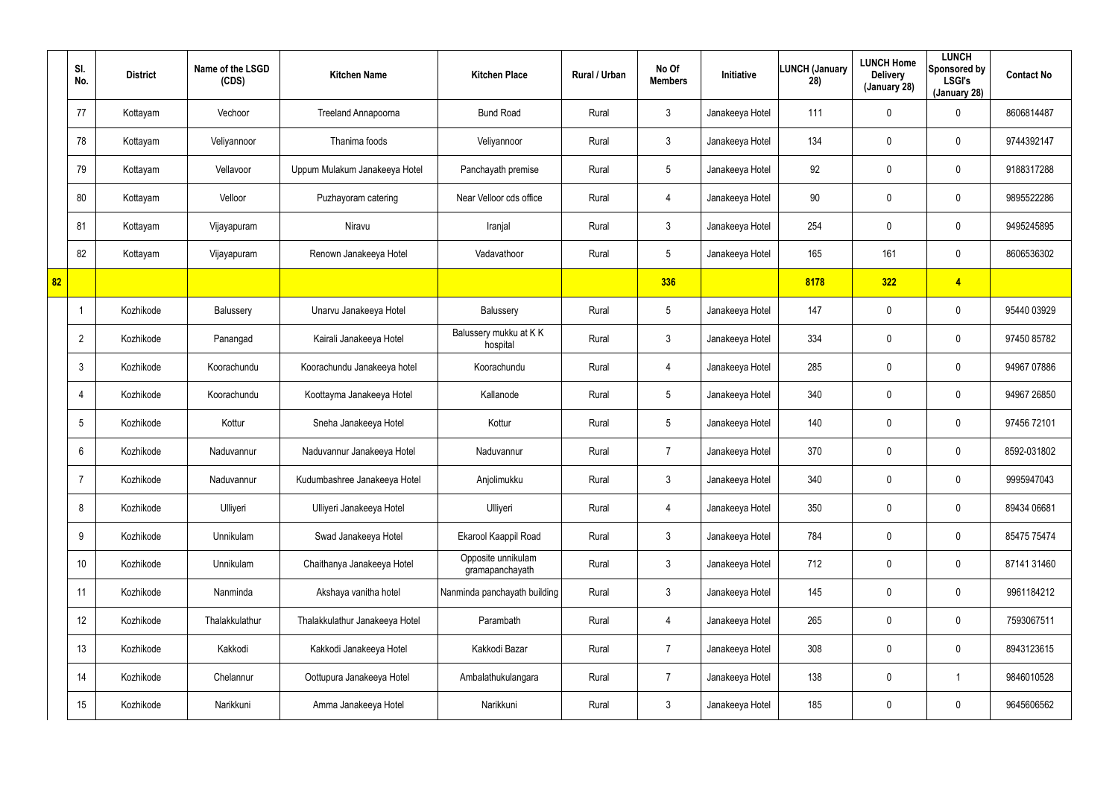|    | SI.<br>No.      | <b>District</b> | Name of the LSGD<br>(CDS) | <b>Kitchen Name</b>            | <b>Kitchen Place</b>                  | Rural / Urban | No Of<br><b>Members</b> | <b>Initiative</b> | <b>LUNCH (January</b><br>28) | <b>LUNCH Home</b><br><b>Delivery</b><br>(January 28) | <b>LUNCH</b><br>Sponsored by<br><b>LSGI's</b><br>(January 28) | <b>Contact No</b> |
|----|-----------------|-----------------|---------------------------|--------------------------------|---------------------------------------|---------------|-------------------------|-------------------|------------------------------|------------------------------------------------------|---------------------------------------------------------------|-------------------|
|    | 77              | Kottayam        | Vechoor                   | Treeland Annapoorna            | <b>Bund Road</b>                      | Rural         | $\mathbf{3}$            | Janakeeya Hotel   | 111                          | $\mathbf 0$                                          | $\mathbf 0$                                                   | 8606814487        |
|    | 78              | Kottayam        | Veliyannoor               | Thanima foods                  | Veliyannoor                           | Rural         | $\mathbf{3}$            | Janakeeya Hotel   | 134                          | 0                                                    | $\mathbf 0$                                                   | 9744392147        |
|    | 79              | Kottayam        | Vellavoor                 | Uppum Mulakum Janakeeya Hotel  | Panchayath premise                    | Rural         | $5\overline{)}$         | Janakeeya Hotel   | 92                           | 0                                                    | $\mathbf 0$                                                   | 9188317288        |
|    | 80              | Kottayam        | Velloor                   | Puzhayoram catering            | Near Velloor cds office               | Rural         | 4                       | Janakeeya Hotel   | 90                           | 0                                                    | $\mathbf 0$                                                   | 9895522286        |
|    | 81              | Kottayam        | Vijayapuram               | Niravu                         | Iranjal                               | Rural         | $\mathbf{3}$            | Janakeeya Hotel   | 254                          | 0                                                    | $\mathbf 0$                                                   | 9495245895        |
|    | 82              | Kottayam        | Vijayapuram               | Renown Janakeeya Hotel         | Vadavathoor                           | Rural         | $5\overline{)}$         | Janakeeya Hotel   | 165                          | 161                                                  | $\mathbf 0$                                                   | 8606536302        |
| 82 |                 |                 |                           |                                |                                       |               | 336                     |                   | 8178                         | 322                                                  | $\overline{4}$                                                |                   |
|    | $\mathbf 1$     | Kozhikode       | Balussery                 | Unarvu Janakeeya Hotel         | Balussery                             | Rural         | $5\phantom{.0}$         | Janakeeya Hotel   | 147                          | 0                                                    | $\mathbf 0$                                                   | 95440 03929       |
|    | $\overline{2}$  | Kozhikode       | Panangad                  | Kairali Janakeeya Hotel        | Balussery mukku at KK<br>hospital     | Rural         | $\mathbf{3}$            | Janakeeya Hotel   | 334                          | 0                                                    | $\mathbf 0$                                                   | 97450 85782       |
|    | $\mathbf{3}$    | Kozhikode       | Koorachundu               | Koorachundu Janakeeya hotel    | Koorachundu                           | Rural         | 4                       | Janakeeya Hotel   | 285                          | 0                                                    | $\mathbf 0$                                                   | 94967 07886       |
|    | 4               | Kozhikode       | Koorachundu               | Koottayma Janakeeya Hotel      | Kallanode                             | Rural         | $5\phantom{.0}$         | Janakeeya Hotel   | 340                          | 0                                                    | $\mathbf 0$                                                   | 94967 26850       |
|    | 5               | Kozhikode       | Kottur                    | Sneha Janakeeya Hotel          | Kottur                                | Rural         | $5\phantom{.0}$         | Janakeeya Hotel   | 140                          | 0                                                    | $\mathbf 0$                                                   | 97456 72101       |
|    | 6               | Kozhikode       | Naduvannur                | Naduvannur Janakeeya Hotel     | Naduvannur                            | Rural         | $\overline{7}$          | Janakeeya Hotel   | 370                          | $\mathbf 0$                                          | $\mathbf 0$                                                   | 8592-031802       |
|    | -7              | Kozhikode       | Naduvannur                | Kudumbashree Janakeeya Hotel   | Anjolimukku                           | Rural         | $\mathbf{3}$            | Janakeeya Hotel   | 340                          | 0                                                    | $\pmb{0}$                                                     | 9995947043        |
|    | 8               | Kozhikode       | Ulliyeri                  | Ulliyeri Janakeeya Hotel       | Ulliyeri                              | Rural         | 4                       | Janakeeya Hotel   | 350                          | 0                                                    | $\pmb{0}$                                                     | 89434 06681       |
|    | 9               | Kozhikode       | Unnikulam                 | Swad Janakeeya Hotel           | Ekarool Kaappil Road                  | Rural         | $\mathbf{3}$            | Janakeeya Hotel   | 784                          | 0                                                    | $\pmb{0}$                                                     | 85475 75474       |
|    | 10 <sup>°</sup> | Kozhikode       | Unnikulam                 | Chaithanya Janakeeya Hotel     | Opposite unnikulam<br>gramapanchayath | Rural         | $\mathfrak{Z}$          | Janakeeya Hotel   | 712                          | 0                                                    | $\pmb{0}$                                                     | 87141 31460       |
|    | 11              | Kozhikode       | Nanminda                  | Akshaya vanitha hotel          | Nanminda panchayath building          | Rural         | $\mathbf{3}$            | Janakeeya Hotel   | 145                          | 0                                                    | $\mathbf 0$                                                   | 9961184212        |
|    | 12              | Kozhikode       | Thalakkulathur            | Thalakkulathur Janakeeya Hotel | Parambath                             | Rural         | 4                       | Janakeeya Hotel   | 265                          | 0                                                    | $\mathbf 0$                                                   | 7593067511        |
|    | 13              | Kozhikode       | Kakkodi                   | Kakkodi Janakeeya Hotel        | Kakkodi Bazar                         | Rural         | $\overline{7}$          | Janakeeya Hotel   | 308                          | 0                                                    | $\pmb{0}$                                                     | 8943123615        |
|    | 14              | Kozhikode       | Chelannur                 | Oottupura Janakeeya Hotel      | Ambalathukulangara                    | Rural         | $\overline{7}$          | Janakeeya Hotel   | 138                          | 0                                                    | 1                                                             | 9846010528        |
|    | 15              | Kozhikode       | Narikkuni                 | Amma Janakeeya Hotel           | Narikkuni                             | Rural         | $\mathfrak{Z}$          | Janakeeya Hotel   | 185                          | 0                                                    | $\pmb{0}$                                                     | 9645606562        |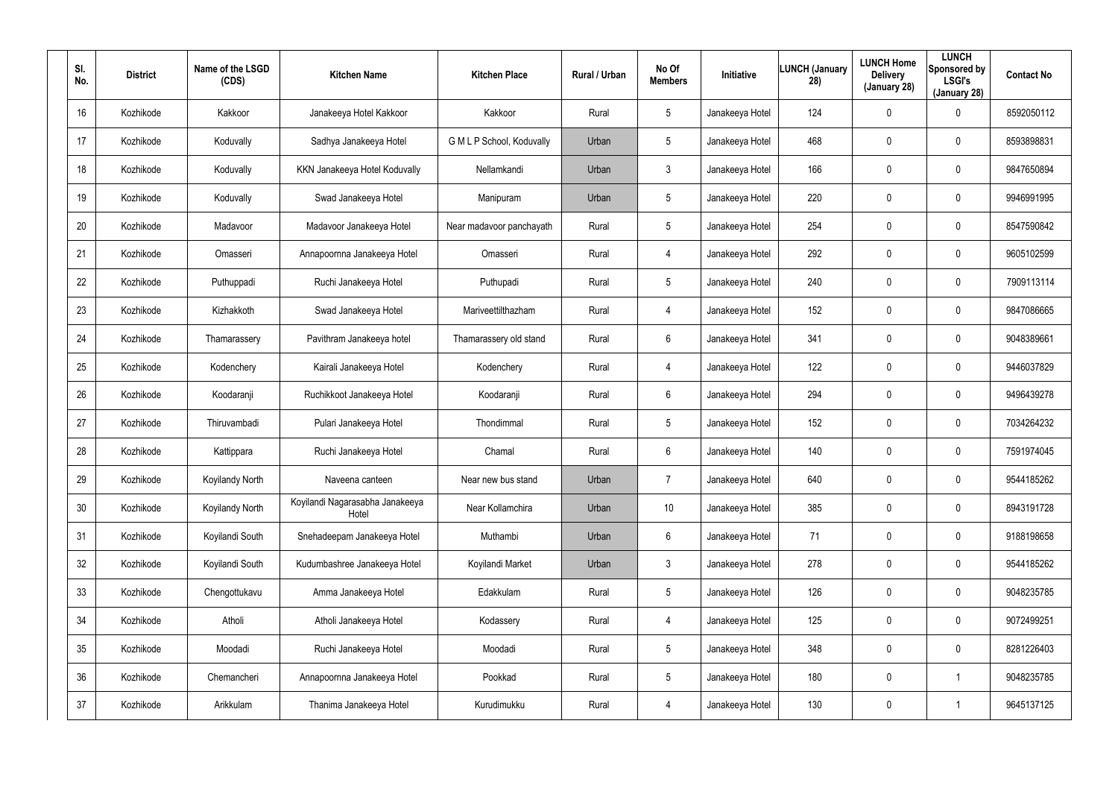| SI.<br>No. | <b>District</b> | Name of the LSGD<br>(CDS) | <b>Kitchen Name</b>                      | <b>Kitchen Place</b>      | <b>Rural / Urban</b> | No Of<br><b>Members</b> | Initiative      | <b>LUNCH (January</b><br>28) | <b>LUNCH Home</b><br><b>Delivery</b><br>(January 28) | <b>LUNCH</b><br>Sponsored by<br><b>LSGI's</b><br>(January 28) | <b>Contact No</b> |
|------------|-----------------|---------------------------|------------------------------------------|---------------------------|----------------------|-------------------------|-----------------|------------------------------|------------------------------------------------------|---------------------------------------------------------------|-------------------|
| 16         | Kozhikode       | Kakkoor                   | Janakeeya Hotel Kakkoor                  | Kakkoor                   | Rural                | 5                       | Janakeeya Hotel | 124                          | 0                                                    | 0                                                             | 8592050112        |
| 17         | Kozhikode       | Koduvally                 | Sadhya Janakeeya Hotel                   | G M L P School, Koduvally | Urban                | 5                       | Janakeeya Hotel | 468                          | 0                                                    | $\mathbf 0$                                                   | 8593898831        |
| 18         | Kozhikode       | Koduvally                 | KKN Janakeeya Hotel Koduvally            | Nellamkandi               | Urban                | $\mathbf{3}$            | Janakeeya Hotel | 166                          | 0                                                    | $\mathbf 0$                                                   | 9847650894        |
| 19         | Kozhikode       | Koduvally                 | Swad Janakeeya Hotel                     | Manipuram                 | Urban                | 5                       | Janakeeya Hotel | 220                          | 0                                                    | $\mathbf 0$                                                   | 9946991995        |
| 20         | Kozhikode       | Madavoor                  | Madavoor Janakeeya Hotel                 | Near madavoor panchayath  | Rural                | $5\overline{)}$         | Janakeeya Hotel | 254                          | 0                                                    | $\mathbf 0$                                                   | 8547590842        |
| 21         | Kozhikode       | Omasseri                  | Annapoornna Janakeeya Hotel              | Omasseri                  | Rural                | 4                       | Janakeeya Hotel | 292                          | 0                                                    | $\mathbf 0$                                                   | 9605102599        |
| 22         | Kozhikode       | Puthuppadi                | Ruchi Janakeeya Hotel                    | Puthupadi                 | Rural                | 5                       | Janakeeya Hotel | 240                          | $\boldsymbol{0}$                                     | 0                                                             | 7909113114        |
| 23         | Kozhikode       | Kizhakkoth                | Swad Janakeeya Hotel                     | Mariveettilthazham        | Rural                | 4                       | Janakeeya Hotel | 152                          | 0                                                    | $\mathbf 0$                                                   | 9847086665        |
| 24         | Kozhikode       | Thamarassery              | Pavithram Janakeeya hotel                | Thamarassery old stand    | Rural                | 6                       | Janakeeya Hotel | 341                          | $\boldsymbol{0}$                                     | 0                                                             | 9048389661        |
| 25         | Kozhikode       | Kodenchery                | Kairali Janakeeya Hotel                  | Kodenchery                | Rural                | 4                       | Janakeeya Hotel | 122                          | $\boldsymbol{0}$                                     | $\mathbf 0$                                                   | 9446037829        |
| 26         | Kozhikode       | Koodaranji                | Ruchikkoot Janakeeya Hotel               | Koodaranji                | Rural                | 6                       | Janakeeya Hotel | 294                          | $\boldsymbol{0}$                                     | 0                                                             | 9496439278        |
| 27         | Kozhikode       | Thiruvambadi              | Pulari Janakeeya Hotel                   | Thondimmal                | Rural                | $5\overline{)}$         | Janakeeya Hotel | 152                          | $\boldsymbol{0}$                                     | $\mathbf 0$                                                   | 7034264232        |
| 28         | Kozhikode       | Kattippara                | Ruchi Janakeeya Hotel                    | Chamal                    | Rural                | 6                       | Janakeeya Hotel | 140                          | $\boldsymbol{0}$                                     | 0                                                             | 7591974045        |
| 29         | Kozhikode       | Koyilandy North           | Naveena canteen                          | Near new bus stand        | Urban                | $\overline{7}$          | Janakeeya Hotel | 640                          | $\pmb{0}$                                            | $\pmb{0}$                                                     | 9544185262        |
| 30         | Kozhikode       | Koyilandy North           | Koyilandi Nagarasabha Janakeeya<br>Hotel | Near Kollamchira          | Urban                | 10                      | Janakeeya Hotel | 385                          | $\boldsymbol{0}$                                     | 0                                                             | 8943191728        |
| 31         | Kozhikode       | Koyilandi South           | Snehadeepam Janakeeya Hotel              | Muthambi                  | Urban                | 6                       | Janakeeya Hotel | 71                           | $\pmb{0}$                                            | $\pmb{0}$                                                     | 9188198658        |
| 32         | Kozhikode       | Koyilandi South           | Kudumbashree Janakeeya Hotel             | Koyilandi Market          | Urban                | $\mathbf{3}$            | Janakeeya Hotel | 278                          | $\pmb{0}$                                            | $\pmb{0}$                                                     | 9544185262        |
| 33         | Kozhikode       | Chengottukavu             | Amma Janakeeya Hotel                     | Edakkulam                 | Rural                | $5\overline{)}$         | Janakeeya Hotel | 126                          | $\pmb{0}$                                            | $\pmb{0}$                                                     | 9048235785        |
| 34         | Kozhikode       | Atholi                    | Atholi Janakeeya Hotel                   | Kodassery                 | Rural                | 4                       | Janakeeya Hotel | 125                          | $\pmb{0}$                                            | 0                                                             | 9072499251        |
| 35         | Kozhikode       | Moodadi                   | Ruchi Janakeeya Hotel                    | Moodadi                   | Rural                | $5\overline{)}$         | Janakeeya Hotel | 348                          | $\overline{0}$                                       | $\pmb{0}$                                                     | 8281226403        |
| 36         | Kozhikode       | Chemancheri               | Annapoornna Janakeeya Hotel              | Pookkad                   | Rural                | $5\overline{)}$         | Janakeeya Hotel | 180                          | $\pmb{0}$                                            |                                                               | 9048235785        |
| 37         | Kozhikode       | Arikkulam                 | Thanima Janakeeya Hotel                  | Kurudimukku               | Rural                | 4                       | Janakeeya Hotel | 130                          | $\pmb{0}$                                            |                                                               | 9645137125        |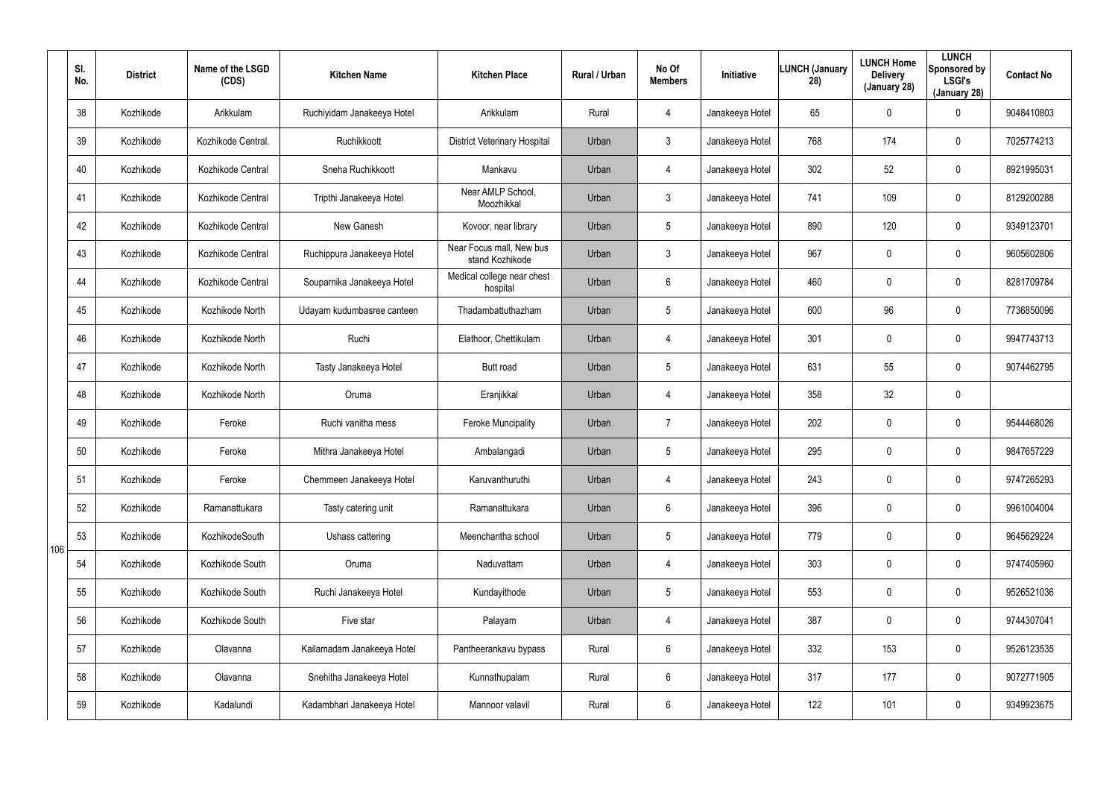|     | SI.<br>No. | <b>District</b> | Name of the LSGD<br>(CDS) | <b>Kitchen Name</b>        | <b>Kitchen Place</b>                        | Rural / Urban | No Of<br><b>Members</b> | Initiative      | <b>LUNCH (January</b><br>28) | <b>LUNCH Home</b><br><b>Delivery</b><br>(January 28) | <b>LUNCH</b><br>Sponsored by<br><b>LSGI's</b><br>(January 28) | <b>Contact No</b> |
|-----|------------|-----------------|---------------------------|----------------------------|---------------------------------------------|---------------|-------------------------|-----------------|------------------------------|------------------------------------------------------|---------------------------------------------------------------|-------------------|
|     | 38         | Kozhikode       | Arikkulam                 | Ruchiyidam Janakeeya Hotel | Arikkulam                                   | Rural         | $\overline{4}$          | Janakeeya Hotel | 65                           | 0                                                    | $\mathbf 0$                                                   | 9048410803        |
|     | 39         | Kozhikode       | Kozhikode Central.        | Ruchikkoott                | <b>District Veterinary Hospital</b>         | Urban         | $\mathbf{3}$            | Janakeeya Hotel | 768                          | 174                                                  | $\mathbf 0$                                                   | 7025774213        |
|     | 40         | Kozhikode       | Kozhikode Central         | Sneha Ruchikkoott          | Mankavu                                     | Urban         | $\overline{4}$          | Janakeeya Hotel | 302                          | 52                                                   | $\mathbf 0$                                                   | 8921995031        |
|     | 41         | Kozhikode       | Kozhikode Central         | Tripthi Janakeeya Hotel    | Near AMLP School,<br>Moozhikkal             | Urban         | $\mathbf{3}$            | Janakeeya Hotel | 741                          | 109                                                  | $\mathbf 0$                                                   | 8129200288        |
|     | 42         | Kozhikode       | Kozhikode Central         | New Ganesh                 | Kovoor, near library                        | Urban         | $5\overline{)}$         | Janakeeya Hotel | 890                          | 120                                                  | $\mathbf 0$                                                   | 9349123701        |
|     | 43         | Kozhikode       | Kozhikode Central         | Ruchippura Janakeeya Hotel | Near Focus mall, New bus<br>stand Kozhikode | Urban         | $\mathbf{3}$            | Janakeeya Hotel | 967                          | 0                                                    | $\mathbf 0$                                                   | 9605602806        |
|     | 44         | Kozhikode       | Kozhikode Central         | Souparnika Janakeeya Hotel | Medical college near chest<br>hospital      | Urban         | 6                       | Janakeeya Hotel | 460                          | 0                                                    | $\mathbf 0$                                                   | 8281709784        |
|     | 45         | Kozhikode       | Kozhikode North           | Udayam kudumbasree canteen | Thadambattuthazham                          | Urban         | $5\phantom{.0}$         | Janakeeya Hotel | 600                          | 96                                                   | $\mathbf 0$                                                   | 7736850096        |
|     | 46         | Kozhikode       | Kozhikode North           | Ruchi                      | Elathoor, Chettikulam                       | Urban         | $\overline{4}$          | Janakeeya Hotel | 301                          | 0                                                    | $\mathbf 0$                                                   | 9947743713        |
|     | 47         | Kozhikode       | Kozhikode North           | Tasty Janakeeya Hotel      | Butt road                                   | Urban         | $5\phantom{.0}$         | Janakeeya Hotel | 631                          | 55                                                   | $\mathbf 0$                                                   | 9074462795        |
|     | 48         | Kozhikode       | Kozhikode North           | Oruma                      | Eranjikkal                                  | Urban         | $\overline{4}$          | Janakeeya Hotel | 358                          | 32                                                   | $\mathbf 0$                                                   |                   |
|     | 49         | Kozhikode       | Feroke                    | Ruchi vanitha mess         | <b>Feroke Muncipality</b>                   | Urban         | 7                       | Janakeeya Hotel | 202                          | 0                                                    | $\mathbf 0$                                                   | 9544468026        |
|     | 50         | Kozhikode       | Feroke                    | Mithra Janakeeya Hotel     | Ambalangadi                                 | Urban         | $5\phantom{.0}$         | Janakeeya Hotel | 295                          | 0                                                    | $\mathbf 0$                                                   | 9847657229        |
|     | 51         | Kozhikode       | Feroke                    | Chemmeen Janakeeya Hotel   | Karuvanthuruthi                             | Urban         | 4                       | Janakeeya Hotel | 243                          | 0                                                    | $\mathbf 0$                                                   | 9747265293        |
|     | 52         | Kozhikode       | Ramanattukara             | Tasty catering unit        | Ramanattukara                               | Urban         | $6\phantom{.}$          | Janakeeya Hotel | 396                          | 0                                                    | $\pmb{0}$                                                     | 9961004004        |
| 106 | 53         | Kozhikode       | KozhikodeSouth            | Ushass cattering           | Meenchantha school                          | Urban         | $5\overline{)}$         | Janakeeya Hotel | 779                          | 0                                                    | $\pmb{0}$                                                     | 9645629224        |
|     | 54         | Kozhikode       | Kozhikode South           | Oruma                      | Naduvattam                                  | Urban         | 4                       | Janakeeya Hotel | 303                          | 0                                                    | $\pmb{0}$                                                     | 9747405960        |
|     | 55         | Kozhikode       | Kozhikode South           | Ruchi Janakeeya Hotel      | Kundayithode                                | Urban         | $5\overline{)}$         | Janakeeya Hotel | 553                          | 0                                                    | $\mathbf 0$                                                   | 9526521036        |
|     | 56         | Kozhikode       | Kozhikode South           | Five star                  | Palayam                                     | Urban         | 4                       | Janakeeya Hotel | 387                          | 0                                                    | $\mathbf 0$                                                   | 9744307041        |
|     | 57         | Kozhikode       | Olavanna                  | Kailamadam Janakeeya Hotel | Pantheerankavu bypass                       | Rural         | $6\phantom{.}$          | Janakeeya Hotel | 332                          | 153                                                  | $\pmb{0}$                                                     | 9526123535        |
|     | 58         | Kozhikode       | Olavanna                  | Snehitha Janakeeya Hotel   | Kunnathupalam                               | Rural         | $6\overline{6}$         | Janakeeya Hotel | 317                          | 177                                                  | $\pmb{0}$                                                     | 9072771905        |
|     | 59         | Kozhikode       | Kadalundi                 | Kadambhari Janakeeya Hotel | Mannoor valavil                             | Rural         | $6\phantom{.}$          | Janakeeya Hotel | 122                          | 101                                                  | $\pmb{0}$                                                     | 9349923675        |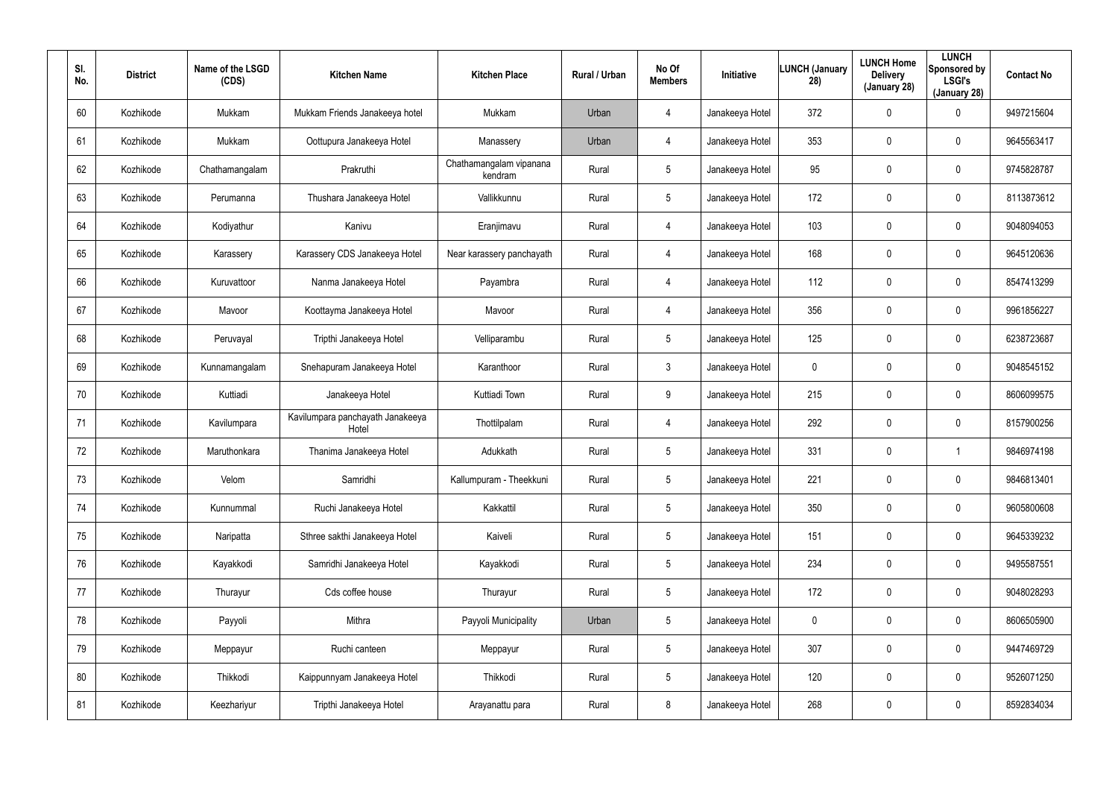| SI.<br>No. | <b>District</b> | Name of the LSGD<br>(CDS) | <b>Kitchen Name</b>                       | <b>Kitchen Place</b>               | Rural / Urban | No Of<br><b>Members</b> | Initiative      | <b>LUNCH (January</b><br>28) | <b>LUNCH Home</b><br><b>Delivery</b><br>(January 28) | <b>LUNCH</b><br>Sponsored by<br><b>LSGI's</b><br>(January 28) | <b>Contact No</b> |
|------------|-----------------|---------------------------|-------------------------------------------|------------------------------------|---------------|-------------------------|-----------------|------------------------------|------------------------------------------------------|---------------------------------------------------------------|-------------------|
| 60         | Kozhikode       | Mukkam                    | Mukkam Friends Janakeeya hotel            | Mukkam                             | Urban         | $\overline{4}$          | Janakeeya Hotel | 372                          | $\mathbf 0$                                          | 0                                                             | 9497215604        |
| 61         | Kozhikode       | Mukkam                    | Oottupura Janakeeya Hotel                 | Manassery                          | Urban         | $\overline{4}$          | Janakeeya Hotel | 353                          | $\mathbf 0$                                          | 0                                                             | 9645563417        |
| 62         | Kozhikode       | Chathamangalam            | Prakruthi                                 | Chathamangalam vipanana<br>kendram | Rural         | 5                       | Janakeeya Hotel | 95                           | $\boldsymbol{0}$                                     | $\pmb{0}$                                                     | 9745828787        |
| 63         | Kozhikode       | Perumanna                 | Thushara Janakeeya Hotel                  | Vallikkunnu                        | Rural         | 5                       | Janakeeya Hotel | 172                          | $\mathbf 0$                                          | 0                                                             | 8113873612        |
| 64         | Kozhikode       | Kodiyathur                | Kanivu                                    | Eranjimavu                         | Rural         | $\overline{4}$          | Janakeeya Hotel | 103                          | $\boldsymbol{0}$                                     | $\pmb{0}$                                                     | 9048094053        |
| 65         | Kozhikode       | Karassery                 | Karassery CDS Janakeeya Hotel             | Near karassery panchayath          | Rural         | 4                       | Janakeeya Hotel | 168                          | $\mathbf 0$                                          | 0                                                             | 9645120636        |
| 66         | Kozhikode       | Kuruvattoor               | Nanma Janakeeya Hotel                     | Payambra                           | Rural         | $\overline{4}$          | Janakeeya Hotel | 112                          | 0                                                    | $\mathbf 0$                                                   | 8547413299        |
| 67         | Kozhikode       | Mavoor                    | Koottayma Janakeeya Hotel                 | Mavoor                             | Rural         | 4                       | Janakeeya Hotel | 356                          | 0                                                    | $\mathbf 0$                                                   | 9961856227        |
| 68         | Kozhikode       | Peruvayal                 | Tripthi Janakeeya Hotel                   | Velliparambu                       | Rural         | 5                       | Janakeeya Hotel | 125                          | 0                                                    | $\mathbf 0$                                                   | 6238723687        |
| 69         | Kozhikode       | Kunnamangalam             | Snehapuram Janakeeya Hotel                | Karanthoor                         | Rural         | 3                       | Janakeeya Hotel | 0                            | 0                                                    | $\mathbf 0$                                                   | 9048545152        |
| 70         | Kozhikode       | Kuttiadi                  | Janakeeya Hotel                           | Kuttiadi Town                      | Rural         | 9                       | Janakeeya Hotel | 215                          | 0                                                    | $\mathbf 0$                                                   | 8606099575        |
| 71         | Kozhikode       | Kavilumpara               | Kavilumpara panchayath Janakeeya<br>Hotel | Thottilpalam                       | Rural         | 4                       | Janakeeya Hotel | 292                          | 0                                                    | $\mathbf 0$                                                   | 8157900256        |
| 72         | Kozhikode       | Maruthonkara              | Thanima Janakeeya Hotel                   | Adukkath                           | Rural         | 5                       | Janakeeya Hotel | 331                          | $\boldsymbol{0}$                                     |                                                               | 9846974198        |
| 73         | Kozhikode       | Velom                     | Samridhi                                  | Kallumpuram - Theekkuni            | Rural         | 5                       | Janakeeya Hotel | 221                          | $\pmb{0}$                                            | 0                                                             | 9846813401        |
| 74         | Kozhikode       | Kunnummal                 | Ruchi Janakeeya Hotel                     | Kakkattil                          | Rural         | $5\phantom{.0}$         | Janakeeya Hotel | 350                          | $\pmb{0}$                                            | 0                                                             | 9605800608        |
| 75         | Kozhikode       | Naripatta                 | Sthree sakthi Janakeeya Hotel             | Kaiveli                            | Rural         | 5                       | Janakeeya Hotel | 151                          | $\pmb{0}$                                            | 0                                                             | 9645339232        |
| 76         | Kozhikode       | Kayakkodi                 | Samridhi Janakeeya Hotel                  | Kayakkodi                          | Rural         | $5\phantom{.0}$         | Janakeeya Hotel | 234                          | $\pmb{0}$                                            | 0                                                             | 9495587551        |
| 77         | Kozhikode       | Thurayur                  | Cds coffee house                          | Thurayur                           | Rural         | 5                       | Janakeeya Hotel | 172                          | $\pmb{0}$                                            | $\pmb{0}$                                                     | 9048028293        |
| 78         | Kozhikode       | Payyoli                   | Mithra                                    | Payyoli Municipality               | Urban         | 5                       | Janakeeya Hotel | 0                            | $\pmb{0}$                                            | $\pmb{0}$                                                     | 8606505900        |
| 79         | Kozhikode       | Meppayur                  | Ruchi canteen                             | Meppayur                           | Rural         | 5                       | Janakeeya Hotel | 307                          | $\pmb{0}$                                            | $\pmb{0}$                                                     | 9447469729        |
| 80         | Kozhikode       | Thikkodi                  | Kaippunnyam Janakeeya Hotel               | Thikkodi                           | Rural         | 5                       | Janakeeya Hotel | 120                          | $\pmb{0}$                                            | $\pmb{0}$                                                     | 9526071250        |
| 81         | Kozhikode       | Keezhariyur               | Tripthi Janakeeya Hotel                   | Arayanattu para                    | Rural         | 8                       | Janakeeya Hotel | 268                          | $\boldsymbol{0}$                                     | 0                                                             | 8592834034        |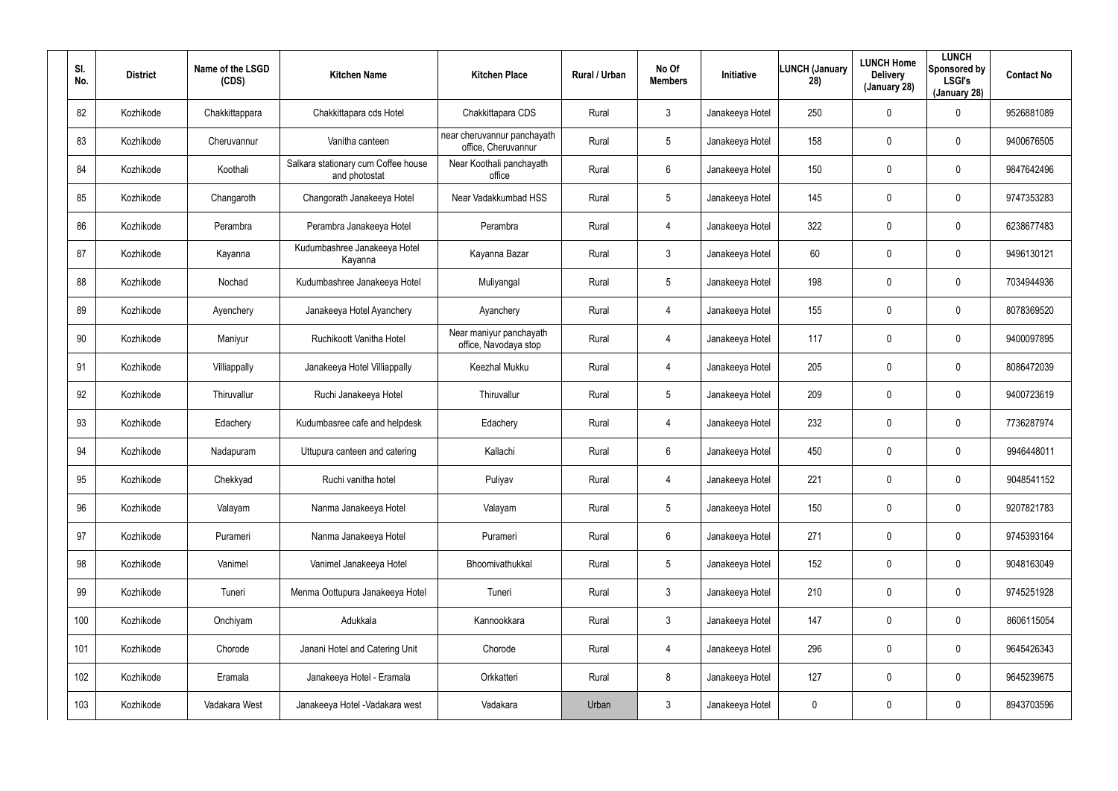| SI.<br>No. | <b>District</b> | Name of the LSGD<br>(CDS) | <b>Kitchen Name</b>                                  | <b>Kitchen Place</b>                               | Rural / Urban | No Of<br><b>Members</b> | Initiative      | <b>LUNCH (January</b><br>28) | <b>LUNCH Home</b><br><b>Delivery</b><br>(January 28) | <b>LUNCH</b><br>Sponsored by<br><b>LSGI's</b><br>(January 28) | <b>Contact No</b> |
|------------|-----------------|---------------------------|------------------------------------------------------|----------------------------------------------------|---------------|-------------------------|-----------------|------------------------------|------------------------------------------------------|---------------------------------------------------------------|-------------------|
| 82         | Kozhikode       | Chakkittappara            | Chakkittapara cds Hotel                              | Chakkittapara CDS                                  | Rural         | $\mathbf{3}$            | Janakeeya Hotel | 250                          | $\mathbf 0$                                          | 0                                                             | 9526881089        |
| 83         | Kozhikode       | Cheruvannur               | Vanitha canteen                                      | near cheruvannur panchayath<br>office, Cheruvannur | Rural         | 5                       | Janakeeya Hotel | 158                          | $\mathbf 0$                                          | $\mathbf 0$                                                   | 9400676505        |
| 84         | Kozhikode       | Koothali                  | Salkara stationary cum Coffee house<br>and photostat | Near Koothali panchayath<br>office                 | Rural         | 6                       | Janakeeya Hotel | 150                          | $\mathbf 0$                                          | $\mathbf 0$                                                   | 9847642496        |
| 85         | Kozhikode       | Changaroth                | Changorath Janakeeya Hotel                           | Near Vadakkumbad HSS                               | Rural         | 5                       | Janakeeya Hotel | 145                          | $\mathbf 0$                                          | $\mathbf 0$                                                   | 9747353283        |
| 86         | Kozhikode       | Perambra                  | Perambra Janakeeya Hotel                             | Perambra                                           | Rural         | $\overline{4}$          | Janakeeya Hotel | 322                          | $\mathbf 0$                                          | $\mathbf 0$                                                   | 6238677483        |
| 87         | Kozhikode       | Kayanna                   | Kudumbashree Janakeeya Hotel<br>Kayanna              | Kayanna Bazar                                      | Rural         | $\mathbf{3}$            | Janakeeya Hotel | 60                           | 0                                                    | $\mathbf 0$                                                   | 9496130121        |
| 88         | Kozhikode       | Nochad                    | Kudumbashree Janakeeya Hotel                         | Muliyangal                                         | Rural         | 5                       | Janakeeya Hotel | 198                          | $\mathbf 0$                                          | $\mathbf 0$                                                   | 7034944936        |
| 89         | Kozhikode       | Ayenchery                 | Janakeeya Hotel Ayanchery                            | Ayanchery                                          | Rural         | 4                       | Janakeeya Hotel | 155                          | 0                                                    | 0                                                             | 8078369520        |
| 90         | Kozhikode       | Maniyur                   | Ruchikoott Vanitha Hotel                             | Near maniyur panchayath<br>office, Navodaya stop   | Rural         | 4                       | Janakeeya Hotel | 117                          | $\mathbf 0$                                          | $\mathbf 0$                                                   | 9400097895        |
| 91         | Kozhikode       | Villiappally              | Janakeeya Hotel Villiappally                         | Keezhal Mukku                                      | Rural         | 4                       | Janakeeya Hotel | 205                          | 0                                                    | $\mathbf 0$                                                   | 8086472039        |
| 92         | Kozhikode       | Thiruvallur               | Ruchi Janakeeya Hotel                                | Thiruvallur                                        | Rural         | 5                       | Janakeeya Hotel | 209                          | $\mathbf 0$                                          | $\mathbf 0$                                                   | 9400723619        |
| 93         | Kozhikode       | Edachery                  | Kudumbasree cafe and helpdesk                        | Edachery                                           | Rural         | 4                       | Janakeeya Hotel | 232                          | $\mathbf 0$                                          | 0                                                             | 7736287974        |
| 94         | Kozhikode       | Nadapuram                 | Uttupura canteen and catering                        | Kallachi                                           | Rural         | 6                       | Janakeeya Hotel | 450                          | $\mathbf 0$                                          | 0                                                             | 9946448011        |
| 95         | Kozhikode       | Chekkyad                  | Ruchi vanitha hotel                                  | Puliyav                                            | Rural         | 4                       | Janakeeya Hotel | 221                          | $\mathbf 0$                                          | 0                                                             | 9048541152        |
| 96         | Kozhikode       | Valayam                   | Nanma Janakeeya Hotel                                | Valayam                                            | Rural         | $5\phantom{.0}$         | Janakeeya Hotel | 150                          | $\overline{0}$                                       | $\pmb{0}$                                                     | 9207821783        |
| 97         | Kozhikode       | Purameri                  | Nanma Janakeeya Hotel                                | Purameri                                           | Rural         | $6\phantom{.}$          | Janakeeya Hotel | 271                          | $\mathbf 0$                                          | $\pmb{0}$                                                     | 9745393164        |
| 98         | Kozhikode       | Vanimel                   | Vanimel Janakeeya Hotel                              | Bhoomivathukkal                                    | Rural         | $5\phantom{.0}$         | Janakeeya Hotel | 152                          | $\overline{0}$                                       | $\pmb{0}$                                                     | 9048163049        |
| 99         | Kozhikode       | Tuneri                    | Menma Oottupura Janakeeya Hotel                      | Tuneri                                             | Rural         | 3 <sup>1</sup>          | Janakeeya Hotel | 210                          | $\mathbf 0$                                          | 0                                                             | 9745251928        |
| 100        | Kozhikode       | Onchiyam                  | Adukkala                                             | Kannookkara                                        | Rural         | 3 <sup>1</sup>          | Janakeeya Hotel | 147                          | $\mathbf 0$                                          | 0                                                             | 8606115054        |
| 101        | Kozhikode       | Chorode                   | Janani Hotel and Catering Unit                       | Chorode                                            | Rural         | $\overline{4}$          | Janakeeya Hotel | 296                          | $\mathbf 0$                                          | 0                                                             | 9645426343        |
| 102        | Kozhikode       | Eramala                   | Janakeeya Hotel - Eramala                            | Orkkatteri                                         | Rural         | 8                       | Janakeeya Hotel | 127                          | $\mathbf 0$                                          | 0                                                             | 9645239675        |
| 103        | Kozhikode       | Vadakara West             | Janakeeya Hotel - Vadakara west                      | Vadakara                                           | Urban         | $\mathfrak{Z}$          | Janakeeya Hotel | 0                            | $\boldsymbol{0}$                                     | 0                                                             | 8943703596        |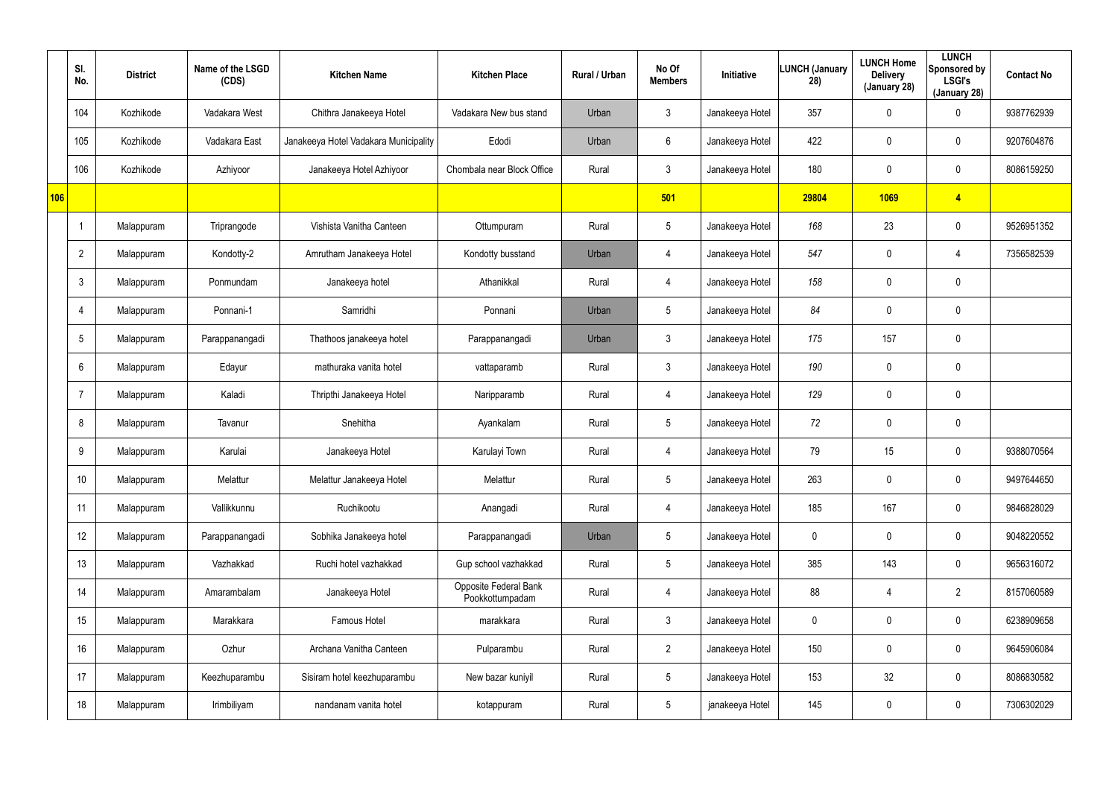|     | SI.<br>No.      | <b>District</b> | Name of the LSGD<br>(CDS) | <b>Kitchen Name</b>                   | <b>Kitchen Place</b>                     | Rural / Urban | No Of<br><b>Members</b> | Initiative      | LUNCH (January<br>28) | <b>LUNCH Home</b><br><b>Delivery</b><br>(January 28) | <b>LUNCH</b><br>Sponsored by<br><b>LSGI's</b><br>(January 28) | <b>Contact No</b> |
|-----|-----------------|-----------------|---------------------------|---------------------------------------|------------------------------------------|---------------|-------------------------|-----------------|-----------------------|------------------------------------------------------|---------------------------------------------------------------|-------------------|
|     | 104             | Kozhikode       | Vadakara West             | Chithra Janakeeya Hotel               | Vadakara New bus stand                   | Urban         | $\mathbf{3}$            | Janakeeya Hotel | 357                   | 0                                                    | $\mathbf 0$                                                   | 9387762939        |
|     | 105             | Kozhikode       | Vadakara East             | Janakeeya Hotel Vadakara Municipality | Edodi                                    | Urban         | 6                       | Janakeeya Hotel | 422                   | 0                                                    | $\mathbf 0$                                                   | 9207604876        |
|     | 106             | Kozhikode       | Azhiyoor                  | Janakeeya Hotel Azhiyoor              | Chombala near Block Office               | Rural         | $\mathbf{3}$            | Janakeeya Hotel | 180                   | 0                                                    | $\mathbf 0$                                                   | 8086159250        |
| 106 |                 |                 |                           |                                       |                                          |               | 501                     |                 | 29804                 | 1069                                                 | $\overline{4}$                                                |                   |
|     |                 | Malappuram      | Triprangode               | Vishista Vanitha Canteen              | Ottumpuram                               | Rural         | $5\phantom{.0}$         | Janakeeya Hotel | 168                   | 23                                                   | $\mathbf 0$                                                   | 9526951352        |
|     | $\overline{2}$  | Malappuram      | Kondotty-2                | Amrutham Janakeeya Hotel              | Kondotty busstand                        | Urban         | $\overline{4}$          | Janakeeya Hotel | 547                   | 0                                                    | 4                                                             | 7356582539        |
|     | $\mathbf{3}$    | Malappuram      | Ponmundam                 | Janakeeya hotel                       | Athanikkal                               | Rural         | $\overline{4}$          | Janakeeya Hotel | 158                   | 0                                                    | $\mathbf 0$                                                   |                   |
|     | $\overline{4}$  | Malappuram      | Ponnani-1                 | Samridhi                              | Ponnani                                  | Urban         | $5\phantom{.0}$         | Janakeeya Hotel | 84                    | 0                                                    | $\mathbf 0$                                                   |                   |
|     | $5\phantom{.0}$ | Malappuram      | Parappanangadi            | Thathoos janakeeya hotel              | Parappanangadi                           | Urban         | $\mathfrak{Z}$          | Janakeeya Hotel | 175                   | 157                                                  | $\pmb{0}$                                                     |                   |
|     | $6^{\circ}$     | Malappuram      | Edayur                    | mathuraka vanita hotel                | vattaparamb                              | Rural         | $\mathbf{3}$            | Janakeeya Hotel | 190                   | 0                                                    | $\mathbf 0$                                                   |                   |
|     | $\overline{7}$  | Malappuram      | Kaladi                    | Thripthi Janakeeya Hotel              | Naripparamb                              | Rural         | $\overline{4}$          | Janakeeya Hotel | 129                   | 0                                                    | $\mathbf 0$                                                   |                   |
|     | 8               | Malappuram      | Tavanur                   | Snehitha                              | Ayankalam                                | Rural         | $5\phantom{.0}$         | Janakeeya Hotel | 72                    | 0                                                    | $\mathbf 0$                                                   |                   |
|     | 9               | Malappuram      | Karulai                   | Janakeeya Hotel                       | Karulayi Town                            | Rural         | 4                       | Janakeeya Hotel | 79                    | 15                                                   | $\mathbf 0$                                                   | 9388070564        |
|     | 10              | Malappuram      | Melattur                  | Melattur Janakeeya Hotel              | Melattur                                 | Rural         | $5\phantom{.0}$         | Janakeeya Hotel | 263                   | 0                                                    | $\mathbf 0$                                                   | 9497644650        |
|     | 11              | Malappuram      | Vallikkunnu               | Ruchikootu                            | Anangadi                                 | Rural         | 4                       | Janakeeya Hotel | 185                   | 167                                                  | $\mathbf 0$                                                   | 9846828029        |
|     | 12              | Malappuram      | Parappanangadi            | Sobhika Janakeeya hotel               | Parappanangadi                           | Urban         | $5\overline{)}$         | Janakeeya Hotel | $\mathbf 0$           | 0                                                    | $\pmb{0}$                                                     | 9048220552        |
|     | 13              | Malappuram      | Vazhakkad                 | Ruchi hotel vazhakkad                 | Gup school vazhakkad                     | Rural         | $5\overline{)}$         | Janakeeya Hotel | 385                   | 143                                                  | $\mathbf 0$                                                   | 9656316072        |
|     | 14              | Malappuram      | Amarambalam               | Janakeeya Hotel                       | Opposite Federal Bank<br>Pookkottumpadam | Rural         | 4                       | Janakeeya Hotel | 88                    | 4                                                    | $\overline{2}$                                                | 8157060589        |
|     | 15              | Malappuram      | Marakkara                 | Famous Hotel                          | marakkara                                | Rural         | $\mathbf{3}$            | Janakeeya Hotel | 0                     | 0                                                    | $\mathbf 0$                                                   | 6238909658        |
|     | 16              | Malappuram      | Ozhur                     | Archana Vanitha Canteen               | Pulparambu                               | Rural         | $2^{\circ}$             | Janakeeya Hotel | 150                   | 0                                                    | $\mathbf 0$                                                   | 9645906084        |
|     | 17              | Malappuram      | Keezhuparambu             | Sisiram hotel keezhuparambu           | New bazar kuniyil                        | Rural         | $5\phantom{.0}$         | Janakeeya Hotel | 153                   | 32                                                   | $\mathbf 0$                                                   | 8086830582        |
|     | 18              | Malappuram      | Irimbiliyam               | nandanam vanita hotel                 | kotappuram                               | Rural         | $5\,$                   | janakeeya Hotel | 145                   | 0                                                    | $\pmb{0}$                                                     | 7306302029        |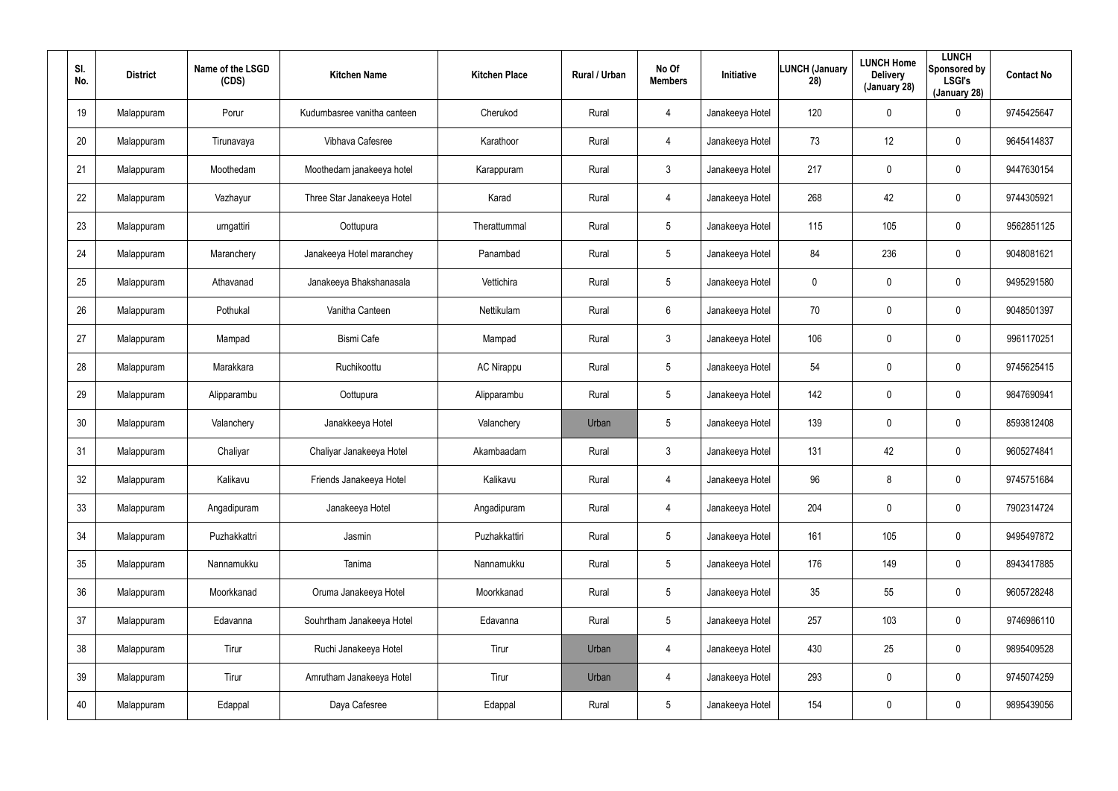| SI.<br>No. | <b>District</b> | Name of the LSGD<br>(CDS) | <b>Kitchen Name</b>         | <b>Kitchen Place</b> | Rural / Urban | No Of<br><b>Members</b> | Initiative      | <b>LUNCH (January</b><br>28) | <b>LUNCH Home</b><br><b>Delivery</b><br>(January 28) | <b>LUNCH</b><br>Sponsored by<br><b>LSGI's</b><br>(January 28) | <b>Contact No</b> |
|------------|-----------------|---------------------------|-----------------------------|----------------------|---------------|-------------------------|-----------------|------------------------------|------------------------------------------------------|---------------------------------------------------------------|-------------------|
| 19         | Malappuram      | Porur                     | Kudumbasree vanitha canteen | Cherukod             | Rural         | 4                       | Janakeeya Hotel | 120                          | $\pmb{0}$                                            | 0                                                             | 9745425647        |
| 20         | Malappuram      | Tirunavaya                | Vibhava Cafesree            | Karathoor            | Rural         | 4                       | Janakeeya Hotel | 73                           | 12                                                   | 0                                                             | 9645414837        |
| 21         | Malappuram      | Moothedam                 | Moothedam janakeeya hotel   | Karappuram           | Rural         | $\mathbf{3}$            | Janakeeya Hotel | 217                          | $\pmb{0}$                                            | 0                                                             | 9447630154        |
| 22         | Malappuram      | Vazhayur                  | Three Star Janakeeya Hotel  | Karad                | Rural         | 4                       | Janakeeya Hotel | 268                          | 42                                                   | 0                                                             | 9744305921        |
| 23         | Malappuram      | urngattiri                | Oottupura                   | Therattummal         | Rural         | 5                       | Janakeeya Hotel | 115                          | 105                                                  | 0                                                             | 9562851125        |
| 24         | Malappuram      | Maranchery                | Janakeeya Hotel maranchey   | Panambad             | Rural         | 5                       | Janakeeya Hotel | 84                           | 236                                                  | 0                                                             | 9048081621        |
| 25         | Malappuram      | Athavanad                 | Janakeeya Bhakshanasala     | Vettichira           | Rural         | $5\phantom{.0}$         | Janakeeya Hotel | 0                            | $\pmb{0}$                                            | $\mathbf 0$                                                   | 9495291580        |
| 26         | Malappuram      | Pothukal                  | Vanitha Canteen             | Nettikulam           | Rural         | 6                       | Janakeeya Hotel | 70                           | $\boldsymbol{0}$                                     | $\mathbf 0$                                                   | 9048501397        |
| 27         | Malappuram      | Mampad                    | Bismi Cafe                  | Mampad               | Rural         | $\mathbf{3}$            | Janakeeya Hotel | 106                          | $\overline{0}$                                       | $\mathbf 0$                                                   | 9961170251        |
| 28         | Malappuram      | Marakkara                 | Ruchikoottu                 | <b>AC Nirappu</b>    | Rural         | $5\phantom{.0}$         | Janakeeya Hotel | 54                           | $\mathbf 0$                                          | $\mathbf 0$                                                   | 9745625415        |
| 29         | Malappuram      | Alipparambu               | Oottupura                   | Alipparambu          | Rural         | $5\phantom{.0}$         | Janakeeya Hotel | 142                          | $\overline{0}$                                       | $\mathbf 0$                                                   | 9847690941        |
| 30         | Malappuram      | Valanchery                | Janakkeeya Hotel            | Valanchery           | Urban         | $5\phantom{.0}$         | Janakeeya Hotel | 139                          | $\mathbf 0$                                          | 0                                                             | 8593812408        |
| 31         | Malappuram      | Chaliyar                  | Chaliyar Janakeeya Hotel    | Akambaadam           | Rural         | $\mathbf{3}$            | Janakeeya Hotel | 131                          | 42                                                   | $\mathbf 0$                                                   | 9605274841        |
| 32         | Malappuram      | Kalikavu                  | Friends Janakeeya Hotel     | Kalikavu             | Rural         | 4                       | Janakeeya Hotel | 96                           | 8                                                    | $\pmb{0}$                                                     | 9745751684        |
| 33         | Malappuram      | Angadipuram               | Janakeeya Hotel             | Angadipuram          | Rural         | $\overline{4}$          | Janakeeya Hotel | 204                          | $\mathbf 0$                                          | $\pmb{0}$                                                     | 7902314724        |
| 34         | Malappuram      | Puzhakkattri              | Jasmin                      | Puzhakkattiri        | Rural         | $5\phantom{.0}$         | Janakeeya Hotel | 161                          | 105                                                  | $\pmb{0}$                                                     | 9495497872        |
| 35         | Malappuram      | Nannamukku                | Tanima                      | Nannamukku           | Rural         | $5\phantom{.0}$         | Janakeeya Hotel | 176                          | 149                                                  | $\pmb{0}$                                                     | 8943417885        |
| 36         | Malappuram      | Moorkkanad                | Oruma Janakeeya Hotel       | Moorkkanad           | Rural         | $5\phantom{.0}$         | Janakeeya Hotel | 35                           | 55                                                   | 0                                                             | 9605728248        |
| 37         | Malappuram      | Edavanna                  | Souhrtham Janakeeya Hotel   | Edavanna             | Rural         | $5\phantom{.0}$         | Janakeeya Hotel | 257                          | 103                                                  | 0                                                             | 9746986110        |
| 38         | Malappuram      | Tirur                     | Ruchi Janakeeya Hotel       | Tirur                | Urban         | $\overline{4}$          | Janakeeya Hotel | 430                          | 25                                                   | 0                                                             | 9895409528        |
| 39         | Malappuram      | Tirur                     | Amrutham Janakeeya Hotel    | Tirur                | Urban         | $\overline{4}$          | Janakeeya Hotel | 293                          | $\mathbf 0$                                          | 0                                                             | 9745074259        |
| 40         | Malappuram      | Edappal                   | Daya Cafesree               | Edappal              | Rural         | $5\phantom{.0}$         | Janakeeya Hotel | 154                          | $\boldsymbol{0}$                                     | 0                                                             | 9895439056        |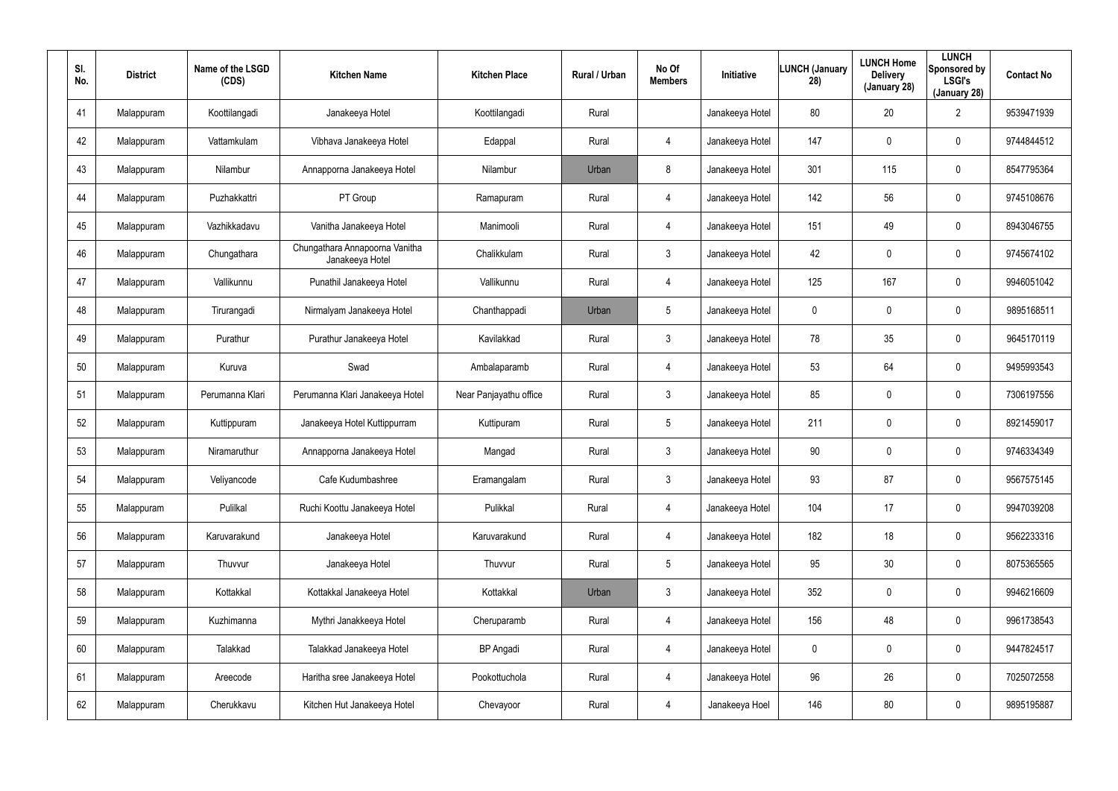| SI.<br>No. | <b>District</b> | Name of the LSGD<br>(CDS) | <b>Kitchen Name</b>                               | <b>Kitchen Place</b>   | Rural / Urban | No Of<br><b>Members</b> | Initiative      | <b>LUNCH (January</b><br>28) | <b>LUNCH Home</b><br><b>Delivery</b><br>(January 28) | <b>LUNCH</b><br>Sponsored by<br><b>LSGI's</b><br>(January 28) | <b>Contact No</b> |
|------------|-----------------|---------------------------|---------------------------------------------------|------------------------|---------------|-------------------------|-----------------|------------------------------|------------------------------------------------------|---------------------------------------------------------------|-------------------|
| 41         | Malappuram      | Koottilangadi             | Janakeeya Hotel                                   | Koottilangadi          | Rural         |                         | Janakeeya Hotel | 80                           | 20                                                   | $\overline{2}$                                                | 9539471939        |
| 42         | Malappuram      | Vattamkulam               | Vibhava Janakeeya Hotel                           | Edappal                | Rural         | $\overline{4}$          | Janakeeya Hotel | 147                          | 0                                                    | $\mathbf 0$                                                   | 9744844512        |
| 43         | Malappuram      | Nilambur                  | Annapporna Janakeeya Hotel                        | Nilambur               | Urban         | 8                       | Janakeeya Hotel | 301                          | 115                                                  | $\mathbf 0$                                                   | 8547795364        |
| 44         | Malappuram      | Puzhakkattri              | PT Group                                          | Ramapuram              | Rural         | $\overline{4}$          | Janakeeya Hotel | 142                          | 56                                                   | $\mathbf 0$                                                   | 9745108676        |
| 45         | Malappuram      | Vazhikkadavu              | Vanitha Janakeeya Hotel                           | Manimooli              | Rural         | $\overline{4}$          | Janakeeya Hotel | 151                          | 49                                                   | $\mathbf 0$                                                   | 8943046755        |
| 46         | Malappuram      | Chungathara               | Chungathara Annapoorna Vanitha<br>Janakeeya Hotel | Chalikkulam            | Rural         | 3                       | Janakeeya Hotel | 42                           | 0                                                    | $\mathbf 0$                                                   | 9745674102        |
| 47         | Malappuram      | Vallikunnu                | Punathil Janakeeya Hotel                          | Vallikunnu             | Rural         | $\overline{4}$          | Janakeeya Hotel | 125                          | 167                                                  | 0                                                             | 9946051042        |
| 48         | Malappuram      | Tirurangadi               | Nirmalyam Janakeeya Hotel                         | Chanthappadi           | Urban         | 5                       | Janakeeya Hotel | 0                            | $\boldsymbol{0}$                                     | $\mathbf 0$                                                   | 9895168511        |
| 49         | Malappuram      | Purathur                  | Purathur Janakeeya Hotel                          | Kavilakkad             | Rural         | $\mathbf{3}$            | Janakeeya Hotel | 78                           | 35                                                   | 0                                                             | 9645170119        |
| 50         | Malappuram      | Kuruva                    | Swad                                              | Ambalaparamb           | Rural         | $\overline{4}$          | Janakeeya Hotel | 53                           | 64                                                   | $\mathbf 0$                                                   | 9495993543        |
| 51         | Malappuram      | Perumanna Klari           | Perumanna Klari Janakeeya Hotel                   | Near Panjayathu office | Rural         | $\mathbf{3}$            | Janakeeya Hotel | 85                           | $\boldsymbol{0}$                                     | 0                                                             | 7306197556        |
| 52         | Malappuram      | Kuttippuram               | Janakeeya Hotel Kuttippurram                      | Kuttipuram             | Rural         | 5                       | Janakeeya Hotel | 211                          | $\boldsymbol{0}$                                     | $\mathbf 0$                                                   | 8921459017        |
| 53         | Malappuram      | Niramaruthur              | Annapporna Janakeeya Hotel                        | Mangad                 | Rural         | $\mathbf{3}$            | Janakeeya Hotel | 90                           | $\boldsymbol{0}$                                     | $\mathbf 0$                                                   | 9746334349        |
| 54         | Malappuram      | Veliyancode               | Cafe Kudumbashree                                 | Eramangalam            | Rural         | $\mathbf{3}$            | Janakeeya Hotel | 93                           | 87                                                   | $\pmb{0}$                                                     | 9567575145        |
| 55         | Malappuram      | Pulilkal                  | Ruchi Koottu Janakeeya Hotel                      | Pulikkal               | Rural         | $\overline{4}$          | Janakeeya Hotel | 104                          | 17                                                   | $\pmb{0}$                                                     | 9947039208        |
| 56         | Malappuram      | Karuvarakund              | Janakeeya Hotel                                   | Karuvarakund           | Rural         | $\overline{4}$          | Janakeeya Hotel | 182                          | 18                                                   | $\pmb{0}$                                                     | 9562233316        |
| 57         | Malappuram      | Thuvvur                   | Janakeeya Hotel                                   | Thuvvur                | Rural         | 5                       | Janakeeya Hotel | 95                           | 30 <sub>o</sub>                                      | $\pmb{0}$                                                     | 8075365565        |
| 58         | Malappuram      | Kottakkal                 | Kottakkal Janakeeya Hotel                         | Kottakkal              | Urban         | $\mathbf{3}$            | Janakeeya Hotel | 352                          | $\mathbf 0$                                          | $\pmb{0}$                                                     | 9946216609        |
| 59         | Malappuram      | Kuzhimanna                | Mythri Janakkeeya Hotel                           | Cheruparamb            | Rural         | $\overline{4}$          | Janakeeya Hotel | 156                          | 48                                                   | $\pmb{0}$                                                     | 9961738543        |
| 60         | Malappuram      | Talakkad                  | Talakkad Janakeeya Hotel                          | <b>BP</b> Angadi       | Rural         | $\overline{4}$          | Janakeeya Hotel | 0                            | $\mathbf 0$                                          | $\pmb{0}$                                                     | 9447824517        |
| 61         | Malappuram      | Areecode                  | Haritha sree Janakeeya Hotel                      | Pookottuchola          | Rural         | $\overline{4}$          | Janakeeya Hotel | 96                           | 26                                                   | $\pmb{0}$                                                     | 7025072558        |
| 62         | Malappuram      | Cherukkavu                | Kitchen Hut Janakeeya Hotel                       | Chevayoor              | Rural         | $\overline{4}$          | Janakeeya Hoel  | 146                          | 80                                                   | 0                                                             | 9895195887        |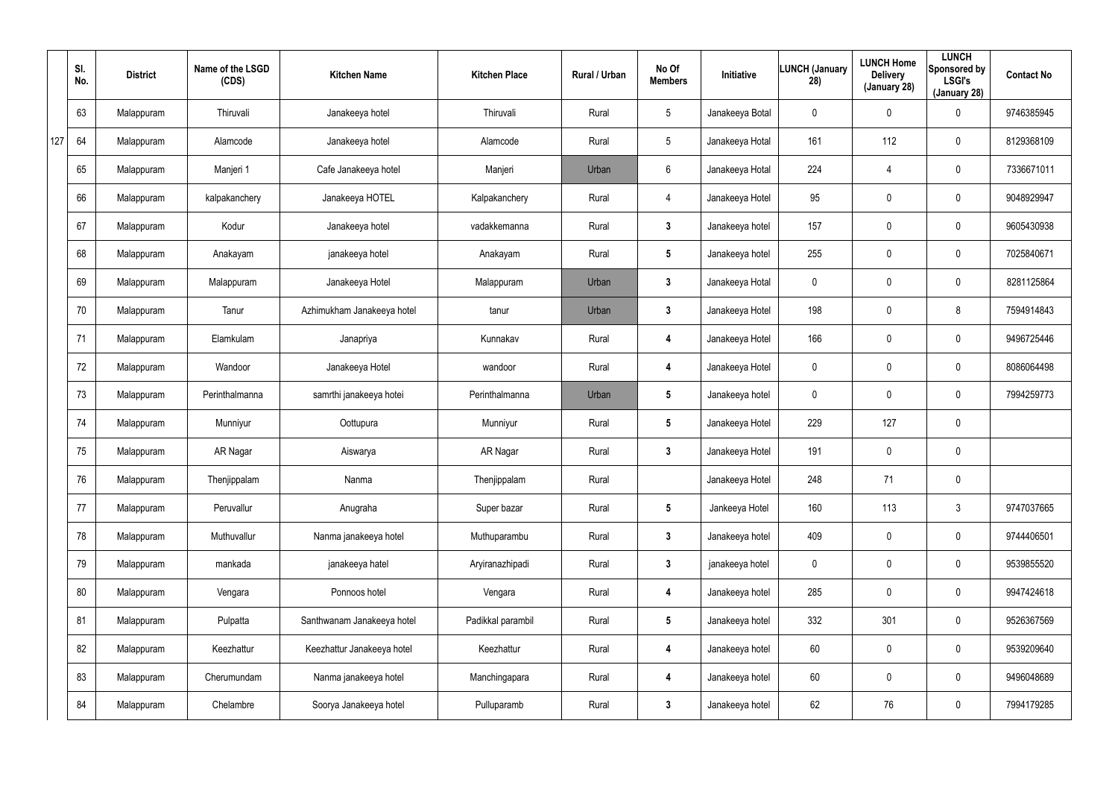|     | SI.<br>No. | <b>District</b> | Name of the LSGD<br>(CDS) | <b>Kitchen Name</b>        | <b>Kitchen Place</b> | Rural / Urban | No Of<br><b>Members</b> | Initiative      | <b>LUNCH (January</b><br>28) | <b>LUNCH Home</b><br><b>Delivery</b><br>(January 28) | <b>LUNCH</b><br>Sponsored by<br><b>LSGI's</b><br>(January 28) | <b>Contact No</b> |
|-----|------------|-----------------|---------------------------|----------------------------|----------------------|---------------|-------------------------|-----------------|------------------------------|------------------------------------------------------|---------------------------------------------------------------|-------------------|
|     | 63         | Malappuram      | Thiruvali                 | Janakeeya hotel            | Thiruvali            | Rural         | $5\phantom{.0}$         | Janakeeya Botal | 0                            | $\mathbf 0$                                          | $\mathbf 0$                                                   | 9746385945        |
| 127 | 64         | Malappuram      | Alamcode                  | Janakeeya hotel            | Alamcode             | Rural         | $5\phantom{.0}$         | Janakeeya Hotal | 161                          | 112                                                  | $\mathbf 0$                                                   | 8129368109        |
|     | 65         | Malappuram      | Manjeri 1                 | Cafe Janakeeya hotel       | Manjeri              | Urban         | 6                       | Janakeeya Hotal | 224                          | 4                                                    | $\mathbf 0$                                                   | 7336671011        |
|     | 66         | Malappuram      | kalpakanchery             | Janakeeya HOTEL            | Kalpakanchery        | Rural         | $\overline{4}$          | Janakeeya Hotel | 95                           | 0                                                    | $\mathbf 0$                                                   | 9048929947        |
|     | 67         | Malappuram      | Kodur                     | Janakeeya hotel            | vadakkemanna         | Rural         | $\mathbf{3}$            | Janakeeya hotel | 157                          | $\mathbf 0$                                          | $\mathbf 0$                                                   | 9605430938        |
|     | 68         | Malappuram      | Anakayam                  | janakeeya hotel            | Anakayam             | Rural         | $5\phantom{.0}$         | Janakeeya hotel | 255                          | 0                                                    | $\mathbf 0$                                                   | 7025840671        |
|     | 69         | Malappuram      | Malappuram                | Janakeeya Hotel            | Malappuram           | Urban         | $\mathbf{3}$            | Janakeeya Hotal | 0                            | 0                                                    | $\mathbf 0$                                                   | 8281125864        |
|     | 70         | Malappuram      | Tanur                     | Azhimukham Janakeeya hotel | tanur                | Urban         | $\mathbf{3}$            | Janakeeya Hotel | 198                          | 0                                                    | 8                                                             | 7594914843        |
|     | 71         | Malappuram      | Elamkulam                 | Janapriya                  | Kunnakav             | Rural         | 4                       | Janakeeya Hotel | 166                          | $\mathbf 0$                                          | $\mathbf 0$                                                   | 9496725446        |
|     | 72         | Malappuram      | Wandoor                   | Janakeeya Hotel            | wandoor              | Rural         | 4                       | Janakeeya Hotel | 0                            | 0                                                    | $\mathbf 0$                                                   | 8086064498        |
|     | 73         | Malappuram      | Perinthalmanna            | samrthi janakeeya hotei    | Perinthalmanna       | Urban         | $5\phantom{.0}$         | Janakeeya hotel | 0                            | $\mathbf 0$                                          | $\mathbf 0$                                                   | 7994259773        |
|     | 74         | Malappuram      | Munniyur                  | Oottupura                  | Munniyur             | Rural         | $5\phantom{.0}$         | Janakeeya Hotel | 229                          | 127                                                  | $\mathbf 0$                                                   |                   |
|     | 75         | Malappuram      | AR Nagar                  | Aiswarya                   | AR Nagar             | Rural         | $\mathbf{3}$            | Janakeeya Hotel | 191                          | $\mathbf 0$                                          | $\mathbf 0$                                                   |                   |
|     | 76         | Malappuram      | Thenjippalam              | Nanma                      | Thenjippalam         | Rural         |                         | Janakeeya Hotel | 248                          | 71                                                   | $\pmb{0}$                                                     |                   |
|     | 77         | Malappuram      | Peruvallur                | Anugraha                   | Super bazar          | Rural         | $5\phantom{.0}$         | Jankeeya Hotel  | 160                          | 113                                                  | $\mathfrak{Z}$                                                | 9747037665        |
|     | 78         | Malappuram      | Muthuvallur               | Nanma janakeeya hotel      | Muthuparambu         | Rural         | $3\phantom{a}$          | Janakeeya hotel | 409                          | $\mathbf 0$                                          | $\pmb{0}$                                                     | 9744406501        |
|     | 79         | Malappuram      | mankada                   | janakeeya hatel            | Aryiranazhipadi      | Rural         | $3\phantom{a}$          | janakeeya hotel | 0                            | $\mathbf 0$                                          | $\pmb{0}$                                                     | 9539855520        |
|     | 80         | Malappuram      | Vengara                   | Ponnoos hotel              | Vengara              | Rural         | 4                       | Janakeeya hotel | 285                          | $\mathbf 0$                                          | $\boldsymbol{0}$                                              | 9947424618        |
|     | 81         | Malappuram      | Pulpatta                  | Santhwanam Janakeeya hotel | Padikkal parambil    | Rural         | $5\phantom{.0}$         | Janakeeya hotel | 332                          | 301                                                  | $\boldsymbol{0}$                                              | 9526367569        |
|     | 82         | Malappuram      | Keezhattur                | Keezhattur Janakeeya hotel | Keezhattur           | Rural         | 4                       | Janakeeya hotel | 60                           | $\mathbf 0$                                          | $\pmb{0}$                                                     | 9539209640        |
|     | 83         | Malappuram      | Cherumundam               | Nanma janakeeya hotel      | Manchingapara        | Rural         | 4                       | Janakeeya hotel | 60                           | 0                                                    | $\pmb{0}$                                                     | 9496048689        |
|     | 84         | Malappuram      | Chelambre                 | Soorya Janakeeya hotel     | Pulluparamb          | Rural         | $\mathbf{3}$            | Janakeeya hotel | 62                           | 76                                                   | $\pmb{0}$                                                     | 7994179285        |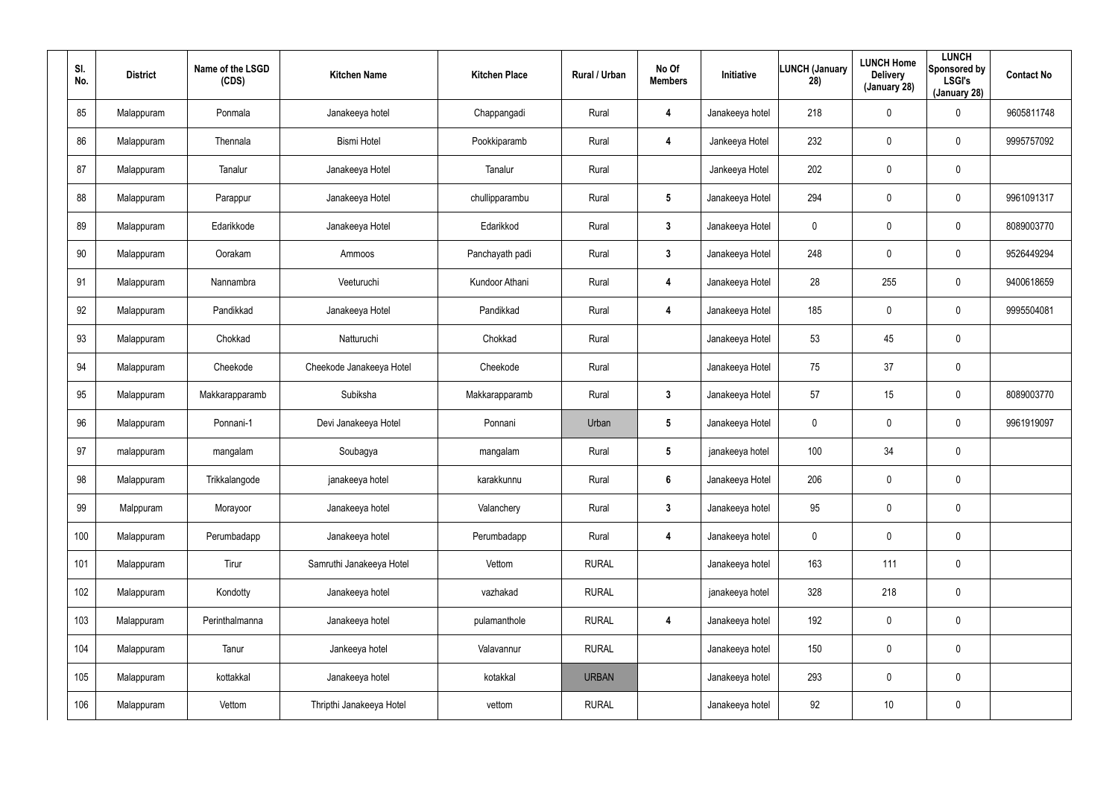| SI.<br>No. | <b>District</b> | Name of the LSGD<br>(CDS) | <b>Kitchen Name</b>      | <b>Kitchen Place</b> | Rural / Urban | No Of<br><b>Members</b> | Initiative      | <b>LUNCH (January</b><br>28) | <b>LUNCH Home</b><br><b>Delivery</b><br>(January 28) | <b>LUNCH</b><br>Sponsored by<br><b>LSGI's</b><br>(January 28) | <b>Contact No</b> |
|------------|-----------------|---------------------------|--------------------------|----------------------|---------------|-------------------------|-----------------|------------------------------|------------------------------------------------------|---------------------------------------------------------------|-------------------|
| 85         | Malappuram      | Ponmala                   | Janakeeya hotel          | Chappangadi          | Rural         | 4                       | Janakeeya hotel | 218                          | 0                                                    | $\boldsymbol{0}$                                              | 9605811748        |
| 86         | Malappuram      | Thennala                  | <b>Bismi Hotel</b>       | Pookkiparamb         | Rural         | 4                       | Jankeeya Hotel  | 232                          | 0                                                    | $\pmb{0}$                                                     | 9995757092        |
| 87         | Malappuram      | Tanalur                   | Janakeeya Hotel          | Tanalur              | Rural         |                         | Jankeeya Hotel  | 202                          | 0                                                    | $\pmb{0}$                                                     |                   |
| 88         | Malappuram      | Parappur                  | Janakeeya Hotel          | chullipparambu       | Rural         | $5\phantom{.0}$         | Janakeeya Hotel | 294                          | 0                                                    | $\pmb{0}$                                                     | 9961091317        |
| 89         | Malappuram      | Edarikkode                | Janakeeya Hotel          | Edarikkod            | Rural         | $\mathbf{3}$            | Janakeeya Hotel | 0                            | 0                                                    | $\pmb{0}$                                                     | 8089003770        |
| 90         | Malappuram      | Oorakam                   | Ammoos                   | Panchayath padi      | Rural         | $\mathbf{3}$            | Janakeeya Hotel | 248                          | 0                                                    | $\pmb{0}$                                                     | 9526449294        |
| 91         | Malappuram      | Nannambra                 | Veeturuchi               | Kundoor Athani       | Rural         | 4                       | Janakeeya Hotel | 28                           | 255                                                  | $\mathbf 0$                                                   | 9400618659        |
| 92         | Malappuram      | Pandikkad                 | Janakeeya Hotel          | Pandikkad            | Rural         | 4                       | Janakeeya Hotel | 185                          | $\mathbf 0$                                          | $\mathbf 0$                                                   | 9995504081        |
| 93         | Malappuram      | Chokkad                   | Natturuchi               | Chokkad              | Rural         |                         | Janakeeya Hotel | 53                           | 45                                                   | $\pmb{0}$                                                     |                   |
| 94         | Malappuram      | Cheekode                  | Cheekode Janakeeya Hotel | Cheekode             | Rural         |                         | Janakeeya Hotel | 75                           | 37                                                   | $\mathbf 0$                                                   |                   |
| 95         | Malappuram      | Makkarapparamb            | Subiksha                 | Makkarapparamb       | Rural         | $\mathbf{3}$            | Janakeeya Hotel | 57                           | 15                                                   | $\pmb{0}$                                                     | 8089003770        |
| 96         | Malappuram      | Ponnani-1                 | Devi Janakeeya Hotel     | Ponnani              | Urban         | $5\phantom{.0}$         | Janakeeya Hotel | 0                            | $\mathbf 0$                                          | $\mathbf 0$                                                   | 9961919097        |
| 97         | malappuram      | mangalam                  | Soubagya                 | mangalam             | Rural         | $5\phantom{.0}$         | janakeeya hotel | 100                          | 34                                                   | $\pmb{0}$                                                     |                   |
| 98         | Malappuram      | Trikkalangode             | janakeeya hotel          | karakkunnu           | Rural         | $6\phantom{.}$          | Janakeeya Hotel | 206                          | $\mathbf 0$                                          | $\pmb{0}$                                                     |                   |
| 99         | Malppuram       | Morayoor                  | Janakeeya hotel          | Valanchery           | Rural         | $3\phantom{a}$          | Janakeeya hotel | 95                           | $\mathbf 0$                                          | $\mathbf 0$                                                   |                   |
| 100        | Malappuram      | Perumbadapp               | Janakeeya hotel          | Perumbadapp          | Rural         | $\overline{\mathbf{4}}$ | Janakeeya hotel | $\mathbf 0$                  | $\mathbf 0$                                          | $\mathbf 0$                                                   |                   |
| 101        | Malappuram      | Tirur                     | Samruthi Janakeeya Hotel | Vettom               | <b>RURAL</b>  |                         | Janakeeya hotel | 163                          | 111                                                  | $\mathbf 0$                                                   |                   |
| 102        | Malappuram      | Kondotty                  | Janakeeya hotel          | vazhakad             | <b>RURAL</b>  |                         | janakeeya hotel | 328                          | 218                                                  | $\pmb{0}$                                                     |                   |
| 103        | Malappuram      | Perinthalmanna            | Janakeeya hotel          | pulamanthole         | <b>RURAL</b>  | 4                       | Janakeeya hotel | 192                          | $\pmb{0}$                                            | $\mathbf 0$                                                   |                   |
| 104        | Malappuram      | Tanur                     | Jankeeya hotel           | Valavannur           | <b>RURAL</b>  |                         | Janakeeya hotel | 150                          | $\pmb{0}$                                            | $\pmb{0}$                                                     |                   |
| 105        | Malappuram      | kottakkal                 | Janakeeya hotel          | kotakkal             | <b>URBAN</b>  |                         | Janakeeya hotel | 293                          | 0                                                    | $\mathbf 0$                                                   |                   |
| 106        | Malappuram      | Vettom                    | Thripthi Janakeeya Hotel | vettom               | <b>RURAL</b>  |                         | Janakeeya hotel | 92                           | 10                                                   | $\pmb{0}$                                                     |                   |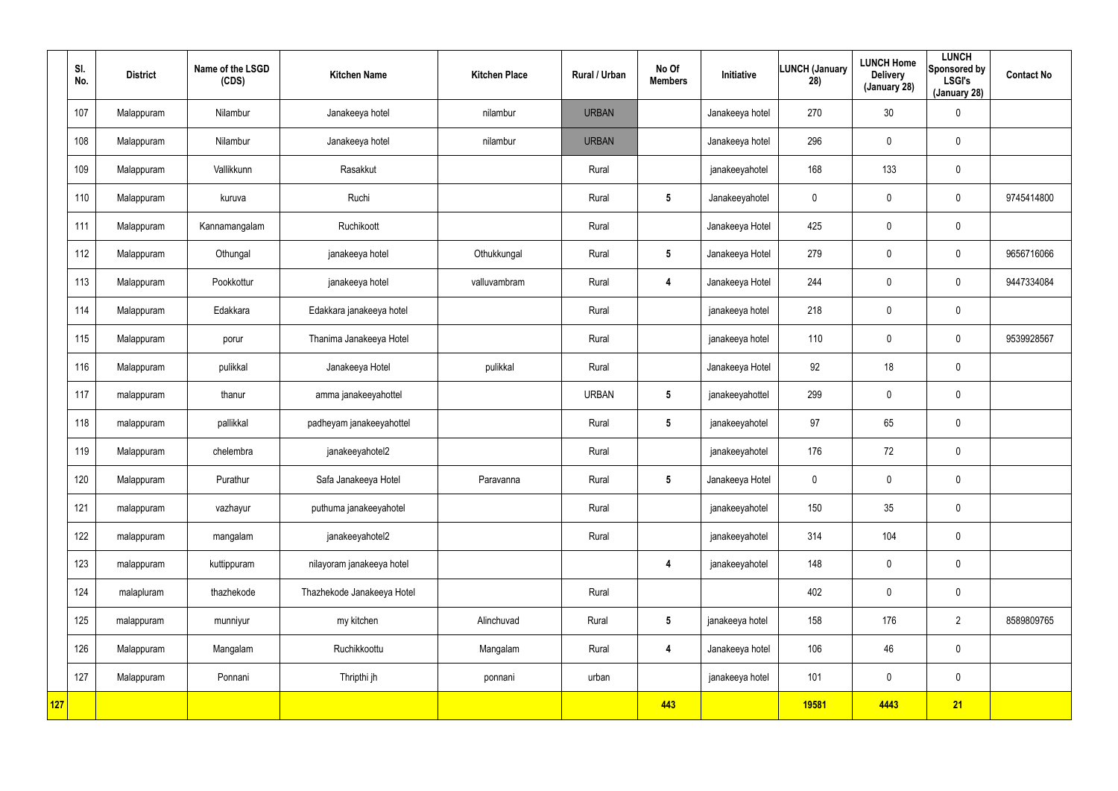|     | SI.<br>No. | <b>District</b> | Name of the LSGD<br>(CDS) | <b>Kitchen Name</b>        | <b>Kitchen Place</b> | Rural / Urban | No Of<br><b>Members</b> | Initiative      | <b>LUNCH (January</b><br>28) | <b>LUNCH Home</b><br><b>Delivery</b><br>(January 28) | <b>LUNCH</b><br>Sponsored by<br><b>LSGI's</b><br>(January 28) | <b>Contact No</b> |
|-----|------------|-----------------|---------------------------|----------------------------|----------------------|---------------|-------------------------|-----------------|------------------------------|------------------------------------------------------|---------------------------------------------------------------|-------------------|
|     | 107        | Malappuram      | Nilambur                  | Janakeeya hotel            | nilambur             | <b>URBAN</b>  |                         | Janakeeya hotel | 270                          | 30                                                   | $\pmb{0}$                                                     |                   |
|     | 108        | Malappuram      | Nilambur                  | Janakeeya hotel            | nilambur             | <b>URBAN</b>  |                         | Janakeeya hotel | 296                          | 0                                                    | $\mathbf 0$                                                   |                   |
|     | 109        | Malappuram      | Vallikkunn                | Rasakkut                   |                      | Rural         |                         | janakeeyahotel  | 168                          | 133                                                  | $\mathbf 0$                                                   |                   |
|     | 110        | Malappuram      | kuruva                    | Ruchi                      |                      | Rural         | $5\phantom{.0}$         | Janakeeyahotel  | $\mathbf 0$                  | 0                                                    | $\mathbf 0$                                                   | 9745414800        |
|     | 111        | Malappuram      | Kannamangalam             | Ruchikoott                 |                      | Rural         |                         | Janakeeya Hotel | 425                          | $\mathbf 0$                                          | $\mathbf 0$                                                   |                   |
|     | 112        | Malappuram      | Othungal                  | janakeeya hotel            | Othukkungal          | Rural         | $5\phantom{.0}$         | Janakeeya Hotel | 279                          | 0                                                    | $\mathbf 0$                                                   | 9656716066        |
|     | 113        | Malappuram      | Pookkottur                | janakeeya hotel            | valluvambram         | Rural         | 4                       | Janakeeya Hotel | 244                          | $\mathbf 0$                                          | $\mathbf 0$                                                   | 9447334084        |
|     | 114        | Malappuram      | Edakkara                  | Edakkara janakeeya hotel   |                      | Rural         |                         | janakeeya hotel | 218                          | 0                                                    | $\mathbf 0$                                                   |                   |
|     | 115        | Malappuram      | porur                     | Thanima Janakeeya Hotel    |                      | Rural         |                         | janakeeya hotel | 110                          | $\mathbf 0$                                          | $\mathbf 0$                                                   | 9539928567        |
|     | 116        | Malappuram      | pulikkal                  | Janakeeya Hotel            | pulikkal             | Rural         |                         | Janakeeya Hotel | 92                           | 18                                                   | $\mathbf 0$                                                   |                   |
|     | 117        | malappuram      | thanur                    | amma janakeeyahottel       |                      | <b>URBAN</b>  | $5\phantom{.0}$         | janakeeyahottel | 299                          | $\mathbf 0$                                          | $\mathbf 0$                                                   |                   |
|     | 118        | malappuram      | pallikkal                 | padheyam janakeeyahottel   |                      | Rural         | $5\phantom{.0}$         | janakeeyahotel  | 97                           | 65                                                   | $\mathbf 0$                                                   |                   |
|     | 119        | Malappuram      | chelembra                 | janakeeyahotel2            |                      | Rural         |                         | janakeeyahotel  | 176                          | 72                                                   | $\pmb{0}$                                                     |                   |
|     | 120        | Malappuram      | Purathur                  | Safa Janakeeya Hotel       | Paravanna            | Rural         | $5\phantom{.0}$         | Janakeeya Hotel | $\mathbf 0$                  | $\pmb{0}$                                            | $\pmb{0}$                                                     |                   |
|     | 121        | malappuram      | vazhayur                  | puthuma janakeeyahotel     |                      | Rural         |                         | janakeeyahotel  | 150                          | 35                                                   | $\mathbf 0$                                                   |                   |
|     | 122        | malappuram      | mangalam                  | janakeeyahotel2            |                      | Rural         |                         | janakeeyahotel  | 314                          | 104                                                  | $\mathbf 0$                                                   |                   |
|     | 123        | malappuram      | kuttippuram               | nilayoram janakeeya hotel  |                      |               | $\overline{\mathbf{4}}$ | janakeeyahotel  | 148                          | $\pmb{0}$                                            | $\mathbf 0$                                                   |                   |
|     | 124        | malapluram      | thazhekode                | Thazhekode Janakeeya Hotel |                      | Rural         |                         |                 | 402                          | 0                                                    | $\mathbf 0$                                                   |                   |
|     | 125        | malappuram      | munniyur                  | my kitchen                 | Alinchuvad           | Rural         | $5\phantom{.0}$         | janakeeya hotel | 158                          | 176                                                  | $\overline{2}$                                                | 8589809765        |
|     | 126        | Malappuram      | Mangalam                  | Ruchikkoottu               | Mangalam             | Rural         | $\overline{\mathbf{4}}$ | Janakeeya hotel | 106                          | 46                                                   | $\mathbf 0$                                                   |                   |
|     | 127        | Malappuram      | Ponnani                   | Thripthi jh                | ponnani              | urban         |                         | janakeeya hotel | 101                          | $\pmb{0}$                                            | $\mathbf 0$                                                   |                   |
| 127 |            |                 |                           |                            |                      |               | 443                     |                 | 19581                        | 4443                                                 | 21                                                            |                   |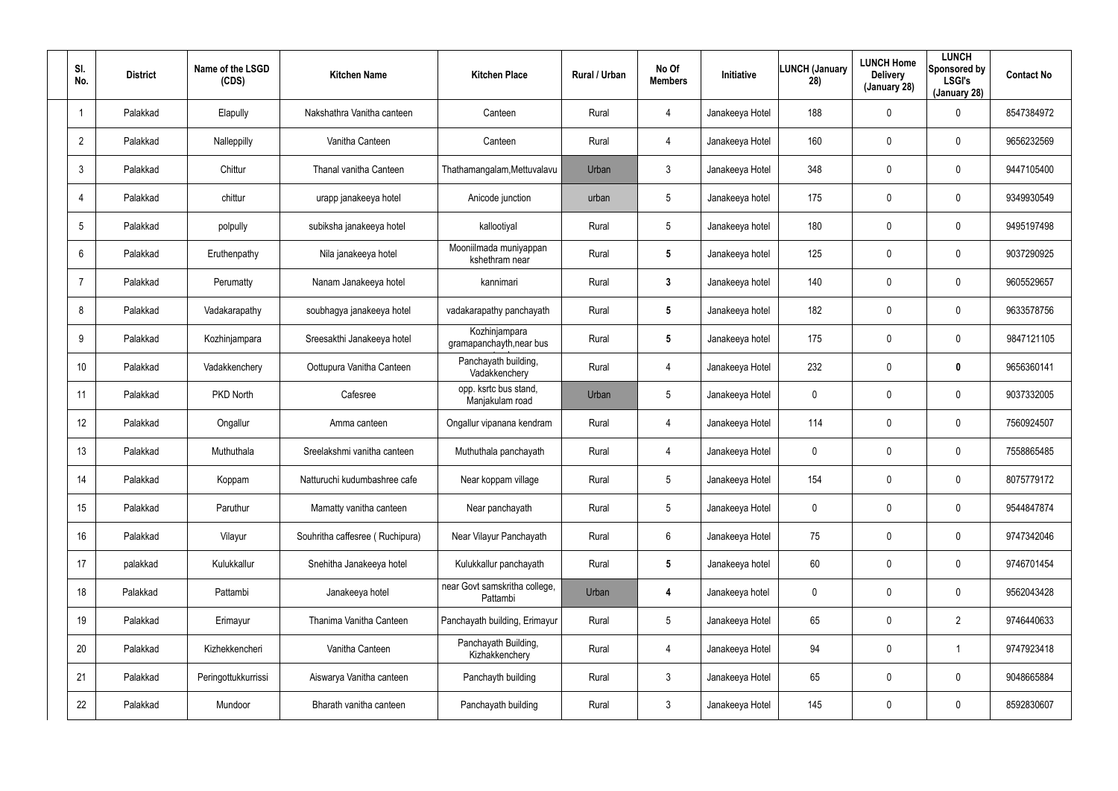| SI.<br>No.      | <b>District</b> | Name of the LSGD<br>(CDS) | <b>Kitchen Name</b>             | <b>Kitchen Place</b>                      | Rural / Urban | No Of<br><b>Members</b> | Initiative      | <b>LUNCH (January</b><br>28) | <b>LUNCH Home</b><br><b>Delivery</b><br>(January 28) | <b>LUNCH</b><br>Sponsored by<br><b>LSGI's</b><br>(January 28) | <b>Contact No</b> |
|-----------------|-----------------|---------------------------|---------------------------------|-------------------------------------------|---------------|-------------------------|-----------------|------------------------------|------------------------------------------------------|---------------------------------------------------------------|-------------------|
|                 | Palakkad        | Elapully                  | Nakshathra Vanitha canteen      | Canteen                                   | Rural         | 4                       | Janakeeya Hotel | 188                          | $\mathbf 0$                                          | 0                                                             | 8547384972        |
| $\overline{2}$  | Palakkad        | Nalleppilly               | Vanitha Canteen                 | Canteen                                   | Rural         | 4                       | Janakeeya Hotel | 160                          | $\mathbf 0$                                          | 0                                                             | 9656232569        |
| 3               | Palakkad        | Chittur                   | Thanal vanitha Canteen          | Thathamangalam, Mettuvalavu               | Urban         | 3                       | Janakeeya Hotel | 348                          | $\mathbf 0$                                          | 0                                                             | 9447105400        |
| $\overline{4}$  | Palakkad        | chittur                   | urapp janakeeya hotel           | Anicode junction                          | urban         | 5                       | Janakeeya hotel | 175                          | $\mathbf 0$                                          | 0                                                             | 9349930549        |
| 5               | Palakkad        | polpully                  | subiksha janakeeya hotel        | kallootiyal                               | Rural         | 5                       | Janakeeya hotel | 180                          | $\mathbf 0$                                          | 0                                                             | 9495197498        |
| 6               | Palakkad        | Eruthenpathy              | Nila janakeeya hotel            | Mooniilmada muniyappan<br>kshethram near  | Rural         | 5                       | Janakeeya hotel | 125                          | 0                                                    | 0                                                             | 9037290925        |
| $\overline{7}$  | Palakkad        | Perumatty                 | Nanam Janakeeya hotel           | kannimari                                 | Rural         | 3                       | Janakeeya hotel | 140                          | 0                                                    | 0                                                             | 9605529657        |
| 8               | Palakkad        | Vadakarapathy             | soubhagya janakeeya hotel       | vadakarapathy panchayath                  | Rural         | 5                       | Janakeeya hotel | 182                          | 0                                                    | 0                                                             | 9633578756        |
| 9               | Palakkad        | Kozhinjampara             | Sreesakthi Janakeeya hotel      | Kozhinjampara<br>gramapanchayth, near bus | Rural         | $5\phantom{.0}$         | Janakeeya hotel | 175                          | 0                                                    | 0                                                             | 9847121105        |
| 10 <sup>°</sup> | Palakkad        | Vadakkenchery             | Oottupura Vanitha Canteen       | Panchayath building,<br>Vadakkenchery     | Rural         | 4                       | Janakeeya Hotel | 232                          | 0                                                    | 0                                                             | 9656360141        |
| 11              | Palakkad        | PKD North                 | Cafesree                        | opp. ksrtc bus stand,<br>Manjakulam road  | Urban         | $5\overline{)}$         | Janakeeya Hotel | 0                            | 0                                                    | 0                                                             | 9037332005        |
| 12              | Palakkad        | Ongallur                  | Amma canteen                    | Ongallur vipanana kendram                 | Rural         | 4                       | Janakeeya Hotel | 114                          | 0                                                    | 0                                                             | 7560924507        |
| 13              | Palakkad        | Muthuthala                | Sreelakshmi vanitha canteen     | Muthuthala panchayath                     | Rural         | 4                       | Janakeeya Hotel | 0                            | 0                                                    | 0                                                             | 7558865485        |
| 14              | Palakkad        | Koppam                    | Natturuchi kudumbashree cafe    | Near koppam village                       | Rural         | $5\overline{)}$         | Janakeeya Hotel | 154                          | $\mathbf 0$                                          | 0                                                             | 8075779172        |
| 15              | Palakkad        | Paruthur                  | Mamatty vanitha canteen         | Near panchayath                           | Rural         | $5\phantom{.0}$         | Janakeeya Hotel | 0                            | $\mathbf 0$                                          | 0                                                             | 9544847874        |
| 16              | Palakkad        | Vilayur                   | Souhritha caffesree (Ruchipura) | Near Vilayur Panchayath                   | Rural         | 6                       | Janakeeya Hotel | 75                           | $\mathbf 0$                                          | 0                                                             | 9747342046        |
| 17              | palakkad        | Kulukkallur               | Snehitha Janakeeya hotel        | Kulukkallur panchayath                    | Rural         | $5\phantom{.0}$         | Janakeeya hotel | 60                           | $\boldsymbol{0}$                                     | 0                                                             | 9746701454        |
| 18              | Palakkad        | Pattambi                  | Janakeeya hotel                 | near Govt samskritha college,<br>Pattambi | Urban         | 4                       | Janakeeya hotel | 0                            | $\pmb{0}$                                            | 0                                                             | 9562043428        |
| 19              | Palakkad        | Erimayur                  | Thanima Vanitha Canteen         | Panchayath building, Erimayur             | Rural         | $5\phantom{.0}$         | Janakeeya Hotel | 65                           | $\boldsymbol{0}$                                     | $\overline{2}$                                                | 9746440633        |
| 20              | Palakkad        | Kizhekkencheri            | Vanitha Canteen                 | Panchayath Building,<br>Kizhakkenchery    | Rural         | 4                       | Janakeeya Hotel | 94                           | $\boldsymbol{0}$                                     |                                                               | 9747923418        |
| 21              | Palakkad        | Peringottukkurrissi       | Aiswarya Vanitha canteen        | Panchayth building                        | Rural         | $\mathbf{3}$            | Janakeeya Hotel | 65                           | $\boldsymbol{0}$                                     | 0                                                             | 9048665884        |
| 22              | Palakkad        | Mundoor                   | Bharath vanitha canteen         | Panchayath building                       | Rural         | $\mathfrak{Z}$          | Janakeeya Hotel | 145                          | $\mathbf 0$                                          | 0                                                             | 8592830607        |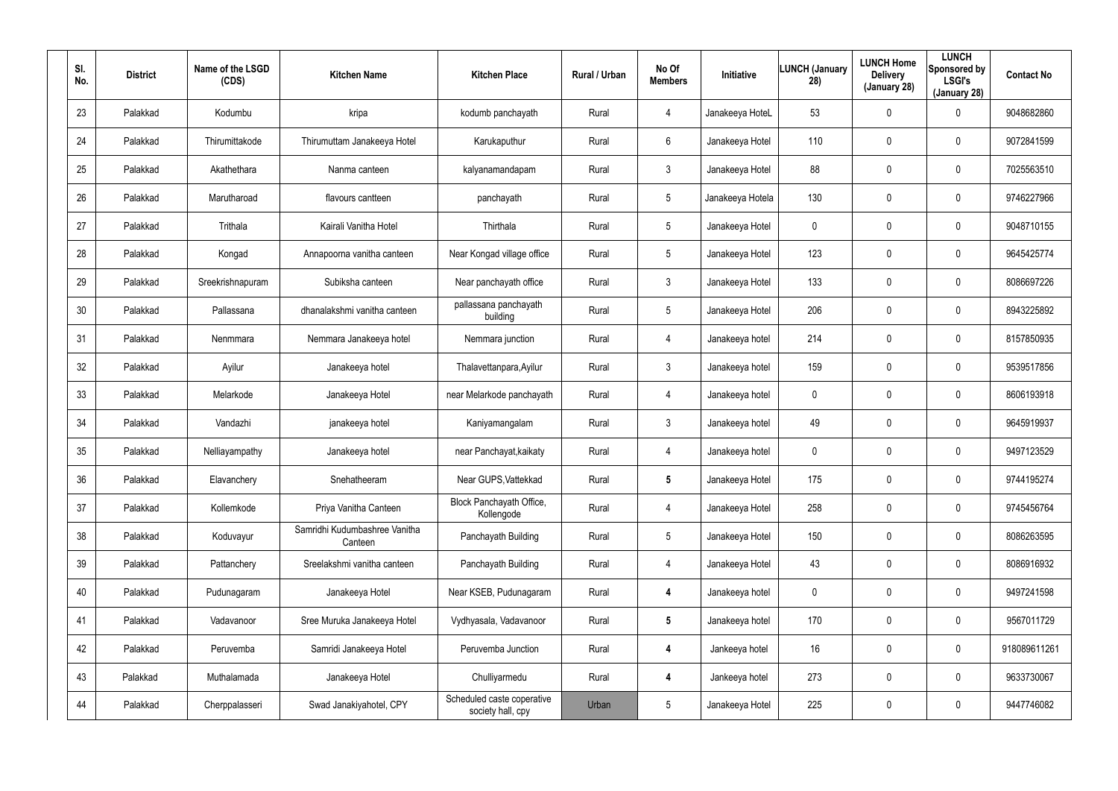| SI.<br>No. | <b>District</b> | Name of the LSGD<br>(CDS) | <b>Kitchen Name</b>                      | <b>Kitchen Place</b>                            | Rural / Urban | No Of<br><b>Members</b> | Initiative       | <b>LUNCH (January</b><br>28) | <b>LUNCH Home</b><br><b>Delivery</b><br>(January 28) | <b>LUNCH</b><br>Sponsored by<br><b>LSGI's</b><br>(January 28) | <b>Contact No</b> |
|------------|-----------------|---------------------------|------------------------------------------|-------------------------------------------------|---------------|-------------------------|------------------|------------------------------|------------------------------------------------------|---------------------------------------------------------------|-------------------|
| 23         | Palakkad        | Kodumbu                   | kripa                                    | kodumb panchayath                               | Rural         | $\overline{4}$          | Janakeeya HoteL  | 53                           | 0                                                    | 0                                                             | 9048682860        |
| 24         | Palakkad        | Thirumittakode            | Thirumuttam Janakeeya Hotel              | Karukaputhur                                    | Rural         | 6                       | Janakeeya Hotel  | 110                          | 0                                                    | $\mathbf 0$                                                   | 9072841599        |
| 25         | Palakkad        | Akathethara               | Nanma canteen                            | kalyanamandapam                                 | Rural         | 3                       | Janakeeya Hotel  | 88                           | 0                                                    | $\mathbf 0$                                                   | 7025563510        |
| 26         | Palakkad        | Marutharoad               | flavours cantteen                        | panchayath                                      | Rural         | 5                       | Janakeeya Hotela | 130                          | 0                                                    | $\mathbf 0$                                                   | 9746227966        |
| 27         | Palakkad        | Trithala                  | Kairali Vanitha Hotel                    | Thirthala                                       | Rural         | 5                       | Janakeeya Hotel  | 0                            | 0                                                    | $\mathbf 0$                                                   | 9048710155        |
| 28         | Palakkad        | Kongad                    | Annapoorna vanitha canteen               | Near Kongad village office                      | Rural         | 5                       | Janakeeya Hotel  | 123                          | $\mathbf 0$                                          | $\mathbf 0$                                                   | 9645425774        |
| 29         | Palakkad        | Sreekrishnapuram          | Subiksha canteen                         | Near panchayath office                          | Rural         | $\mathbf{3}$            | Janakeeya Hotel  | 133                          | $\boldsymbol{0}$                                     | 0                                                             | 8086697226        |
| 30         | Palakkad        | Pallassana                | dhanalakshmi vanitha canteen             | pallassana panchayath<br>building               | Rural         | 5                       | Janakeeya Hotel  | 206                          | $\boldsymbol{0}$                                     | $\mathbf 0$                                                   | 8943225892        |
| 31         | Palakkad        | Nenmmara                  | Nemmara Janakeeya hotel                  | Nemmara junction                                | Rural         | $\overline{4}$          | Janakeeya hotel  | 214                          | $\boldsymbol{0}$                                     | 0                                                             | 8157850935        |
| 32         | Palakkad        | Ayilur                    | Janakeeya hotel                          | Thalavettanpara, Ayilur                         | Rural         | $\mathbf{3}$            | Janakeeya hotel  | 159                          | 0                                                    | $\mathbf 0$                                                   | 9539517856        |
| 33         | Palakkad        | Melarkode                 | Janakeeya Hotel                          | near Melarkode panchayath                       | Rural         | 4                       | Janakeeya hotel  | 0                            | 0                                                    | 0                                                             | 8606193918        |
| 34         | Palakkad        | Vandazhi                  | janakeeya hotel                          | Kaniyamangalam                                  | Rural         | $\mathbf{3}$            | Janakeeya hotel  | 49                           | $\boldsymbol{0}$                                     | $\mathbf 0$                                                   | 9645919937        |
| 35         | Palakkad        | Nelliayampathy            | Janakeeya hotel                          | near Panchayat, kaikaty                         | Rural         | 4                       | Janakeeya hotel  | 0                            | $\boldsymbol{0}$                                     | $\mathbf 0$                                                   | 9497123529        |
| 36         | Palakkad        | Elavanchery               | Snehatheeram                             | Near GUPS, Vattekkad                            | Rural         | $5\phantom{.0}$         | Janakeeya Hotel  | 175                          | $\pmb{0}$                                            | $\pmb{0}$                                                     | 9744195274        |
| 37         | Palakkad        | Kollemkode                | Priya Vanitha Canteen                    | Block Panchayath Office,<br>Kollengode          | Rural         | $\overline{4}$          | Janakeeya Hotel  | 258                          | $\boldsymbol{0}$                                     | 0                                                             | 9745456764        |
| 38         | Palakkad        | Koduvayur                 | Samridhi Kudumbashree Vanitha<br>Canteen | Panchayath Building                             | Rural         | 5                       | Janakeeya Hotel  | 150                          | $\pmb{0}$                                            | $\pmb{0}$                                                     | 8086263595        |
| 39         | Palakkad        | Pattanchery               | Sreelakshmi vanitha canteen              | Panchayath Building                             | Rural         | $\overline{4}$          | Janakeeya Hotel  | 43                           | $\boldsymbol{0}$                                     | $\pmb{0}$                                                     | 8086916932        |
| 40         | Palakkad        | Pudunagaram               | Janakeeya Hotel                          | Near KSEB, Pudunagaram                          | Rural         | $\overline{\mathbf{4}}$ | Janakeeya hotel  | 0                            | $\pmb{0}$                                            | $\pmb{0}$                                                     | 9497241598        |
| 41         | Palakkad        | Vadavanoor                | Sree Muruka Janakeeya Hotel              | Vydhyasala, Vadavanoor                          | Rural         | $5\phantom{.0}$         | Janakeeya hotel  | 170                          | $\pmb{0}$                                            | 0                                                             | 9567011729        |
| 42         | Palakkad        | Peruvemba                 | Samridi Janakeeya Hotel                  | Peruvemba Junction                              | Rural         | $\overline{\mathbf{4}}$ | Jankeeya hotel   | 16                           | $\pmb{0}$                                            | $\pmb{0}$                                                     | 918089611261      |
| 43         | Palakkad        | Muthalamada               | Janakeeya Hotel                          | Chulliyarmedu                                   | Rural         | 4                       | Jankeeya hotel   | 273                          | $\pmb{0}$                                            | 0                                                             | 9633730067        |
| 44         | Palakkad        | Cherppalasseri            | Swad Janakiyahotel, CPY                  | Scheduled caste coperative<br>society hall, cpy | Urban         | $5\phantom{.0}$         | Janakeeya Hotel  | 225                          | $\boldsymbol{0}$                                     | 0                                                             | 9447746082        |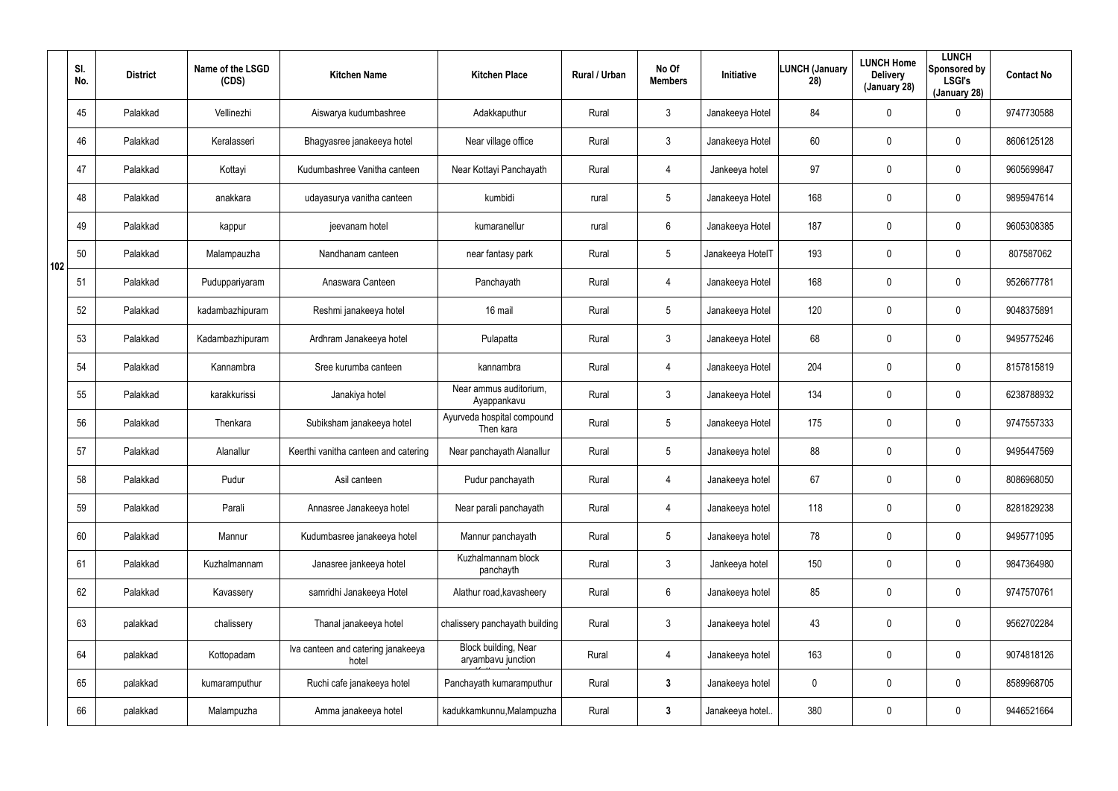|     | SI.<br>No. | <b>District</b> | Name of the LSGD<br>(CDS) | <b>Kitchen Name</b>                         | <b>Kitchen Place</b>                       | Rural / Urban | No Of<br><b>Members</b> | Initiative       | <b>LUNCH (January</b><br>28) | <b>LUNCH Home</b><br><b>Delivery</b><br>(January 28) | <b>LUNCH</b><br>Sponsored by<br><b>LSGI's</b><br>(January 28) | <b>Contact No</b> |
|-----|------------|-----------------|---------------------------|---------------------------------------------|--------------------------------------------|---------------|-------------------------|------------------|------------------------------|------------------------------------------------------|---------------------------------------------------------------|-------------------|
|     | 45         | Palakkad        | Vellinezhi                | Aiswarya kudumbashree                       | Adakkaputhur                               | Rural         | 3                       | Janakeeya Hotel  | 84                           | 0                                                    | $\mathbf 0$                                                   | 9747730588        |
|     | 46         | Palakkad        | Keralasseri               | Bhagyasree janakeeya hotel                  | Near village office                        | Rural         | $\mathbf{3}$            | Janakeeya Hotel  | 60                           | 0                                                    | $\boldsymbol{0}$                                              | 8606125128        |
|     | 47         | Palakkad        | Kottayi                   | Kudumbashree Vanitha canteen                | Near Kottayi Panchayath                    | Rural         | 4                       | Jankeeya hotel   | 97                           | 0                                                    | $\boldsymbol{0}$                                              | 9605699847        |
|     | 48         | Palakkad        | anakkara                  | udayasurya vanitha canteen                  | kumbidi                                    | rural         | $5\phantom{.0}$         | Janakeeya Hotel  | 168                          | 0                                                    | $\boldsymbol{0}$                                              | 9895947614        |
|     | 49         | Palakkad        | kappur                    | jeevanam hotel                              | kumaranellur                               | rural         | $6\phantom{.}$          | Janakeeya Hotel  | 187                          | 0                                                    | $\boldsymbol{0}$                                              | 9605308385        |
| 102 | 50         | Palakkad        | Malampauzha               | Nandhanam canteen                           | near fantasy park                          | Rural         | $5\phantom{.0}$         | Janakeeya HotelT | 193                          | 0                                                    | $\boldsymbol{0}$                                              | 807587062         |
|     | 51         | Palakkad        | Puduppariyaram            | Anaswara Canteen                            | Panchayath                                 | Rural         | 4                       | Janakeeya Hotel  | 168                          | 0                                                    | $\mathbf 0$                                                   | 9526677781        |
|     | 52         | Palakkad        | kadambazhipuram           | Reshmi janakeeya hotel                      | 16 mail                                    | Rural         | $5\phantom{.0}$         | Janakeeya Hotel  | 120                          | 0                                                    | $\mathbf 0$                                                   | 9048375891        |
|     | 53         | Palakkad        | Kadambazhipuram           | Ardhram Janakeeya hotel                     | Pulapatta                                  | Rural         | $\mathfrak{Z}$          | Janakeeya Hotel  | 68                           | 0                                                    | $\mathbf 0$                                                   | 9495775246        |
|     | 54         | Palakkad        | Kannambra                 | Sree kurumba canteen                        | kannambra                                  | Rural         | 4                       | Janakeeya Hotel  | 204                          | 0                                                    | $\mathbf 0$                                                   | 8157815819        |
|     | 55         | Palakkad        | karakkurissi              | Janakiya hotel                              | Near ammus auditorium,<br>Ayappankavu      | Rural         | $\mathfrak{Z}$          | Janakeeya Hotel  | 134                          | 0                                                    | $\mathbf 0$                                                   | 6238788932        |
|     | 56         | Palakkad        | Thenkara                  | Subiksham janakeeya hotel                   | Ayurveda hospital compound<br>Then kara    | Rural         | $5\phantom{.0}$         | Janakeeya Hotel  | 175                          | 0                                                    | $\mathbf 0$                                                   | 9747557333        |
|     | 57         | Palakkad        | Alanallur                 | Keerthi vanitha canteen and catering        | Near panchayath Alanallur                  | Rural         | $5\phantom{.0}$         | Janakeeya hotel  | 88                           | 0                                                    | $\mathbf 0$                                                   | 9495447569        |
|     | 58         | Palakkad        | Pudur                     | Asil canteen                                | Pudur panchayath                           | Rural         | 4                       | Janakeeya hotel  | 67                           | 0                                                    | $\pmb{0}$                                                     | 8086968050        |
|     | 59         | Palakkad        | Parali                    | Annasree Janakeeya hotel                    | Near parali panchayath                     | Rural         | 4                       | Janakeeya hotel  | 118                          | 0                                                    | $\pmb{0}$                                                     | 8281829238        |
|     | 60         | Palakkad        | Mannur                    | Kudumbasree janakeeya hotel                 | Mannur panchayath                          | Rural         | $5\phantom{.0}$         | Janakeeya hotel  | 78                           | 0                                                    | $\pmb{0}$                                                     | 9495771095        |
|     | 61         | Palakkad        | Kuzhalmannam              | Janasree jankeeya hotel                     | Kuzhalmannam block<br>panchayth            | Rural         | $\mathbf{3}$            | Jankeeya hotel   | 150                          | 0                                                    | $\mathbf 0$                                                   | 9847364980        |
|     | 62         | Palakkad        | Kavassery                 | samridhi Janakeeya Hotel                    | Alathur road, kavasheery                   | Rural         | $6\phantom{.0}$         | Janakeeya hotel  | 85                           | 0                                                    | $\pmb{0}$                                                     | 9747570761        |
|     | 63         | palakkad        | chalissery                | Thanal janakeeya hotel                      | chalissery panchayath building             | Rural         | $\mathfrak{Z}$          | Janakeeya hotel  | 43                           | $\mathbf 0$                                          | $\mathbf 0$                                                   | 9562702284        |
|     | 64         | palakkad        | Kottopadam                | Iva canteen and catering janakeeya<br>hotel | Block building, Near<br>aryambavu junction | Rural         | 4                       | Janakeeya hotel  | 163                          | 0                                                    | $\mathbf 0$                                                   | 9074818126        |
|     | 65         | palakkad        | kumaramputhur             | Ruchi cafe janakeeya hotel                  | Panchayath kumaramputhur                   | Rural         | $3\phantom{a}$          | Janakeeya hotel  | 0                            | 0                                                    | $\pmb{0}$                                                     | 8589968705        |
|     | 66         | palakkad        | Malampuzha                | Amma janakeeya hotel                        | kadukkamkunnu, Malampuzha                  | Rural         | $\mathbf{3}$            | Janakeeya hotel  | 380                          | 0                                                    | $\pmb{0}$                                                     | 9446521664        |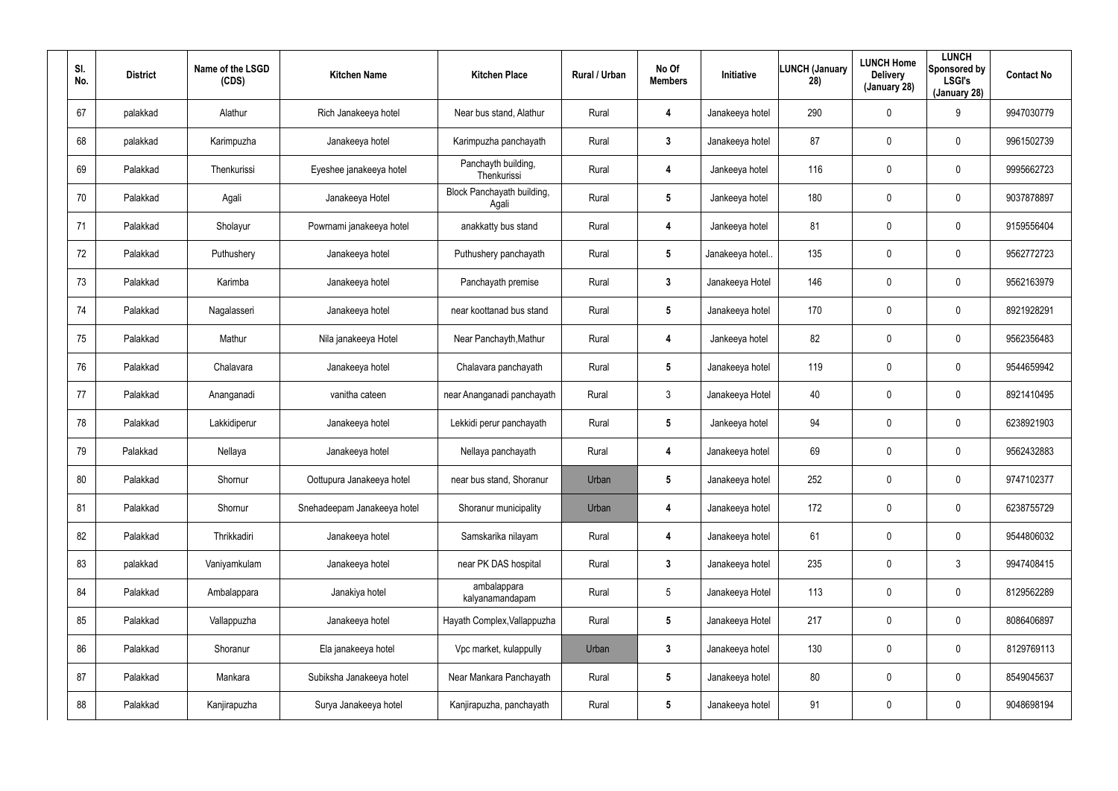| SI.<br>No. | <b>District</b> | Name of the LSGD<br>(CDS) | <b>Kitchen Name</b>         | <b>Kitchen Place</b>                | Rural / Urban | No Of<br><b>Members</b> | <b>Initiative</b> | <b>LUNCH (January</b><br>28) | <b>LUNCH Home</b><br><b>Delivery</b><br>(January 28) | <b>LUNCH</b><br>Sponsored by<br><b>LSGI's</b><br>(January 28) | <b>Contact No</b> |
|------------|-----------------|---------------------------|-----------------------------|-------------------------------------|---------------|-------------------------|-------------------|------------------------------|------------------------------------------------------|---------------------------------------------------------------|-------------------|
| 67         | palakkad        | Alathur                   | Rich Janakeeya hotel        | Near bus stand, Alathur             | Rural         | 4                       | Janakeeya hotel   | 290                          | $\mathbf 0$                                          | 9                                                             | 9947030779        |
| 68         | palakkad        | Karimpuzha                | Janakeeya hotel             | Karimpuzha panchayath               | Rural         | 3                       | Janakeeya hotel   | 87                           | 0                                                    | 0                                                             | 9961502739        |
| 69         | Palakkad        | Thenkurissi               | Eyeshee janakeeya hotel     | Panchayth building,<br>Thenkurissi  | Rural         | 4                       | Jankeeya hotel    | 116                          | $\mathbf 0$                                          | 0                                                             | 9995662723        |
| 70         | Palakkad        | Agali                     | Janakeeya Hotel             | Block Panchayath building,<br>Agali | Rural         | 5                       | Jankeeya hotel    | 180                          | 0                                                    | 0                                                             | 9037878897        |
| 71         | Palakkad        | Sholayur                  | Powrnami janakeeya hotel    | anakkatty bus stand                 | Rural         | 4                       | Jankeeya hotel    | 81                           | $\mathbf 0$                                          | 0                                                             | 9159556404        |
| 72         | Palakkad        | Puthushery                | Janakeeya hotel             | Puthushery panchayath               | Rural         | $\sqrt{5}$              | Janakeeya hotel.  | 135                          | 0                                                    | 0                                                             | 9562772723        |
| 73         | Palakkad        | Karimba                   | Janakeeya hotel             | Panchayath premise                  | Rural         | $\mathbf{3}$            | Janakeeya Hotel   | 146                          | $\overline{0}$                                       | 0                                                             | 9562163979        |
| 74         | Palakkad        | Nagalasseri               | Janakeeya hotel             | near koottanad bus stand            | Rural         | 5                       | Janakeeya hotel   | 170                          | $\boldsymbol{0}$                                     | 0                                                             | 8921928291        |
| 75         | Palakkad        | Mathur                    | Nila janakeeya Hotel        | Near Panchayth, Mathur              | Rural         | 4                       | Jankeeya hotel    | 82                           | $\overline{0}$                                       | 0                                                             | 9562356483        |
| 76         | Palakkad        | Chalavara                 | Janakeeya hotel             | Chalavara panchayath                | Rural         | 5                       | Janakeeya hotel   | 119                          | $\boldsymbol{0}$                                     | 0                                                             | 9544659942        |
| 77         | Palakkad        | Ananganadi                | vanitha cateen              | near Ananganadi panchayath          | Rural         | $\mathbf{3}$            | Janakeeya Hotel   | 40                           | $\overline{0}$                                       | 0                                                             | 8921410495        |
| 78         | Palakkad        | Lakkidiperur              | Janakeeya hotel             | Lekkidi perur panchayath            | Rural         | 5                       | Jankeeya hotel    | 94                           | 0                                                    | 0                                                             | 6238921903        |
| 79         | Palakkad        | Nellaya                   | Janakeeya hotel             | Nellaya panchayath                  | Rural         | 4                       | Janakeeya hotel   | 69                           | $\mathbf 0$                                          | 0                                                             | 9562432883        |
| 80         | Palakkad        | Shornur                   | Oottupura Janakeeya hotel   | near bus stand, Shoranur            | Urban         | $\overline{\mathbf{5}}$ | Janakeeya hotel   | 252                          | $\mathbf 0$                                          | 0                                                             | 9747102377        |
| 81         | Palakkad        | Shornur                   | Snehadeepam Janakeeya hotel | Shoranur municipality               | Urban         | 4                       | Janakeeya hotel   | 172                          | $\overline{0}$                                       | 0                                                             | 6238755729        |
| 82         | Palakkad        | Thrikkadiri               | Janakeeya hotel             | Samskarika nilayam                  | Rural         | 4                       | Janakeeya hotel   | 61                           | $\mathbf 0$                                          | 0                                                             | 9544806032        |
| 83         | palakkad        | Vaniyamkulam              | Janakeeya hotel             | near PK DAS hospital                | Rural         | $\mathbf{3}$            | Janakeeya hotel   | 235                          | $\boldsymbol{0}$                                     | $\mathfrak{Z}$                                                | 9947408415        |
| 84         | Palakkad        | Ambalappara               | Janakiya hotel              | ambalappara<br>kalyanamandapam      | Rural         | $5\phantom{.0}$         | Janakeeya Hotel   | 113                          | $\mathbf 0$                                          | 0                                                             | 8129562289        |
| 85         | Palakkad        | Vallappuzha               | Janakeeya hotel             | Hayath Complex, Vallappuzha         | Rural         | $5\phantom{.0}$         | Janakeeya Hotel   | 217                          | $\overline{0}$                                       | 0                                                             | 8086406897        |
| 86         | Palakkad        | Shoranur                  | Ela janakeeya hotel         | Vpc market, kulappully              | Urban         | $\mathbf{3}$            | Janakeeya hotel   | 130                          | $\mathbf 0$                                          | 0                                                             | 8129769113        |
| 87         | Palakkad        | Mankara                   | Subiksha Janakeeya hotel    | Near Mankara Panchayath             | Rural         | $5\phantom{.0}$         | Janakeeya hotel   | 80                           | $\overline{0}$                                       | 0                                                             | 8549045637        |
| 88         | Palakkad        | Kanjirapuzha              | Surya Janakeeya hotel       | Kanjirapuzha, panchayath            | Rural         | $5\phantom{.0}$         | Janakeeya hotel   | 91                           | $\mathbf 0$                                          | 0                                                             | 9048698194        |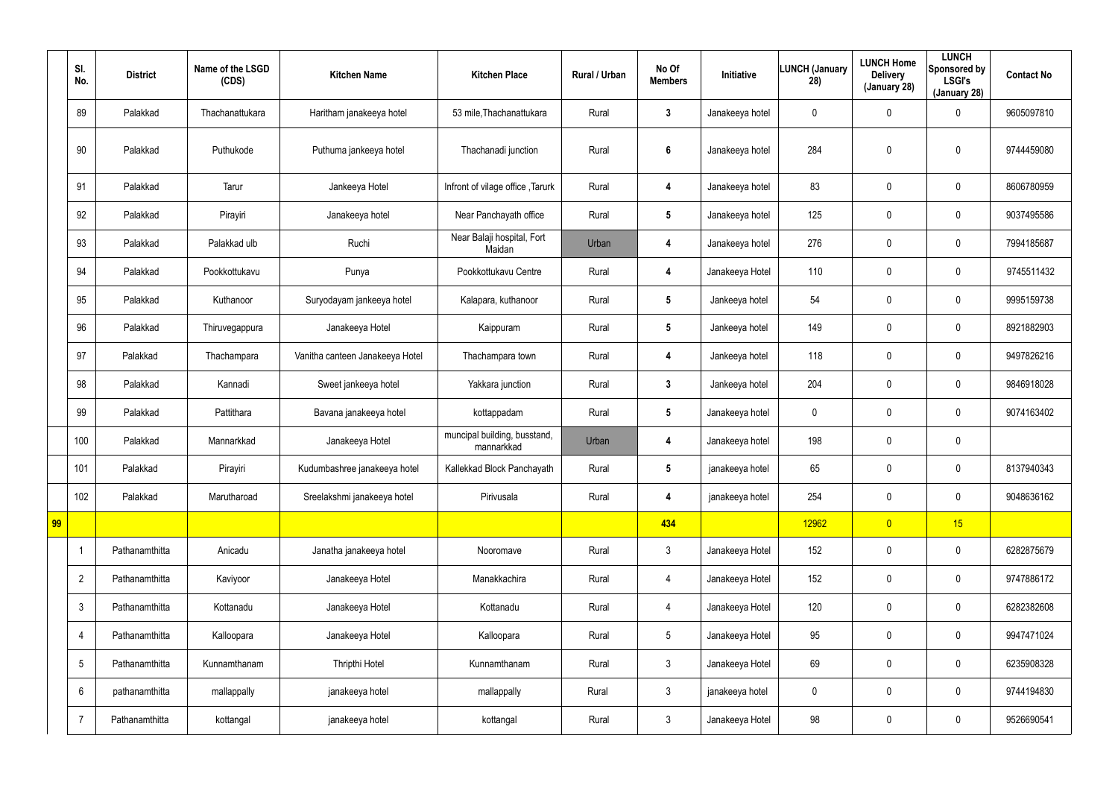|    | SI.<br>No.      | <b>District</b> | Name of the LSGD<br>(CDS) | <b>Kitchen Name</b>             | <b>Kitchen Place</b>                       | Rural / Urban | No Of<br><b>Members</b> | Initiative      | <b>LUNCH (January</b><br>28) | <b>LUNCH Home</b><br><b>Delivery</b><br>(January 28) | <b>LUNCH</b><br>Sponsored by<br><b>LSGI's</b><br>(January 28) | <b>Contact No</b> |
|----|-----------------|-----------------|---------------------------|---------------------------------|--------------------------------------------|---------------|-------------------------|-----------------|------------------------------|------------------------------------------------------|---------------------------------------------------------------|-------------------|
|    | 89              | Palakkad        | Thachanattukara           | Haritham janakeeya hotel        | 53 mile, Thachanattukara                   | Rural         | $\mathbf{3}$            | Janakeeya hotel | 0                            | 0                                                    | $\mathbf 0$                                                   | 9605097810        |
|    | 90              | Palakkad        | Puthukode                 | Puthuma jankeeya hotel          | Thachanadi junction                        | Rural         | $\boldsymbol{6}$        | Janakeeya hotel | 284                          | 0                                                    | $\pmb{0}$                                                     | 9744459080        |
|    | 91              | Palakkad        | Tarur                     | Jankeeya Hotel                  | Infront of vilage office, Tarurk           | Rural         | 4                       | Janakeeya hotel | 83                           | 0                                                    | $\mathbf 0$                                                   | 8606780959        |
|    | 92              | Palakkad        | Pirayiri                  | Janakeeya hotel                 | Near Panchayath office                     | Rural         | $5\phantom{.0}$         | Janakeeya hotel | 125                          | 0                                                    | $\mathbf 0$                                                   | 9037495586        |
|    | 93              | Palakkad        | Palakkad ulb              | Ruchi                           | Near Balaji hospital, Fort<br>Maidan       | Urban         | 4                       | Janakeeya hotel | 276                          | 0                                                    | $\mathbf 0$                                                   | 7994185687        |
|    | 94              | Palakkad        | Pookkottukavu             | Punya                           | Pookkottukavu Centre                       | Rural         | 4                       | Janakeeya Hotel | 110                          | 0                                                    | $\mathbf 0$                                                   | 9745511432        |
|    | 95              | Palakkad        | Kuthanoor                 | Suryodayam jankeeya hotel       | Kalapara, kuthanoor                        | Rural         | $5\phantom{.0}$         | Jankeeya hotel  | 54                           | 0                                                    | $\mathbf 0$                                                   | 9995159738        |
|    | 96              | Palakkad        | Thiruvegappura            | Janakeeya Hotel                 | Kaippuram                                  | Rural         | $5\phantom{.0}$         | Jankeeya hotel  | 149                          | 0                                                    | $\mathbf 0$                                                   | 8921882903        |
|    | 97              | Palakkad        | Thachampara               | Vanitha canteen Janakeeya Hotel | Thachampara town                           | Rural         | 4                       | Jankeeya hotel  | 118                          | 0                                                    | $\mathbf 0$                                                   | 9497826216        |
|    | 98              | Palakkad        | Kannadi                   | Sweet jankeeya hotel            | Yakkara junction                           | Rural         | $\mathbf{3}$            | Jankeeya hotel  | 204                          | 0                                                    | $\mathbf 0$                                                   | 9846918028        |
|    | 99              | Palakkad        | Pattithara                | Bavana janakeeya hotel          | kottappadam                                | Rural         | $5\phantom{.0}$         | Janakeeya hotel | 0                            | 0                                                    | $\mathbf 0$                                                   | 9074163402        |
|    | 100             | Palakkad        | Mannarkkad                | Janakeeya Hotel                 | muncipal building, busstand,<br>mannarkkad | Urban         | 4                       | Janakeeya hotel | 198                          | 0                                                    | $\mathbf 0$                                                   |                   |
|    | 101             | Palakkad        | Pirayiri                  | Kudumbashree janakeeya hotel    | Kallekkad Block Panchayath                 | Rural         | 5                       | janakeeya hotel | 65                           | 0                                                    | $\mathbf 0$                                                   | 8137940343        |
|    | 102             | Palakkad        | Marutharoad               | Sreelakshmi janakeeya hotel     | Pirivusala                                 | Rural         | 4                       | janakeeya hotel | 254                          | 0                                                    | $\pmb{0}$                                                     | 9048636162        |
| 99 |                 |                 |                           |                                 |                                            |               | 434                     |                 | 12962                        | $\overline{0}$                                       | 15                                                            |                   |
|    | -1              | Pathanamthitta  | Anicadu                   | Janatha janakeeya hotel         | Nooromave                                  | Rural         | $\mathfrak{Z}$          | Janakeeya Hotel | 152                          | $\mathbf 0$                                          | $\mathbf 0$                                                   | 6282875679        |
|    | $\overline{2}$  | Pathanamthitta  | Kaviyoor                  | Janakeeya Hotel                 | Manakkachira                               | Rural         | 4                       | Janakeeya Hotel | 152                          | 0                                                    | $\mathsf{0}$                                                  | 9747886172        |
|    | $\mathfrak{Z}$  | Pathanamthitta  | Kottanadu                 | Janakeeya Hotel                 | Kottanadu                                  | Rural         | 4                       | Janakeeya Hotel | 120                          | $\mathbf 0$                                          | $\mathsf{0}$                                                  | 6282382608        |
|    | $\overline{4}$  | Pathanamthitta  | Kalloopara                | Janakeeya Hotel                 | Kalloopara                                 | Rural         | $5\phantom{.0}$         | Janakeeya Hotel | 95                           | $\pmb{0}$                                            | $\mathsf{0}$                                                  | 9947471024        |
|    | $5\phantom{.0}$ | Pathanamthitta  | Kunnamthanam              | Thripthi Hotel                  | Kunnamthanam                               | Rural         | $\mathfrak{Z}$          | Janakeeya Hotel | 69                           | $\pmb{0}$                                            | $\mathsf{0}$                                                  | 6235908328        |
|    | 6               | pathanamthitta  | mallappally               | janakeeya hotel                 | mallappally                                | Rural         | $\mathfrak{Z}$          | janakeeya hotel | 0                            | $\pmb{0}$                                            | $\mathsf{0}$                                                  | 9744194830        |
|    | $\overline{7}$  | Pathanamthitta  | kottangal                 | janakeeya hotel                 | kottangal                                  | Rural         | $\mathfrak{Z}$          | Janakeeya Hotel | 98                           | 0                                                    | $\bf{0}$                                                      | 9526690541        |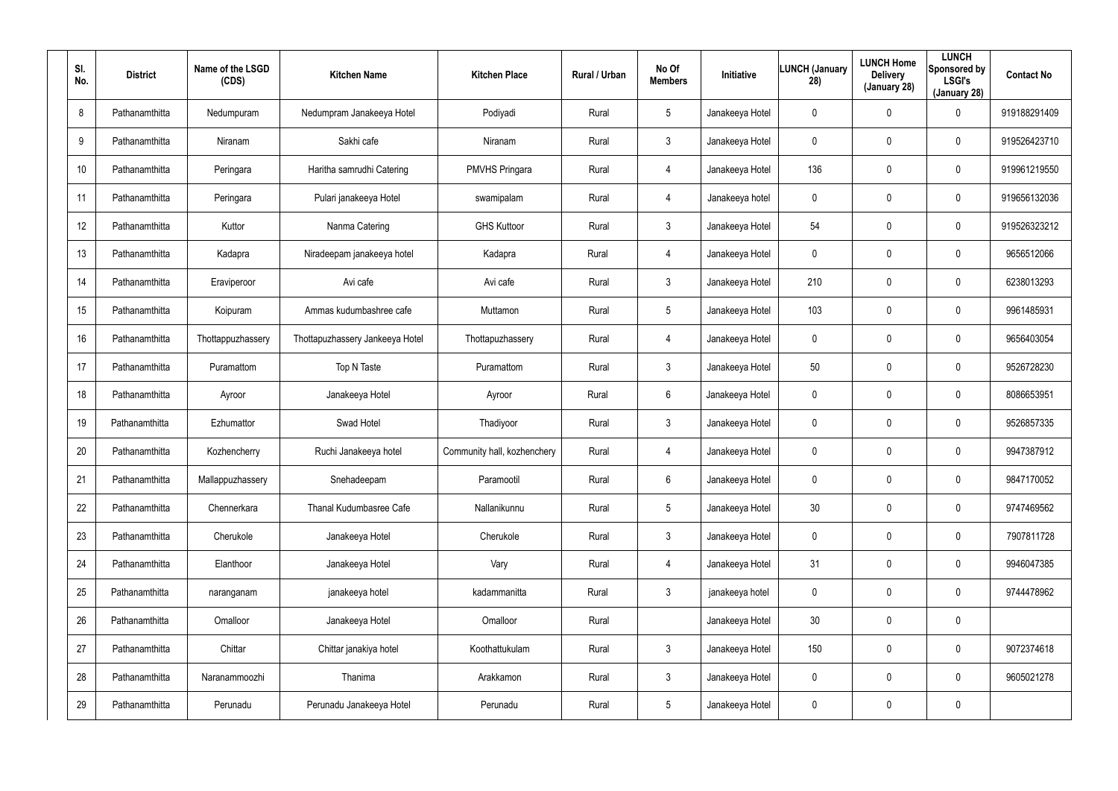| SI.<br>No. | <b>District</b> | Name of the LSGD<br>(CDS) | <b>Kitchen Name</b>             | <b>Kitchen Place</b>        | Rural / Urban | No Of<br><b>Members</b> | Initiative      | <b>LUNCH (January</b><br>28) | <b>LUNCH Home</b><br><b>Delivery</b><br>(January 28) | <b>LUNCH</b><br>Sponsored by<br><b>LSGI's</b><br>(January 28) | <b>Contact No</b> |
|------------|-----------------|---------------------------|---------------------------------|-----------------------------|---------------|-------------------------|-----------------|------------------------------|------------------------------------------------------|---------------------------------------------------------------|-------------------|
| 8          | Pathanamthitta  | Nedumpuram                | Nedumpram Janakeeya Hotel       | Podiyadi                    | Rural         | $5\overline{)}$         | Janakeeya Hotel | 0                            | 0                                                    | $\mathbf 0$                                                   | 919188291409      |
| 9          | Pathanamthitta  | Niranam                   | Sakhi cafe                      | Niranam                     | Rural         | $\mathbf{3}$            | Janakeeya Hotel | 0                            | $\mathbf 0$                                          | $\pmb{0}$                                                     | 919526423710      |
| 10         | Pathanamthitta  | Peringara                 | Haritha samrudhi Catering       | <b>PMVHS Pringara</b>       | Rural         | 4                       | Janakeeya Hotel | 136                          | $\pmb{0}$                                            | $\mathbf 0$                                                   | 919961219550      |
| 11         | Pathanamthitta  | Peringara                 | Pulari janakeeya Hotel          | swamipalam                  | Rural         | $\overline{4}$          | Janakeeya hotel | 0                            | $\pmb{0}$                                            | $\mathbf 0$                                                   | 919656132036      |
| 12         | Pathanamthitta  | Kuttor                    | Nanma Catering                  | <b>GHS Kuttoor</b>          | Rural         | $\mathbf{3}$            | Janakeeya Hotel | 54                           | $\pmb{0}$                                            | $\mathbf 0$                                                   | 919526323212      |
| 13         | Pathanamthitta  | Kadapra                   | Niradeepam janakeeya hotel      | Kadapra                     | Rural         | $\overline{4}$          | Janakeeya Hotel | 0                            | $\mathbf 0$                                          | $\mathbf 0$                                                   | 9656512066        |
| 14         | Pathanamthitta  | Eraviperoor               | Avi cafe                        | Avi cafe                    | Rural         | $\mathbf{3}$            | Janakeeya Hotel | 210                          | $\mathbf 0$                                          | $\mathbf 0$                                                   | 6238013293        |
| 15         | Pathanamthitta  | Koipuram                  | Ammas kudumbashree cafe         | Muttamon                    | Rural         | $5\overline{)}$         | Janakeeya Hotel | 103                          | $\pmb{0}$                                            | $\mathbf 0$                                                   | 9961485931        |
| 16         | Pathanamthitta  | Thottappuzhassery         | Thottapuzhassery Jankeeya Hotel | Thottapuzhassery            | Rural         | 4                       | Janakeeya Hotel | 0                            | $\mathbf 0$                                          | $\mathbf 0$                                                   | 9656403054        |
| 17         | Pathanamthitta  | Puramattom                | Top N Taste                     | Puramattom                  | Rural         | $\mathbf{3}$            | Janakeeya Hotel | 50                           | $\mathbf 0$                                          | $\mathbf 0$                                                   | 9526728230        |
| 18         | Pathanamthitta  | Ayroor                    | Janakeeya Hotel                 | Ayroor                      | Rural         | 6                       | Janakeeya Hotel | 0                            | $\mathbf 0$                                          | $\mathbf 0$                                                   | 8086653951        |
| 19         | Pathanamthitta  | Ezhumattor                | Swad Hotel                      | Thadiyoor                   | Rural         | $\mathbf{3}$            | Janakeeya Hotel | 0                            | $\mathbf 0$                                          | $\mathbf 0$                                                   | 9526857335        |
| 20         | Pathanamthitta  | Kozhencherry              | Ruchi Janakeeya hotel           | Community hall, kozhenchery | Rural         | 4                       | Janakeeya Hotel | 0                            | $\mathbf 0$                                          | $\mathbf 0$                                                   | 9947387912        |
| 21         | Pathanamthitta  | Mallappuzhassery          | Snehadeepam                     | Paramootil                  | Rural         | $6\overline{6}$         | Janakeeya Hotel | 0                            | $\mathbf 0$                                          | $\pmb{0}$                                                     | 9847170052        |
| 22         | Pathanamthitta  | Chennerkara               | Thanal Kudumbasree Cafe         | Nallanikunnu                | Rural         | $5\overline{)}$         | Janakeeya Hotel | 30                           | $\mathbf 0$                                          | $\mathbf 0$                                                   | 9747469562        |
| 23         | Pathanamthitta  | Cherukole                 | Janakeeya Hotel                 | Cherukole                   | Rural         | $\mathbf{3}$            | Janakeeya Hotel | 0                            | $\mathbf 0$                                          | $\pmb{0}$                                                     | 7907811728        |
| 24         | Pathanamthitta  | Elanthoor                 | Janakeeya Hotel                 | Vary                        | Rural         | $\overline{4}$          | Janakeeya Hotel | 31                           | $\mathbf 0$                                          | $\pmb{0}$                                                     | 9946047385        |
| 25         | Pathanamthitta  | naranganam                | janakeeya hotel                 | kadammanitta                | Rural         | $\mathfrak{Z}$          | janakeeya hotel | 0                            | $\mathbf 0$                                          | $\pmb{0}$                                                     | 9744478962        |
| 26         | Pathanamthitta  | Omalloor                  | Janakeeya Hotel                 | Omalloor                    | Rural         |                         | Janakeeya Hotel | 30                           | $\mathbf 0$                                          | $\pmb{0}$                                                     |                   |
| 27         | Pathanamthitta  | Chittar                   | Chittar janakiya hotel          | Koothattukulam              | Rural         | $\mathfrak{Z}$          | Janakeeya Hotel | 150                          | $\mathbf 0$                                          | $\pmb{0}$                                                     | 9072374618        |
| 28         | Pathanamthitta  | Naranammoozhi             | Thanima                         | Arakkamon                   | Rural         | $\mathbf{3}$            | Janakeeya Hotel | 0                            | $\mathbf 0$                                          | $\mathbf 0$                                                   | 9605021278        |
| 29         | Pathanamthitta  | Perunadu                  | Perunadu Janakeeya Hotel        | Perunadu                    | Rural         | $5\phantom{.0}$         | Janakeeya Hotel | 0                            | $\mathbf 0$                                          | $\pmb{0}$                                                     |                   |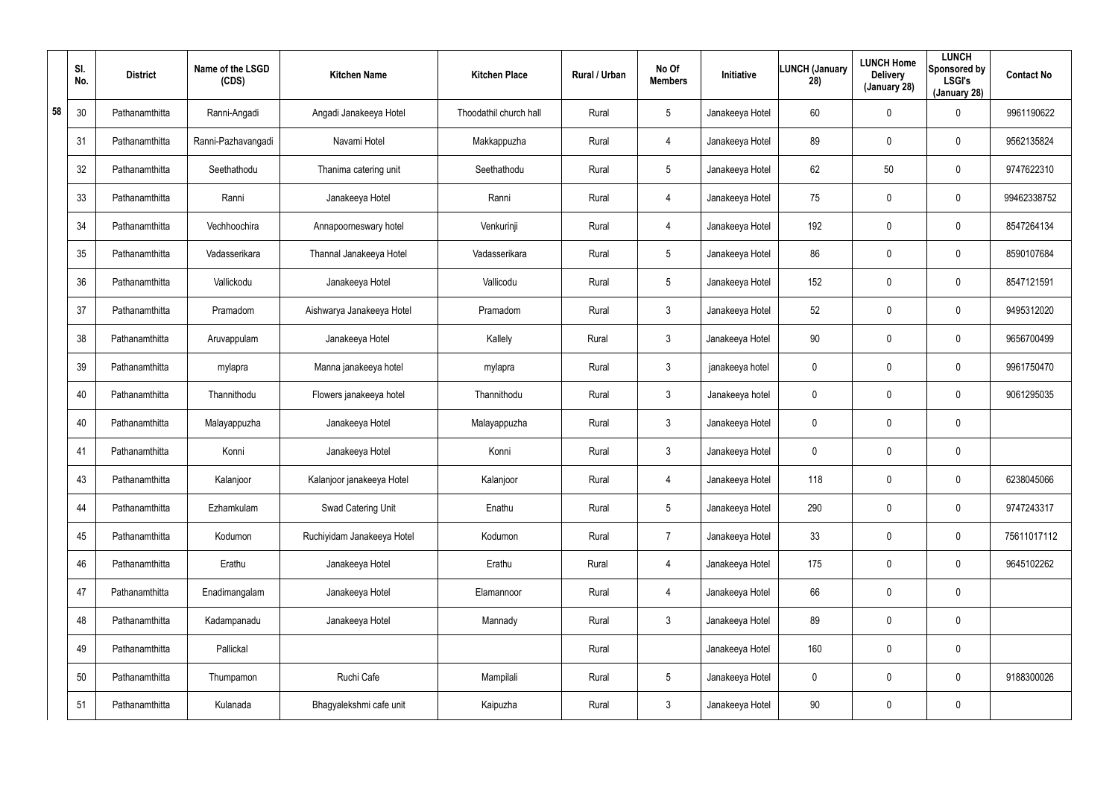|    | SI.<br>No. | <b>District</b> | Name of the LSGD<br>(CDS) | <b>Kitchen Name</b>        | <b>Kitchen Place</b>   | Rural / Urban | No Of<br><b>Members</b> | Initiative      | <b>LUNCH (January</b><br>28) | <b>LUNCH Home</b><br><b>Delivery</b><br>(January 28) | <b>LUNCH</b><br>Sponsored by<br><b>LSGI's</b><br>(January 28) | <b>Contact No</b> |
|----|------------|-----------------|---------------------------|----------------------------|------------------------|---------------|-------------------------|-----------------|------------------------------|------------------------------------------------------|---------------------------------------------------------------|-------------------|
| 58 | 30         | Pathanamthitta  | Ranni-Angadi              | Angadi Janakeeya Hotel     | Thoodathil church hall | Rural         | $5\overline{)}$         | Janakeeya Hotel | 60                           | 0                                                    | 0                                                             | 9961190622        |
|    | 31         | Pathanamthitta  | Ranni-Pazhavangadi        | Navami Hotel               | Makkappuzha            | Rural         | 4                       | Janakeeya Hotel | 89                           | $\mathbf 0$                                          | 0                                                             | 9562135824        |
|    | 32         | Pathanamthitta  | Seethathodu               | Thanima catering unit      | Seethathodu            | Rural         | $5\phantom{.0}$         | Janakeeya Hotel | 62                           | 50                                                   | 0                                                             | 9747622310        |
|    | 33         | Pathanamthitta  | Ranni                     | Janakeeya Hotel            | Ranni                  | Rural         | 4                       | Janakeeya Hotel | 75                           | $\mathbf 0$                                          | 0                                                             | 99462338752       |
|    | 34         | Pathanamthitta  | Vechhoochira              | Annapoorneswary hotel      | Venkurinji             | Rural         | 4                       | Janakeeya Hotel | 192                          | $\mathbf 0$                                          | 0                                                             | 8547264134        |
|    | 35         | Pathanamthitta  | Vadasserikara             | Thannal Janakeeya Hotel    | Vadasserikara          | Rural         | $5\overline{)}$         | Janakeeya Hotel | 86                           | $\mathbf 0$                                          | 0                                                             | 8590107684        |
|    | 36         | Pathanamthitta  | Vallickodu                | Janakeeya Hotel            | Vallicodu              | Rural         | $5\phantom{.0}$         | Janakeeya Hotel | 152                          | $\mathbf 0$                                          | 0                                                             | 8547121591        |
|    | 37         | Pathanamthitta  | Pramadom                  | Aishwarya Janakeeya Hotel  | Pramadom               | Rural         | $\mathbf{3}$            | Janakeeya Hotel | 52                           | $\mathbf 0$                                          | 0                                                             | 9495312020        |
|    | 38         | Pathanamthitta  | Aruvappulam               | Janakeeya Hotel            | Kallely                | Rural         | $\mathbf{3}$            | Janakeeya Hotel | 90                           | $\mathbf 0$                                          | 0                                                             | 9656700499        |
|    | 39         | Pathanamthitta  | mylapra                   | Manna janakeeya hotel      | mylapra                | Rural         | $\mathbf{3}$            | janakeeya hotel | 0                            | $\mathbf 0$                                          | 0                                                             | 9961750470        |
|    | 40         | Pathanamthitta  | Thannithodu               | Flowers janakeeya hotel    | Thannithodu            | Rural         | $\mathbf{3}$            | Janakeeya hotel | 0                            | $\mathbf 0$                                          | 0                                                             | 9061295035        |
|    | 40         | Pathanamthitta  | Malayappuzha              | Janakeeya Hotel            | Malayappuzha           | Rural         | $\mathbf{3}$            | Janakeeya Hotel | 0                            | $\mathbf 0$                                          | 0                                                             |                   |
|    | 41         | Pathanamthitta  | Konni                     | Janakeeya Hotel            | Konni                  | Rural         | $\mathbf{3}$            | Janakeeya Hotel | 0                            | $\mathbf 0$                                          | 0                                                             |                   |
|    | 43         | Pathanamthitta  | Kalanjoor                 | Kalanjoor janakeeya Hotel  | Kalanjoor              | Rural         | 4                       | Janakeeya Hotel | 118                          | $\mathbf 0$                                          | 0                                                             | 6238045066        |
|    | 44         | Pathanamthitta  | Ezhamkulam                | Swad Catering Unit         | Enathu                 | Rural         | $5\phantom{.0}$         | Janakeeya Hotel | 290                          | $\mathbf 0$                                          | 0                                                             | 9747243317        |
|    | 45         | Pathanamthitta  | Kodumon                   | Ruchiyidam Janakeeya Hotel | Kodumon                | Rural         | $\overline{7}$          | Janakeeya Hotel | 33                           | $\mathbf 0$                                          | 0                                                             | 75611017112       |
|    | 46         | Pathanamthitta  | Erathu                    | Janakeeya Hotel            | Erathu                 | Rural         | 4                       | Janakeeya Hotel | 175                          | $\mathbf 0$                                          | 0                                                             | 9645102262        |
|    | 47         | Pathanamthitta  | Enadimangalam             | Janakeeya Hotel            | Elamannoor             | Rural         | 4                       | Janakeeya Hotel | 66                           | $\mathbf 0$                                          | 0                                                             |                   |
|    | 48         | Pathanamthitta  | Kadampanadu               | Janakeeya Hotel            | Mannady                | Rural         | $\mathbf{3}$            | Janakeeya Hotel | 89                           | $\mathbf 0$                                          | 0                                                             |                   |
|    | 49         | Pathanamthitta  | Pallickal                 |                            |                        | Rural         |                         | Janakeeya Hotel | 160                          | $\mathbf 0$                                          | 0                                                             |                   |
|    | 50         | Pathanamthitta  | Thumpamon                 | Ruchi Cafe                 | Mampilali              | Rural         | $5\phantom{.0}$         | Janakeeya Hotel | 0                            | $\mathbf 0$                                          | 0                                                             | 9188300026        |
|    | 51         | Pathanamthitta  | Kulanada                  | Bhagyalekshmi cafe unit    | Kaipuzha               | Rural         | $\mathfrak{Z}$          | Janakeeya Hotel | 90                           | $\mathbf 0$                                          | 0                                                             |                   |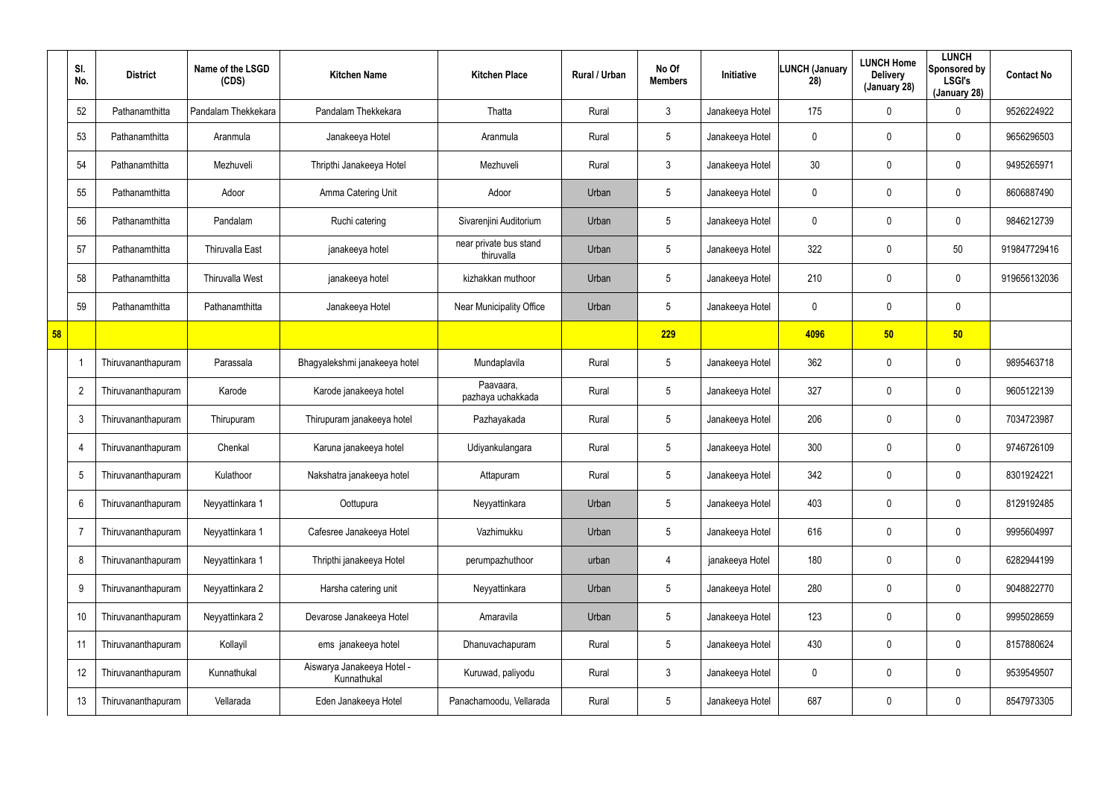|    | SI.<br>No.     | <b>District</b>    | Name of the LSGD<br>(CDS) | <b>Kitchen Name</b>                       | <b>Kitchen Place</b>                 | Rural / Urban | No Of<br><b>Members</b> | <b>Initiative</b> | <b>LUNCH (January</b><br>28) | <b>LUNCH Home</b><br><b>Delivery</b><br>(January 28) | <b>LUNCH</b><br>Sponsored by<br><b>LSGI's</b><br>(January 28) | <b>Contact No</b> |
|----|----------------|--------------------|---------------------------|-------------------------------------------|--------------------------------------|---------------|-------------------------|-------------------|------------------------------|------------------------------------------------------|---------------------------------------------------------------|-------------------|
|    | 52             | Pathanamthitta     | Pandalam Thekkekara       | Pandalam Thekkekara                       | Thatta                               | Rural         | 3                       | Janakeeya Hotel   | 175                          | 0                                                    | 0                                                             | 9526224922        |
|    | 53             | Pathanamthitta     | Aranmula                  | Janakeeya Hotel                           | Aranmula                             | Rural         | $5\phantom{.0}$         | Janakeeya Hotel   | 0                            | 0                                                    | $\boldsymbol{0}$                                              | 9656296503        |
|    | 54             | Pathanamthitta     | Mezhuveli                 | Thripthi Janakeeya Hotel                  | Mezhuveli                            | Rural         | $\mathbf{3}$            | Janakeeya Hotel   | 30 <sup>°</sup>              | 0                                                    | $\mathbf 0$                                                   | 9495265971        |
|    | 55             | Pathanamthitta     | Adoor                     | Amma Catering Unit                        | Adoor                                | Urban         | $5\phantom{.0}$         | Janakeeya Hotel   | 0                            | 0                                                    | $\boldsymbol{0}$                                              | 8606887490        |
|    | 56             | Pathanamthitta     | Pandalam                  | Ruchi catering                            | Sivarenjini Auditorium               | Urban         | $5\phantom{.0}$         | Janakeeya Hotel   | 0                            | 0                                                    | $\mathbf 0$                                                   | 9846212739        |
|    | 57             | Pathanamthitta     | <b>Thiruvalla East</b>    | janakeeya hotel                           | near private bus stand<br>thiruvalla | Urban         | $5\phantom{.0}$         | Janakeeya Hotel   | 322                          | 0                                                    | 50                                                            | 919847729416      |
|    | 58             | Pathanamthitta     | <b>Thiruvalla West</b>    | janakeeya hotel                           | kizhakkan muthoor                    | Urban         | $5\phantom{.0}$         | Janakeeya Hotel   | 210                          | 0                                                    | $\mathbf 0$                                                   | 919656132036      |
|    | 59             | Pathanamthitta     | Pathanamthitta            | Janakeeya Hotel                           | Near Municipality Office             | Urban         | $5\phantom{.0}$         | Janakeeya Hotel   | 0                            | 0                                                    | $\pmb{0}$                                                     |                   |
| 58 |                |                    |                           |                                           |                                      |               | 229                     |                   | 4096                         | 50                                                   | 50                                                            |                   |
|    |                | Thiruvananthapuram | Parassala                 | Bhagyalekshmi janakeeya hotel             | Mundaplavila                         | Rural         | $5\phantom{.0}$         | Janakeeya Hotel   | 362                          | $\pmb{0}$                                            | $\boldsymbol{0}$                                              | 9895463718        |
|    | $\overline{2}$ | Thiruvananthapuram | Karode                    | Karode janakeeya hotel                    | Paavaara,<br>pazhaya uchakkada       | Rural         | $5\phantom{.0}$         | Janakeeya Hotel   | 327                          | 0                                                    | $\boldsymbol{0}$                                              | 9605122139        |
|    | 3              | Thiruvananthapuram | Thirupuram                | Thirupuram janakeeya hotel                | Pazhayakada                          | Rural         | $5\phantom{.0}$         | Janakeeya Hotel   | 206                          | 0                                                    | $\boldsymbol{0}$                                              | 7034723987        |
|    | $\overline{4}$ | Thiruvananthapuram | Chenkal                   | Karuna janakeeya hotel                    | Udiyankulangara                      | Rural         | $5\phantom{.0}$         | Janakeeya Hotel   | 300                          | 0                                                    | $\boldsymbol{0}$                                              | 9746726109        |
|    | 5              | Thiruvananthapuram | Kulathoor                 | Nakshatra janakeeya hotel                 | Attapuram                            | Rural         | 5                       | Janakeeya Hotel   | 342                          | 0                                                    | $\boldsymbol{0}$                                              | 8301924221        |
|    | 6              | Thiruvananthapuram | Neyyattinkara 1           | Oottupura                                 | Neyyattinkara                        | Urban         | $5\phantom{.0}$         | Janakeeya Hotel   | 403                          | 0                                                    | $\pmb{0}$                                                     | 8129192485        |
|    | $\overline{7}$ | Thiruvananthapuram | Neyyattinkara 1           | Cafesree Janakeeya Hotel                  | Vazhimukku                           | Urban         | $5\phantom{.0}$         | Janakeeya Hotel   | 616                          | 0                                                    | $\boldsymbol{0}$                                              | 9995604997        |
|    | 8              | Thiruvananthapuram | Neyyattinkara 1           | Thripthi janakeeya Hotel                  | perumpazhuthoor                      | urban         | 4                       | janakeeya Hotel   | 180                          | $\mathbf 0$                                          | $\pmb{0}$                                                     | 6282944199        |
|    | 9              | Thiruvananthapuram | Neyyattinkara 2           | Harsha catering unit                      | Neyyattinkara                        | Urban         | $5\phantom{.0}$         | Janakeeya Hotel   | 280                          | 0                                                    | $\boldsymbol{0}$                                              | 9048822770        |
|    | 10             | Thiruvananthapuram | Neyyattinkara 2           | Devarose Janakeeya Hotel                  | Amaravila                            | Urban         | $5\phantom{.0}$         | Janakeeya Hotel   | 123                          | $\mathbf 0$                                          | $\mathbf 0$                                                   | 9995028659        |
|    | 11             | Thiruvananthapuram | Kollayil                  | ems janakeeya hotel                       | Dhanuvachapuram                      | Rural         | $5\phantom{.0}$         | Janakeeya Hotel   | 430                          | 0                                                    | $\mathbf 0$                                                   | 8157880624        |
|    | 12             | Thiruvananthapuram | Kunnathukal               | Aiswarya Janakeeya Hotel -<br>Kunnathukal | Kuruwad, paliyodu                    | Rural         | $\mathfrak{Z}$          | Janakeeya Hotel   | 0                            | 0                                                    | $\pmb{0}$                                                     | 9539549507        |
|    | 13             | Thiruvananthapuram | Vellarada                 | Eden Janakeeya Hotel                      | Panachamoodu, Vellarada              | Rural         | $5\phantom{.0}$         | Janakeeya Hotel   | 687                          | 0                                                    | $\pmb{0}$                                                     | 8547973305        |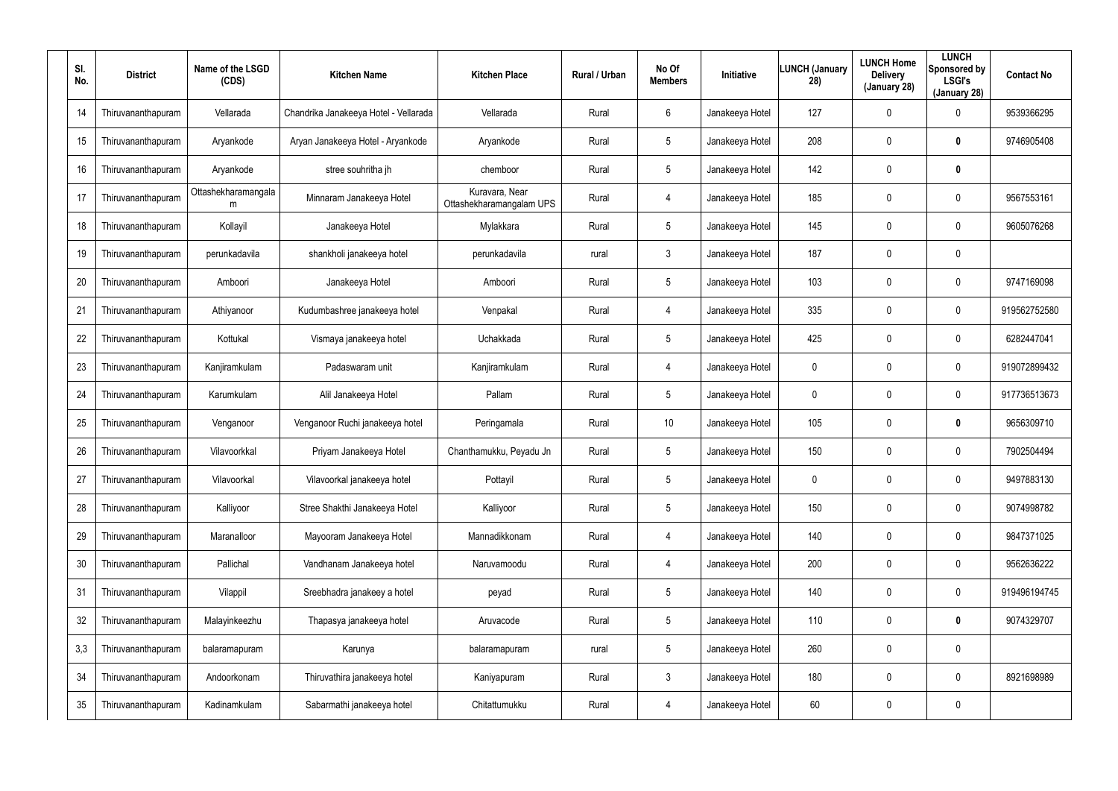| SI.<br>No. | <b>District</b>    | Name of the LSGD<br>(CDS) | <b>Kitchen Name</b>                   | <b>Kitchen Place</b>                       | Rural / Urban | No Of<br><b>Members</b> | <b>Initiative</b> | LUNCH (January<br>28) | <b>LUNCH Home</b><br><b>Delivery</b><br>(January 28) | <b>LUNCH</b><br>Sponsored by<br><b>LSGI's</b><br>(January 28) | <b>Contact No</b> |
|------------|--------------------|---------------------------|---------------------------------------|--------------------------------------------|---------------|-------------------------|-------------------|-----------------------|------------------------------------------------------|---------------------------------------------------------------|-------------------|
| 14         | Thiruvananthapuram | Vellarada                 | Chandrika Janakeeya Hotel - Vellarada | Vellarada                                  | Rural         | 6                       | Janakeeya Hotel   | 127                   | 0                                                    | $\mathbf 0$                                                   | 9539366295        |
| 15         | Thiruvananthapuram | Aryankode                 | Aryan Janakeeya Hotel - Aryankode     | Aryankode                                  | Rural         | 5                       | Janakeeya Hotel   | 208                   | 0                                                    | $\bm{0}$                                                      | 9746905408        |
| 16         | Thiruvananthapuram | Aryankode                 | stree souhritha jh                    | chemboor                                   | Rural         | $5\phantom{.0}$         | Janakeeya Hotel   | 142                   | 0                                                    | $\bm{0}$                                                      |                   |
| 17         | Thiruvananthapuram | Ottashekharamangala<br>m  | Minnaram Janakeeya Hotel              | Kuravara, Near<br>Ottashekharamangalam UPS | Rural         | 4                       | Janakeeya Hotel   | 185                   | 0                                                    | $\mathbf 0$                                                   | 9567553161        |
| 18         | Thiruvananthapuram | Kollayil                  | Janakeeya Hotel                       | Mylakkara                                  | Rural         | $5\phantom{.0}$         | Janakeeya Hotel   | 145                   | 0                                                    | $\mathbf 0$                                                   | 9605076268        |
| 19         | Thiruvananthapuram | perunkadavila             | shankholi janakeeya hotel             | perunkadavila                              | rural         | $\mathbf{3}$            | Janakeeya Hotel   | 187                   | 0                                                    | $\mathbf 0$                                                   |                   |
| 20         | Thiruvananthapuram | Amboori                   | Janakeeya Hotel                       | Amboori                                    | Rural         | $5\phantom{.0}$         | Janakeeya Hotel   | 103                   | 0                                                    | $\boldsymbol{0}$                                              | 9747169098        |
| 21         | Thiruvananthapuram | Athiyanoor                | Kudumbashree janakeeya hotel          | Venpakal                                   | Rural         | 4                       | Janakeeya Hotel   | 335                   | 0                                                    | $\mathbf 0$                                                   | 919562752580      |
| 22         | Thiruvananthapuram | Kottukal                  | Vismaya janakeeya hotel               | Uchakkada                                  | Rural         | $5\phantom{.0}$         | Janakeeya Hotel   | 425                   | 0                                                    | $\boldsymbol{0}$                                              | 6282447041        |
| 23         | Thiruvananthapuram | Kanjiramkulam             | Padaswaram unit                       | Kanjiramkulam                              | Rural         | 4                       | Janakeeya Hotel   | 0                     | 0                                                    | $\mathbf 0$                                                   | 919072899432      |
| 24         | Thiruvananthapuram | Karumkulam                | Alil Janakeeya Hotel                  | Pallam                                     | Rural         | $5\phantom{.0}$         | Janakeeya Hotel   | 0                     | 0                                                    | $\pmb{0}$                                                     | 917736513673      |
| 25         | Thiruvananthapuram | Venganoor                 | Venganoor Ruchi janakeeya hotel       | Peringamala                                | Rural         | 10                      | Janakeeya Hotel   | 105                   | 0                                                    | $\bm{0}$                                                      | 9656309710        |
| 26         | Thiruvananthapuram | Vilavoorkkal              | Priyam Janakeeya Hotel                | Chanthamukku, Peyadu Jn                    | Rural         | $5\phantom{.0}$         | Janakeeya Hotel   | 150                   | 0                                                    | $\mathbf 0$                                                   | 7902504494        |
| 27         | Thiruvananthapuram | Vilavoorkal               | Vilavoorkal janakeeya hotel           | Pottayil                                   | Rural         | 5                       | Janakeeya Hotel   | 0                     | 0                                                    | $\pmb{0}$                                                     | 9497883130        |
| 28         | Thiruvananthapuram | Kalliyoor                 | Stree Shakthi Janakeeya Hotel         | Kalliyoor                                  | Rural         | $5\phantom{.0}$         | Janakeeya Hotel   | 150                   | 0                                                    | $\pmb{0}$                                                     | 9074998782        |
| 29         | Thiruvananthapuram | Maranalloor               | Mayooram Janakeeya Hotel              | Mannadikkonam                              | Rural         | 4                       | Janakeeya Hotel   | 140                   | 0                                                    | $\pmb{0}$                                                     | 9847371025        |
| 30         | Thiruvananthapuram | Pallichal                 | Vandhanam Janakeeya hotel             | Naruvamoodu                                | Rural         | 4                       | Janakeeya Hotel   | 200                   | 0                                                    | $\pmb{0}$                                                     | 9562636222        |
| 31         | Thiruvananthapuram | Vilappil                  | Sreebhadra janakeey a hotel           | peyad                                      | Rural         | $5\phantom{.0}$         | Janakeeya Hotel   | 140                   | 0                                                    | $\pmb{0}$                                                     | 919496194745      |
| 32         | Thiruvananthapuram | Malayinkeezhu             | Thapasya janakeeya hotel              | Aruvacode                                  | Rural         | $5\phantom{.0}$         | Janakeeya Hotel   | 110                   | 0                                                    | $\mathbf 0$                                                   | 9074329707        |
| 3,3        | Thiruvananthapuram | balaramapuram             | Karunya                               | balaramapuram                              | rural         | $5\phantom{.0}$         | Janakeeya Hotel   | 260                   | 0                                                    | $\pmb{0}$                                                     |                   |
| 34         | Thiruvananthapuram | Andoorkonam               | Thiruvathira janakeeya hotel          | Kaniyapuram                                | Rural         | $\mathbf{3}$            | Janakeeya Hotel   | 180                   | 0                                                    | $\pmb{0}$                                                     | 8921698989        |
| 35         | Thiruvananthapuram | Kadinamkulam              | Sabarmathi janakeeya hotel            | Chitattumukku                              | Rural         | 4                       | Janakeeya Hotel   | 60                    | 0                                                    | $\pmb{0}$                                                     |                   |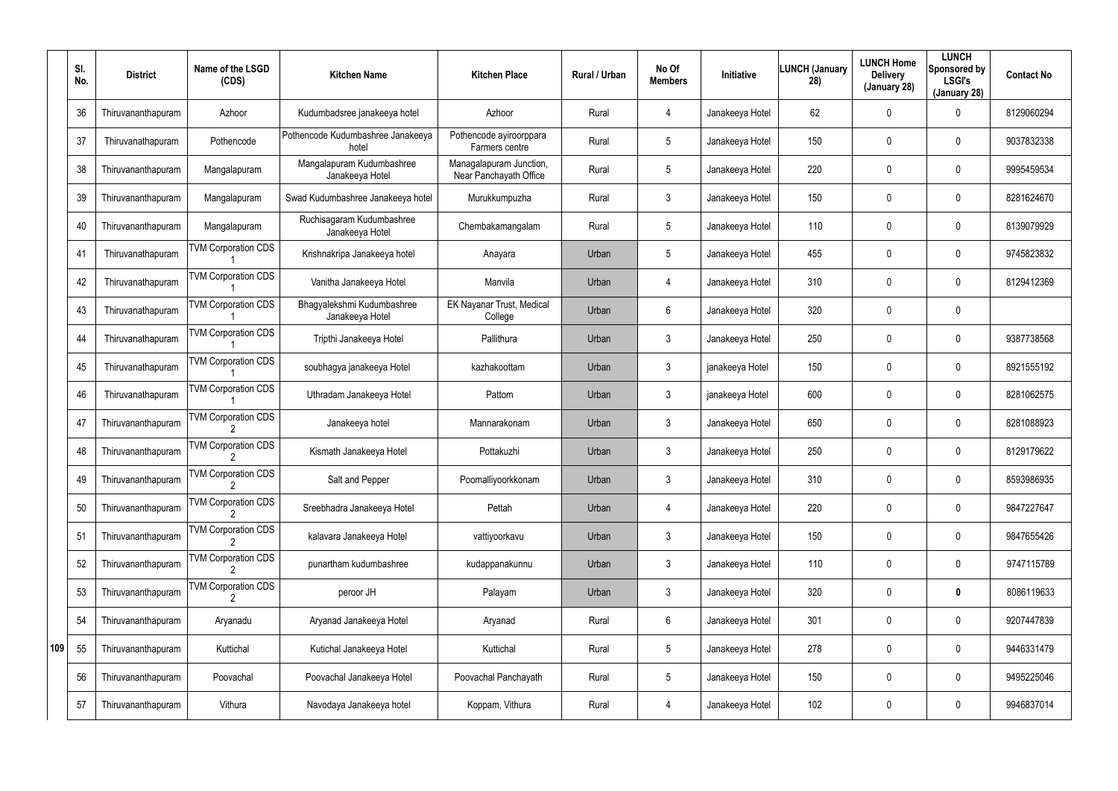|     | SI.<br>No. | <b>District</b>    | Name of the LSGD<br>(CDS)  | <b>Kitchen Name</b>                           | <b>Kitchen Place</b>                              | Rural / Urban | No Of<br><b>Members</b> | <b>Initiative</b> | <b>LUNCH (January</b><br>28) | <b>LUNCH Home</b><br><b>Delivery</b><br>(January 28) | <b>LUNCH</b><br>Sponsored by<br><b>LSGI's</b><br>(January 28) | <b>Contact No</b> |
|-----|------------|--------------------|----------------------------|-----------------------------------------------|---------------------------------------------------|---------------|-------------------------|-------------------|------------------------------|------------------------------------------------------|---------------------------------------------------------------|-------------------|
|     | 36         | Thiruvananthapuram | Azhoor                     | Kudumbadsree janakeeya hotel                  | Azhoor                                            | Rural         | 4                       | Janakeeya Hotel   | 62                           | 0                                                    | $\mathbf 0$                                                   | 8129060294        |
|     | 37         | Thiruvanathapuram  | Pothencode                 | Pothencode Kudumbashree Janakeeya<br>hotel    | Pothencode ayiroorppara<br>Farmers centre         | Rural         | $5\phantom{.0}$         | Janakeeya Hotel   | 150                          | 0                                                    | $\mathbf 0$                                                   | 9037832338        |
|     | 38         | Thiruvananthapuram | Mangalapuram               | Mangalapuram Kudumbashree<br>Janakeeya Hotel  | Managalapuram Junction,<br>Near Panchayath Office | Rural         | $5\phantom{.0}$         | Janakeeya Hotel   | 220                          | 0                                                    | $\mathbf 0$                                                   | 9995459534        |
|     | 39         | Thiruvananthapuram | Mangalapuram               | Swad Kudumbashree Janakeeya hotel             | Murukkumpuzha                                     | Rural         | 3                       | Janakeeya Hotel   | 150                          | 0                                                    | $\mathbf 0$                                                   | 8281624670        |
|     | 40         | Thiruvananthapuram | Mangalapuram               | Ruchisagaram Kudumbashree<br>Janakeeya Hotel  | Chembakamangalam                                  | Rural         | $5\phantom{.0}$         | Janakeeya Hotel   | 110                          | 0                                                    | $\mathbf 0$                                                   | 8139079929        |
|     | 41         | Thiruvanathapuram  | <b>TVM Corporation CDS</b> | Krishnakripa Janakeeya hotel                  | Anayara                                           | Urban         | $5\phantom{.0}$         | Janakeeya Hotel   | 455                          | 0                                                    | $\mathbf 0$                                                   | 9745823832        |
|     | 42         | Thiruvanathapuram  | <b>TVM Corporation CDS</b> | Vanitha Janakeeya Hotel                       | Manvila                                           | Urban         | $\overline{4}$          | Janakeeya Hotel   | 310                          | 0                                                    | $\mathbf 0$                                                   | 8129412369        |
|     | 43         | Thiruvanathapuram  | <b>TVM Corporation CDS</b> | Bhagyalekshmi Kudumbashree<br>Janakeeya Hotel | <b>EK Nayanar Trust, Medical</b><br>College       | Urban         | 6                       | Janakeeya Hotel   | 320                          | 0                                                    | $\mathbf 0$                                                   |                   |
|     | 44         | Thiruvanathapuram  | <b>TVM Corporation CDS</b> | Tripthi Janakeeya Hotel                       | Pallithura                                        | Urban         | $\mathbf{3}$            | Janakeeya Hotel   | 250                          | 0                                                    | $\mathbf 0$                                                   | 9387738568        |
|     | 45         | Thiruvanathapuram  | <b>TVM Corporation CDS</b> | soubhagya janakeeya Hotel                     | kazhakoottam                                      | Urban         | 3                       | janakeeya Hotel   | 150                          | 0                                                    | $\mathbf 0$                                                   | 8921555192        |
|     | 46         | Thiruvanathapuram  | <b>TVM Corporation CDS</b> | Uthradam Janakeeya Hotel                      | Pattom                                            | Urban         | $\mathbf{3}$            | janakeeya Hotel   | 600                          | 0                                                    | $\mathbf 0$                                                   | 8281062575        |
|     | 47         | Thiruvananthapuram | <b>TVM Corporation CDS</b> | Janakeeya hotel                               | Mannarakonam                                      | Urban         | 3                       | Janakeeya Hotel   | 650                          | 0                                                    | $\mathbf 0$                                                   | 8281088923        |
|     | 48         | Thiruvananthapuram | <b>TVM Corporation CDS</b> | Kismath Janakeeya Hotel                       | Pottakuzhi                                        | Urban         | $\mathbf{3}$            | Janakeeya Hotel   | 250                          | 0                                                    | $\mathbf 0$                                                   | 8129179622        |
|     | 49         | Thiruvananthapuram | <b>TVM Corporation CDS</b> | Salt and Pepper                               | Poomalliyoorkkonam                                | Urban         | $\mathbf{3}$            | Janakeeya Hotel   | 310                          | 0                                                    | $\mathbf 0$                                                   | 8593986935        |
|     | 50         | Thiruvananthapuram | <b>TVM Corporation CDS</b> | Sreebhadra Janakeeya Hotel                    | Pettah                                            | Urban         | $\overline{4}$          | Janakeeya Hotel   | 220                          | 0                                                    | $\mathbf 0$                                                   | 9847227647        |
|     | 51         | Thiruvananthapuram | <b>TVM Corporation CDS</b> | kalavara Janakeeya Hotel                      | vattiyoorkavu                                     | Urban         | $\mathbf{3}$            | Janakeeya Hotel   | 150                          | 0                                                    | $\mathbf 0$                                                   | 9847655426        |
|     | 52         | Thiruvananthapuram | <b>TVM Corporation CDS</b> | punartham kudumbashree                        | kudappanakunnu                                    | Urban         | $\mathbf{3}$            | Janakeeya Hotel   | 110                          | 0                                                    | $\mathbf 0$                                                   | 9747115789        |
|     | 53         | Thiruvananthapuram | <b>TVM Corporation CDS</b> | peroor JH                                     | Palayam                                           | Urban         | $\mathbf{3}$            | Janakeeya Hotel   | 320                          | 0                                                    | $\bm{0}$                                                      | 8086119633        |
|     | 54         | Thiruvananthapuram | Aryanadu                   | Aryanad Janakeeya Hotel                       | Aryanad                                           | Rural         | 6                       | Janakeeya Hotel   | 301                          | 0                                                    | $\mathbf 0$                                                   | 9207447839        |
| 109 | 55         | Thiruvananthapuram | Kuttichal                  | Kutichal Janakeeya Hotel                      | Kuttichal                                         | Rural         | $5\phantom{.0}$         | Janakeeya Hotel   | 278                          | 0                                                    | $\mathbf 0$                                                   | 9446331479        |
|     | 56         | Thiruvananthapuram | Poovachal                  | Poovachal Janakeeya Hotel                     | Poovachal Panchayath                              | Rural         | $5\phantom{.0}$         | Janakeeya Hotel   | 150                          | 0                                                    | $\mathbf 0$                                                   | 9495225046        |
|     | 57         | Thiruvananthapuram | Vithura                    | Navodaya Janakeeya hotel                      | Koppam, Vithura                                   | Rural         | 4                       | Janakeeya Hotel   | 102                          | 0                                                    | $\pmb{0}$                                                     | 9946837014        |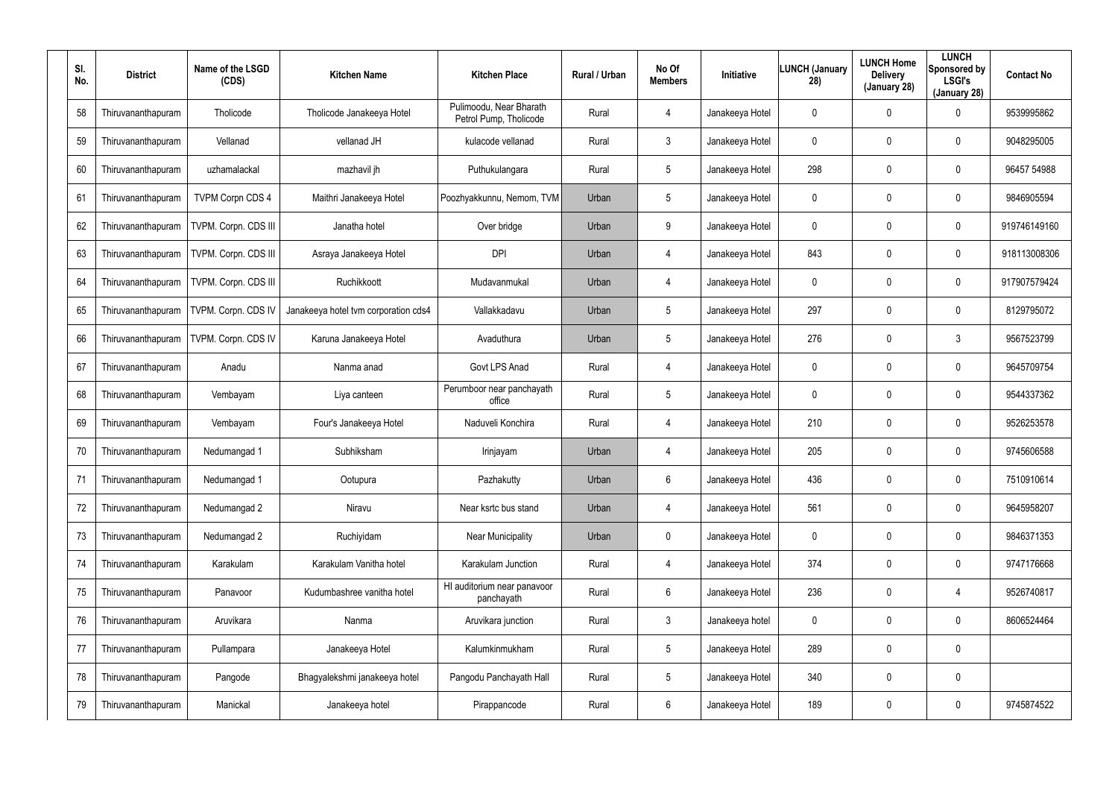| SI.<br>No. | <b>District</b>    | Name of the LSGD<br>(CDS) | <b>Kitchen Name</b>                  | <b>Kitchen Place</b>                              | <b>Rural / Urban</b> | No Of<br><b>Members</b> | Initiative      | <b>LUNCH (January</b><br>28) | <b>LUNCH Home</b><br><b>Delivery</b><br>(January 28) | <b>LUNCH</b><br>Sponsored by<br><b>LSGI's</b><br>(January 28) | <b>Contact No</b> |
|------------|--------------------|---------------------------|--------------------------------------|---------------------------------------------------|----------------------|-------------------------|-----------------|------------------------------|------------------------------------------------------|---------------------------------------------------------------|-------------------|
| 58         | Thiruvananthapuram | Tholicode                 | Tholicode Janakeeya Hotel            | Pulimoodu, Near Bharath<br>Petrol Pump, Tholicode | Rural                | 4                       | Janakeeya Hotel | 0                            | 0                                                    | 0                                                             | 9539995862        |
| 59         | Thiruvananthapuram | Vellanad                  | vellanad JH                          | kulacode vellanad                                 | Rural                | 3                       | Janakeeya Hotel | 0                            | 0                                                    | $\mathbf 0$                                                   | 9048295005        |
| 60         | Thiruvananthapuram | uzhamalackal              | mazhavil jh                          | Puthukulangara                                    | Rural                | 5                       | Janakeeya Hotel | 298                          | 0                                                    | $\mathbf 0$                                                   | 96457 54988       |
| 61         | Thiruvananthapuram | <b>TVPM Corpn CDS 4</b>   | Maithri Janakeeya Hotel              | Poozhyakkunnu, Nemom, TVM                         | Urban                | 5                       | Janakeeya Hotel | 0                            | 0                                                    | $\mathbf 0$                                                   | 9846905594        |
| 62         | Thiruvananthapuram | TVPM. Corpn. CDS III      | Janatha hotel                        | Over bridge                                       | Urban                | 9                       | Janakeeya Hotel | 0                            | 0                                                    | $\mathbf 0$                                                   | 919746149160      |
| 63         | Thiruvananthapuram | TVPM. Corpn. CDS III      | Asraya Janakeeya Hotel               | <b>DPI</b>                                        | Urban                | 4                       | Janakeeya Hotel | 843                          | 0                                                    | $\mathbf 0$                                                   | 918113008306      |
| 64         | Thiruvananthapuram | TVPM. Corpn. CDS III      | Ruchikkoott                          | Mudavanmukal                                      | Urban                | 4                       | Janakeeya Hotel | $\mathbf 0$                  | 0                                                    | $\mathbf 0$                                                   | 917907579424      |
| 65         | Thiruvananthapuram | TVPM. Corpn. CDS IV       | Janakeeya hotel tvm corporation cds4 | Vallakkadavu                                      | Urban                | 5                       | Janakeeya Hotel | 297                          | 0                                                    | 0                                                             | 8129795072        |
| 66         | Thiruvananthapuram | TVPM. Corpn. CDS IV       | Karuna Janakeeya Hotel               | Avaduthura                                        | Urban                | 5                       | Janakeeya Hotel | 276                          | $\mathbf 0$                                          | $\mathbf{3}$                                                  | 9567523799        |
| 67         | Thiruvananthapuram | Anadu                     | Nanma anad                           | Govt LPS Anad                                     | Rural                | 4                       | Janakeeya Hotel | $\mathbf 0$                  | 0                                                    | 0                                                             | 9645709754        |
| 68         | Thiruvananthapuram | Vembayam                  | Liya canteen                         | Perumboor near panchayath<br>office               | Rural                | 5                       | Janakeeya Hotel | $\mathbf 0$                  | 0                                                    | $\mathbf 0$                                                   | 9544337362        |
| 69         | Thiruvananthapuram | Vembayam                  | Four's Janakeeya Hotel               | Naduveli Konchira                                 | Rural                | 4                       | Janakeeya Hotel | 210                          | 0                                                    | 0                                                             | 9526253578        |
| 70         | Thiruvananthapuram | Nedumangad 1              | Subhiksham                           | Irinjayam                                         | Urban                | 4                       | Janakeeya Hotel | 205                          | $\boldsymbol{0}$                                     | 0                                                             | 9745606588        |
| 71         | Thiruvananthapuram | Nedumangad 1              | Ootupura                             | Pazhakutty                                        | Urban                | 6                       | Janakeeya Hotel | 436                          | $\pmb{0}$                                            | 0                                                             | 7510910614        |
| 72         | Thiruvananthapuram | Nedumangad 2              | Niravu                               | Near ksrtc bus stand                              | Urban                | 4                       | Janakeeya Hotel | 561                          | $\boldsymbol{0}$                                     | 0                                                             | 9645958207        |
| 73         | Thiruvananthapuram | Nedumangad 2              | Ruchiyidam                           | <b>Near Municipality</b>                          | Urban                | $\mathbf 0$             | Janakeeya Hotel | 0                            | $\boldsymbol{0}$                                     | $\pmb{0}$                                                     | 9846371353        |
| 74         | Thiruvananthapuram | Karakulam                 | Karakulam Vanitha hotel              | Karakulam Junction                                | Rural                | 4                       | Janakeeya Hotel | 374                          | $\boldsymbol{0}$                                     | 0                                                             | 9747176668        |
| 75         | Thiruvananthapuram | Panavoor                  | Kudumbashree vanitha hotel           | HI auditorium near panavoor<br>panchayath         | Rural                | $6\overline{6}$         | Janakeeya Hotel | 236                          | $\pmb{0}$                                            | 4                                                             | 9526740817        |
| 76         | Thiruvananthapuram | Aruvikara                 | Nanma                                | Aruvikara junction                                | Rural                | 3                       | Janakeeya hotel | $\mathbf 0$                  | $\boldsymbol{0}$                                     | 0                                                             | 8606524464        |
| 77         | Thiruvananthapuram | Pullampara                | Janakeeya Hotel                      | Kalumkinmukham                                    | Rural                | $5\phantom{.0}$         | Janakeeya Hotel | 289                          | $\pmb{0}$                                            | $\pmb{0}$                                                     |                   |
| 78         | Thiruvananthapuram | Pangode                   | Bhagyalekshmi janakeeya hotel        | Pangodu Panchayath Hall                           | Rural                | 5                       | Janakeeya Hotel | 340                          | $\boldsymbol{0}$                                     | 0                                                             |                   |
| 79         | Thiruvananthapuram | Manickal                  | Janakeeya hotel                      | Pirappancode                                      | Rural                | 6                       | Janakeeya Hotel | 189                          | $\boldsymbol{0}$                                     | 0                                                             | 9745874522        |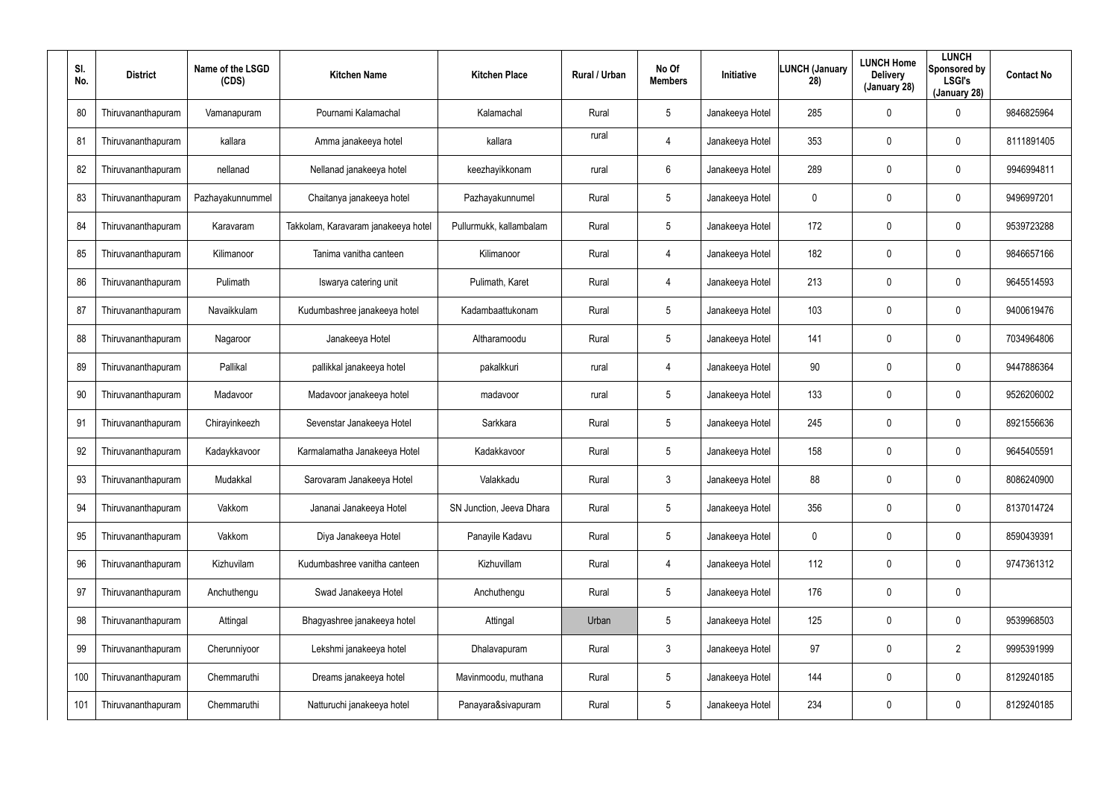| SI.<br>No. | <b>District</b>    | Name of the LSGD<br>(CDS) | <b>Kitchen Name</b>                 | <b>Kitchen Place</b>     | <b>Rural / Urban</b> | No Of<br><b>Members</b> | Initiative      | LUNCH (January<br>28) | <b>LUNCH Home</b><br><b>Delivery</b><br>(January 28) | <b>LUNCH</b><br>Sponsored by<br><b>LSGI's</b><br>(January 28) | <b>Contact No</b> |
|------------|--------------------|---------------------------|-------------------------------------|--------------------------|----------------------|-------------------------|-----------------|-----------------------|------------------------------------------------------|---------------------------------------------------------------|-------------------|
| 80         | Thiruvananthapuram | Vamanapuram               | Pournami Kalamachal                 | Kalamachal               | Rural                | 5                       | Janakeeya Hotel | 285                   | 0                                                    | 0                                                             | 9846825964        |
| 81         | Thiruvananthapuram | kallara                   | Amma janakeeya hotel                | kallara                  | rural                | 4                       | Janakeeya Hotel | 353                   | $\boldsymbol{0}$                                     | 0                                                             | 8111891405        |
| 82         | Thiruvananthapuram | nellanad                  | Nellanad janakeeya hotel            | keezhayikkonam           | rural                | 6                       | Janakeeya Hotel | 289                   | $\mathbf 0$                                          | $\mathbf 0$                                                   | 9946994811        |
| 83         | Thiruvananthapuram | Pazhayakunnummel          | Chaitanya janakeeya hotel           | Pazhayakunnumel          | Rural                | 5                       | Janakeeya Hotel | 0                     | 0                                                    | $\mathbf 0$                                                   | 9496997201        |
| 84         | Thiruvananthapuram | Karavaram                 | Takkolam, Karavaram janakeeya hotel | Pullurmukk, kallambalam  | Rural                | 5                       | Janakeeya Hotel | 172                   | 0                                                    | $\mathbf 0$                                                   | 9539723288        |
| 85         | Thiruvananthapuram | Kilimanoor                | Tanima vanitha canteen              | Kilimanoor               | Rural                | 4                       | Janakeeya Hotel | 182                   | 0                                                    | $\mathbf 0$                                                   | 9846657166        |
| 86         | Thiruvananthapuram | Pulimath                  | Iswarya catering unit               | Pulimath, Karet          | Rural                | 4                       | Janakeeya Hotel | 213                   | $\mathbf 0$                                          | $\mathbf 0$                                                   | 9645514593        |
| 87         | Thiruvananthapuram | Navaikkulam               | Kudumbashree janakeeya hotel        | Kadambaattukonam         | Rural                | 5                       | Janakeeya Hotel | 103                   | 0                                                    | $\mathbf 0$                                                   | 9400619476        |
| 88         | Thiruvananthapuram | Nagaroor                  | Janakeeya Hotel                     | Altharamoodu             | Rural                | 5                       | Janakeeya Hotel | 141                   | $\mathbf 0$                                          | $\mathbf 0$                                                   | 7034964806        |
| 89         | Thiruvananthapuram | Pallikal                  | pallikkal janakeeya hotel           | pakalkkuri               | rural                | 4                       | Janakeeya Hotel | 90                    | 0                                                    | $\mathbf 0$                                                   | 9447886364        |
| 90         | Thiruvananthapuram | Madavoor                  | Madavoor janakeeya hotel            | madavoor                 | rural                | 5                       | Janakeeya Hotel | 133                   | 0                                                    | $\mathbf 0$                                                   | 9526206002        |
| 91         | Thiruvananthapuram | Chirayinkeezh             | Sevenstar Janakeeya Hotel           | Sarkkara                 | Rural                | 5                       | Janakeeya Hotel | 245                   | 0                                                    | 0                                                             | 8921556636        |
| 92         | Thiruvananthapuram | Kadaykkavoor              | Karmalamatha Janakeeya Hotel        | Kadakkavoor              | Rural                | 5                       | Janakeeya Hotel | 158                   | $\boldsymbol{0}$                                     | 0                                                             | 9645405591        |
| 93         | Thiruvananthapuram | Mudakkal                  | Sarovaram Janakeeya Hotel           | Valakkadu                | Rural                | $\mathfrak{Z}$          | Janakeeya Hotel | 88                    | $\boldsymbol{0}$                                     | 0                                                             | 8086240900        |
| 94         | Thiruvananthapuram | Vakkom                    | Jananai Janakeeya Hotel             | SN Junction, Jeeva Dhara | Rural                | 5                       | Janakeeya Hotel | 356                   | $\boldsymbol{0}$                                     | 0                                                             | 8137014724        |
| 95         | Thiruvananthapuram | Vakkom                    | Diya Janakeeya Hotel                | Panayile Kadavu          | Rural                | 5                       | Janakeeya Hotel | 0                     | $\boldsymbol{0}$                                     | $\pmb{0}$                                                     | 8590439391        |
| 96         | Thiruvananthapuram | Kizhuvilam                | Kudumbashree vanitha canteen        | Kizhuvillam              | Rural                | 4                       | Janakeeya Hotel | 112                   | $\boldsymbol{0}$                                     | 0                                                             | 9747361312        |
| 97         | Thiruvananthapuram | Anchuthengu               | Swad Janakeeya Hotel                | Anchuthengu              | Rural                | $5\phantom{.0}$         | Janakeeya Hotel | 176                   | $\pmb{0}$                                            | $\pmb{0}$                                                     |                   |
| 98         | Thiruvananthapuram | Attingal                  | Bhagyashree janakeeya hotel         | Attingal                 | Urban                | 5                       | Janakeeya Hotel | 125                   | $\boldsymbol{0}$                                     | 0                                                             | 9539968503        |
| 99         | Thiruvananthapuram | Cherunniyoor              | Lekshmi janakeeya hotel             | Dhalavapuram             | Rural                | 3                       | Janakeeya Hotel | 97                    | $\pmb{0}$                                            | $\overline{2}$                                                | 9995391999        |
| 100        | Thiruvananthapuram | Chemmaruthi               | Dreams janakeeya hotel              | Mavinmoodu, muthana      | Rural                | 5                       | Janakeeya Hotel | 144                   | $\boldsymbol{0}$                                     | 0                                                             | 8129240185        |
| 101        | Thiruvananthapuram | Chemmaruthi               | Natturuchi janakeeya hotel          | Panayara&sivapuram       | Rural                | $5\phantom{.0}$         | Janakeeya Hotel | 234                   | $\pmb{0}$                                            | 0                                                             | 8129240185        |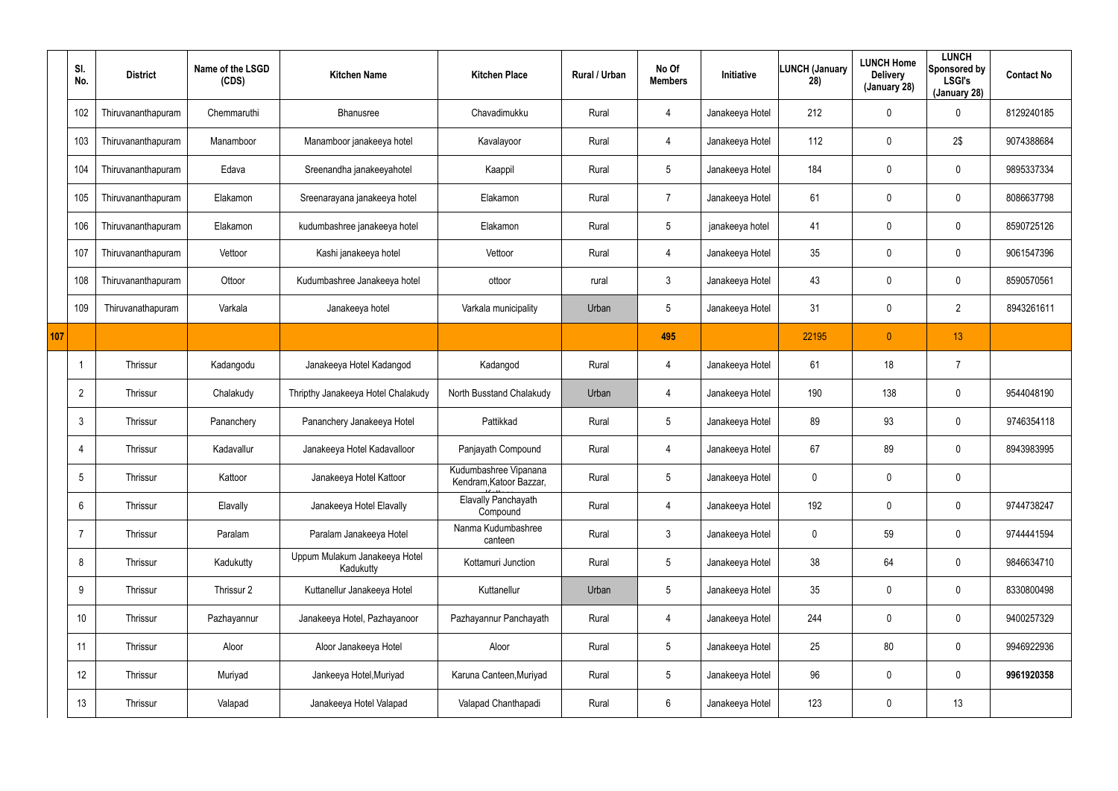|     | SI.<br>No.      | <b>District</b>    | Name of the LSGD<br>(CDS) | <b>Kitchen Name</b>                        | <b>Kitchen Place</b>                             | Rural / Urban | No Of<br><b>Members</b> | Initiative      | LUNCH (January<br>28) | <b>LUNCH Home</b><br><b>Delivery</b><br>(January 28) | <b>LUNCH</b><br>Sponsored by<br><b>LSGI's</b><br>(January 28) | <b>Contact No</b> |
|-----|-----------------|--------------------|---------------------------|--------------------------------------------|--------------------------------------------------|---------------|-------------------------|-----------------|-----------------------|------------------------------------------------------|---------------------------------------------------------------|-------------------|
|     | 102             | Thiruvananthapuram | Chemmaruthi               | Bhanusree                                  | Chavadimukku                                     | Rural         | 4                       | Janakeeya Hotel | 212                   | 0                                                    | $\mathbf 0$                                                   | 8129240185        |
|     | 103             | Thiruvananthapuram | Manamboor                 | Manamboor janakeeya hotel                  | Kavalayoor                                       | Rural         | $\overline{4}$          | Janakeeya Hotel | 112                   | 0                                                    | 2\$                                                           | 9074388684        |
|     | 104             | Thiruvananthapuram | Edava                     | Sreenandha janakeeyahotel                  | Kaappil                                          | Rural         | $5\overline{)}$         | Janakeeya Hotel | 184                   | $\mathbf{0}$                                         | $\pmb{0}$                                                     | 9895337334        |
|     | 105             | Thiruvananthapuram | Elakamon                  | Sreenarayana janakeeya hotel               | Elakamon                                         | Rural         | 7                       | Janakeeya Hotel | 61                    | 0                                                    | $\boldsymbol{0}$                                              | 8086637798        |
|     | 106             | Thiruvananthapuram | Elakamon                  | kudumbashree janakeeya hotel               | Elakamon                                         | Rural         | $5\overline{)}$         | janakeeya hotel | 41                    | 0                                                    | $\pmb{0}$                                                     | 8590725126        |
|     | 107             | Thiruvananthapuram | Vettoor                   | Kashi janakeeya hotel                      | Vettoor                                          | Rural         | 4                       | Janakeeya Hotel | 35                    | 0                                                    | $\boldsymbol{0}$                                              | 9061547396        |
|     | 108             | Thiruvananthapuram | Ottoor                    | Kudumbashree Janakeeya hotel               | ottoor                                           | rural         | $\mathbf{3}$            | Janakeeya Hotel | 43                    | 0                                                    | $\mathbf 0$                                                   | 8590570561        |
|     | 109             | Thiruvanathapuram  | Varkala                   | Janakeeya hotel                            | Varkala municipality                             | Urban         | $5\phantom{.0}$         | Janakeeya Hotel | 31                    | 0                                                    | $\overline{2}$                                                | 8943261611        |
| 107 |                 |                    |                           |                                            |                                                  |               | 495                     |                 | 22195                 | $\overline{0}$                                       | 13                                                            |                   |
|     |                 | Thrissur           | Kadangodu                 | Janakeeya Hotel Kadangod                   | Kadangod                                         | Rural         | 4                       | Janakeeya Hotel | 61                    | 18                                                   | $\overline{7}$                                                |                   |
|     | $\overline{2}$  | Thrissur           | Chalakudy                 | Thripthy Janakeeya Hotel Chalakudy         | North Busstand Chalakudy                         | Urban         | 4                       | Janakeeya Hotel | 190                   | 138                                                  | $\mathbf 0$                                                   | 9544048190        |
|     | $\mathbf{3}$    | Thrissur           | Pananchery                | Pananchery Janakeeya Hotel                 | Pattikkad                                        | Rural         | $5\phantom{.0}$         | Janakeeya Hotel | 89                    | 93                                                   | $\mathbf 0$                                                   | 9746354118        |
|     | $\overline{4}$  | Thrissur           | Kadavallur                | Janakeeya Hotel Kadavalloor                | Panjayath Compound                               | Rural         | 4                       | Janakeeya Hotel | 67                    | 89                                                   | $\boldsymbol{0}$                                              | 8943983995        |
|     | $5\overline{)}$ | Thrissur           | Kattoor                   | Janakeeya Hotel Kattoor                    | Kudumbashree Vipanana<br>Kendram, Katoor Bazzar, | Rural         | $5\phantom{.0}$         | Janakeeya Hotel | 0                     | 0                                                    | $\boldsymbol{0}$                                              |                   |
|     | $6\overline{6}$ | Thrissur           | Elavally                  | Janakeeya Hotel Elavally                   | <b>Elavally Panchayath</b><br>Compound           | Rural         | 4                       | Janakeeya Hotel | 192                   | 0                                                    | $\pmb{0}$                                                     | 9744738247        |
|     | $\overline{7}$  | Thrissur           | Paralam                   | Paralam Janakeeya Hotel                    | Nanma Kudumbashree<br>canteen                    | Rural         | $\mathbf{3}$            | Janakeeya Hotel | 0                     | 59                                                   | $\boldsymbol{0}$                                              | 9744441594        |
|     | 8               | Thrissur           | Kadukutty                 | Uppum Mulakum Janakeeya Hotel<br>Kadukutty | Kottamuri Junction                               | Rural         | $5\,$                   | Janakeeya Hotel | 38                    | 64                                                   | $\boldsymbol{0}$                                              | 9846634710        |
|     | 9               | Thrissur           | Thrissur 2                | Kuttanellur Janakeeya Hotel                | Kuttanellur                                      | Urban         | $5\phantom{.0}$         | Janakeeya Hotel | 35                    | 0                                                    | $\boldsymbol{0}$                                              | 8330800498        |
|     | 10 <sup>°</sup> | Thrissur           | Pazhayannur               | Janakeeya Hotel, Pazhayanoor               | Pazhayannur Panchayath                           | Rural         | 4                       | Janakeeya Hotel | 244                   | 0                                                    | $\mathbf 0$                                                   | 9400257329        |
|     | 11              | Thrissur           | Aloor                     | Aloor Janakeeya Hotel                      | Aloor                                            | Rural         | $5\phantom{.0}$         | Janakeeya Hotel | 25                    | 80                                                   | $\mathbf 0$                                                   | 9946922936        |
|     | 12              | Thrissur           | Muriyad                   | Jankeeya Hotel, Muriyad                    | Karuna Canteen, Muriyad                          | Rural         | $5\phantom{.0}$         | Janakeeya Hotel | 96                    | 0                                                    | $\mathbf 0$                                                   | 9961920358        |
|     | 13              | Thrissur           | Valapad                   | Janakeeya Hotel Valapad                    | Valapad Chanthapadi                              | Rural         | $6\,$                   | Janakeeya Hotel | 123                   | 0                                                    | 13                                                            |                   |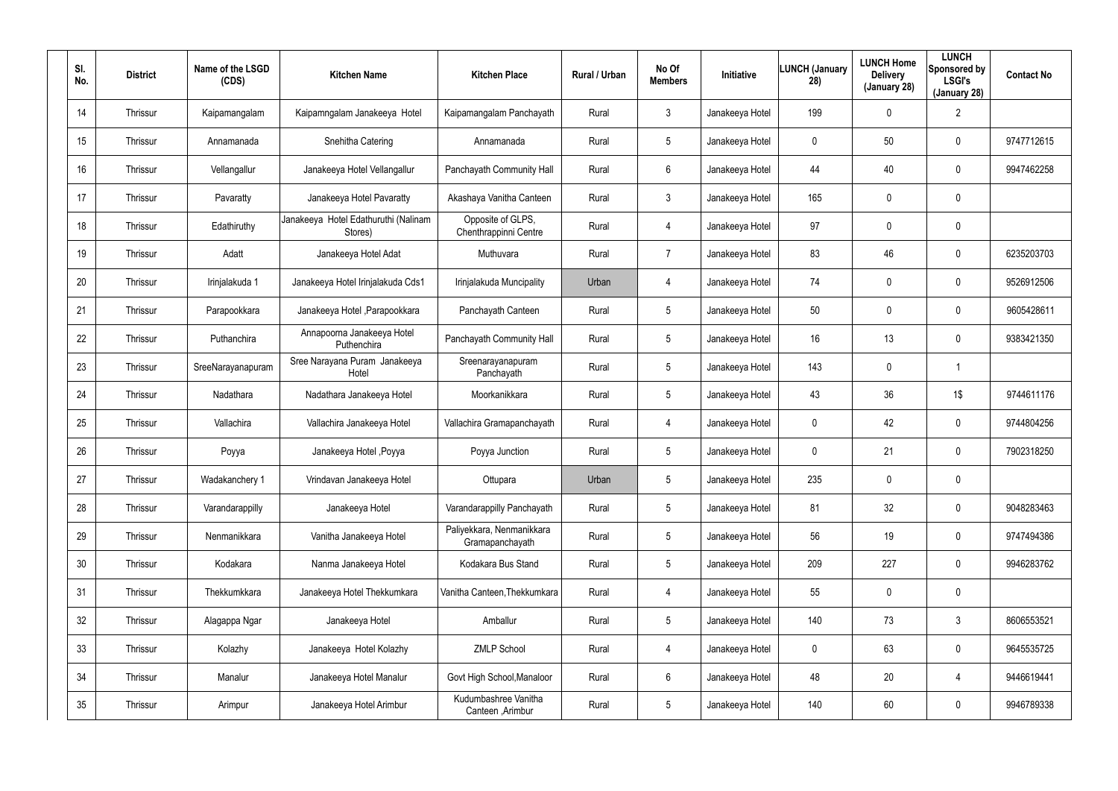| SI.<br>No. | <b>District</b> | Name of the LSGD<br>(CDS) | <b>Kitchen Name</b>                             | <b>Kitchen Place</b>                         | Rural / Urban | No Of<br><b>Members</b> | <b>Initiative</b> | <b>LUNCH (January</b><br>28) | <b>LUNCH Home</b><br><b>Delivery</b><br>(January 28) | <b>LUNCH</b><br>Sponsored by<br><b>LSGI's</b><br>(January 28) | <b>Contact No</b> |
|------------|-----------------|---------------------------|-------------------------------------------------|----------------------------------------------|---------------|-------------------------|-------------------|------------------------------|------------------------------------------------------|---------------------------------------------------------------|-------------------|
| 14         | Thrissur        | Kaipamangalam             | Kaipamngalam Janakeeya Hotel                    | Kaipamangalam Panchayath                     | Rural         | 3                       | Janakeeya Hotel   | 199                          | $\mathbf 0$                                          | $\overline{2}$                                                |                   |
| 15         | Thrissur        | Annamanada                | Snehitha Catering                               | Annamanada                                   | Rural         | $5\phantom{.0}$         | Janakeeya Hotel   | 0                            | 50                                                   | $\pmb{0}$                                                     | 9747712615        |
| 16         | Thrissur        | Vellangallur              | Janakeeya Hotel Vellangallur                    | Panchayath Community Hall                    | Rural         | 6                       | Janakeeya Hotel   | 44                           | 40                                                   | $\mathbf 0$                                                   | 9947462258        |
| 17         | Thrissur        | Pavaratty                 | Janakeeya Hotel Pavaratty                       | Akashaya Vanitha Canteen                     | Rural         | $\mathbf{3}$            | Janakeeya Hotel   | 165                          | 0                                                    | $\mathbf 0$                                                   |                   |
| 18         | Thrissur        | Edathiruthy               | Janakeeya Hotel Edathuruthi (Nalinam<br>Stores) | Opposite of GLPS,<br>Chenthrappinni Centre   | Rural         | 4                       | Janakeeya Hotel   | 97                           | 0                                                    | $\pmb{0}$                                                     |                   |
| 19         | Thrissur        | Adatt                     | Janakeeya Hotel Adat                            | Muthuvara                                    | Rural         | $\overline{7}$          | Janakeeya Hotel   | 83                           | 46                                                   | $\mathbf 0$                                                   | 6235203703        |
| 20         | Thrissur        | Irinjalakuda 1            | Janakeeya Hotel Irinjalakuda Cds1               | Irinjalakuda Muncipality                     | Urban         | 4                       | Janakeeya Hotel   | 74                           | 0                                                    | $\mathbf 0$                                                   | 9526912506        |
| 21         | Thrissur        | Parapookkara              | Janakeeya Hotel , Parapookkara                  | Panchayath Canteen                           | Rural         | $5\overline{)}$         | Janakeeya Hotel   | 50                           | 0                                                    | $\mathbf 0$                                                   | 9605428611        |
| 22         | Thrissur        | Puthanchira               | Annapoorna Janakeeya Hotel<br>Puthenchira       | Panchayath Community Hall                    | Rural         | $5\phantom{.0}$         | Janakeeya Hotel   | 16                           | 13                                                   | $\mathbf 0$                                                   | 9383421350        |
| 23         | Thrissur        | SreeNarayanapuram         | Sree Narayana Puram Janakeeya<br>Hotel          | Sreenarayanapuram<br>Panchayath              | Rural         | $5\overline{)}$         | Janakeeya Hotel   | 143                          | 0                                                    | -1                                                            |                   |
| 24         | Thrissur        | Nadathara                 | Nadathara Janakeeya Hotel                       | Moorkanikkara                                | Rural         | $5\phantom{.0}$         | Janakeeya Hotel   | 43                           | 36                                                   | 1\$                                                           | 9744611176        |
| 25         | Thrissur        | Vallachira                | Vallachira Janakeeya Hotel                      | Vallachira Gramapanchayath                   | Rural         | 4                       | Janakeeya Hotel   | 0                            | 42                                                   | $\mathbf 0$                                                   | 9744804256        |
| 26         | Thrissur        | Poyya                     | Janakeeya Hotel, Poyya                          | Poyya Junction                               | Rural         | $5\phantom{.0}$         | Janakeeya Hotel   | 0                            | 21                                                   | $\mathbf 0$                                                   | 7902318250        |
| 27         | Thrissur        | Wadakanchery 1            | Vrindavan Janakeeya Hotel                       | Ottupara                                     | Urban         | 5                       | Janakeeya Hotel   | 235                          | $\mathbf 0$                                          | $\pmb{0}$                                                     |                   |
| 28         | Thrissur        | Varandarappilly           | Janakeeya Hotel                                 | Varandarappilly Panchayath                   | Rural         | $5\phantom{.0}$         | Janakeeya Hotel   | 81                           | 32                                                   | $\pmb{0}$                                                     | 9048283463        |
| 29         | Thrissur        | Nenmanikkara              | Vanitha Janakeeya Hotel                         | Paliyekkara, Nenmanikkara<br>Gramapanchayath | Rural         | $5\phantom{.0}$         | Janakeeya Hotel   | 56                           | 19                                                   | $\pmb{0}$                                                     | 9747494386        |
| 30         | Thrissur        | Kodakara                  | Nanma Janakeeya Hotel                           | Kodakara Bus Stand                           | Rural         | $5\phantom{.0}$         | Janakeeya Hotel   | 209                          | 227                                                  | $\mathbf 0$                                                   | 9946283762        |
| 31         | Thrissur        | Thekkumkkara              | Janakeeya Hotel Thekkumkara                     | Vanitha Canteen, Thekkumkara                 | Rural         | 4                       | Janakeeya Hotel   | 55                           | 0                                                    | $\pmb{0}$                                                     |                   |
| 32         | Thrissur        | Alagappa Ngar             | Janakeeya Hotel                                 | Amballur                                     | Rural         | $5\phantom{.0}$         | Janakeeya Hotel   | 140                          | 73                                                   | $3\phantom{.0}$                                               | 8606553521        |
| 33         | Thrissur        | Kolazhy                   | Janakeeya Hotel Kolazhy                         | <b>ZMLP School</b>                           | Rural         | 4                       | Janakeeya Hotel   | 0                            | 63                                                   | $\pmb{0}$                                                     | 9645535725        |
| 34         | Thrissur        | Manalur                   | Janakeeya Hotel Manalur                         | Govt High School, Manaloor                   | Rural         | 6                       | Janakeeya Hotel   | 48                           | 20                                                   | $\overline{4}$                                                | 9446619441        |
| 35         | Thrissur        | Arimpur                   | Janakeeya Hotel Arimbur                         | Kudumbashree Vanitha<br>Canteen, Arimbur     | Rural         | $5\phantom{.0}$         | Janakeeya Hotel   | 140                          | 60                                                   | $\pmb{0}$                                                     | 9946789338        |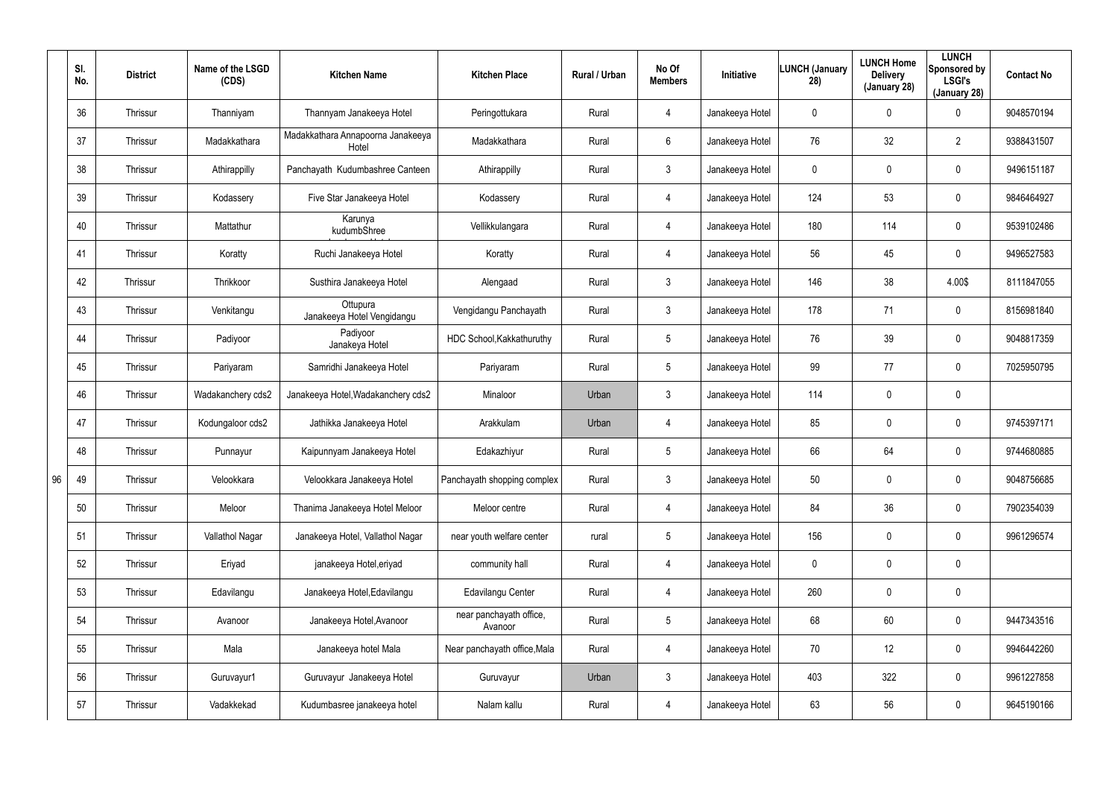|    | SI.<br>No. | <b>District</b> | Name of the LSGD<br>(CDS) | <b>Kitchen Name</b>                        | <b>Kitchen Place</b>               | Rural / Urban | No Of<br><b>Members</b> | Initiative      | <b>LUNCH (January</b><br>28) | <b>LUNCH Home</b><br><b>Delivery</b><br>(January 28) | <b>LUNCH</b><br>Sponsored by<br><b>LSGI's</b><br>(January 28) | <b>Contact No</b> |
|----|------------|-----------------|---------------------------|--------------------------------------------|------------------------------------|---------------|-------------------------|-----------------|------------------------------|------------------------------------------------------|---------------------------------------------------------------|-------------------|
|    | 36         | Thrissur        | Thanniyam                 | Thannyam Janakeeya Hotel                   | Peringottukara                     | Rural         | $\overline{4}$          | Janakeeya Hotel | 0                            | 0                                                    | $\mathbf 0$                                                   | 9048570194        |
|    | 37         | Thrissur        | Madakkathara              | Madakkathara Annapoorna Janakeeya<br>Hotel | Madakkathara                       | Rural         | 6                       | Janakeeya Hotel | 76                           | 32                                                   | $\overline{2}$                                                | 9388431507        |
|    | 38         | Thrissur        | Athirappilly              | Panchayath Kudumbashree Canteen            | Athirappilly                       | Rural         | $\mathbf{3}$            | Janakeeya Hotel | 0                            | 0                                                    | $\mathbf 0$                                                   | 9496151187        |
|    | 39         | Thrissur        | Kodassery                 | Five Star Janakeeya Hotel                  | Kodassery                          | Rural         | $\overline{4}$          | Janakeeya Hotel | 124                          | 53                                                   | $\mathbf 0$                                                   | 9846464927        |
|    | 40         | Thrissur        | Mattathur                 | Karunya<br>kudumbShree                     | Vellikkulangara                    | Rural         | $\overline{4}$          | Janakeeya Hotel | 180                          | 114                                                  | $\mathbf 0$                                                   | 9539102486        |
|    | 41         | Thrissur        | Koratty                   | Ruchi Janakeeya Hotel                      | Koratty                            | Rural         | $\overline{4}$          | Janakeeya Hotel | 56                           | 45                                                   | $\mathbf 0$                                                   | 9496527583        |
|    | 42         | Thrissur        | Thrikkoor                 | Susthira Janakeeya Hotel                   | Alengaad                           | Rural         | $\mathbf{3}$            | Janakeeya Hotel | 146                          | 38                                                   | 4.00\$                                                        | 8111847055        |
|    | 43         | Thrissur        | Venkitangu                | Ottupura<br>Janakeeya Hotel Vengidangu     | Vengidangu Panchayath              | Rural         | 3                       | Janakeeya Hotel | 178                          | 71                                                   | $\mathbf 0$                                                   | 8156981840        |
|    | 44         | Thrissur        | Padiyoor                  | Padiyoor<br>Janakeya Hotel                 | HDC School, Kakkathuruthy          | Rural         | $5\phantom{.0}$         | Janakeeya Hotel | 76                           | 39                                                   | $\mathbf 0$                                                   | 9048817359        |
|    | 45         | Thrissur        | Pariyaram                 | Samridhi Janakeeya Hotel                   | Pariyaram                          | Rural         | $5\overline{)}$         | Janakeeya Hotel | 99                           | 77                                                   | $\mathbf 0$                                                   | 7025950795        |
|    | 46         | Thrissur        | Wadakanchery cds2         | Janakeeya Hotel, Wadakanchery cds2         | Minaloor                           | Urban         | $\mathbf{3}$            | Janakeeya Hotel | 114                          | 0                                                    | $\mathbf 0$                                                   |                   |
|    | 47         | Thrissur        | Kodungaloor cds2          | Jathikka Janakeeya Hotel                   | Arakkulam                          | Urban         | $\overline{4}$          | Janakeeya Hotel | 85                           | 0                                                    | $\mathbf 0$                                                   | 9745397171        |
|    | 48         | Thrissur        | Punnayur                  | Kaipunnyam Janakeeya Hotel                 | Edakazhiyur                        | Rural         | $5\phantom{.0}$         | Janakeeya Hotel | 66                           | 64                                                   | $\mathbf 0$                                                   | 9744680885        |
| 96 | 49         | Thrissur        | Velookkara                | Velookkara Janakeeya Hotel                 | Panchayath shopping complex        | Rural         | $\mathfrak{Z}$          | Janakeeya Hotel | 50                           | 0                                                    | $\pmb{0}$                                                     | 9048756685        |
|    | 50         | Thrissur        | Meloor                    | Thanima Janakeeya Hotel Meloor             | Meloor centre                      | Rural         | $\overline{4}$          | Janakeeya Hotel | 84                           | 36                                                   | $\pmb{0}$                                                     | 7902354039        |
|    | 51         | Thrissur        | Vallathol Nagar           | Janakeeya Hotel, Vallathol Nagar           | near youth welfare center          | rural         | $5\phantom{.0}$         | Janakeeya Hotel | 156                          | 0                                                    | $\pmb{0}$                                                     | 9961296574        |
|    | 52         | Thrissur        | Eriyad                    | janakeeya Hotel, eriyad                    | community hall                     | Rural         | $\overline{4}$          | Janakeeya Hotel | 0                            | 0                                                    | $\pmb{0}$                                                     |                   |
|    | 53         | Thrissur        | Edavilangu                | Janakeeya Hotel, Edavilangu                | Edavilangu Center                  | Rural         | $\overline{4}$          | Janakeeya Hotel | 260                          | 0                                                    | $\pmb{0}$                                                     |                   |
|    | 54         | Thrissur        | Avanoor                   | Janakeeya Hotel, Avanoor                   | near panchayath office,<br>Avanoor | Rural         | $5\overline{)}$         | Janakeeya Hotel | 68                           | 60                                                   | $\pmb{0}$                                                     | 9447343516        |
|    | 55         | Thrissur        | Mala                      | Janakeeya hotel Mala                       | Near panchayath office, Mala       | Rural         | $\overline{4}$          | Janakeeya Hotel | 70                           | 12                                                   | $\pmb{0}$                                                     | 9946442260        |
|    | 56         | Thrissur        | Guruvayur1                | Guruvayur Janakeeya Hotel                  | Guruvayur                          | Urban         | $\mathfrak{Z}$          | Janakeeya Hotel | 403                          | 322                                                  | $\pmb{0}$                                                     | 9961227858        |
|    | 57         | Thrissur        | Vadakkekad                | Kudumbasree janakeeya hotel                | Nalam kallu                        | Rural         | 4                       | Janakeeya Hotel | 63                           | 56                                                   | $\pmb{0}$                                                     | 9645190166        |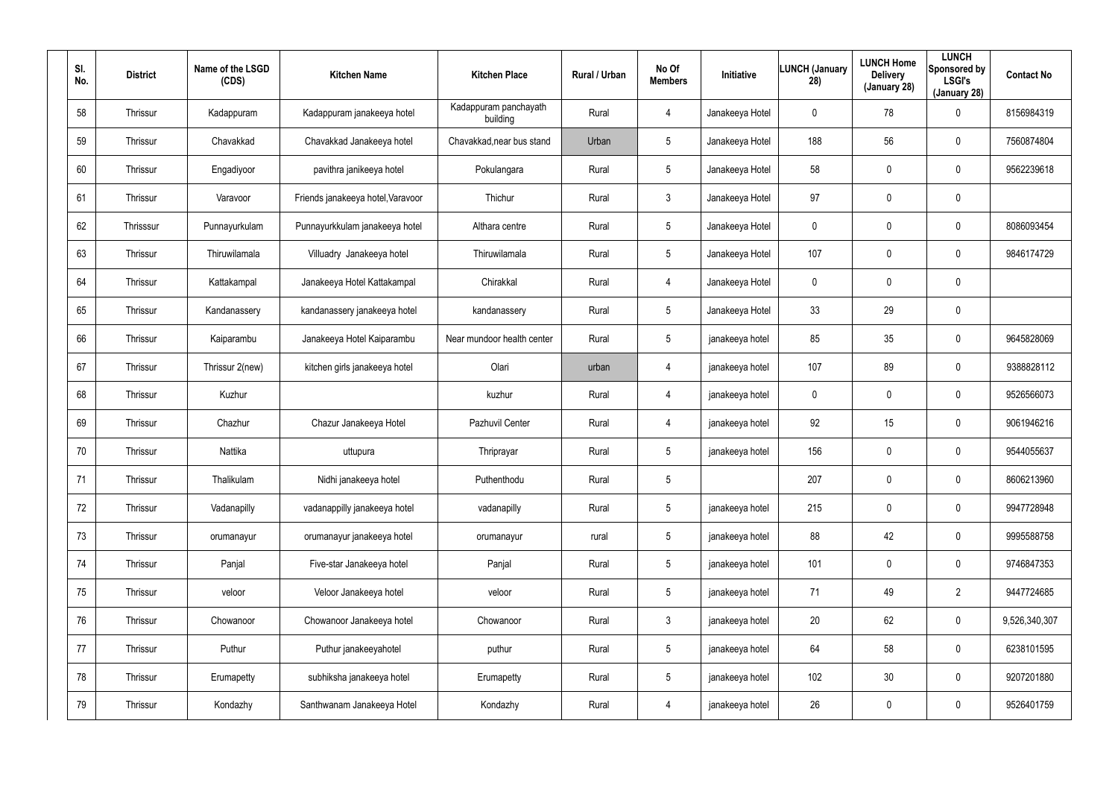| SI.<br>No. | <b>District</b> | Name of the LSGD<br>(CDS) | <b>Kitchen Name</b>               | <b>Kitchen Place</b>              | Rural / Urban | No Of<br><b>Members</b> | Initiative      | <b>LUNCH (January</b><br>28) | <b>LUNCH Home</b><br><b>Delivery</b><br>(January 28) | <b>LUNCH</b><br>Sponsored by<br><b>LSGI's</b><br>(January 28) | <b>Contact No</b> |
|------------|-----------------|---------------------------|-----------------------------------|-----------------------------------|---------------|-------------------------|-----------------|------------------------------|------------------------------------------------------|---------------------------------------------------------------|-------------------|
| 58         | Thrissur        | Kadappuram                | Kadappuram janakeeya hotel        | Kadappuram panchayath<br>building | Rural         | $\overline{4}$          | Janakeeya Hotel | 0                            | 78                                                   | 0                                                             | 8156984319        |
| 59         | Thrissur        | Chavakkad                 | Chavakkad Janakeeya hotel         | Chavakkad, near bus stand         | Urban         | 5                       | Janakeeya Hotel | 188                          | 56                                                   | 0                                                             | 7560874804        |
| 60         | Thrissur        | Engadiyoor                | pavithra janikeeya hotel          | Pokulangara                       | Rural         | 5                       | Janakeeya Hotel | 58                           | $\pmb{0}$                                            | 0                                                             | 9562239618        |
| 61         | Thrissur        | Varavoor                  | Friends janakeeya hotel, Varavoor | Thichur                           | Rural         | $\mathbf{3}$            | Janakeeya Hotel | 97                           | $\mathbf 0$                                          | $\pmb{0}$                                                     |                   |
| 62         | Thrisssur       | Punnayurkulam             | Punnayurkkulam janakeeya hotel    | Althara centre                    | Rural         | 5                       | Janakeeya Hotel | 0                            | $\pmb{0}$                                            | 0                                                             | 8086093454        |
| 63         | Thrissur        | Thiruwilamala             | Villuadry Janakeeya hotel         | Thiruwilamala                     | Rural         | 5                       | Janakeeya Hotel | 107                          | $\mathbf 0$                                          | $\mathbf 0$                                                   | 9846174729        |
| 64         | Thrissur        | Kattakampal               | Janakeeya Hotel Kattakampal       | Chirakkal                         | Rural         | $\overline{4}$          | Janakeeya Hotel | 0                            | $\pmb{0}$                                            | 0                                                             |                   |
| 65         | Thrissur        | Kandanassery              | kandanassery janakeeya hotel      | kandanassery                      | Rural         | $5\phantom{.0}$         | Janakeeya Hotel | 33                           | 29                                                   | $\mathbf 0$                                                   |                   |
| 66         | Thrissur        | Kaiparambu                | Janakeeya Hotel Kaiparambu        | Near mundoor health center        | Rural         | $5\phantom{.0}$         | janakeeya hotel | 85                           | 35                                                   | 0                                                             | 9645828069        |
| 67         | Thrissur        | Thrissur 2(new)           | kitchen girls janakeeya hotel     | Olari                             | urban         | 4                       | janakeeya hotel | 107                          | 89                                                   | $\mathbf 0$                                                   | 9388828112        |
| 68         | Thrissur        | Kuzhur                    |                                   | kuzhur                            | Rural         | $\overline{4}$          | janakeeya hotel | 0                            | $\overline{0}$                                       | 0                                                             | 9526566073        |
| 69         | Thrissur        | Chazhur                   | Chazur Janakeeya Hotel            | Pazhuvil Center                   | Rural         | 4                       | janakeeya hotel | 92                           | 15                                                   | $\mathbf 0$                                                   | 9061946216        |
| 70         | Thrissur        | Nattika                   | uttupura                          | Thriprayar                        | Rural         | $5\overline{)}$         | janakeeya hotel | 156                          | $\overline{0}$                                       | 0                                                             | 9544055637        |
| 71         | Thrissur        | Thalikulam                | Nidhi janakeeya hotel             | Puthenthodu                       | Rural         | 5                       |                 | 207                          | $\mathbf 0$                                          | $\pmb{0}$                                                     | 8606213960        |
| 72         | Thrissur        | Vadanapilly               | vadanappilly janakeeya hotel      | vadanapilly                       | Rural         | $5\phantom{.0}$         | janakeeya hotel | 215                          | $\mathbf 0$                                          | $\pmb{0}$                                                     | 9947728948        |
| 73         | Thrissur        | orumanayur                | orumanayur janakeeya hotel        | orumanayur                        | rural         | $5\phantom{.0}$         | janakeeya hotel | 88                           | 42                                                   | $\pmb{0}$                                                     | 9995588758        |
| 74         | Thrissur        | Panjal                    | Five-star Janakeeya hotel         | Panjal                            | Rural         | $5\phantom{.0}$         | janakeeya hotel | 101                          | $\mathbf 0$                                          | $\pmb{0}$                                                     | 9746847353        |
| 75         | Thrissur        | veloor                    | Veloor Janakeeya hotel            | veloor                            | Rural         | $5\phantom{.0}$         | janakeeya hotel | 71                           | 49                                                   | $\overline{2}$                                                | 9447724685        |
| 76         | Thrissur        | Chowanoor                 | Chowanoor Janakeeya hotel         | Chowanoor                         | Rural         | 3 <sup>1</sup>          | janakeeya hotel | 20                           | 62                                                   | 0                                                             | 9,526,340,307     |
| 77         | Thrissur        | Puthur                    | Puthur janakeeyahotel             | puthur                            | Rural         | 5                       | janakeeya hotel | 64                           | 58                                                   | 0                                                             | 6238101595        |
| 78         | Thrissur        | Erumapetty                | subhiksha janakeeya hotel         | Erumapetty                        | Rural         | $5\phantom{.0}$         | janakeeya hotel | 102                          | 30 <sub>o</sub>                                      | 0                                                             | 9207201880        |
| 79         | Thrissur        | Kondazhy                  | Santhwanam Janakeeya Hotel        | Kondazhy                          | Rural         | $\overline{4}$          | janakeeya hotel | 26                           | $\boldsymbol{0}$                                     | 0                                                             | 9526401759        |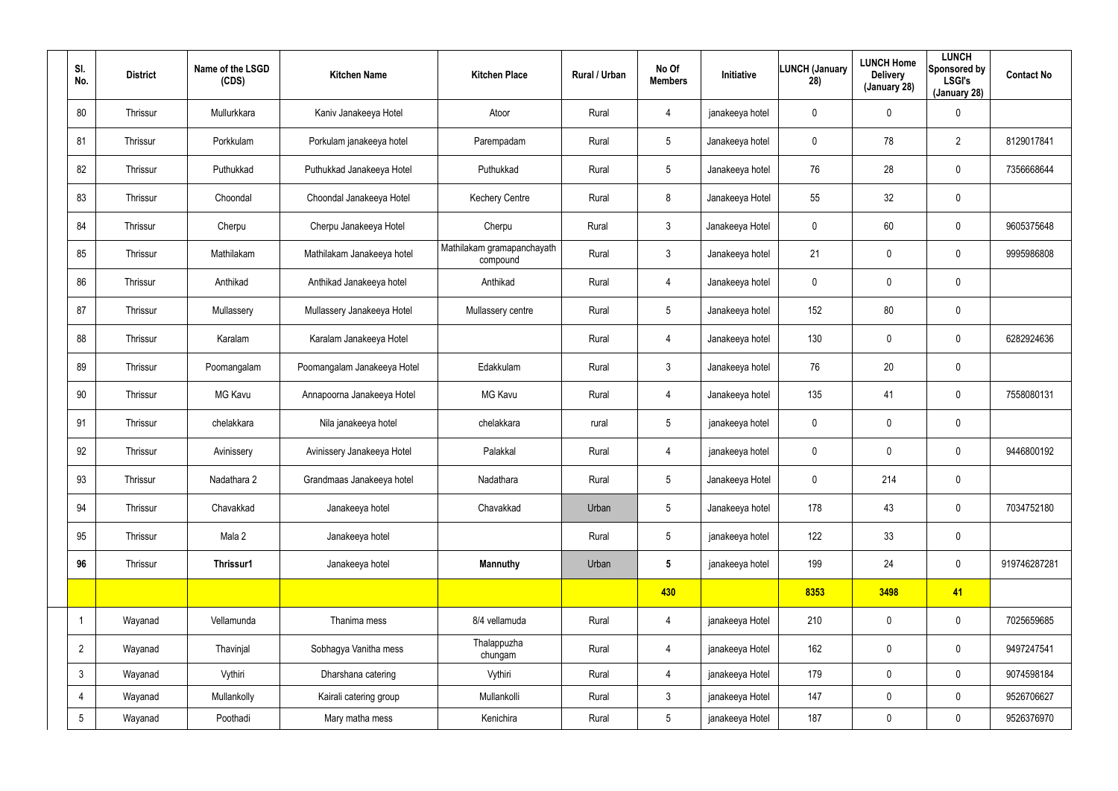| SI.<br><b>District</b><br>No. |          | Name of the LSGD<br>(CDS) | <b>Kitchen Name</b>         | <b>Kitchen Place</b>                   | Rural / Urban                 | No Of<br><b>Members</b> | Initiative      | LUNCH (January<br>28) | <b>LUNCH Home</b><br><b>Delivery</b><br>(January 28) | <b>LUNCH</b><br>Sponsored by<br><b>LSGI's</b><br>(January 28) | <b>Contact No</b> |
|-------------------------------|----------|---------------------------|-----------------------------|----------------------------------------|-------------------------------|-------------------------|-----------------|-----------------------|------------------------------------------------------|---------------------------------------------------------------|-------------------|
| 80                            | Thrissur | Mullurkkara               | Kaniv Janakeeya Hotel       | Atoor                                  | Rural                         | 4                       | janakeeya hotel | $\mathbf 0$           | 0                                                    | $\mathbf 0$                                                   |                   |
| 81                            | Thrissur | Porkkulam                 | Porkulam janakeeya hotel    | Parempadam                             | Rural                         | $5\phantom{.0}$         | Janakeeya hotel | 0                     | 78                                                   | $\overline{2}$                                                | 8129017841        |
| 82                            | Thrissur | Puthukkad                 | Puthukkad Janakeeya Hotel   | Puthukkad                              | Rural                         | $5\overline{)}$         | Janakeeya hotel | 76                    | 28                                                   | $\mathbf 0$                                                   | 7356668644        |
| 83                            | Thrissur | Choondal                  | Choondal Janakeeya Hotel    | <b>Kechery Centre</b>                  | Rural                         | 8                       | Janakeeya Hotel | 55                    | 32                                                   | $\pmb{0}$                                                     |                   |
| 84                            | Thrissur | Cherpu                    | Cherpu Janakeeya Hotel      | Cherpu                                 | Rural                         | 3                       | Janakeeya Hotel | $\mathbf 0$           | 60                                                   | $\mathbf 0$                                                   | 9605375648        |
| 85                            | Thrissur | Mathilakam                | Mathilakam Janakeeya hotel  | Mathilakam gramapanchayath<br>compound | Rural                         | 3                       | Janakeeya hotel | 21                    | 0                                                    | $\mathbf 0$                                                   | 9995986808        |
| 86                            | Thrissur | Anthikad                  | Anthikad Janakeeya hotel    | Anthikad                               | Rural                         | 4                       | Janakeeya hotel | $\mathbf 0$           | 0                                                    | $\pmb{0}$                                                     |                   |
| 87                            | Thrissur | Mullassery                | Mullassery Janakeeya Hotel  | Mullassery centre                      | Rural                         | 5                       | Janakeeya hotel | 152                   | 80                                                   | $\pmb{0}$                                                     |                   |
| 88                            | Thrissur | Karalam                   | Karalam Janakeeya Hotel     |                                        | Rural                         | 4                       | Janakeeya hotel | 130                   | 0                                                    | $\mathbf 0$                                                   | 6282924636        |
| 89                            | Thrissur | Poomangalam               | Poomangalam Janakeeya Hotel | Edakkulam                              | Rural                         | 3                       | Janakeeya hotel | 76                    | 20                                                   | $\pmb{0}$                                                     |                   |
| 90                            | Thrissur | MG Kavu                   | Annapoorna Janakeeya Hotel  | <b>MG Kavu</b>                         | Rural                         | 4                       | Janakeeya hotel | 135                   | 41                                                   | $\mathbf 0$                                                   | 7558080131        |
| 91                            | Thrissur | chelakkara                | Nila janakeeya hotel        | chelakkara                             | 5<br>rural                    |                         | janakeeya hotel | 0                     | 0                                                    | $\pmb{0}$                                                     |                   |
| 92                            | Thrissur | Avinissery                | Avinissery Janakeeya Hotel  | Palakkal                               | Rural<br>janakeeya hotel<br>4 |                         | 0               | 0                     | $\mathbf 0$                                          | 9446800192                                                    |                   |
| 93                            | Thrissur | Nadathara 2               | Grandmaas Janakeeya hotel   | Nadathara                              | Rural                         | 5                       | Janakeeya Hotel | 0                     | 214                                                  | $\pmb{0}$                                                     |                   |
| 94                            | Thrissur | Chavakkad                 | Janakeeya hotel             | Chavakkad                              | Urban                         | $5\overline{)}$         | Janakeeya hotel | 178                   | 43                                                   | $\mathsf{0}$                                                  | 7034752180        |
| 95                            | Thrissur | Mala 2                    | Janakeeya hotel             |                                        | Rural                         | $5\phantom{.0}$         | janakeeya hotel | 122                   | 33                                                   | $\pmb{0}$                                                     |                   |
| 96                            | Thrissur | Thrissur1                 | Janakeeya hotel             | <b>Mannuthy</b>                        | Urban                         | $5\phantom{.0}$         | janakeeya hotel | 199                   | 24                                                   | $\pmb{0}$                                                     | 919746287281      |
|                               |          |                           |                             |                                        |                               | 430                     |                 | 8353                  | 3498                                                 | 41                                                            |                   |
|                               | Wayanad  | Vellamunda                | Thanima mess                | 8/4 vellamuda                          | Rural                         | 4                       | janakeeya Hotel | 210                   | $\mathbf 0$                                          | $\mathbf 0$                                                   | 7025659685        |
| $\overline{2}$                | Wayanad  | Thavinjal                 | Sobhagya Vanitha mess       | Thalappuzha<br>chungam                 | Rural                         | $\overline{4}$          | janakeeya Hotel | 162                   | $\mathbf 0$                                          | $\mathsf{0}$                                                  | 9497247541        |
| $\mathbf{3}$                  | Wayanad  | Vythiri                   | Dharshana catering          | Vythiri                                | Rural                         | $\overline{4}$          | janakeeya Hotel | 179                   | 0                                                    | $\mathbf 0$                                                   | 9074598184        |
| $\overline{4}$                | Wayanad  | Mullankolly               | Kairali catering group      | Mullankolli                            | Rural                         | $\mathbf{3}$            | janakeeya Hotel | 147                   | $\mathbf 0$                                          | $\mathsf{0}$                                                  | 9526706627        |
| $5\phantom{.0}$               | Wayanad  | Poothadi                  | Mary matha mess             | Kenichira                              | Rural                         | $5\phantom{.0}$         | janakeeya Hotel | 187                   | 0                                                    | $\pmb{0}$                                                     | 9526376970        |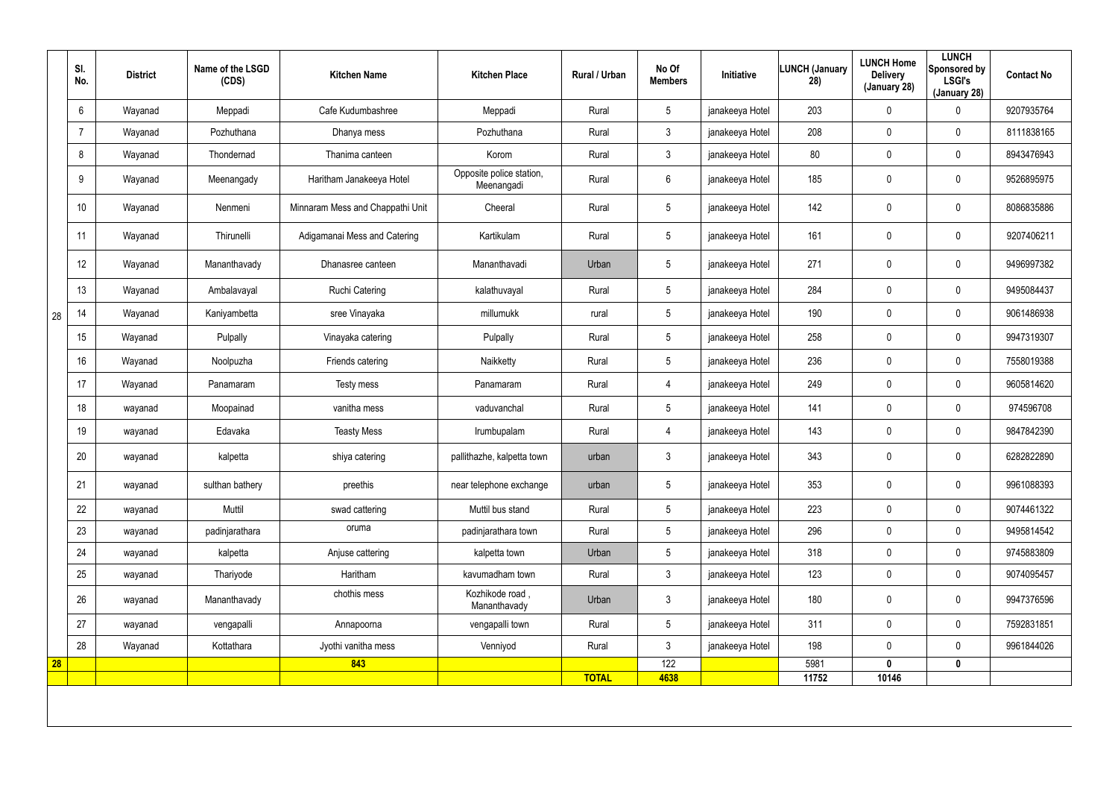|    | SI.<br>No. | <b>District</b> | Name of the LSGD<br>(CDS) | <b>Kitchen Name</b>              | <b>Kitchen Place</b>                   | <b>Rural / Urban</b> | No Of<br><b>Members</b> | <b>Initiative</b> | <b>LUNCH (January</b><br>28) | <b>LUNCH Home</b><br><b>Delivery</b><br>(January 28) | <b>LUNCH</b><br>Sponsored by<br><b>LSGI's</b><br>(January 28) | <b>Contact No</b> |
|----|------------|-----------------|---------------------------|----------------------------------|----------------------------------------|----------------------|-------------------------|-------------------|------------------------------|------------------------------------------------------|---------------------------------------------------------------|-------------------|
|    | 6          | Wayanad         | Meppadi                   | Cafe Kudumbashree                | Meppadi                                | Rural                | $5\,$                   | janakeeya Hotel   | 203                          | 0                                                    | 0                                                             | 9207935764        |
|    |            | Wayanad         | Pozhuthana                | Dhanya mess                      | Pozhuthana                             | Rural                | $\mathbf{3}$            | janakeeya Hotel   | 208                          | $\mathbf 0$                                          | $\pmb{0}$                                                     | 8111838165        |
|    | 8          | Wayanad         | Thondernad                | Thanima canteen                  | Korom                                  | Rural                | $\mathbf{3}$            | janakeeya Hotel   | 80                           | $\mathbf 0$                                          | $\pmb{0}$                                                     | 8943476943        |
|    | 9          | Wayanad         | Meenangady                | Haritham Janakeeya Hotel         | Opposite police station,<br>Meenangadi | Rural                | $6\,$                   | janakeeya Hotel   | 185                          | 0                                                    | $\pmb{0}$                                                     | 9526895975        |
|    | 10         | Wayanad         | Nenmeni                   | Minnaram Mess and Chappathi Unit | Cheeral                                | Rural                | $5\phantom{.0}$         | janakeeya Hotel   | 142                          | 0                                                    | $\pmb{0}$                                                     | 8086835886        |
|    | 11         | Wayanad         | Thirunelli                | Adigamanai Mess and Catering     | Kartikulam                             | Rural                | $5\phantom{.0}$         | janakeeya Hotel   | 161                          | 0                                                    | $\pmb{0}$                                                     | 9207406211        |
|    | 12         | Wayanad         | Mananthavady              | Dhanasree canteen                | Mananthavadi                           | Urban                | $5\phantom{.0}$         | janakeeya Hotel   | 271                          | 0                                                    | $\pmb{0}$                                                     | 9496997382        |
|    | 13         | Wayanad         | Ambalavayal               | Ruchi Catering                   | kalathuvayal                           | Rural                | $5\phantom{.0}$         | janakeeya Hotel   | 284                          | 0                                                    | $\mathbf 0$                                                   | 9495084437        |
| 28 | 14         | Wayanad         | Kaniyambetta              | sree Vinayaka                    | millumukk                              | rural                | $5\phantom{.0}$         | janakeeya Hotel   | 190                          | 0                                                    | $\mathbf 0$                                                   | 9061486938        |
|    | 15         | Wayanad         | Pulpally                  | Vinayaka catering                | Pulpally                               | Rural                | $5\overline{)}$         | janakeeya Hotel   | 258                          | 0                                                    | $\mathbf 0$                                                   | 9947319307        |
|    | 16         | Wayanad         | Noolpuzha                 | Friends catering                 | Naikketty                              | Rural                | $5\phantom{.0}$         | janakeeya Hotel   | 236                          | 0                                                    | $\mathbf 0$                                                   | 7558019388        |
|    | 17         | Wayanad         | Panamaram                 | Testy mess                       | Panamaram                              | Rural                | 4                       | janakeeya Hotel   | 249                          | 0                                                    | $\mathbf 0$                                                   | 9605814620        |
|    | 18         | wayanad         | Moopainad                 | vanitha mess                     | vaduvanchal                            | Rural                | $5\phantom{.0}$         | janakeeya Hotel   | 141                          | 0                                                    | $\pmb{0}$                                                     | 974596708         |
|    | 19         | wayanad         | Edavaka                   | <b>Teasty Mess</b>               | Irumbupalam                            | Rural                | 4                       | janakeeya Hotel   | 143                          | 0                                                    | $\pmb{0}$                                                     | 9847842390        |
|    | 20         | wayanad         | kalpetta                  | shiya catering                   | pallithazhe, kalpetta town             | urban                | $\mathbf{3}$            | janakeeya Hotel   | 343                          | 0                                                    | $\mathbf 0$                                                   | 6282822890        |
|    | 21         | wayanad         | sulthan bathery           | preethis                         | near telephone exchange                | urban                | $5\phantom{.0}$         | janakeeya Hotel   | 353                          | 0                                                    | $\pmb{0}$                                                     | 9961088393        |
|    | 22         | wayanad         | Muttil                    | swad cattering                   | Muttil bus stand                       | Rural                | $5\overline{)}$         | janakeeya Hotel   | 223                          | 0                                                    | $\mathbf 0$                                                   | 9074461322        |
|    | 23         | wayanad         | padinjarathara            | oruma                            | padinjarathara town                    | Rural                | $5\overline{)}$         | janakeeya Hotel   | 296                          | 0                                                    | $\mathbf 0$                                                   | 9495814542        |
|    | 24         | wayanad         | kalpetta                  | Anjuse cattering                 | kalpetta town                          | Urban                | $5\overline{)}$         | janakeeya Hotel   | 318                          | 0                                                    | $\mathbf 0$                                                   | 9745883809        |
|    | 25         | wayanad         | Thariyode                 | Haritham                         | kavumadham town                        | Rural                | $\mathbf{3}$            | janakeeya Hotel   | 123                          | 0                                                    | $\mathbf 0$                                                   | 9074095457        |
|    | 26         | wayanad         | Mananthavady              | chothis mess                     | Kozhikode road,<br>Mananthavady        | Urban                | $\mathbf{3}$            | janakeeya Hotel   | 180                          | $\mathbf 0$                                          | $\pmb{0}$                                                     | 9947376596        |
|    | 27         | wayanad         | vengapalli                | Annapoorna                       | vengapalli town                        | Rural                | $5\overline{)}$         | janakeeya Hotel   | 311                          | 0                                                    | $\mathbf 0$                                                   | 7592831851        |
|    | 28         | Wayanad         | Kottathara                | Jyothi vanitha mess              | Venniyod                               | Rural                | $\mathbf{3}$            | janakeeya Hotel   | 198                          | 0                                                    | $\mathbf 0$                                                   | 9961844026        |
| 28 |            |                 |                           | 843                              |                                        | <b>TOTAL</b>         | 122<br>4638             |                   | 5981<br>11752                | $\mathbf{0}$<br>10146                                | $\mathbf 0$                                                   |                   |
|    |            |                 |                           |                                  |                                        |                      |                         |                   |                              |                                                      |                                                               |                   |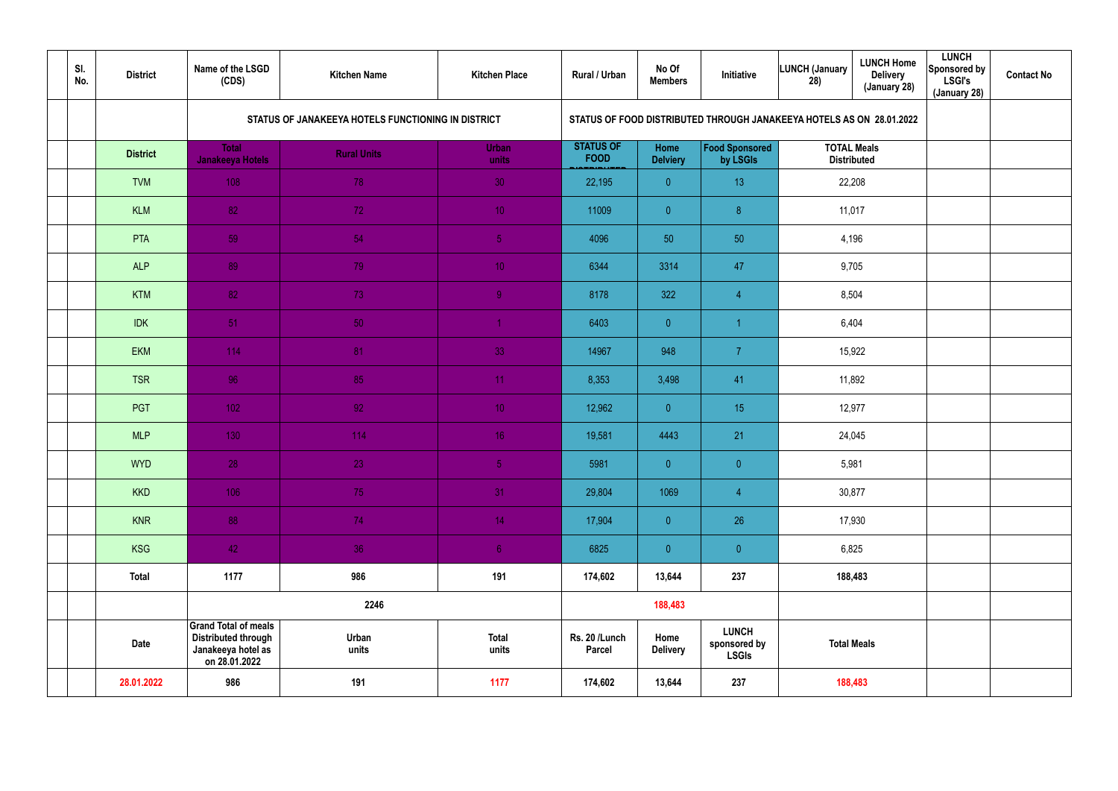| SI.<br>No. | <b>District</b> | Name of the LSGD<br>(CDS)                                                                        | <b>Kitchen Name</b>                                | <b>Kitchen Place</b>  | Rural / Urban                                                        | No Of<br><b>Members</b> | Initiative                                   | <b>LUNCH (January</b><br>28)             | <b>LUNCH Home</b><br><b>Delivery</b><br>(January 28) | <b>LUNCH</b><br>Sponsored by<br><b>LSGI's</b><br>(January 28) | <b>Contact No</b> |
|------------|-----------------|--------------------------------------------------------------------------------------------------|----------------------------------------------------|-----------------------|----------------------------------------------------------------------|-------------------------|----------------------------------------------|------------------------------------------|------------------------------------------------------|---------------------------------------------------------------|-------------------|
|            |                 |                                                                                                  | STATUS OF JANAKEEYA HOTELS FUNCTIONING IN DISTRICT |                       | STATUS OF FOOD DISTRIBUTED THROUGH JANAKEEYA HOTELS AS ON 28.01.2022 |                         |                                              |                                          |                                                      |                                                               |                   |
|            | <b>District</b> | <b>Total</b><br>Janakeeya Hotels                                                                 | <b>Rural Units</b>                                 | Urban<br>units        | <b>STATUS OF</b><br><b>FOOD</b>                                      | Home<br><b>Delviery</b> | Food Sponsored<br>by LSGIs                   | <b>TOTAL Meals</b><br><b>Distributed</b> |                                                      |                                                               |                   |
|            | <b>TVM</b>      | 108                                                                                              | 78                                                 | 30                    | 22,195                                                               | $\overline{0}$          | 13                                           |                                          | 22,208                                               |                                                               |                   |
|            | <b>KLM</b>      | 82                                                                                               | 72                                                 | 10 <sup>°</sup>       | 11009                                                                | $\overline{0}$          | 8 <sup>°</sup>                               | 11,017                                   |                                                      |                                                               |                   |
|            | PTA             | 59                                                                                               | 54                                                 | 5 <sub>1</sub>        | 4096                                                                 | 50                      | 50                                           | 4,196                                    |                                                      |                                                               |                   |
|            | <b>ALP</b>      | 89                                                                                               | 79                                                 | 10 <sup>°</sup>       | 6344                                                                 | 3314                    | 47                                           | 9,705                                    |                                                      |                                                               |                   |
|            | <b>KTM</b>      | 82                                                                                               | 73                                                 | 9 <sup>°</sup>        | 8178                                                                 | 322                     | $\overline{4}$                               | 8,504                                    |                                                      |                                                               |                   |
|            | <b>IDK</b>      | 51                                                                                               | 50                                                 |                       | 6403                                                                 | $\overline{0}$          | -1                                           | 6,404                                    |                                                      |                                                               |                   |
|            | <b>EKM</b>      | 114                                                                                              | 81                                                 | 33                    | 14967                                                                | 948                     | $\overline{7}$                               | 15,922                                   |                                                      |                                                               |                   |
|            | <b>TSR</b>      | 96                                                                                               | 85                                                 | 11                    | 8,353                                                                | 3,498                   | 41                                           |                                          | 11,892                                               |                                                               |                   |
|            | PGT             | 102                                                                                              | 92 <sub>1</sub>                                    | 10 <sup>°</sup>       | 12,962                                                               | $\overline{0}$          | 15                                           |                                          | 12,977                                               |                                                               |                   |
|            | <b>MLP</b>      | 130                                                                                              | 114                                                | 16 <sup>°</sup>       | 19,581                                                               | 4443                    | 21                                           |                                          | 24,045                                               |                                                               |                   |
|            | <b>WYD</b>      | 28                                                                                               | 23                                                 | 5 <sub>1</sub>        | 5981                                                                 | $\overline{0}$          | $\overline{0}$                               | 5,981                                    |                                                      |                                                               |                   |
|            | <b>KKD</b>      | 106                                                                                              | 75                                                 | 31                    | 29,804                                                               | 1069                    | $\overline{4}$                               |                                          | 30,877                                               |                                                               |                   |
|            | <b>KNR</b>      | 88                                                                                               | 74                                                 | 14 <sup>°</sup>       | 17,904                                                               | $\overline{0}$          | 26                                           |                                          | 17,930                                               |                                                               |                   |
|            | <b>KSG</b>      | 42                                                                                               | 36                                                 | 6 <sup>1</sup>        | 6825                                                                 | $\overline{0}$          | $\pmb{0}$                                    | 6,825                                    |                                                      |                                                               |                   |
|            | <b>Total</b>    | 1177                                                                                             | 986                                                | 191                   | 174,602                                                              | 13,644                  | 237                                          | 188,483                                  |                                                      |                                                               |                   |
|            |                 |                                                                                                  | 2246                                               |                       |                                                                      | 188,483                 |                                              |                                          |                                                      |                                                               |                   |
|            | <b>Date</b>     | <b>Grand Total of meals</b><br><b>Distributed through</b><br>Janakeeya hotel as<br>on 28.01.2022 | Urban<br>units                                     | <b>Total</b><br>units | Rs. 20 /Lunch<br>Parcel                                              | Home<br><b>Delivery</b> | <b>LUNCH</b><br>sponsored by<br><b>LSGIs</b> | <b>Total Meals</b>                       |                                                      |                                                               |                   |
|            | 28.01.2022      | 986                                                                                              | 191                                                | 1177                  | 174,602                                                              | 13,644                  | 237                                          |                                          | 188,483                                              |                                                               |                   |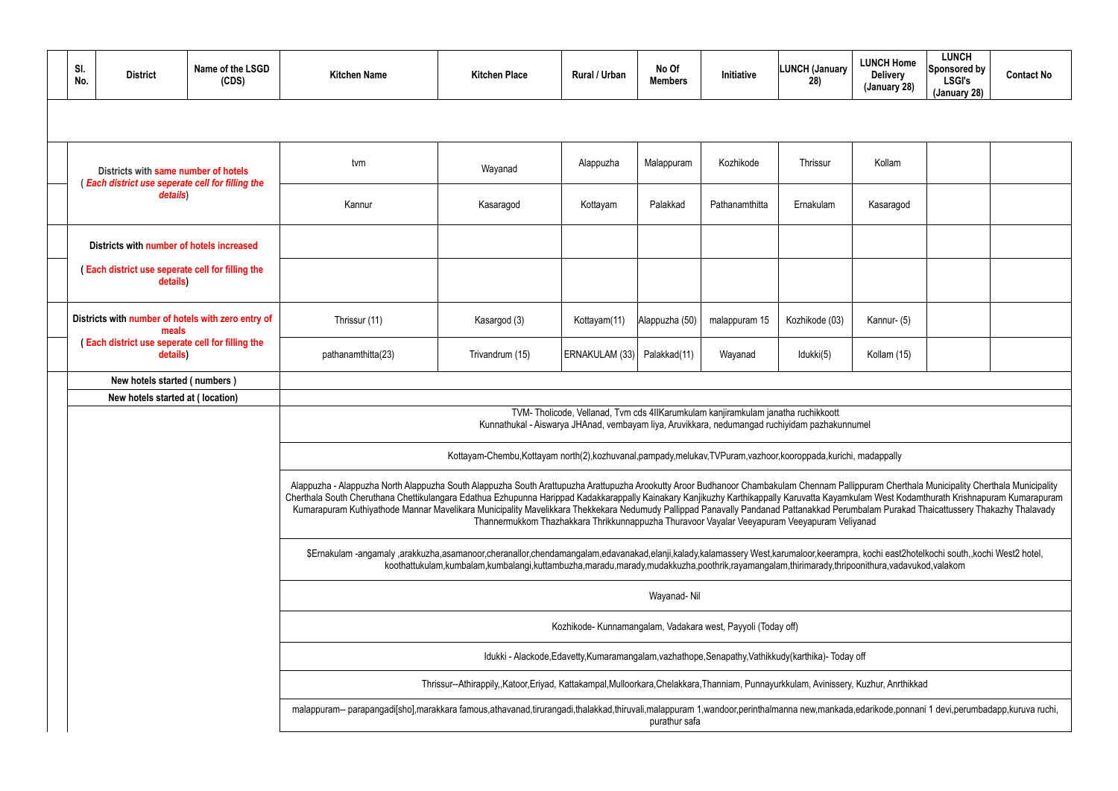| SI. | No.                                                                                                                                                                                                                                      | <b>District</b>                  | Name of the LSGD<br>(CDS) | <b>Kitchen Name</b>                                                                                                                                                                                                                                                                                                                                                                                                                                                                                                                                                                                                                                                               | <b>Kitchen Place</b> | Rural / Urban                                                | No Of<br><b>Members</b> | Initiative     | <b>LUNCH (January</b><br>28) | <b>LUNCH Home</b><br><b>Delivery</b><br>(January 28) | <b>LUNCH</b><br>Sponsored by<br><b>LSGI's</b><br>(January 28) | <b>Contact No</b> |  |  |
|-----|------------------------------------------------------------------------------------------------------------------------------------------------------------------------------------------------------------------------------------------|----------------------------------|---------------------------|-----------------------------------------------------------------------------------------------------------------------------------------------------------------------------------------------------------------------------------------------------------------------------------------------------------------------------------------------------------------------------------------------------------------------------------------------------------------------------------------------------------------------------------------------------------------------------------------------------------------------------------------------------------------------------------|----------------------|--------------------------------------------------------------|-------------------------|----------------|------------------------------|------------------------------------------------------|---------------------------------------------------------------|-------------------|--|--|
|     |                                                                                                                                                                                                                                          |                                  |                           |                                                                                                                                                                                                                                                                                                                                                                                                                                                                                                                                                                                                                                                                                   |                      |                                                              |                         |                |                              |                                                      |                                                               |                   |  |  |
|     | Districts with same number of hotels<br>(Each district use seperate cell for filling the                                                                                                                                                 |                                  | tvm                       | Wayanad                                                                                                                                                                                                                                                                                                                                                                                                                                                                                                                                                                                                                                                                           | Alappuzha            | Malappuram                                                   | Kozhikode               | Thrissur       | Kollam                       |                                                      |                                                               |                   |  |  |
|     |                                                                                                                                                                                                                                          | details)                         |                           | Kannur                                                                                                                                                                                                                                                                                                                                                                                                                                                                                                                                                                                                                                                                            | Kasaragod            | Kottayam                                                     | Palakkad                | Pathanamthitta | Ernakulam                    | Kasaragod                                            |                                                               |                   |  |  |
|     | Districts with number of hotels increased<br>(Each district use seperate cell for filling the<br>details)<br>Districts with number of hotels with zero entry of<br>meals<br>(Each district use seperate cell for filling the<br>details) |                                  |                           |                                                                                                                                                                                                                                                                                                                                                                                                                                                                                                                                                                                                                                                                                   |                      |                                                              |                         |                |                              |                                                      |                                                               |                   |  |  |
|     |                                                                                                                                                                                                                                          |                                  |                           |                                                                                                                                                                                                                                                                                                                                                                                                                                                                                                                                                                                                                                                                                   |                      |                                                              |                         |                |                              |                                                      |                                                               |                   |  |  |
|     |                                                                                                                                                                                                                                          |                                  | Thrissur (11)             | Kasargod (3)                                                                                                                                                                                                                                                                                                                                                                                                                                                                                                                                                                                                                                                                      | Kottayam(11)         | Alappuzha (50)                                               | malappuram 15           | Kozhikode (03) | Kannur- (5)                  |                                                      |                                                               |                   |  |  |
|     |                                                                                                                                                                                                                                          |                                  |                           | pathanamthitta(23)                                                                                                                                                                                                                                                                                                                                                                                                                                                                                                                                                                                                                                                                | Trivandrum (15)      | ERNAKULAM (33)   Palakkad(11)                                |                         | Wayanad        | Idukki(5)                    | Kollam (15)                                          |                                                               |                   |  |  |
|     |                                                                                                                                                                                                                                          | New hotels started (numbers)     |                           |                                                                                                                                                                                                                                                                                                                                                                                                                                                                                                                                                                                                                                                                                   |                      |                                                              |                         |                |                              |                                                      |                                                               |                   |  |  |
|     |                                                                                                                                                                                                                                          | New hotels started at (location) |                           |                                                                                                                                                                                                                                                                                                                                                                                                                                                                                                                                                                                                                                                                                   |                      |                                                              |                         |                |                              |                                                      |                                                               |                   |  |  |
|     |                                                                                                                                                                                                                                          |                                  |                           | TVM-Tholicode, Vellanad, Tvm cds 4IIKarumkulam kanjiramkulam janatha ruchikkoott<br>Kunnathukal - Aiswarya JHAnad, vembayam liya, Aruvikkara, nedumangad ruchiyidam pazhakunnumel                                                                                                                                                                                                                                                                                                                                                                                                                                                                                                 |                      |                                                              |                         |                |                              |                                                      |                                                               |                   |  |  |
|     |                                                                                                                                                                                                                                          |                                  |                           | Kottayam-Chembu,Kottayam north(2),kozhuvanal,pampady,melukav,TVPuram,vazhoor,kooroppada,kurichi, madappally                                                                                                                                                                                                                                                                                                                                                                                                                                                                                                                                                                       |                      |                                                              |                         |                |                              |                                                      |                                                               |                   |  |  |
|     |                                                                                                                                                                                                                                          |                                  |                           | Alappuzha - Alappuzha North Alappuzha South Alappuzha South Arattupuzha Arattupuzha Arookutty Aroor Budhanoor Chambakulam Chennam Pallippuram Cherthala Municipality Cherthala Municipality<br>Cherthala South Cheruthana Chettikulangara Edathua Ezhupunna Harippad Kadakkarappally Kainakary Kanjikuzhy Karthikappally Karuvatta Kayamkulam West Kodamthurath Krishnapuram Kumarapuram<br>Kumarapuram Kuthiyathode Mannar Mavelikara Municipality Mavelikkara Thekkekara Nedumudy Pallippad Panavally Pandanad Pattanakkad Perumbalam Purakad Thaicattussery Thakazhy Thalavady<br>Thannermukkom Thazhakkara Thrikkunnappuzha Thuravoor Vayalar Veeyapuram Veeyapuram Veliyanad |                      |                                                              |                         |                |                              |                                                      |                                                               |                   |  |  |
|     |                                                                                                                                                                                                                                          |                                  |                           | \$Ernakulam-angamaly ,arakkuzha,asamanoor,cheranallor,chendamangalam,edavanakad,elanji,kalady,kalamassery West,karumaloor,keerampra, kochi east2hotelkochi south,,kochi West2 hotel,<br>koothattukulam,kumbalam,kumbalangi,kuttambuzha,maradu,marady,mudakkuzha,poothrik,rayamangalam,thirimarady,thripoonithura,vadavukod,valakom                                                                                                                                                                                                                                                                                                                                                |                      |                                                              |                         |                |                              |                                                      |                                                               |                   |  |  |
|     |                                                                                                                                                                                                                                          |                                  |                           |                                                                                                                                                                                                                                                                                                                                                                                                                                                                                                                                                                                                                                                                                   |                      |                                                              | Wayanad-Nil             |                |                              |                                                      |                                                               |                   |  |  |
|     |                                                                                                                                                                                                                                          |                                  |                           |                                                                                                                                                                                                                                                                                                                                                                                                                                                                                                                                                                                                                                                                                   |                      | Kozhikode- Kunnamangalam, Vadakara west, Payyoli (Today off) |                         |                |                              |                                                      |                                                               |                   |  |  |
|     |                                                                                                                                                                                                                                          |                                  |                           | Idukki - Alackode, Edavetty, Kumaramangalam, vazhathope, Senapathy, Vathikkudy (karthika) - Today off                                                                                                                                                                                                                                                                                                                                                                                                                                                                                                                                                                             |                      |                                                              |                         |                |                              |                                                      |                                                               |                   |  |  |
|     |                                                                                                                                                                                                                                          |                                  |                           | Thrissur--Athirappily,,Katoor,Eriyad, Kattakampal,Mulloorkara,Chelakkara,Thanniam, Punnayurkkulam, Avinissery, Kuzhur, Anrthikkad                                                                                                                                                                                                                                                                                                                                                                                                                                                                                                                                                 |                      |                                                              |                         |                |                              |                                                      |                                                               |                   |  |  |
|     |                                                                                                                                                                                                                                          |                                  |                           | malappuram-- parapangadi[sho],marakkara famous,athavanad,tirurangadi,thalakkad,thiruvali,malappuram 1,wandoor,perinthalmanna new,mankada,edarikode,ponnani 1 devi,perumbadapp,kuruva ruchi,<br>purathur safa                                                                                                                                                                                                                                                                                                                                                                                                                                                                      |                      |                                                              |                         |                |                              |                                                      |                                                               |                   |  |  |